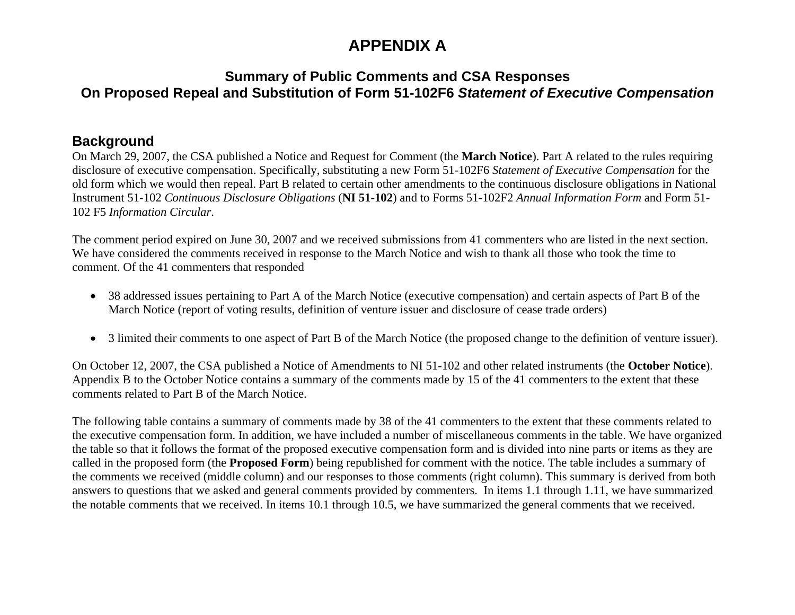## **APPENDIX A**

#### **Summary of Public Comments and CSA Responses On Proposed Repeal and Substitution of Form 51-102F6** *Statement of Executive Compensation*

#### **Background**

On March 29, 2007, the CSA published a Notice and Request for Comment (the **March Notice**). Part A related to the rules requiring disclosure of executive compensation. Specifically, substituting a new Form 51-102F6 *Statement of Executive Compensation* for the old form which we would then repeal. Part B related to certain other amendments to the continuous disclosure obligations in National Instrument 51-102 *Continuous Disclosure Obligations* (**NI 51-102**) and to Forms 51-102F2 *Annual Information Form* and Form 51- 102 F5 *Information Circular*.

The comment period expired on June 30, 2007 and we received submissions from 41 commenters who are listed in the next section. We have considered the comments received in response to the March Notice and wish to thank all those who took the time to comment. Of the 41 commenters that responded

- 38 addressed issues pertaining to Part A of the March Notice (executive compensation) and certain aspects of Part B of the March Notice (report of voting results, definition of venture issuer and disclosure of cease trade orders)
- 3 limited their comments to one aspect of Part B of the March Notice (the proposed change to the definition of venture issuer).

On October 12, 2007, the CSA published a Notice of Amendments to NI 51-102 and other related instruments (the **October Notice**). Appendix B to the October Notice contains a summary of the comments made by 15 of the 41 commenters to the extent that these comments related to Part B of the March Notice.

The following table contains a summary of comments made by 38 of the 41 commenters to the extent that these comments related to the executive compensation form. In addition, we have included a number of miscellaneous comments in the table. We have organized the table so that it follows the format of the proposed executive compensation form and is divided into nine parts or items as they are called in the proposed form (the **Proposed Form**) being republished for comment with the notice. The table includes a summary of the comments we received (middle column) and our responses to those comments (right column). This summary is derived from both answers to questions that we asked and general comments provided by commenters. In items 1.1 through 1.11, we have summarized the notable comments that we received. In items 10.1 through 10.5, we have summarized the general comments that we received.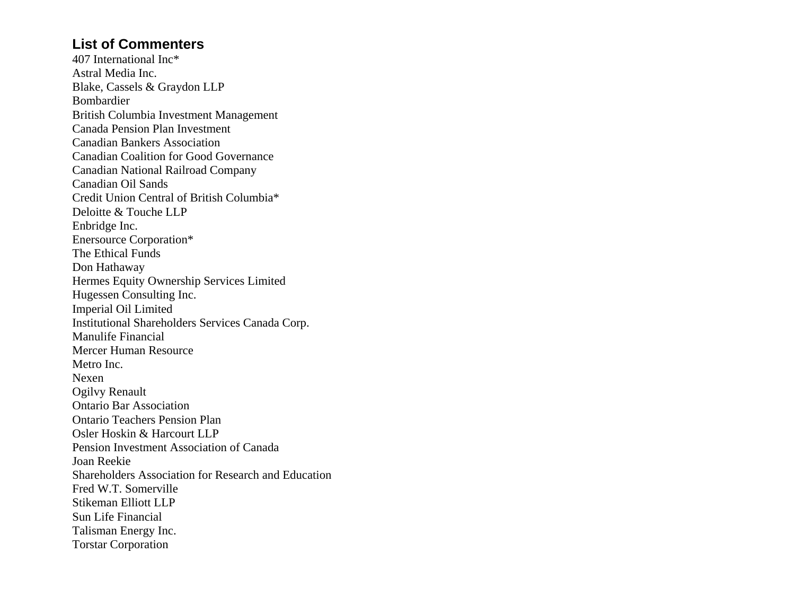#### **List of Commenters**

407 International Inc\* Astral Media Inc. Blake, Cassels & Graydon LLP Bombardier British Columbia Investment Management Canada Pension Plan Investment Canadian Bankers Association Canadian Coalition for Good Governance Canadian National Railroad Company Canadian Oil Sands Credit Union Central of British Columbia\* Deloitte & Touche LLP Enbridge Inc. Enersource Corporation\* The Ethical Funds Don Hathaway Hermes Equity Ownership Services Limited Hugessen Consulting Inc. Imperial Oil Limited Institutional Shareholders Services Canada Corp. Manulife Financial Mercer Human Resource Metro Inc. Nexen Ogilvy Renault Ontario Bar Association Ontario Teachers Pension Plan Osler Hoskin & Harcourt LLP Pension Investment Association of Canada Joan Reekie Shareholders Association for Research and Education Fred W.T. Somerville Stikeman Elliott LLP Sun Life Financial Talisman Energy Inc. Torstar Corporation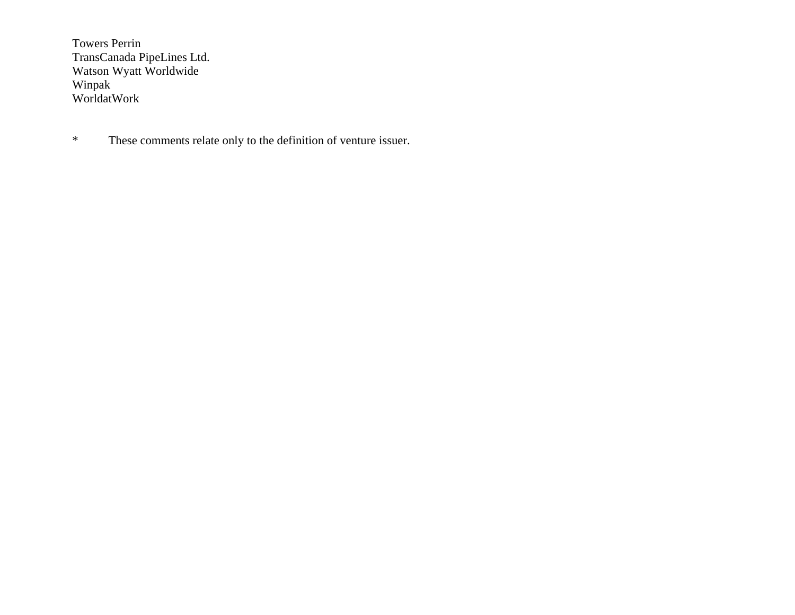Towers Perrin TransCanada PipeLines Ltd. Watson Wyatt Worldwide Winpak WorldatWork

\* These comments relate only to the definition of venture issuer.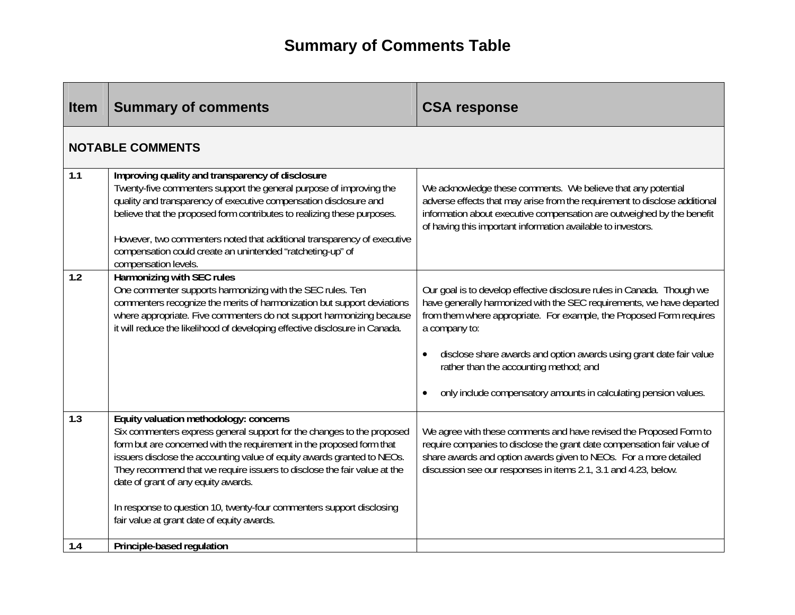# **Summary of Comments Table**

| <b>Item</b> | <b>Summary of comments</b>                                                                                                                                                                                                                                                                                                                                                                                                                                                                                     | <b>CSA response</b>                                                                                                                                                                                                                                                                                                                                                                                                           |
|-------------|----------------------------------------------------------------------------------------------------------------------------------------------------------------------------------------------------------------------------------------------------------------------------------------------------------------------------------------------------------------------------------------------------------------------------------------------------------------------------------------------------------------|-------------------------------------------------------------------------------------------------------------------------------------------------------------------------------------------------------------------------------------------------------------------------------------------------------------------------------------------------------------------------------------------------------------------------------|
|             | <b>NOTABLE COMMENTS</b>                                                                                                                                                                                                                                                                                                                                                                                                                                                                                        |                                                                                                                                                                                                                                                                                                                                                                                                                               |
| 1.1         | Improving quality and transparency of disclosure<br>Twenty-five commenters support the general purpose of improving the<br>quality and transparency of executive compensation disclosure and<br>believe that the proposed form contributes to realizing these purposes.<br>However, two commenters noted that additional transparency of executive<br>compensation could create an unintended "ratcheting-up" of<br>compensation levels.                                                                       | We acknowledge these comments. We believe that any potential<br>adverse effects that may arise from the requirement to disclose additional<br>information about executive compensation are outweighed by the benefit<br>of having this important information available to investors.                                                                                                                                          |
| 1.2         | Harmonizing with SEC rules<br>One commenter supports harmonizing with the SEC rules. Ten<br>commenters recognize the merits of harmonization but support deviations<br>where appropriate. Five commenters do not support harmonizing because<br>it will reduce the likelihood of developing effective disclosure in Canada.                                                                                                                                                                                    | Our goal is to develop effective disclosure rules in Canada. Though we<br>have generally harmonized with the SEC requirements, we have departed<br>from them where appropriate. For example, the Proposed Form requires<br>a company to:<br>disclose share awards and option awards using grant date fair value<br>rather than the accounting method; and<br>only include compensatory amounts in calculating pension values. |
| 1.3         | Equity valuation methodology: concerns<br>Six commenters express general support for the changes to the proposed<br>form but are concerned with the requirement in the proposed form that<br>issuers disclose the accounting value of equity awards granted to NEOs.<br>They recommend that we require issuers to disclose the fair value at the<br>date of grant of any equity awards.<br>In response to question 10, twenty-four commenters support disclosing<br>fair value at grant date of equity awards. | We agree with these comments and have revised the Proposed Form to<br>require companies to disclose the grant date compensation fair value of<br>share awards and option awards given to NEOs. For a more detailed<br>discussion see our responses in items 2.1, 3.1 and 4.23, below.                                                                                                                                         |
| 1.4         | Principle-based regulation                                                                                                                                                                                                                                                                                                                                                                                                                                                                                     |                                                                                                                                                                                                                                                                                                                                                                                                                               |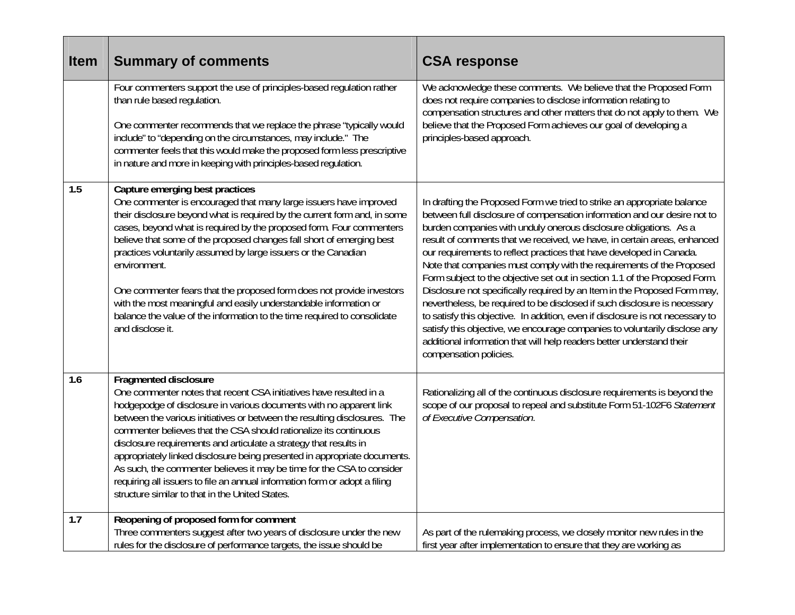| <b>Item</b> | <b>Summary of comments</b>                                                                                                                                                                                                                                                                                                                                                                                                                                                                                                                                                                                                                                                        | <b>CSA response</b>                                                                                                                                                                                                                                                                                                                                                                                                                                                                                                                                                                                                                                                                                                                                                                                                                                                                                                                                               |
|-------------|-----------------------------------------------------------------------------------------------------------------------------------------------------------------------------------------------------------------------------------------------------------------------------------------------------------------------------------------------------------------------------------------------------------------------------------------------------------------------------------------------------------------------------------------------------------------------------------------------------------------------------------------------------------------------------------|-------------------------------------------------------------------------------------------------------------------------------------------------------------------------------------------------------------------------------------------------------------------------------------------------------------------------------------------------------------------------------------------------------------------------------------------------------------------------------------------------------------------------------------------------------------------------------------------------------------------------------------------------------------------------------------------------------------------------------------------------------------------------------------------------------------------------------------------------------------------------------------------------------------------------------------------------------------------|
|             | Four commenters support the use of principles-based regulation rather<br>than rule based regulation.<br>One commenter recommends that we replace the phrase "typically would<br>include" to "depending on the circumstances, may include." The<br>commenter feels that this would make the proposed form less prescriptive<br>in nature and more in keeping with principles-based regulation.                                                                                                                                                                                                                                                                                     | We acknowledge these comments. We believe that the Proposed Form<br>does not require companies to disclose information relating to<br>compensation structures and other matters that do not apply to them. We<br>believe that the Proposed Form achieves our goal of developing a<br>principles-based approach.                                                                                                                                                                                                                                                                                                                                                                                                                                                                                                                                                                                                                                                   |
| 1.5         | Capture emerging best practices<br>One commenter is encouraged that many large issuers have improved<br>their disclosure beyond what is required by the current form and, in some<br>cases, beyond what is required by the proposed form. Four commenters<br>believe that some of the proposed changes fall short of emerging best<br>practices voluntarily assumed by large issuers or the Canadian<br>environment.<br>One commenter fears that the proposed form does not provide investors<br>with the most meaningful and easily understandable information or<br>balance the value of the information to the time required to consolidate<br>and disclose it.                | In drafting the Proposed Form we tried to strike an appropriate balance<br>between full disclosure of compensation information and our desire not to<br>burden companies with unduly onerous disclosure obligations. As a<br>result of comments that we received, we have, in certain areas, enhanced<br>our requirements to reflect practices that have developed in Canada.<br>Note that companies must comply with the requirements of the Proposed<br>Form subject to the objective set out in section 1.1 of the Proposed Form.<br>Disclosure not specifically required by an Item in the Proposed Form may,<br>nevertheless, be required to be disclosed if such disclosure is necessary<br>to satisfy this objective. In addition, even if disclosure is not necessary to<br>satisfy this objective, we encourage companies to voluntarily disclose any<br>additional information that will help readers better understand their<br>compensation policies. |
| 1.6         | Fragmented disclosure<br>One commenter notes that recent CSA initiatives have resulted in a<br>hodgepodge of disclosure in various documents with no apparent link<br>between the various initiatives or between the resulting disclosures. The<br>commenter believes that the CSA should rationalize its continuous<br>disclosure requirements and articulate a strategy that results in<br>appropriately linked disclosure being presented in appropriate documents.<br>As such, the commenter believes it may be time for the CSA to consider<br>requiring all issuers to file an annual information form or adopt a filing<br>structure similar to that in the United States. | Rationalizing all of the continuous disclosure requirements is beyond the<br>scope of our proposal to repeal and substitute Form 51-102F6 Statement<br>of Executive Compensation.                                                                                                                                                                                                                                                                                                                                                                                                                                                                                                                                                                                                                                                                                                                                                                                 |
| 1.7         | Reopening of proposed form for comment<br>Three commenters suggest after two years of disclosure under the new<br>rules for the disclosure of performance targets, the issue should be                                                                                                                                                                                                                                                                                                                                                                                                                                                                                            | As part of the rulemaking process, we closely monitor new rules in the<br>first year after implementation to ensure that they are working as                                                                                                                                                                                                                                                                                                                                                                                                                                                                                                                                                                                                                                                                                                                                                                                                                      |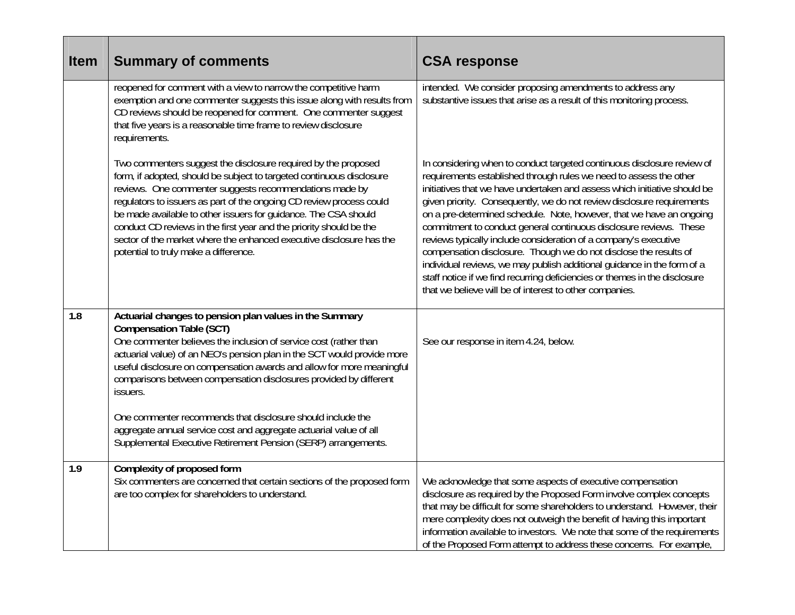| <b>Item</b> | <b>Summary of comments</b>                                                                                                                                                                                                                                                                                                                                                                                                                                                                                                                                                                                    | <b>CSA response</b>                                                                                                                                                                                                                                                                                                                                                                                                                                                                                                                                                                                                                                                                                                                                                                                             |
|-------------|---------------------------------------------------------------------------------------------------------------------------------------------------------------------------------------------------------------------------------------------------------------------------------------------------------------------------------------------------------------------------------------------------------------------------------------------------------------------------------------------------------------------------------------------------------------------------------------------------------------|-----------------------------------------------------------------------------------------------------------------------------------------------------------------------------------------------------------------------------------------------------------------------------------------------------------------------------------------------------------------------------------------------------------------------------------------------------------------------------------------------------------------------------------------------------------------------------------------------------------------------------------------------------------------------------------------------------------------------------------------------------------------------------------------------------------------|
|             | reopened for comment with a view to narrow the competitive harm<br>exemption and one commenter suggests this issue along with results from<br>CD reviews should be reopened for comment. One commenter suggest<br>that five years is a reasonable time frame to review disclosure<br>requirements.                                                                                                                                                                                                                                                                                                            | intended. We consider proposing amendments to address any<br>substantive issues that arise as a result of this monitoring process.                                                                                                                                                                                                                                                                                                                                                                                                                                                                                                                                                                                                                                                                              |
|             | Two commenters suggest the disclosure required by the proposed<br>form, if adopted, should be subject to targeted continuous disclosure<br>reviews. One commenter suggests recommendations made by<br>regulators to issuers as part of the ongoing CD review process could<br>be made available to other issuers for quidance. The CSA should<br>conduct CD reviews in the first year and the priority should be the<br>sector of the market where the enhanced executive disclosure has the<br>potential to truly make a difference.                                                                         | In considering when to conduct targeted continuous disclosure review of<br>requirements established through rules we need to assess the other<br>initiatives that we have undertaken and assess which initiative should be<br>given priority. Consequently, we do not review disclosure requirements<br>on a pre-determined schedule. Note, however, that we have an ongoing<br>commitment to conduct general continuous disclosure reviews. These<br>reviews typically include consideration of a company's executive<br>compensation disclosure. Though we do not disclose the results of<br>individual reviews, we may publish additional guidance in the form of a<br>staff notice if we find recurring deficiencies or themes in the disclosure<br>that we believe will be of interest to other companies. |
| 1.8         | Actuarial changes to pension plan values in the Summary<br><b>Compensation Table (SCT)</b><br>One commenter believes the inclusion of service cost (rather than<br>actuarial value) of an NEO's pension plan in the SCT would provide more<br>useful disclosure on compensation awards and allow for more meaningful<br>comparisons between compensation disclosures provided by different<br>issuers.<br>One commenter recommends that disclosure should include the<br>aggregate annual service cost and aggregate actuarial value of all<br>Supplemental Executive Retirement Pension (SERP) arrangements. | See our response in item 4.24, below.                                                                                                                                                                                                                                                                                                                                                                                                                                                                                                                                                                                                                                                                                                                                                                           |
| 1.9         | Complexity of proposed form<br>Six commenters are concerned that certain sections of the proposed form<br>are too complex for shareholders to understand.                                                                                                                                                                                                                                                                                                                                                                                                                                                     | We acknowledge that some aspects of executive compensation<br>disclosure as required by the Proposed Form involve complex concepts<br>that may be difficult for some shareholders to understand. However, their<br>mere complexity does not outweigh the benefit of having this important<br>information available to investors. We note that some of the requirements<br>of the Proposed Form attempt to address these concerns. For example,                                                                                                                                                                                                                                                                                                                                                                  |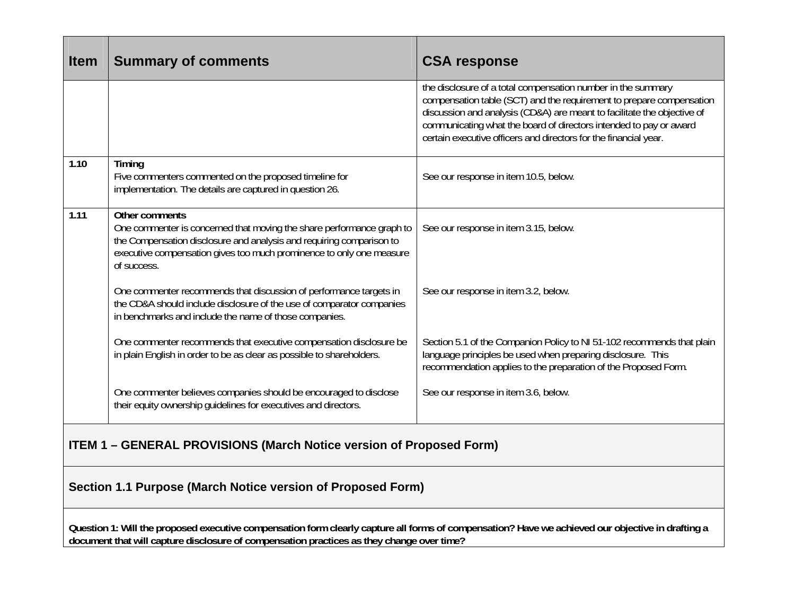| <b>Item</b> | <b>Summary of comments</b>                                                                                                                                                                                                                             | <b>CSA response</b>                                                                                                                                                                                                                                                                                                                                       |
|-------------|--------------------------------------------------------------------------------------------------------------------------------------------------------------------------------------------------------------------------------------------------------|-----------------------------------------------------------------------------------------------------------------------------------------------------------------------------------------------------------------------------------------------------------------------------------------------------------------------------------------------------------|
|             |                                                                                                                                                                                                                                                        | the disclosure of a total compensation number in the summary<br>compensation table (SCT) and the requirement to prepare compensation<br>discussion and analysis (CD&A) are meant to facilitate the objective of<br>communicating what the board of directors intended to pay or award<br>certain executive officers and directors for the financial year. |
| 1.10        | Timing<br>Five commenters commented on the proposed timeline for<br>implementation. The details are captured in question 26.                                                                                                                           | See our response in item 10.5, below.                                                                                                                                                                                                                                                                                                                     |
| 1.11        | Other comments<br>One commenter is concerned that moving the share performance graph to<br>the Compensation disclosure and analysis and requiring comparison to<br>executive compensation gives too much prominence to only one measure<br>of success. | See our response in item 3.15, below.                                                                                                                                                                                                                                                                                                                     |
|             | One commenter recommends that discussion of performance targets in<br>the CD&A should include disclosure of the use of comparator companies<br>in benchmarks and include the name of those companies.                                                  | See our response in item 3.2, below.                                                                                                                                                                                                                                                                                                                      |
|             | One commenter recommends that executive compensation disclosure be<br>in plain English in order to be as clear as possible to shareholders.                                                                                                            | Section 5.1 of the Companion Policy to NI 51-102 recommends that plain<br>language principles be used when preparing disclosure. This<br>recommendation applies to the preparation of the Proposed Form.                                                                                                                                                  |
|             | One commenter believes companies should be encouraged to disclose<br>their equity ownership guidelines for executives and directors.                                                                                                                   | See our response in item 3.6, below.                                                                                                                                                                                                                                                                                                                      |
|             |                                                                                                                                                                                                                                                        |                                                                                                                                                                                                                                                                                                                                                           |

### **ITEM 1 – GENERAL PROVISIONS (March Notice version of Proposed Form)**

#### **Section 1.1 Purpose (March Notice version of Proposed Form)**

**Question 1: Will the proposed executive compensation form clearly capture all forms of compensation? Have we achieved our objective in drafting a document that will capture disclosure of compensation practices as they change over time?**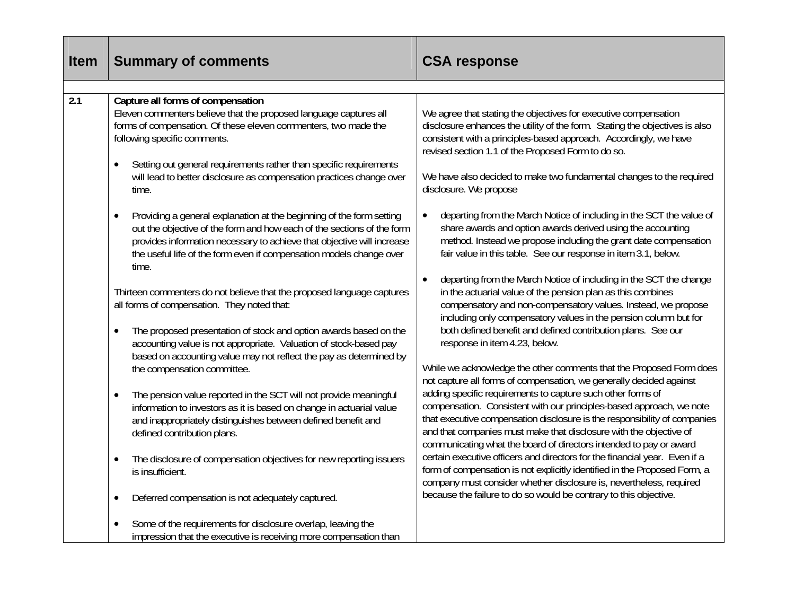| <b>Item</b> | <b>Summary of comments</b>                                                                                                                                                                                                                                                                                            | <b>CSA response</b>                                                                                                                                                                                                                                                                                                                                                                  |
|-------------|-----------------------------------------------------------------------------------------------------------------------------------------------------------------------------------------------------------------------------------------------------------------------------------------------------------------------|--------------------------------------------------------------------------------------------------------------------------------------------------------------------------------------------------------------------------------------------------------------------------------------------------------------------------------------------------------------------------------------|
|             |                                                                                                                                                                                                                                                                                                                       |                                                                                                                                                                                                                                                                                                                                                                                      |
| 2.1         | Capture all forms of compensation<br>Eleven commenters believe that the proposed language captures all<br>forms of compensation. Of these eleven commenters, two made the<br>following specific comments.<br>Setting out general requirements rather than specific requirements<br>$\bullet$                          | We agree that stating the objectives for executive compensation<br>disclosure enhances the utility of the form. Stating the objectives is also<br>consistent with a principles-based approach. Accordingly, we have<br>revised section 1.1 of the Proposed Form to do so.                                                                                                            |
|             | will lead to better disclosure as compensation practices change over<br>time.                                                                                                                                                                                                                                         | We have also decided to make two fundamental changes to the required<br>disclosure. We propose                                                                                                                                                                                                                                                                                       |
|             | Providing a general explanation at the beginning of the form setting<br>$\bullet$<br>out the objective of the form and how each of the sections of the form<br>provides information necessary to achieve that objective will increase<br>the useful life of the form even if compensation models change over<br>time. | departing from the March Notice of including in the SCT the value of<br>share awards and option awards derived using the accounting<br>method. Instead we propose including the grant date compensation<br>fair value in this table. See our response in item 3.1, below.                                                                                                            |
|             | Thirteen commenters do not believe that the proposed language captures<br>all forms of compensation. They noted that:<br>The proposed presentation of stock and option awards based on the<br>$\bullet$<br>accounting value is not appropriate. Valuation of stock-based pay                                          | departing from the March Notice of including in the SCT the change<br>$\bullet$<br>in the actuarial value of the pension plan as this combines<br>compensatory and non-compensatory values. Instead, we propose<br>including only compensatory values in the pension column but for<br>both defined benefit and defined contribution plans. See our<br>response in item 4.23, below. |
|             | based on accounting value may not reflect the pay as determined by<br>the compensation committee.                                                                                                                                                                                                                     | While we acknowledge the other comments that the Proposed Form does<br>not capture all forms of compensation, we generally decided against                                                                                                                                                                                                                                           |
|             | The pension value reported in the SCT will not provide meaningful<br>$\bullet$<br>information to investors as it is based on change in actuarial value<br>and inappropriately distinguishes between defined benefit and<br>defined contribution plans.                                                                | adding specific requirements to capture such other forms of<br>compensation. Consistent with our principles-based approach, we note<br>that executive compensation disclosure is the responsibility of companies<br>and that companies must make that disclosure with the objective of<br>communicating what the board of directors intended to pay or award                         |
|             | The disclosure of compensation objectives for new reporting issuers<br>$\bullet$<br>is insufficient.                                                                                                                                                                                                                  | certain executive officers and directors for the financial year. Even if a<br>form of compensation is not explicitly identified in the Proposed Form, a<br>company must consider whether disclosure is, nevertheless, required                                                                                                                                                       |
|             | Deferred compensation is not adequately captured.<br>$\bullet$                                                                                                                                                                                                                                                        | because the failure to do so would be contrary to this objective.                                                                                                                                                                                                                                                                                                                    |
|             | Some of the requirements for disclosure overlap, leaving the<br>impression that the executive is receiving more compensation than                                                                                                                                                                                     |                                                                                                                                                                                                                                                                                                                                                                                      |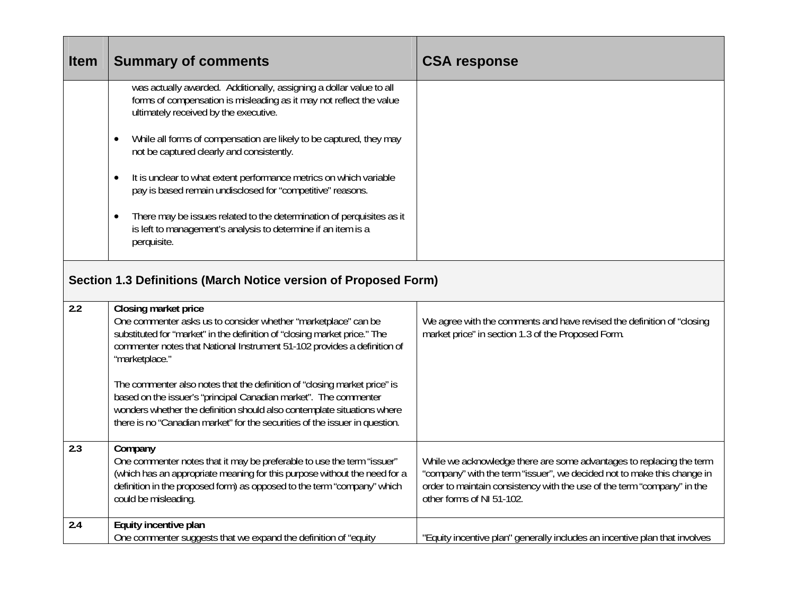| <b>Item</b>                                                     | <b>Summary of comments</b>                                                                                                                                                                                                                                                                              | <b>CSA response</b>                                                                                                                                                                                                                                     |
|-----------------------------------------------------------------|---------------------------------------------------------------------------------------------------------------------------------------------------------------------------------------------------------------------------------------------------------------------------------------------------------|---------------------------------------------------------------------------------------------------------------------------------------------------------------------------------------------------------------------------------------------------------|
|                                                                 | was actually awarded. Additionally, assigning a dollar value to all<br>forms of compensation is misleading as it may not reflect the value<br>ultimately received by the executive.                                                                                                                     |                                                                                                                                                                                                                                                         |
|                                                                 | While all forms of compensation are likely to be captured, they may<br>not be captured clearly and consistently.                                                                                                                                                                                        |                                                                                                                                                                                                                                                         |
|                                                                 | It is unclear to what extent performance metrics on which variable<br>$\bullet$<br>pay is based remain undisclosed for "competitive" reasons.                                                                                                                                                           |                                                                                                                                                                                                                                                         |
|                                                                 | There may be issues related to the determination of perquisites as it<br>$\bullet$<br>is left to management's analysis to determine if an item is a<br>perquisite.                                                                                                                                      |                                                                                                                                                                                                                                                         |
| Section 1.3 Definitions (March Notice version of Proposed Form) |                                                                                                                                                                                                                                                                                                         |                                                                                                                                                                                                                                                         |
| 2.2                                                             | Closing market price<br>One commenter asks us to consider whether "marketplace" can be<br>substituted for "market" in the definition of "closing market price." The<br>commenter notes that National Instrument 51-102 provides a definition of<br>"marketplace."                                       | We agree with the comments and have revised the definition of "closing<br>market price" in section 1.3 of the Proposed Form.                                                                                                                            |
|                                                                 | The commenter also notes that the definition of "closing market price" is<br>based on the issuer's "principal Canadian market". The commenter<br>wonders whether the definition should also contemplate situations where<br>there is no "Canadian market" for the securities of the issuer in question. |                                                                                                                                                                                                                                                         |
| 2.3                                                             | Company<br>One commenter notes that it may be preferable to use the term "issuer"<br>(which has an appropriate meaning for this purpose without the need for a<br>definition in the proposed form) as opposed to the term "company" which<br>could be misleading.                                       | While we acknowledge there are some advantages to replacing the term<br>"company" with the term "issuer", we decided not to make this change in<br>order to maintain consistency with the use of the term "company" in the<br>other forms of NI 51-102. |
| 2.4                                                             | Equity incentive plan<br>One commenter suggests that we expand the definition of "equity"                                                                                                                                                                                                               | "Equity incentive plan" generally includes an incentive plan that involves                                                                                                                                                                              |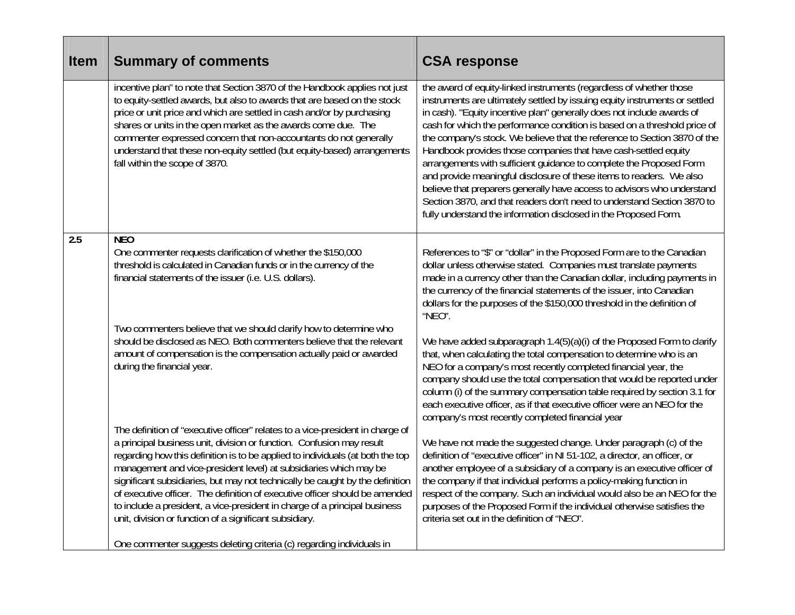| Item | <b>Summary of comments</b>                                                                                                                                                                                                                                                                                                                                                                                                                                                                                                                                                                                              | <b>CSA response</b>                                                                                                                                                                                                                                                                                                                                                                                                                                                                                                                                                                                                                                                                                                                                                                                                                |
|------|-------------------------------------------------------------------------------------------------------------------------------------------------------------------------------------------------------------------------------------------------------------------------------------------------------------------------------------------------------------------------------------------------------------------------------------------------------------------------------------------------------------------------------------------------------------------------------------------------------------------------|------------------------------------------------------------------------------------------------------------------------------------------------------------------------------------------------------------------------------------------------------------------------------------------------------------------------------------------------------------------------------------------------------------------------------------------------------------------------------------------------------------------------------------------------------------------------------------------------------------------------------------------------------------------------------------------------------------------------------------------------------------------------------------------------------------------------------------|
|      | incentive plan" to note that Section 3870 of the Handbook applies not just<br>to equity-settled awards, but also to awards that are based on the stock<br>price or unit price and which are settled in cash and/or by purchasing<br>shares or units in the open market as the awards come due. The<br>commenter expressed concern that non-accountants do not generally<br>understand that these non-equity settled (but equity-based) arrangements<br>fall within the scope of 3870.                                                                                                                                   | the award of equity-linked instruments (regardless of whether those<br>instruments are ultimately settled by issuing equity instruments or settled<br>in cash). "Equity incentive plan" generally does not include awards of<br>cash for which the performance condition is based on a threshold price of<br>the company's stock. We believe that the reference to Section 3870 of the<br>Handbook provides those companies that have cash-settled equity<br>arrangements with sufficient guidance to complete the Proposed Form<br>and provide meaningful disclosure of these items to readers. We also<br>believe that preparers generally have access to advisors who understand<br>Section 3870, and that readers don't need to understand Section 3870 to<br>fully understand the information disclosed in the Proposed Form. |
| 2.5  | <b>NEO</b><br>One commenter requests clarification of whether the \$150,000<br>threshold is calculated in Canadian funds or in the currency of the<br>financial statements of the issuer (i.e. U.S. dollars).                                                                                                                                                                                                                                                                                                                                                                                                           | References to "\$" or "dollar" in the Proposed Form are to the Canadian<br>dollar unless otherwise stated. Companies must translate payments<br>made in a currency other than the Canadian dollar, including payments in<br>the currency of the financial statements of the issuer, into Canadian<br>dollars for the purposes of the \$150,000 threshold in the definition of<br>"NEO".                                                                                                                                                                                                                                                                                                                                                                                                                                            |
|      | Two commenters believe that we should clarify how to determine who<br>should be disclosed as NEO. Both commenters believe that the relevant<br>amount of compensation is the compensation actually paid or awarded<br>during the financial year.                                                                                                                                                                                                                                                                                                                                                                        | We have added subparagraph 1.4(5)(a)(i) of the Proposed Form to clarify<br>that, when calculating the total compensation to determine who is an<br>NEO for a company's most recently completed financial year, the<br>company should use the total compensation that would be reported under<br>column (i) of the summary compensation table required by section 3.1 for<br>each executive officer, as if that executive officer were an NEO for the<br>company's most recently completed financial year                                                                                                                                                                                                                                                                                                                           |
|      | The definition of "executive officer" relates to a vice-president in charge of<br>a principal business unit, division or function. Confusion may result<br>regarding how this definition is to be applied to individuals (at both the top<br>management and vice-president level) at subsidiaries which may be<br>significant subsidiaries, but may not technically be caught by the definition<br>of executive officer. The definition of executive officer should be amended<br>to include a president, a vice-president in charge of a principal business<br>unit, division or function of a significant subsidiary. | We have not made the suggested change. Under paragraph (c) of the<br>definition of "executive officer" in NI 51-102, a director, an officer, or<br>another employee of a subsidiary of a company is an executive officer of<br>the company if that individual performs a policy-making function in<br>respect of the company. Such an individual would also be an NEO for the<br>purposes of the Proposed Form if the individual otherwise satisfies the<br>criteria set out in the definition of "NEO".                                                                                                                                                                                                                                                                                                                           |
|      | One commenter suggests deleting criteria (c) regarding individuals in                                                                                                                                                                                                                                                                                                                                                                                                                                                                                                                                                   |                                                                                                                                                                                                                                                                                                                                                                                                                                                                                                                                                                                                                                                                                                                                                                                                                                    |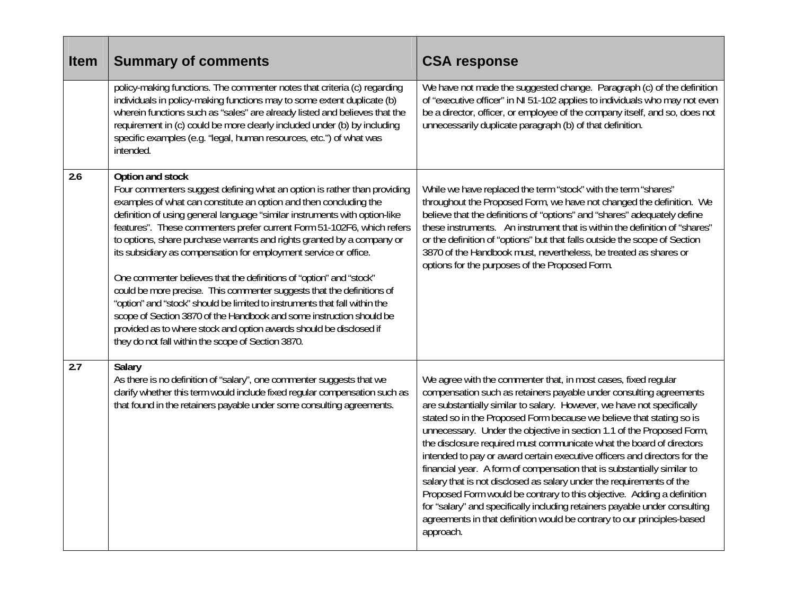| <b>Item</b> | <b>Summary of comments</b>                                                                                                                                                                                                                                                                                                                                                                                                                                                                                                                                                                                                                                                                                                                                                                                                                                                                                  | <b>CSA response</b>                                                                                                                                                                                                                                                                                                                                                                                                                                                                                                                                                                                                                                                                                                                                                                                                                                                                                                     |
|-------------|-------------------------------------------------------------------------------------------------------------------------------------------------------------------------------------------------------------------------------------------------------------------------------------------------------------------------------------------------------------------------------------------------------------------------------------------------------------------------------------------------------------------------------------------------------------------------------------------------------------------------------------------------------------------------------------------------------------------------------------------------------------------------------------------------------------------------------------------------------------------------------------------------------------|-------------------------------------------------------------------------------------------------------------------------------------------------------------------------------------------------------------------------------------------------------------------------------------------------------------------------------------------------------------------------------------------------------------------------------------------------------------------------------------------------------------------------------------------------------------------------------------------------------------------------------------------------------------------------------------------------------------------------------------------------------------------------------------------------------------------------------------------------------------------------------------------------------------------------|
|             | policy-making functions. The commenter notes that criteria (c) regarding<br>individuals in policy-making functions may to some extent duplicate (b)<br>wherein functions such as "sales" are already listed and believes that the<br>requirement in (c) could be more clearly included under (b) by including<br>specific examples (e.g. "legal, human resources, etc.") of what was<br>intended.                                                                                                                                                                                                                                                                                                                                                                                                                                                                                                           | We have not made the suggested change. Paragraph (c) of the definition<br>of "executive officer" in NI 51-102 applies to individuals who may not even<br>be a director, officer, or employee of the company itself, and so, does not<br>unnecessarily duplicate paragraph (b) of that definition.                                                                                                                                                                                                                                                                                                                                                                                                                                                                                                                                                                                                                       |
| 2.6         | Option and stock<br>Four commenters suggest defining what an option is rather than providing<br>examples of what can constitute an option and then concluding the<br>definition of using general language "similar instruments with option-like<br>features". These commenters prefer current Form 51-102F6, which refers<br>to options, share purchase warrants and rights granted by a company or<br>its subsidiary as compensation for employment service or office.<br>One commenter believes that the definitions of "option" and "stock"<br>could be more precise. This commenter suggests that the definitions of<br>"option" and "stock" should be limited to instruments that fall within the<br>scope of Section 3870 of the Handbook and some instruction should be<br>provided as to where stock and option awards should be disclosed if<br>they do not fall within the scope of Section 3870. | While we have replaced the term "stock" with the term "shares"<br>throughout the Proposed Form, we have not changed the definition. We<br>believe that the definitions of "options" and "shares" adequately define<br>these instruments. An instrument that is within the definition of "shares"<br>or the definition of "options" but that falls outside the scope of Section<br>3870 of the Handbook must, nevertheless, be treated as shares or<br>options for the purposes of the Proposed Form.                                                                                                                                                                                                                                                                                                                                                                                                                    |
| 2.7         | Salary<br>As there is no definition of "salary", one commenter suggests that we<br>clarify whether this term would include fixed regular compensation such as<br>that found in the retainers payable under some consulting agreements.                                                                                                                                                                                                                                                                                                                                                                                                                                                                                                                                                                                                                                                                      | We agree with the commenter that, in most cases, fixed regular<br>compensation such as retainers payable under consulting agreements<br>are substantially similar to salary. However, we have not specifically<br>stated so in the Proposed Form because we believe that stating so is<br>unnecessary. Under the objective in section 1.1 of the Proposed Form,<br>the disclosure required must communicate what the board of directors<br>intended to pay or award certain executive officers and directors for the<br>financial year. A form of compensation that is substantially similar to<br>salary that is not disclosed as salary under the requirements of the<br>Proposed Form would be contrary to this objective. Adding a definition<br>for "salary" and specifically including retainers payable under consulting<br>agreements in that definition would be contrary to our principles-based<br>approach. |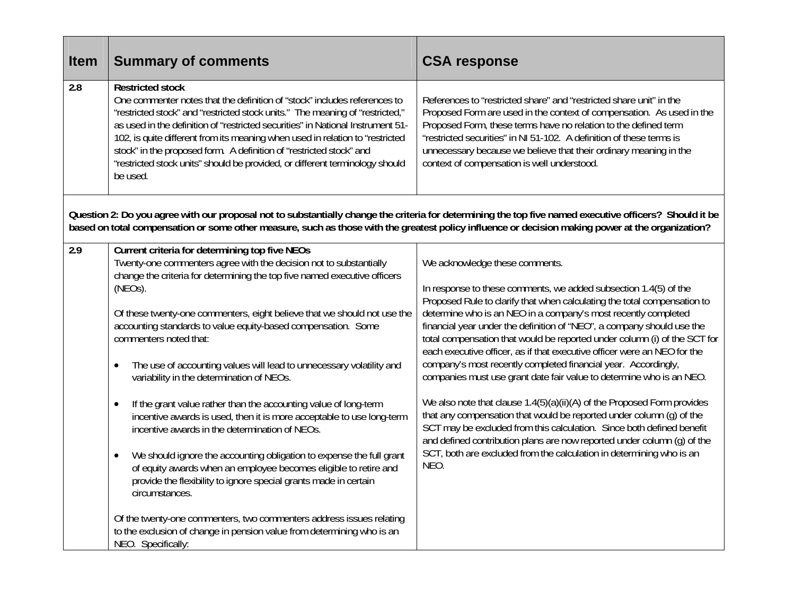| Item | <b>Summary of comments</b>                                                                                                                                                                                                                                                                                                                                                                                                                                                                                                                                                                                                                                                                                                                                                                                                                                                                                                                                                                                                                                                                                                                               | <b>CSA response</b>                                                                                                                                                                                                                                                                                                                                                                                                                                                                                                                                                                                                                                                                                                                                                                                                                                                                                                                                                                                                  |
|------|----------------------------------------------------------------------------------------------------------------------------------------------------------------------------------------------------------------------------------------------------------------------------------------------------------------------------------------------------------------------------------------------------------------------------------------------------------------------------------------------------------------------------------------------------------------------------------------------------------------------------------------------------------------------------------------------------------------------------------------------------------------------------------------------------------------------------------------------------------------------------------------------------------------------------------------------------------------------------------------------------------------------------------------------------------------------------------------------------------------------------------------------------------|----------------------------------------------------------------------------------------------------------------------------------------------------------------------------------------------------------------------------------------------------------------------------------------------------------------------------------------------------------------------------------------------------------------------------------------------------------------------------------------------------------------------------------------------------------------------------------------------------------------------------------------------------------------------------------------------------------------------------------------------------------------------------------------------------------------------------------------------------------------------------------------------------------------------------------------------------------------------------------------------------------------------|
| 2.8  | <b>Restricted stock</b><br>One commenter notes that the definition of "stock" includes references to<br>"restricted stock" and "restricted stock units." The meaning of "restricted,"<br>as used in the definition of "restricted securities" in National Instrument 51-<br>102, is quite different from its meaning when used in relation to "restricted<br>stock" in the proposed form. A definition of "restricted stock" and<br>"restricted stock units" should be provided, or different terminology should<br>be used.                                                                                                                                                                                                                                                                                                                                                                                                                                                                                                                                                                                                                             | References to "restricted share" and "restricted share unit" in the<br>Proposed Form are used in the context of compensation. As used in the<br>Proposed Form, these terms have no relation to the defined term<br>"restricted securities" in NI 51-102. A definition of these terms is<br>unnecessary because we believe that their ordinary meaning in the<br>context of compensation is well understood.                                                                                                                                                                                                                                                                                                                                                                                                                                                                                                                                                                                                          |
|      | Question 2: Do you agree with our proposal not to substantially change the criteria for determining the top five named executive officers? Should it be<br>based on total compensation or some other measure, such as those with the greatest policy influence or decision making power at the organization?                                                                                                                                                                                                                                                                                                                                                                                                                                                                                                                                                                                                                                                                                                                                                                                                                                             |                                                                                                                                                                                                                                                                                                                                                                                                                                                                                                                                                                                                                                                                                                                                                                                                                                                                                                                                                                                                                      |
| 2.9  | Current criteria for determining top five NEOs<br>Twenty-one commenters agree with the decision not to substantially<br>change the criteria for determining the top five named executive officers<br>(NEOs).<br>Of these twenty-one commenters, eight believe that we should not use the<br>accounting standards to value equity-based compensation. Some<br>commenters noted that:<br>The use of accounting values will lead to unnecessary volatility and<br>$\bullet$<br>variability in the determination of NEOs.<br>If the grant value rather than the accounting value of long-term<br>$\bullet$<br>incentive awards is used, then it is more acceptable to use long-term<br>incentive awards in the determination of NEOs.<br>We should ignore the accounting obligation to expense the full grant<br>$\bullet$<br>of equity awards when an employee becomes eligible to retire and<br>provide the flexibility to ignore special grants made in certain<br>circumstances.<br>Of the twenty-one commenters, two commenters address issues relating<br>to the exclusion of change in pension value from determining who is an<br>NEO. Specifically: | We acknowledge these comments.<br>In response to these comments, we added subsection 1.4(5) of the<br>Proposed Rule to clarify that when calculating the total compensation to<br>determine who is an NEO in a company's most recently completed<br>financial year under the definition of "NEO", a company should use the<br>total compensation that would be reported under column (i) of the SCT for<br>each executive officer, as if that executive officer were an NEO for the<br>company's most recently completed financial year. Accordingly,<br>companies must use grant date fair value to determine who is an NEO.<br>We also note that clause 1.4(5)(a)(ii)(A) of the Proposed Form provides<br>that any compensation that would be reported under column (g) of the<br>SCT may be excluded from this calculation. Since both defined benefit<br>and defined contribution plans are now reported under column (g) of the<br>SCT, both are excluded from the calculation in determining who is an<br>NEO. |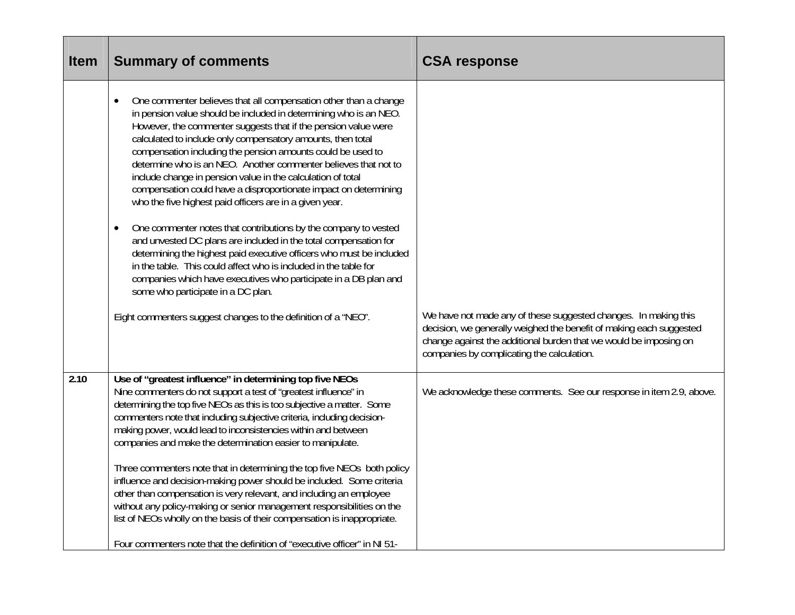| <b>Item</b> | <b>Summary of comments</b>                                                                                                                                                                                                                                                                                                                                                                                                                                                                                                                                                                                                                                                                                                                                                                                                                                                                                                                                                                                                    | <b>CSA response</b>                                                                                                                                                                                                                                       |
|-------------|-------------------------------------------------------------------------------------------------------------------------------------------------------------------------------------------------------------------------------------------------------------------------------------------------------------------------------------------------------------------------------------------------------------------------------------------------------------------------------------------------------------------------------------------------------------------------------------------------------------------------------------------------------------------------------------------------------------------------------------------------------------------------------------------------------------------------------------------------------------------------------------------------------------------------------------------------------------------------------------------------------------------------------|-----------------------------------------------------------------------------------------------------------------------------------------------------------------------------------------------------------------------------------------------------------|
|             | One commenter believes that all compensation other than a change<br>$\bullet$<br>in pension value should be included in determining who is an NEO.<br>However, the commenter suggests that if the pension value were<br>calculated to include only compensatory amounts, then total<br>compensation including the pension amounts could be used to<br>determine who is an NEO. Another commenter believes that not to<br>include change in pension value in the calculation of total<br>compensation could have a disproportionate impact on determining<br>who the five highest paid officers are in a given year.<br>One commenter notes that contributions by the company to vested<br>$\bullet$<br>and unvested DC plans are included in the total compensation for<br>determining the highest paid executive officers who must be included<br>in the table. This could affect who is included in the table for<br>companies which have executives who participate in a DB plan and<br>some who participate in a DC plan. |                                                                                                                                                                                                                                                           |
|             | Eight commenters suggest changes to the definition of a "NEO".                                                                                                                                                                                                                                                                                                                                                                                                                                                                                                                                                                                                                                                                                                                                                                                                                                                                                                                                                                | We have not made any of these suggested changes. In making this<br>decision, we generally weighed the benefit of making each suggested<br>change against the additional burden that we would be imposing on<br>companies by complicating the calculation. |
| 2.10        | Use of "greatest influence" in determining top five NEOs<br>Nine commenters do not support a test of "greatest influence" in<br>determining the top five NEOs as this is too subjective a matter. Some<br>commenters note that including subjective criteria, including decision-<br>making power, would lead to inconsistencies within and between<br>companies and make the determination easier to manipulate.<br>Three commenters note that in determining the top five NEOs both policy<br>influence and decision-making power should be included. Some criteria<br>other than compensation is very relevant, and including an employee<br>without any policy-making or senior management responsibilities on the                                                                                                                                                                                                                                                                                                        | We acknowledge these comments. See our response in item 2.9, above.                                                                                                                                                                                       |
|             | list of NEOs wholly on the basis of their compensation is inappropriate.<br>Four commenters note that the definition of "executive officer" in NI 51-                                                                                                                                                                                                                                                                                                                                                                                                                                                                                                                                                                                                                                                                                                                                                                                                                                                                         |                                                                                                                                                                                                                                                           |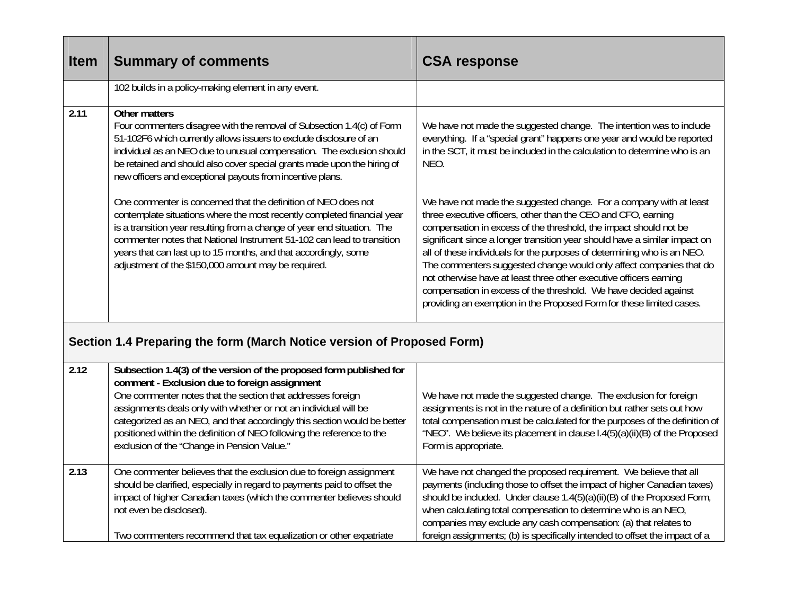| Item | <b>Summary of comments</b>                                                                                                                                                                                                                                                                                                                                                                                                                                   | <b>CSA response</b>                                                                                                                                                                                                                                                                                                                                                                                                                                                                                                                                                                                                                                        |
|------|--------------------------------------------------------------------------------------------------------------------------------------------------------------------------------------------------------------------------------------------------------------------------------------------------------------------------------------------------------------------------------------------------------------------------------------------------------------|------------------------------------------------------------------------------------------------------------------------------------------------------------------------------------------------------------------------------------------------------------------------------------------------------------------------------------------------------------------------------------------------------------------------------------------------------------------------------------------------------------------------------------------------------------------------------------------------------------------------------------------------------------|
|      | 102 builds in a policy-making element in any event.                                                                                                                                                                                                                                                                                                                                                                                                          |                                                                                                                                                                                                                                                                                                                                                                                                                                                                                                                                                                                                                                                            |
| 2.11 | Other matters<br>Four commenters disagree with the removal of Subsection 1.4(c) of Form<br>51-102F6 which currently allows issuers to exclude disclosure of an<br>individual as an NEO due to unusual compensation. The exclusion should<br>be retained and should also cover special grants made upon the hiring of<br>new officers and exceptional payouts from incentive plans.                                                                           | We have not made the suggested change. The intention was to include<br>everything. If a "special grant" happens one year and would be reported<br>in the SCT, it must be included in the calculation to determine who is an<br>NEO.                                                                                                                                                                                                                                                                                                                                                                                                                        |
|      | One commenter is concerned that the definition of NEO does not<br>contemplate situations where the most recently completed financial year<br>is a transition year resulting from a change of year end situation. The<br>commenter notes that National Instrument 51-102 can lead to transition<br>years that can last up to 15 months, and that accordingly, some<br>adjustment of the \$150,000 amount may be required.                                     | We have not made the suggested change. For a company with at least<br>three executive officers, other than the CEO and CFO, earning<br>compensation in excess of the threshold, the impact should not be<br>significant since a longer transition year should have a similar impact on<br>all of these individuals for the purposes of determining who is an NEO.<br>The commenters suggested change would only affect companies that do<br>not otherwise have at least three other executive officers earning<br>compensation in excess of the threshold. We have decided against<br>providing an exemption in the Proposed Form for these limited cases. |
|      | Section 1.4 Preparing the form (March Notice version of Proposed Form)                                                                                                                                                                                                                                                                                                                                                                                       |                                                                                                                                                                                                                                                                                                                                                                                                                                                                                                                                                                                                                                                            |
| 2.12 | Subsection 1.4(3) of the version of the proposed form published for<br>comment - Exclusion due to foreign assignment<br>One commenter notes that the section that addresses foreign<br>assignments deals only with whether or not an individual will be<br>categorized as an NEO, and that accordingly this section would be better<br>positioned within the definition of NEO following the reference to the<br>exclusion of the "Change in Pension Value." | We have not made the suggested change. The exclusion for foreign<br>assignments is not in the nature of a definition but rather sets out how<br>total compensation must be calculated for the purposes of the definition of<br>"NEO". We believe its placement in clause I.4(5)(a)(ii)(B) of the Proposed<br>Form is appropriate.                                                                                                                                                                                                                                                                                                                          |
| 2.13 | One commenter believes that the exclusion due to foreign assignment<br>should be clarified, especially in regard to payments paid to offset the<br>impact of higher Canadian taxes (which the commenter believes should<br>not even be disclosed).<br>Two commenters recommend that tax equalization or other expatriate                                                                                                                                     | We have not changed the proposed requirement. We believe that all<br>payments (including those to offset the impact of higher Canadian taxes)<br>should be included. Under clause 1.4(5)(a)(ii)(B) of the Proposed Form,<br>when calculating total compensation to determine who is an NEO,<br>companies may exclude any cash compensation: (a) that relates to<br>foreign assignments; (b) is specifically intended to offset the impact of a                                                                                                                                                                                                             |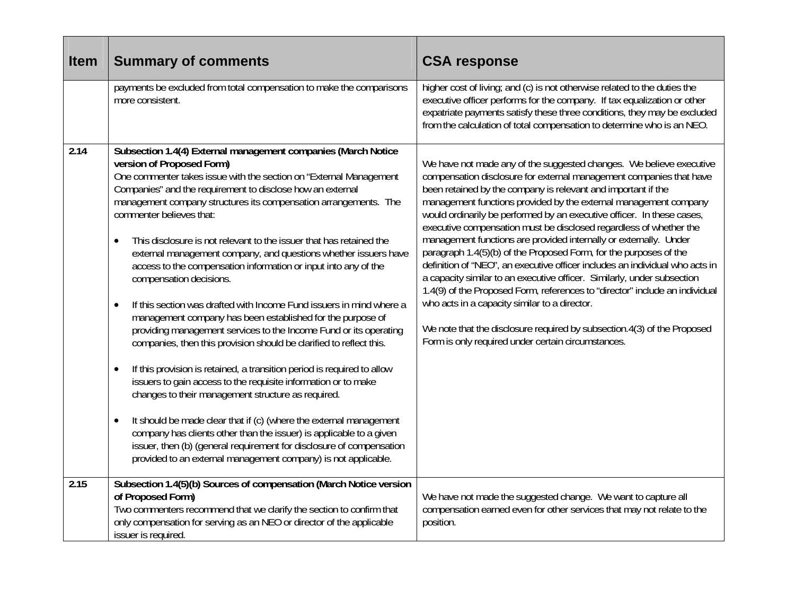| <b>Item</b> | <b>Summary of comments</b>                                                                                                                                                                                                                                                                                                                                                                                                                                                                                                                                                                                                                                                                                                                                                                                                                                                                                                                                                                                                                                                                                                                                                                                                                                                                                                                                                    | <b>CSA response</b>                                                                                                                                                                                                                                                                                                                                                                                                                                                                                                                                                                                                                                                                                                                                                                                                                                                                                                                                                                                   |
|-------------|-------------------------------------------------------------------------------------------------------------------------------------------------------------------------------------------------------------------------------------------------------------------------------------------------------------------------------------------------------------------------------------------------------------------------------------------------------------------------------------------------------------------------------------------------------------------------------------------------------------------------------------------------------------------------------------------------------------------------------------------------------------------------------------------------------------------------------------------------------------------------------------------------------------------------------------------------------------------------------------------------------------------------------------------------------------------------------------------------------------------------------------------------------------------------------------------------------------------------------------------------------------------------------------------------------------------------------------------------------------------------------|-------------------------------------------------------------------------------------------------------------------------------------------------------------------------------------------------------------------------------------------------------------------------------------------------------------------------------------------------------------------------------------------------------------------------------------------------------------------------------------------------------------------------------------------------------------------------------------------------------------------------------------------------------------------------------------------------------------------------------------------------------------------------------------------------------------------------------------------------------------------------------------------------------------------------------------------------------------------------------------------------------|
|             | payments be excluded from total compensation to make the comparisons<br>more consistent.                                                                                                                                                                                                                                                                                                                                                                                                                                                                                                                                                                                                                                                                                                                                                                                                                                                                                                                                                                                                                                                                                                                                                                                                                                                                                      | higher cost of living; and (c) is not otherwise related to the duties the<br>executive officer performs for the company. If tax equalization or other<br>expatriate payments satisfy these three conditions, they may be excluded<br>from the calculation of total compensation to determine who is an NEO.                                                                                                                                                                                                                                                                                                                                                                                                                                                                                                                                                                                                                                                                                           |
| 2.14        | Subsection 1.4(4) External management companies (March Notice<br>version of Proposed Form)<br>One commenter takes issue with the section on "External Management"<br>Companies" and the requirement to disclose how an external<br>management company structures its compensation arrangements. The<br>commenter believes that:<br>This disclosure is not relevant to the issuer that has retained the<br>external management company, and questions whether issuers have<br>access to the compensation information or input into any of the<br>compensation decisions.<br>If this section was drafted with Income Fund issuers in mind where a<br>$\bullet$<br>management company has been established for the purpose of<br>providing management services to the Income Fund or its operating<br>companies, then this provision should be clarified to reflect this.<br>If this provision is retained, a transition period is required to allow<br>issuers to gain access to the requisite information or to make<br>changes to their management structure as required.<br>It should be made clear that if (c) (where the external management<br>$\bullet$<br>company has clients other than the issuer) is applicable to a given<br>issuer, then (b) (general requirement for disclosure of compensation<br>provided to an external management company) is not applicable. | We have not made any of the suggested changes. We believe executive<br>compensation disclosure for external management companies that have<br>been retained by the company is relevant and important if the<br>management functions provided by the external management company<br>would ordinarily be performed by an executive officer. In these cases,<br>executive compensation must be disclosed regardless of whether the<br>management functions are provided internally or externally. Under<br>paragraph 1.4(5)(b) of the Proposed Form, for the purposes of the<br>definition of "NEO", an executive officer includes an individual who acts in<br>a capacity similar to an executive officer. Similarly, under subsection<br>1.4(9) of the Proposed Form, references to "director" include an individual<br>who acts in a capacity similar to a director.<br>We note that the disclosure required by subsection.4(3) of the Proposed<br>Form is only required under certain circumstances. |
| 2.15        | Subsection 1.4(5)(b) Sources of compensation (March Notice version<br>of Proposed Form)<br>Two commenters recommend that we clarify the section to confirm that<br>only compensation for serving as an NEO or director of the applicable<br>issuer is required.                                                                                                                                                                                                                                                                                                                                                                                                                                                                                                                                                                                                                                                                                                                                                                                                                                                                                                                                                                                                                                                                                                               | We have not made the suggested change. We want to capture all<br>compensation earned even for other services that may not relate to the<br>position.                                                                                                                                                                                                                                                                                                                                                                                                                                                                                                                                                                                                                                                                                                                                                                                                                                                  |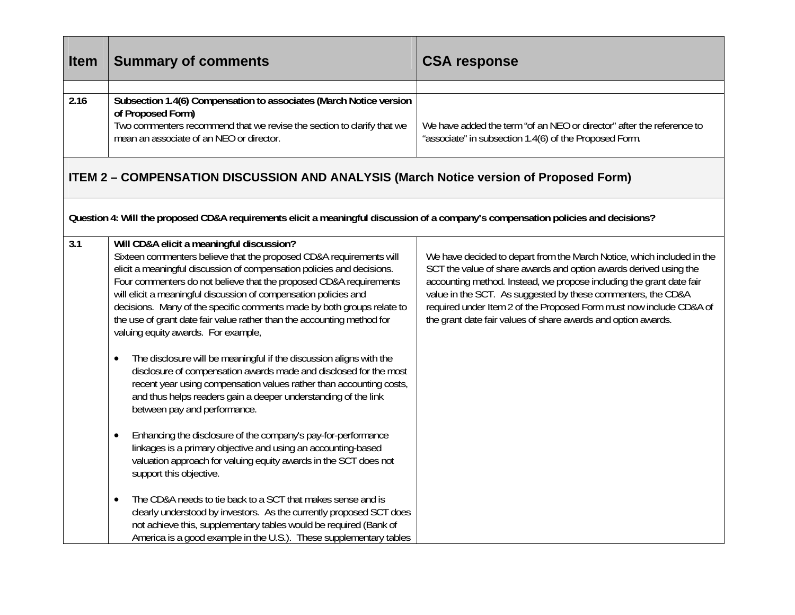| <b>Item</b> | <b>Summary of comments</b>                                                                                                                                                                                                                                                                                                                                                                                                                                                                                                      | <b>CSA response</b>                                                                                                                                                                                                                                                                                                                                                                                                         |
|-------------|---------------------------------------------------------------------------------------------------------------------------------------------------------------------------------------------------------------------------------------------------------------------------------------------------------------------------------------------------------------------------------------------------------------------------------------------------------------------------------------------------------------------------------|-----------------------------------------------------------------------------------------------------------------------------------------------------------------------------------------------------------------------------------------------------------------------------------------------------------------------------------------------------------------------------------------------------------------------------|
|             |                                                                                                                                                                                                                                                                                                                                                                                                                                                                                                                                 |                                                                                                                                                                                                                                                                                                                                                                                                                             |
| 2.16        | Subsection 1.4(6) Compensation to associates (March Notice version<br>of Proposed Form)<br>Two commenters recommend that we revise the section to clarify that we                                                                                                                                                                                                                                                                                                                                                               | We have added the term "of an NEO or director" after the reference to                                                                                                                                                                                                                                                                                                                                                       |
|             | mean an associate of an NEO or director.                                                                                                                                                                                                                                                                                                                                                                                                                                                                                        | "associate" in subsection 1.4(6) of the Proposed Form.                                                                                                                                                                                                                                                                                                                                                                      |
|             | ITEM 2 – COMPENSATION DISCUSSION AND ANALYSIS (March Notice version of Proposed Form)                                                                                                                                                                                                                                                                                                                                                                                                                                           |                                                                                                                                                                                                                                                                                                                                                                                                                             |
|             | Question 4: Will the proposed CD&A requirements elicit a meaningful discussion of a company's compensation policies and decisions?                                                                                                                                                                                                                                                                                                                                                                                              |                                                                                                                                                                                                                                                                                                                                                                                                                             |
| 3.1         | Will CD&A elicit a meaningful discussion?<br>Sixteen commenters believe that the proposed CD&A requirements will<br>elicit a meaningful discussion of compensation policies and decisions.<br>Four commenters do not believe that the proposed CD&A requirements<br>will elicit a meaningful discussion of compensation policies and<br>decisions. Many of the specific comments made by both groups relate to<br>the use of grant date fair value rather than the accounting method for<br>valuing equity awards. For example, | We have decided to depart from the March Notice, which included in the<br>SCT the value of share awards and option awards derived using the<br>accounting method. Instead, we propose including the grant date fair<br>value in the SCT. As suggested by these commenters, the CD&A<br>required under Item 2 of the Proposed Form must now include CD&A of<br>the grant date fair values of share awards and option awards. |
|             | The disclosure will be meaningful if the discussion aligns with the<br>٠<br>disclosure of compensation awards made and disclosed for the most<br>recent year using compensation values rather than accounting costs,<br>and thus helps readers gain a deeper understanding of the link<br>between pay and performance.                                                                                                                                                                                                          |                                                                                                                                                                                                                                                                                                                                                                                                                             |
|             | Enhancing the disclosure of the company's pay-for-performance<br>$\bullet$<br>linkages is a primary objective and using an accounting-based<br>valuation approach for valuing equity awards in the SCT does not<br>support this objective.                                                                                                                                                                                                                                                                                      |                                                                                                                                                                                                                                                                                                                                                                                                                             |
|             | The CD&A needs to tie back to a SCT that makes sense and is<br>$\bullet$<br>clearly understood by investors. As the currently proposed SCT does<br>not achieve this, supplementary tables would be required (Bank of<br>America is a good example in the U.S.). These supplementary tables                                                                                                                                                                                                                                      |                                                                                                                                                                                                                                                                                                                                                                                                                             |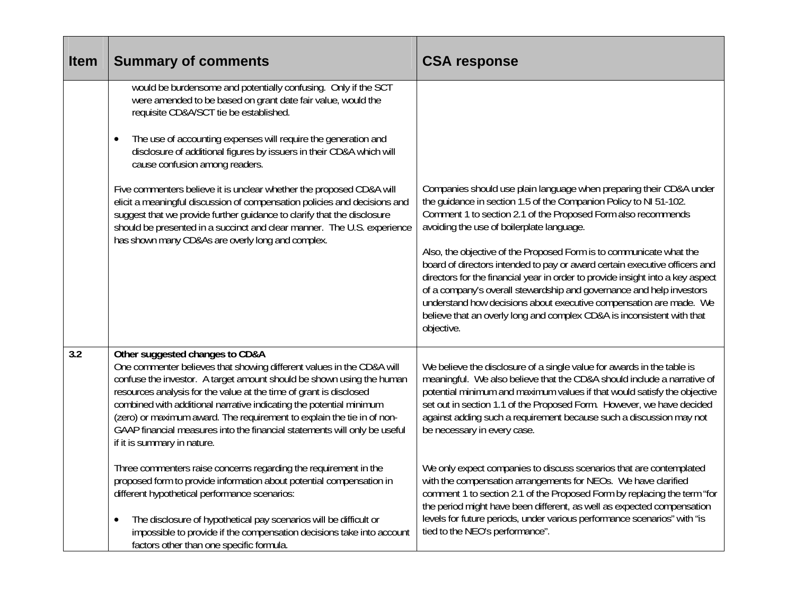| <b>Item</b> | <b>Summary of comments</b>                                                                                                                                                                                                                                                                                                                                                                                                                                                                                           | <b>CSA response</b>                                                                                                                                                                                                                                                                                                                                                                                                                                                                                                                                                                                                                                                                                                                 |
|-------------|----------------------------------------------------------------------------------------------------------------------------------------------------------------------------------------------------------------------------------------------------------------------------------------------------------------------------------------------------------------------------------------------------------------------------------------------------------------------------------------------------------------------|-------------------------------------------------------------------------------------------------------------------------------------------------------------------------------------------------------------------------------------------------------------------------------------------------------------------------------------------------------------------------------------------------------------------------------------------------------------------------------------------------------------------------------------------------------------------------------------------------------------------------------------------------------------------------------------------------------------------------------------|
|             | would be burdensome and potentially confusing. Only if the SCT<br>were amended to be based on grant date fair value, would the<br>requisite CD&A/SCT tie be established.<br>The use of accounting expenses will require the generation and<br>disclosure of additional figures by issuers in their CD&A which will<br>cause confusion among readers.                                                                                                                                                                 |                                                                                                                                                                                                                                                                                                                                                                                                                                                                                                                                                                                                                                                                                                                                     |
|             | Five commenters believe it is unclear whether the proposed CD&A will<br>elicit a meaningful discussion of compensation policies and decisions and<br>suggest that we provide further guidance to clarify that the disclosure<br>should be presented in a succinct and clear manner. The U.S. experience<br>has shown many CD&As are overly long and complex.                                                                                                                                                         | Companies should use plain language when preparing their CD&A under<br>the guidance in section 1.5 of the Companion Policy to NI 51-102.<br>Comment 1 to section 2.1 of the Proposed Form also recommends<br>avoiding the use of boilerplate language.<br>Also, the objective of the Proposed Form is to communicate what the<br>board of directors intended to pay or award certain executive officers and<br>directors for the financial year in order to provide insight into a key aspect<br>of a company's overall stewardship and governance and help investors<br>understand how decisions about executive compensation are made. We<br>believe that an overly long and complex CD&A is inconsistent with that<br>objective. |
| 3.2         | Other suggested changes to CD&A<br>One commenter believes that showing different values in the CD&A will<br>confuse the investor. A target amount should be shown using the human<br>resources analysis for the value at the time of grant is disclosed<br>combined with additional narrative indicating the potential minimum<br>(zero) or maximum award. The requirement to explain the tie in of non-<br>GAAP financial measures into the financial statements will only be useful<br>if it is summary in nature. | We believe the disclosure of a single value for awards in the table is<br>meaningful. We also believe that the CD&A should include a narrative of<br>potential minimum and maximum values if that would satisfy the objective<br>set out in section 1.1 of the Proposed Form. However, we have decided<br>against adding such a requirement because such a discussion may not<br>be necessary in every case.                                                                                                                                                                                                                                                                                                                        |
|             | Three commenters raise concerns regarding the requirement in the<br>proposed form to provide information about potential compensation in<br>different hypothetical performance scenarios:<br>The disclosure of hypothetical pay scenarios will be difficult or<br>$\bullet$<br>impossible to provide if the compensation decisions take into account<br>factors other than one specific formula.                                                                                                                     | We only expect companies to discuss scenarios that are contemplated<br>with the compensation arrangements for NEOs. We have clarified<br>comment 1 to section 2.1 of the Proposed Form by replacing the term "for<br>the period might have been different, as well as expected compensation<br>levels for future periods, under various performance scenarios" with "is<br>tied to the NEO's performance".                                                                                                                                                                                                                                                                                                                          |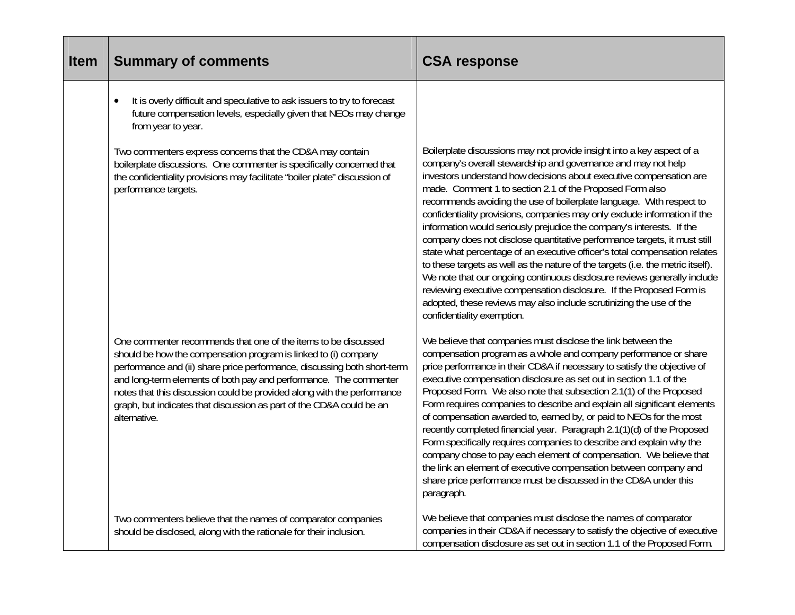| Item | <b>Summary of comments</b>                                                                                                                                                                                                                                                                                                                                                                                                                            | <b>CSA response</b>                                                                                                                                                                                                                                                                                                                                                                                                                                                                                                                                                                                                                                                                                                                                                                                                                                                                                                                                                                                             |
|------|-------------------------------------------------------------------------------------------------------------------------------------------------------------------------------------------------------------------------------------------------------------------------------------------------------------------------------------------------------------------------------------------------------------------------------------------------------|-----------------------------------------------------------------------------------------------------------------------------------------------------------------------------------------------------------------------------------------------------------------------------------------------------------------------------------------------------------------------------------------------------------------------------------------------------------------------------------------------------------------------------------------------------------------------------------------------------------------------------------------------------------------------------------------------------------------------------------------------------------------------------------------------------------------------------------------------------------------------------------------------------------------------------------------------------------------------------------------------------------------|
|      | It is overly difficult and speculative to ask issuers to try to forecast<br>future compensation levels, especially given that NEOs may change<br>from year to year.                                                                                                                                                                                                                                                                                   |                                                                                                                                                                                                                                                                                                                                                                                                                                                                                                                                                                                                                                                                                                                                                                                                                                                                                                                                                                                                                 |
|      | Two commenters express concerns that the CD&A may contain<br>boilerplate discussions. One commenter is specifically concerned that<br>the confidentiality provisions may facilitate "boiler plate" discussion of<br>performance targets.                                                                                                                                                                                                              | Boilerplate discussions may not provide insight into a key aspect of a<br>company's overall stewardship and governance and may not help<br>investors understand how decisions about executive compensation are<br>made. Comment 1 to section 2.1 of the Proposed Form also<br>recommends avoiding the use of boilerplate language. With respect to<br>confidentiality provisions, companies may only exclude information if the<br>information would seriously prejudice the company's interests. If the<br>company does not disclose quantitative performance targets, it must still<br>state what percentage of an executive officer's total compensation relates<br>to these targets as well as the nature of the targets (i.e. the metric itself).<br>We note that our ongoing continuous disclosure reviews generally include<br>reviewing executive compensation disclosure. If the Proposed Form is<br>adopted, these reviews may also include scrutinizing the use of the<br>confidentiality exemption. |
|      | One commenter recommends that one of the items to be discussed<br>should be how the compensation program is linked to (i) company<br>performance and (ii) share price performance, discussing both short-term<br>and long-term elements of both pay and performance. The commenter<br>notes that this discussion could be provided along with the performance<br>graph, but indicates that discussion as part of the CD&A could be an<br>alternative. | We believe that companies must disclose the link between the<br>compensation program as a whole and company performance or share<br>price performance in their CD&A if necessary to satisfy the objective of<br>executive compensation disclosure as set out in section 1.1 of the<br>Proposed Form. We also note that subsection 2.1(1) of the Proposed<br>Form requires companies to describe and explain all significant elements<br>of compensation awarded to, earned by, or paid to NEOs for the most<br>recently completed financial year. Paragraph 2.1(1)(d) of the Proposed<br>Form specifically requires companies to describe and explain why the<br>company chose to pay each element of compensation. We believe that<br>the link an element of executive compensation between company and<br>share price performance must be discussed in the CD&A under this<br>paragraph.                                                                                                                      |
|      | Two commenters believe that the names of comparator companies<br>should be disclosed, along with the rationale for their inclusion.                                                                                                                                                                                                                                                                                                                   | We believe that companies must disclose the names of comparator<br>companies in their CD&A if necessary to satisfy the objective of executive<br>compensation disclosure as set out in section 1.1 of the Proposed Form.                                                                                                                                                                                                                                                                                                                                                                                                                                                                                                                                                                                                                                                                                                                                                                                        |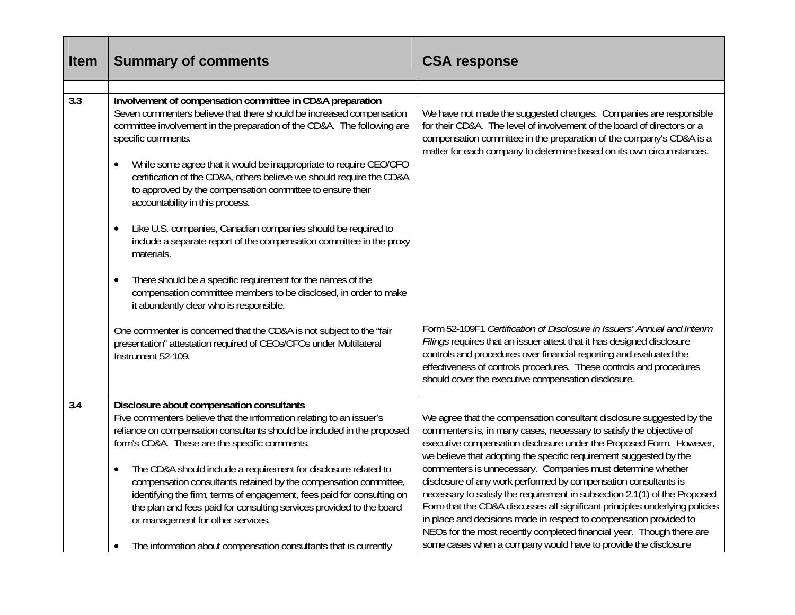| Item | <b>Summary of comments</b>                                                                                                                                                                                                                                                                                                                                                                                  | <b>CSA response</b>                                                                                                                                                                                                                                                                                                                                                                                                                                                                                                                                                               |
|------|-------------------------------------------------------------------------------------------------------------------------------------------------------------------------------------------------------------------------------------------------------------------------------------------------------------------------------------------------------------------------------------------------------------|-----------------------------------------------------------------------------------------------------------------------------------------------------------------------------------------------------------------------------------------------------------------------------------------------------------------------------------------------------------------------------------------------------------------------------------------------------------------------------------------------------------------------------------------------------------------------------------|
|      |                                                                                                                                                                                                                                                                                                                                                                                                             |                                                                                                                                                                                                                                                                                                                                                                                                                                                                                                                                                                                   |
| 3.3  | Involvement of compensation committee in CD&A preparation<br>Seven commenters believe that there should be increased compensation<br>committee involvement in the preparation of the CD&A. The following are<br>specific comments.                                                                                                                                                                          | We have not made the suggested changes. Companies are responsible<br>for their CD&A. The level of involvement of the board of directors or a<br>compensation committee in the preparation of the company's CD&A is a<br>matter for each company to determine based on its own circumstances.                                                                                                                                                                                                                                                                                      |
|      | While some agree that it would be inappropriate to require CEO/CFO<br>certification of the CD&A, others believe we should require the CD&A<br>to approved by the compensation committee to ensure their<br>accountability in this process.                                                                                                                                                                  |                                                                                                                                                                                                                                                                                                                                                                                                                                                                                                                                                                                   |
|      | Like U.S. companies, Canadian companies should be required to<br>$\bullet$<br>include a separate report of the compensation committee in the proxy<br>materials.                                                                                                                                                                                                                                            |                                                                                                                                                                                                                                                                                                                                                                                                                                                                                                                                                                                   |
|      | There should be a specific requirement for the names of the<br>compensation committee members to be disclosed, in order to make<br>it abundantly clear who is responsible.                                                                                                                                                                                                                                  |                                                                                                                                                                                                                                                                                                                                                                                                                                                                                                                                                                                   |
|      | One commenter is concerned that the CD&A is not subject to the "fair<br>presentation" attestation required of CEOs/CFOs under Multilateral<br>Instrument 52-109.                                                                                                                                                                                                                                            | Form 52-109F1 Certification of Disclosure in Issuers' Annual and Interim<br>Filings requires that an issuer attest that it has designed disclosure<br>controls and procedures over financial reporting and evaluated the<br>effectiveness of controls procedures. These controls and procedures<br>should cover the executive compensation disclosure.                                                                                                                                                                                                                            |
| 3.4  | Disclosure about compensation consultants                                                                                                                                                                                                                                                                                                                                                                   |                                                                                                                                                                                                                                                                                                                                                                                                                                                                                                                                                                                   |
|      | Five commenters believe that the information relating to an issuer's                                                                                                                                                                                                                                                                                                                                        | We agree that the compensation consultant disclosure suggested by the                                                                                                                                                                                                                                                                                                                                                                                                                                                                                                             |
|      | reliance on compensation consultants should be included in the proposed<br>form's CD&A. These are the specific comments.                                                                                                                                                                                                                                                                                    | commenters is, in many cases, necessary to satisfy the objective of<br>executive compensation disclosure under the Proposed Form. However,                                                                                                                                                                                                                                                                                                                                                                                                                                        |
|      | The CD&A should include a requirement for disclosure related to<br>$\bullet$<br>compensation consultants retained by the compensation committee,<br>identifying the firm, terms of engagement, fees paid for consulting on<br>the plan and fees paid for consulting services provided to the board<br>or management for other services.<br>The information about compensation consultants that is currently | we believe that adopting the specific requirement suggested by the<br>commenters is unnecessary. Companies must determine whether<br>disclosure of any work performed by compensation consultants is<br>necessary to satisfy the requirement in subsection 2.1(1) of the Proposed<br>Form that the CD&A discusses all significant principles underlying policies<br>in place and decisions made in respect to compensation provided to<br>NEOs for the most recently completed financial year. Though there are<br>some cases when a company would have to provide the disclosure |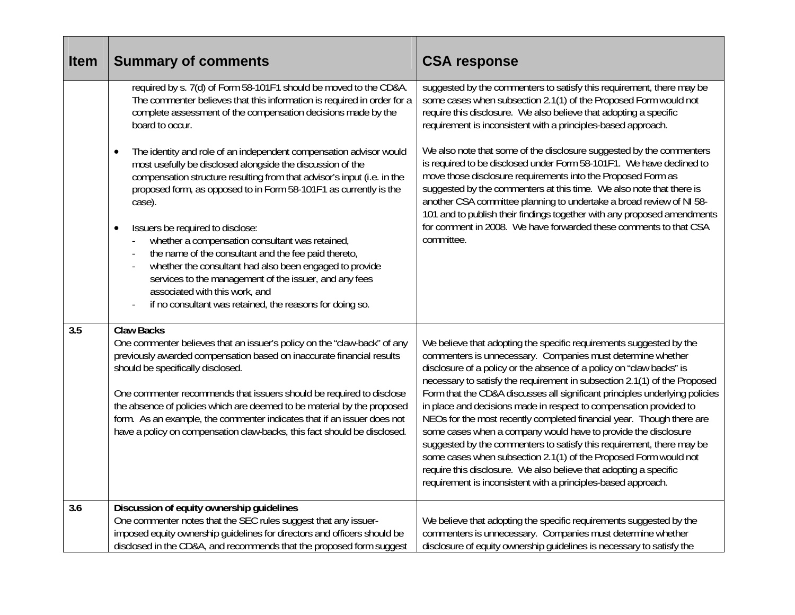| <b>Item</b> | <b>Summary of comments</b>                                                                                                                                                                                                                                                                                                                                                                                                                                                                                                                                                                                                                                                                                                                                                                                                                                                                                    | <b>CSA response</b>                                                                                                                                                                                                                                                                                                                                                                                                                                                                                                                                                                                                                                                                                                                                                                                                                                                        |
|-------------|---------------------------------------------------------------------------------------------------------------------------------------------------------------------------------------------------------------------------------------------------------------------------------------------------------------------------------------------------------------------------------------------------------------------------------------------------------------------------------------------------------------------------------------------------------------------------------------------------------------------------------------------------------------------------------------------------------------------------------------------------------------------------------------------------------------------------------------------------------------------------------------------------------------|----------------------------------------------------------------------------------------------------------------------------------------------------------------------------------------------------------------------------------------------------------------------------------------------------------------------------------------------------------------------------------------------------------------------------------------------------------------------------------------------------------------------------------------------------------------------------------------------------------------------------------------------------------------------------------------------------------------------------------------------------------------------------------------------------------------------------------------------------------------------------|
|             | required by s. 7(d) of Form 58-101F1 should be moved to the CD&A.<br>The commenter believes that this information is required in order for a<br>complete assessment of the compensation decisions made by the<br>board to occur.<br>The identity and role of an independent compensation advisor would<br>most usefully be disclosed alongside the discussion of the<br>compensation structure resulting from that advisor's input (i.e. in the<br>proposed form, as opposed to in Form 58-101F1 as currently is the<br>case).<br>Issuers be required to disclose:<br>$\bullet$<br>whether a compensation consultant was retained,<br>the name of the consultant and the fee paid thereto,<br>whether the consultant had also been engaged to provide<br>services to the management of the issuer, and any fees<br>associated with this work, and<br>if no consultant was retained, the reasons for doing so. | suggested by the commenters to satisfy this requirement, there may be<br>some cases when subsection 2.1(1) of the Proposed Form would not<br>require this disclosure. We also believe that adopting a specific<br>requirement is inconsistent with a principles-based approach.<br>We also note that some of the disclosure suggested by the commenters<br>is required to be disclosed under Form 58-101F1. We have declined to<br>move those disclosure requirements into the Proposed Form as<br>suggested by the commenters at this time. We also note that there is<br>another CSA committee planning to undertake a broad review of NI 58-<br>101 and to publish their findings together with any proposed amendments<br>for comment in 2008. We have forwarded these comments to that CSA<br>committee.                                                              |
| 3.5         | <b>Claw Backs</b><br>One commenter believes that an issuer's policy on the "claw-back" of any<br>previously awarded compensation based on inaccurate financial results<br>should be specifically disclosed.<br>One commenter recommends that issuers should be required to disclose<br>the absence of policies which are deemed to be material by the proposed<br>form. As an example, the commenter indicates that if an issuer does not<br>have a policy on compensation claw-backs, this fact should be disclosed.                                                                                                                                                                                                                                                                                                                                                                                         | We believe that adopting the specific requirements suggested by the<br>commenters is unnecessary. Companies must determine whether<br>disclosure of a policy or the absence of a policy on "claw backs" is<br>necessary to satisfy the requirement in subsection 2.1(1) of the Proposed<br>Form that the CD&A discusses all significant principles underlying policies<br>in place and decisions made in respect to compensation provided to<br>NEOs for the most recently completed financial year. Though there are<br>some cases when a company would have to provide the disclosure<br>suggested by the commenters to satisfy this requirement, there may be<br>some cases when subsection 2.1(1) of the Proposed Form would not<br>require this disclosure. We also believe that adopting a specific<br>requirement is inconsistent with a principles-based approach. |
| 3.6         | Discussion of equity ownership guidelines<br>One commenter notes that the SEC rules suggest that any issuer-<br>imposed equity ownership guidelines for directors and officers should be<br>disclosed in the CD&A, and recommends that the proposed form suggest                                                                                                                                                                                                                                                                                                                                                                                                                                                                                                                                                                                                                                              | We believe that adopting the specific requirements suggested by the<br>commenters is unnecessary. Companies must determine whether<br>disclosure of equity ownership guidelines is necessary to satisfy the                                                                                                                                                                                                                                                                                                                                                                                                                                                                                                                                                                                                                                                                |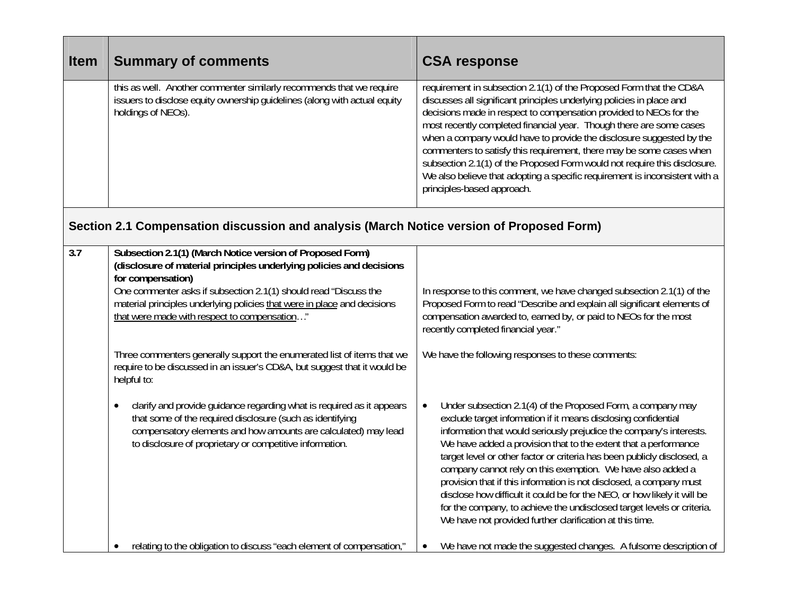| <b>Item</b> | <b>Summary of comments</b>                                                                                                                                                                                                                                                                                                                                                                                                                                                                                                    | <b>CSA response</b>                                                                                                                                                                                                                                                                                                                                                                                                                                                                                                                                                                                                                                                                                                     |
|-------------|-------------------------------------------------------------------------------------------------------------------------------------------------------------------------------------------------------------------------------------------------------------------------------------------------------------------------------------------------------------------------------------------------------------------------------------------------------------------------------------------------------------------------------|-------------------------------------------------------------------------------------------------------------------------------------------------------------------------------------------------------------------------------------------------------------------------------------------------------------------------------------------------------------------------------------------------------------------------------------------------------------------------------------------------------------------------------------------------------------------------------------------------------------------------------------------------------------------------------------------------------------------------|
|             | this as well. Another commenter similarly recommends that we require<br>issuers to disclose equity ownership guidelines (along with actual equity<br>holdings of NEOs).                                                                                                                                                                                                                                                                                                                                                       | requirement in subsection 2.1(1) of the Proposed Form that the CD&A<br>discusses all significant principles underlying policies in place and<br>decisions made in respect to compensation provided to NEOs for the<br>most recently completed financial year. Though there are some cases<br>when a company would have to provide the disclosure suggested by the<br>commenters to satisfy this requirement, there may be some cases when<br>subsection 2.1(1) of the Proposed Form would not require this disclosure.<br>We also believe that adopting a specific requirement is inconsistent with a<br>principles-based approach.                                                                                     |
|             | Section 2.1 Compensation discussion and analysis (March Notice version of Proposed Form)                                                                                                                                                                                                                                                                                                                                                                                                                                      |                                                                                                                                                                                                                                                                                                                                                                                                                                                                                                                                                                                                                                                                                                                         |
| 3.7         | Subsection 2.1(1) (March Notice version of Proposed Form)<br>(disclosure of material principles underlying policies and decisions<br>for compensation)<br>One commenter asks if subsection 2.1(1) should read "Discuss the<br>material principles underlying policies that were in place and decisions<br>that were made with respect to compensation"<br>Three commenters generally support the enumerated list of items that we<br>require to be discussed in an issuer's CD&A, but suggest that it would be<br>helpful to: | In response to this comment, we have changed subsection 2.1(1) of the<br>Proposed Form to read "Describe and explain all significant elements of<br>compensation awarded to, earned by, or paid to NEOs for the most<br>recently completed financial year."<br>We have the following responses to these comments:                                                                                                                                                                                                                                                                                                                                                                                                       |
|             | clarify and provide quidance regarding what is required as it appears<br>$\bullet$<br>that some of the required disclosure (such as identifying<br>compensatory elements and how amounts are calculated) may lead<br>to disclosure of proprietary or competitive information.                                                                                                                                                                                                                                                 | Under subsection 2.1(4) of the Proposed Form, a company may<br>$\bullet$<br>exclude target information if it means disclosing confidential<br>information that would seriously prejudice the company's interests.<br>We have added a provision that to the extent that a performance<br>target level or other factor or criteria has been publicly disclosed, a<br>company cannot rely on this exemption. We have also added a<br>provision that if this information is not disclosed, a company must<br>disclose how difficult it could be for the NEO, or how likely it will be<br>for the company, to achieve the undisclosed target levels or criteria.<br>We have not provided further clarification at this time. |
|             | relating to the obligation to discuss "each element of compensation,"                                                                                                                                                                                                                                                                                                                                                                                                                                                         | We have not made the suggested changes. A fulsome description of<br>$\bullet$                                                                                                                                                                                                                                                                                                                                                                                                                                                                                                                                                                                                                                           |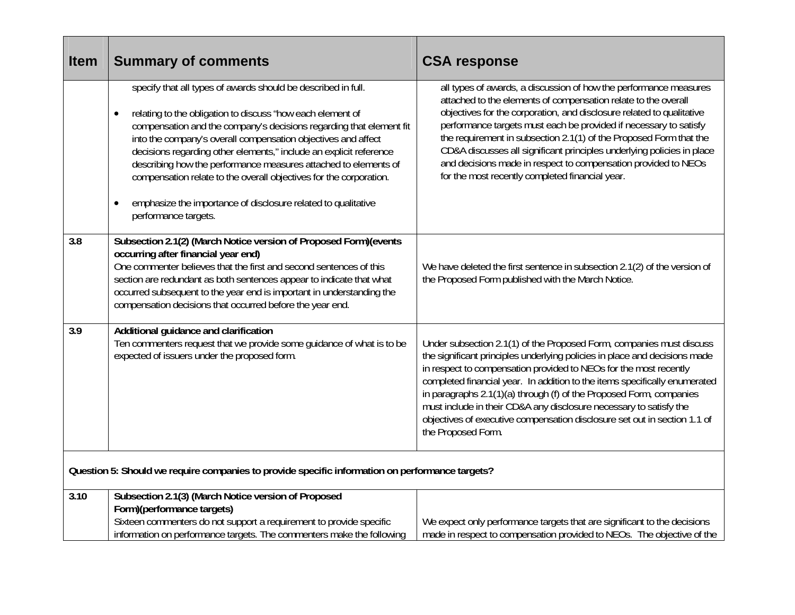| <b>Item</b> | <b>Summary of comments</b>                                                                                                                                                                                                                                                                                                                                                                                                                                                                                                                                                  | <b>CSA response</b>                                                                                                                                                                                                                                                                                                                                                                                                                                                                                                                                    |
|-------------|-----------------------------------------------------------------------------------------------------------------------------------------------------------------------------------------------------------------------------------------------------------------------------------------------------------------------------------------------------------------------------------------------------------------------------------------------------------------------------------------------------------------------------------------------------------------------------|--------------------------------------------------------------------------------------------------------------------------------------------------------------------------------------------------------------------------------------------------------------------------------------------------------------------------------------------------------------------------------------------------------------------------------------------------------------------------------------------------------------------------------------------------------|
|             | specify that all types of awards should be described in full.<br>relating to the obligation to discuss "how each element of<br>compensation and the company's decisions regarding that element fit<br>into the company's overall compensation objectives and affect<br>decisions regarding other elements," include an explicit reference<br>describing how the performance measures attached to elements of<br>compensation relate to the overall objectives for the corporation.<br>emphasize the importance of disclosure related to qualitative<br>performance targets. | all types of awards, a discussion of how the performance measures<br>attached to the elements of compensation relate to the overall<br>objectives for the corporation, and disclosure related to qualitative<br>performance targets must each be provided if necessary to satisfy<br>the requirement in subsection 2.1(1) of the Proposed Form that the<br>CD&A discusses all significant principles underlying policies in place<br>and decisions made in respect to compensation provided to NEOs<br>for the most recently completed financial year. |
| 3.8         | Subsection 2.1(2) (March Notice version of Proposed Form) (events<br>occurring after financial year end)<br>One commenter believes that the first and second sentences of this<br>section are redundant as both sentences appear to indicate that what<br>occurred subsequent to the year end is important in understanding the<br>compensation decisions that occurred before the year end.                                                                                                                                                                                | We have deleted the first sentence in subsection 2.1(2) of the version of<br>the Proposed Form published with the March Notice.                                                                                                                                                                                                                                                                                                                                                                                                                        |
| 3.9         | Additional guidance and clarification<br>Ten commenters request that we provide some guidance of what is to be<br>expected of issuers under the proposed form.                                                                                                                                                                                                                                                                                                                                                                                                              | Under subsection 2.1(1) of the Proposed Form, companies must discuss<br>the significant principles underlying policies in place and decisions made<br>in respect to compensation provided to NEOs for the most recently<br>completed financial year. In addition to the items specifically enumerated<br>in paragraphs 2.1(1)(a) through (f) of the Proposed Form, companies<br>must include in their CD&A any disclosure necessary to satisfy the<br>objectives of executive compensation disclosure set out in section 1.1 of<br>the Proposed Form.  |
|             | Question 5: Should we require companies to provide specific information on performance targets?                                                                                                                                                                                                                                                                                                                                                                                                                                                                             |                                                                                                                                                                                                                                                                                                                                                                                                                                                                                                                                                        |
| 3.10        | Subsection 2.1(3) (March Notice version of Proposed<br>Form)(performance targets)<br>Sixteen commenters do not support a requirement to provide specific<br>information on performance targets. The commenters make the following                                                                                                                                                                                                                                                                                                                                           | We expect only performance targets that are significant to the decisions<br>made in respect to compensation provided to NEOs. The objective of the                                                                                                                                                                                                                                                                                                                                                                                                     |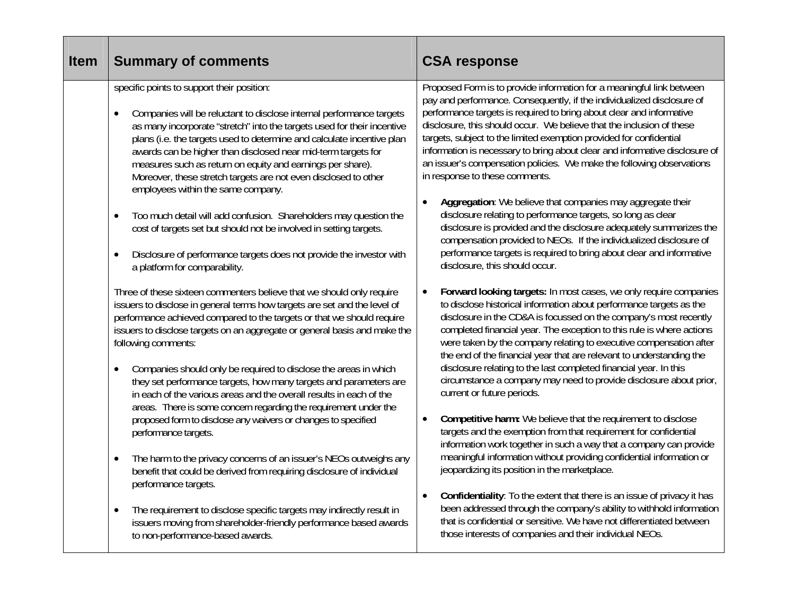| <b>Item</b> | <b>Summary of comments</b>                                                                                                                                                                                                                                                                                                                                                                                                                                                                                                                                                                                                                                                                                                                                                                                                                                                                                                                                                                                                                                                                                                                                                                                                                                                                                              | <b>CSA response</b>                                                                                                                                                                                                                                                                                                                                                                                                                                                                                                                                                                                                                                                                                                                                                                                                                                                                                                                                                                                                                                                                                                                                                                                                                                                                                                                                                                                                                                                                                                                                                     |
|-------------|-------------------------------------------------------------------------------------------------------------------------------------------------------------------------------------------------------------------------------------------------------------------------------------------------------------------------------------------------------------------------------------------------------------------------------------------------------------------------------------------------------------------------------------------------------------------------------------------------------------------------------------------------------------------------------------------------------------------------------------------------------------------------------------------------------------------------------------------------------------------------------------------------------------------------------------------------------------------------------------------------------------------------------------------------------------------------------------------------------------------------------------------------------------------------------------------------------------------------------------------------------------------------------------------------------------------------|-------------------------------------------------------------------------------------------------------------------------------------------------------------------------------------------------------------------------------------------------------------------------------------------------------------------------------------------------------------------------------------------------------------------------------------------------------------------------------------------------------------------------------------------------------------------------------------------------------------------------------------------------------------------------------------------------------------------------------------------------------------------------------------------------------------------------------------------------------------------------------------------------------------------------------------------------------------------------------------------------------------------------------------------------------------------------------------------------------------------------------------------------------------------------------------------------------------------------------------------------------------------------------------------------------------------------------------------------------------------------------------------------------------------------------------------------------------------------------------------------------------------------------------------------------------------------|
|             | specific points to support their position:<br>Companies will be reluctant to disclose internal performance targets<br>as many incorporate "stretch" into the targets used for their incentive<br>plans (i.e. the targets used to determine and calculate incentive plan<br>awards can be higher than disclosed near mid-term targets for<br>measures such as return on equity and earnings per share).<br>Moreover, these stretch targets are not even disclosed to other<br>employees within the same company.<br>Too much detail will add confusion. Shareholders may question the<br>cost of targets set but should not be involved in setting targets.<br>Disclosure of performance targets does not provide the investor with<br>a platform for comparability.<br>Three of these sixteen commenters believe that we should only require<br>issuers to disclose in general terms how targets are set and the level of<br>performance achieved compared to the targets or that we should require<br>issuers to disclose targets on an aggregate or general basis and make the<br>following comments:<br>Companies should only be required to disclose the areas in which<br>they set performance targets, how many targets and parameters are<br>in each of the various areas and the overall results in each of the | Proposed Form is to provide information for a meaningful link between<br>pay and performance. Consequently, if the individualized disclosure of<br>performance targets is required to bring about clear and informative<br>disclosure, this should occur. We believe that the inclusion of these<br>targets, subject to the limited exemption provided for confidential<br>information is necessary to bring about clear and informative disclosure of<br>an issuer's compensation policies. We make the following observations<br>in response to these comments.<br>Aggregation: We believe that companies may aggregate their<br>disclosure relating to performance targets, so long as clear<br>disclosure is provided and the disclosure adequately summarizes the<br>compensation provided to NEOs. If the individualized disclosure of<br>performance targets is required to bring about clear and informative<br>disclosure, this should occur.<br>Forward looking targets: In most cases, we only require companies<br>to disclose historical information about performance targets as the<br>disclosure in the CD&A is focussed on the company's most recently<br>completed financial year. The exception to this rule is where actions<br>were taken by the company relating to executive compensation after<br>the end of the financial year that are relevant to understanding the<br>disclosure relating to the last completed financial year. In this<br>circumstance a company may need to provide disclosure about prior,<br>current or future periods. |
|             | areas. There is some concern regarding the requirement under the<br>proposed form to disclose any waivers or changes to specified<br>performance targets.<br>The harm to the privacy concerns of an issuer's NEOs outweighs any<br>$\bullet$<br>benefit that could be derived from requiring disclosure of individual<br>performance targets.                                                                                                                                                                                                                                                                                                                                                                                                                                                                                                                                                                                                                                                                                                                                                                                                                                                                                                                                                                           | Competitive harm: We believe that the requirement to disclose<br>targets and the exemption from that requirement for confidential<br>information work together in such a way that a company can provide<br>meaningful information without providing confidential information or<br>jeopardizing its position in the marketplace.<br>Confidentiality: To the extent that there is an issue of privacy it has                                                                                                                                                                                                                                                                                                                                                                                                                                                                                                                                                                                                                                                                                                                                                                                                                                                                                                                                                                                                                                                                                                                                                             |
|             | The requirement to disclose specific targets may indirectly result in<br>issuers moving from shareholder-friendly performance based awards<br>to non-performance-based awards.                                                                                                                                                                                                                                                                                                                                                                                                                                                                                                                                                                                                                                                                                                                                                                                                                                                                                                                                                                                                                                                                                                                                          | been addressed through the company's ability to withhold information<br>that is confidential or sensitive. We have not differentiated between<br>those interests of companies and their individual NEOs.                                                                                                                                                                                                                                                                                                                                                                                                                                                                                                                                                                                                                                                                                                                                                                                                                                                                                                                                                                                                                                                                                                                                                                                                                                                                                                                                                                |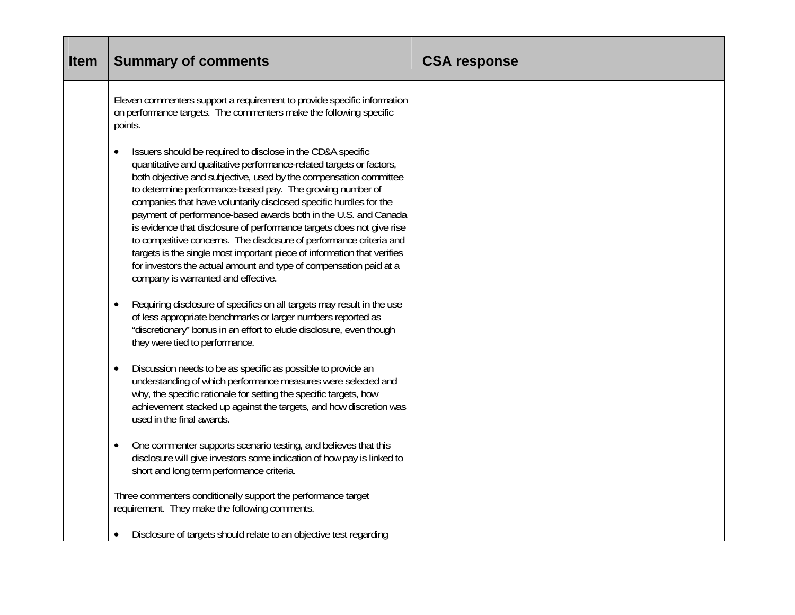| <b>Item</b> | <b>Summary of comments</b>                                                                                                                                                                                                                                                                                                                                                                                                                                                                                                                                                                                                                                                                                                                             | <b>CSA response</b> |
|-------------|--------------------------------------------------------------------------------------------------------------------------------------------------------------------------------------------------------------------------------------------------------------------------------------------------------------------------------------------------------------------------------------------------------------------------------------------------------------------------------------------------------------------------------------------------------------------------------------------------------------------------------------------------------------------------------------------------------------------------------------------------------|---------------------|
|             | Eleven commenters support a requirement to provide specific information<br>on performance targets. The commenters make the following specific<br>points.                                                                                                                                                                                                                                                                                                                                                                                                                                                                                                                                                                                               |                     |
|             | Issuers should be required to disclose in the CD&A specific<br>quantitative and qualitative performance-related targets or factors,<br>both objective and subjective, used by the compensation committee<br>to determine performance-based pay. The growing number of<br>companies that have voluntarily disclosed specific hurdles for the<br>payment of performance-based awards both in the U.S. and Canada<br>is evidence that disclosure of performance targets does not give rise<br>to competitive concerns. The disclosure of performance criteria and<br>targets is the single most important piece of information that verifies<br>for investors the actual amount and type of compensation paid at a<br>company is warranted and effective. |                     |
|             | Requiring disclosure of specifics on all targets may result in the use<br>$\bullet$<br>of less appropriate benchmarks or larger numbers reported as<br>"discretionary" bonus in an effort to elude disclosure, even though<br>they were tied to performance.                                                                                                                                                                                                                                                                                                                                                                                                                                                                                           |                     |
|             | Discussion needs to be as specific as possible to provide an<br>$\bullet$<br>understanding of which performance measures were selected and<br>why, the specific rationale for setting the specific targets, how<br>achievement stacked up against the targets, and how discretion was<br>used in the final awards.                                                                                                                                                                                                                                                                                                                                                                                                                                     |                     |
|             | One commenter supports scenario testing, and believes that this<br>$\bullet$<br>disclosure will give investors some indication of how pay is linked to<br>short and long term performance criteria.                                                                                                                                                                                                                                                                                                                                                                                                                                                                                                                                                    |                     |
|             | Three commenters conditionally support the performance target<br>requirement. They make the following comments.                                                                                                                                                                                                                                                                                                                                                                                                                                                                                                                                                                                                                                        |                     |
|             | Disclosure of targets should relate to an objective test regarding                                                                                                                                                                                                                                                                                                                                                                                                                                                                                                                                                                                                                                                                                     |                     |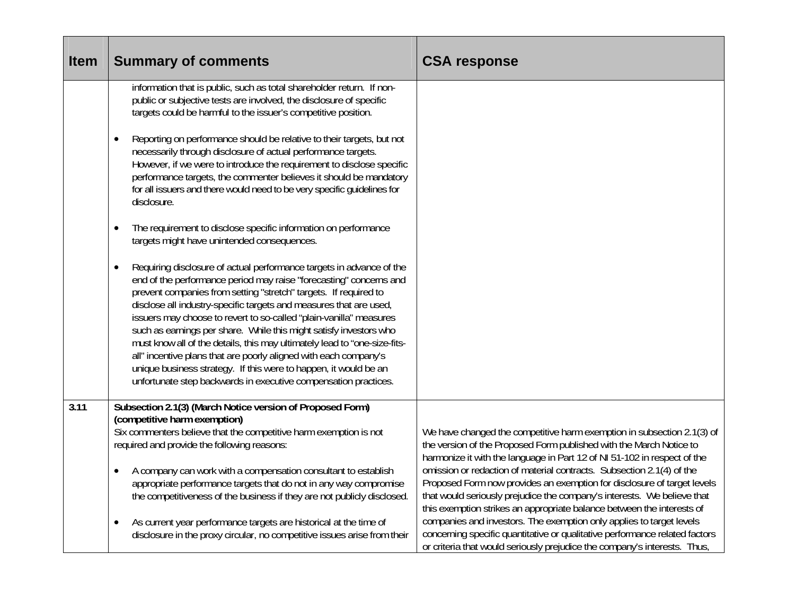| <b>Item</b> | <b>Summary of comments</b>                                                                                                                                                                                                                                                                                                                                                                                                                                                                                                                                                                                                                                                                                               | <b>CSA response</b>                                                                                                                                                                                                                                                                                                                                                                                                                                                                                                              |
|-------------|--------------------------------------------------------------------------------------------------------------------------------------------------------------------------------------------------------------------------------------------------------------------------------------------------------------------------------------------------------------------------------------------------------------------------------------------------------------------------------------------------------------------------------------------------------------------------------------------------------------------------------------------------------------------------------------------------------------------------|----------------------------------------------------------------------------------------------------------------------------------------------------------------------------------------------------------------------------------------------------------------------------------------------------------------------------------------------------------------------------------------------------------------------------------------------------------------------------------------------------------------------------------|
|             | information that is public, such as total shareholder return. If non-<br>public or subjective tests are involved, the disclosure of specific<br>targets could be harmful to the issuer's competitive position.                                                                                                                                                                                                                                                                                                                                                                                                                                                                                                           |                                                                                                                                                                                                                                                                                                                                                                                                                                                                                                                                  |
|             | Reporting on performance should be relative to their targets, but not<br>necessarily through disclosure of actual performance targets.<br>However, if we were to introduce the requirement to disclose specific<br>performance targets, the commenter believes it should be mandatory<br>for all issuers and there would need to be very specific guidelines for<br>disclosure.                                                                                                                                                                                                                                                                                                                                          |                                                                                                                                                                                                                                                                                                                                                                                                                                                                                                                                  |
|             | The requirement to disclose specific information on performance<br>targets might have unintended consequences.                                                                                                                                                                                                                                                                                                                                                                                                                                                                                                                                                                                                           |                                                                                                                                                                                                                                                                                                                                                                                                                                                                                                                                  |
|             | Requiring disclosure of actual performance targets in advance of the<br>end of the performance period may raise "forecasting" concerns and<br>prevent companies from setting "stretch" targets. If required to<br>disclose all industry-specific targets and measures that are used,<br>issuers may choose to revert to so-called "plain-vanilla" measures<br>such as earnings per share. While this might satisfy investors who<br>must know all of the details, this may ultimately lead to "one-size-fits-<br>all" incentive plans that are poorly aligned with each company's<br>unique business strategy. If this were to happen, it would be an<br>unfortunate step backwards in executive compensation practices. |                                                                                                                                                                                                                                                                                                                                                                                                                                                                                                                                  |
| 3.11        | Subsection 2.1(3) (March Notice version of Proposed Form)<br>(competitive harm exemption)<br>Six commenters believe that the competitive harm exemption is not                                                                                                                                                                                                                                                                                                                                                                                                                                                                                                                                                           | We have changed the competitive harm exemption in subsection 2.1(3) of                                                                                                                                                                                                                                                                                                                                                                                                                                                           |
|             | required and provide the following reasons:<br>A company can work with a compensation consultant to establish<br>appropriate performance targets that do not in any way compromise<br>the competitiveness of the business if they are not publicly disclosed.                                                                                                                                                                                                                                                                                                                                                                                                                                                            | the version of the Proposed Form published with the March Notice to<br>harmonize it with the language in Part 12 of NI 51-102 in respect of the<br>omission or redaction of material contracts. Subsection 2.1(4) of the<br>Proposed Form now provides an exemption for disclosure of target levels<br>that would seriously prejudice the company's interests. We believe that<br>this exemption strikes an appropriate balance between the interests of<br>companies and investors. The exemption only applies to target levels |
|             | As current year performance targets are historical at the time of<br>disclosure in the proxy circular, no competitive issues arise from their                                                                                                                                                                                                                                                                                                                                                                                                                                                                                                                                                                            | concerning specific quantitative or qualitative performance related factors<br>or criteria that would seriously prejudice the company's interests. Thus,                                                                                                                                                                                                                                                                                                                                                                         |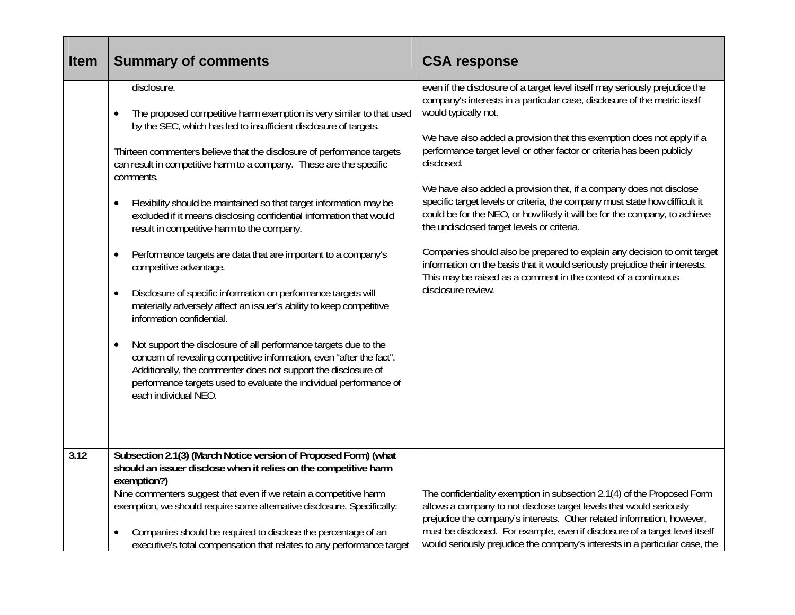| <b>Item</b> | <b>Summary of comments</b>                                                                                                                                                                                                                                                                                                                                                                                                                                                                                                                                                                                                                                                                                                                                                                                                                                                                                                                                                                                                                                                                                                                         | <b>CSA response</b>                                                                                                                                                                                                                                                                                                                                                                                                                                                                                                                                                                                                                                                                                                                                                                                                                                                                     |
|-------------|----------------------------------------------------------------------------------------------------------------------------------------------------------------------------------------------------------------------------------------------------------------------------------------------------------------------------------------------------------------------------------------------------------------------------------------------------------------------------------------------------------------------------------------------------------------------------------------------------------------------------------------------------------------------------------------------------------------------------------------------------------------------------------------------------------------------------------------------------------------------------------------------------------------------------------------------------------------------------------------------------------------------------------------------------------------------------------------------------------------------------------------------------|-----------------------------------------------------------------------------------------------------------------------------------------------------------------------------------------------------------------------------------------------------------------------------------------------------------------------------------------------------------------------------------------------------------------------------------------------------------------------------------------------------------------------------------------------------------------------------------------------------------------------------------------------------------------------------------------------------------------------------------------------------------------------------------------------------------------------------------------------------------------------------------------|
|             | disclosure.<br>The proposed competitive harm exemption is very similar to that used<br>by the SEC, which has led to insufficient disclosure of targets.<br>Thirteen commenters believe that the disclosure of performance targets<br>can result in competitive harm to a company. These are the specific<br>comments.<br>Flexibility should be maintained so that target information may be<br>$\bullet$<br>excluded if it means disclosing confidential information that would<br>result in competitive harm to the company.<br>Performance targets are data that are important to a company's<br>$\bullet$<br>competitive advantage.<br>Disclosure of specific information on performance targets will<br>$\bullet$<br>materially adversely affect an issuer's ability to keep competitive<br>information confidential.<br>Not support the disclosure of all performance targets due to the<br>$\bullet$<br>concern of revealing competitive information, even "after the fact".<br>Additionally, the commenter does not support the disclosure of<br>performance targets used to evaluate the individual performance of<br>each individual NEO. | even if the disclosure of a target level itself may seriously prejudice the<br>company's interests in a particular case, disclosure of the metric itself<br>would typically not.<br>We have also added a provision that this exemption does not apply if a<br>performance target level or other factor or criteria has been publicly<br>disclosed.<br>We have also added a provision that, if a company does not disclose<br>specific target levels or criteria, the company must state how difficult it<br>could be for the NEO, or how likely it will be for the company, to achieve<br>the undisclosed target levels or criteria.<br>Companies should also be prepared to explain any decision to omit target<br>information on the basis that it would seriously prejudice their interests.<br>This may be raised as a comment in the context of a continuous<br>disclosure review. |
| 3.12        | Subsection 2.1(3) (March Notice version of Proposed Form) (what<br>should an issuer disclose when it relies on the competitive harm<br>exemption?)<br>Nine commenters suggest that even if we retain a competitive harm<br>exemption, we should require some alternative disclosure. Specifically:<br>Companies should be required to disclose the percentage of an<br>executive's total compensation that relates to any performance target                                                                                                                                                                                                                                                                                                                                                                                                                                                                                                                                                                                                                                                                                                       | The confidentiality exemption in subsection 2.1(4) of the Proposed Form<br>allows a company to not disclose target levels that would seriously<br>prejudice the company's interests. Other related information, however,<br>must be disclosed. For example, even if disclosure of a target level itself<br>would seriously prejudice the company's interests in a particular case, the                                                                                                                                                                                                                                                                                                                                                                                                                                                                                                  |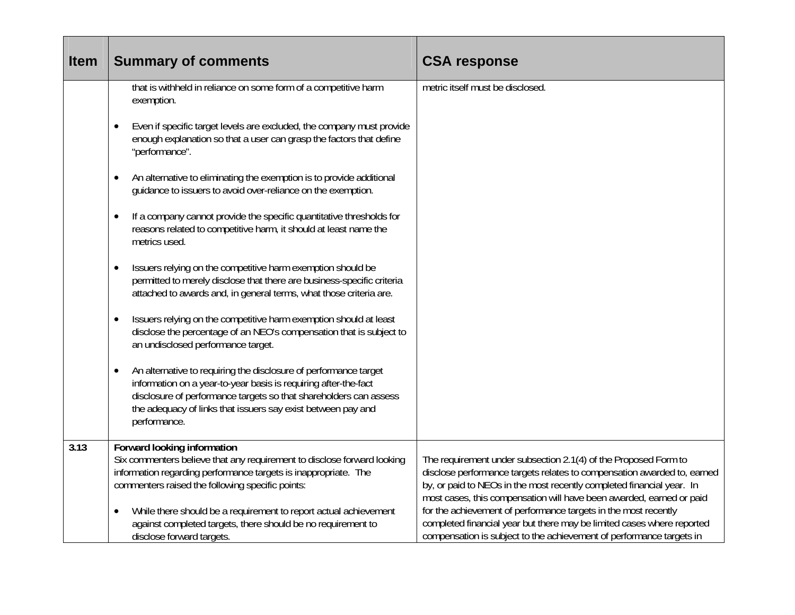| <b>Item</b> | <b>Summary of comments</b>                                                                                                                                                                                                                                                                                                                                                                                                                                                                                                                                                                                                                                                                                                                                                                                                                                                                                                                                         | <b>CSA response</b>                                                                                                                                                                                                                                                                                                                                                                                                                                                                                              |
|-------------|--------------------------------------------------------------------------------------------------------------------------------------------------------------------------------------------------------------------------------------------------------------------------------------------------------------------------------------------------------------------------------------------------------------------------------------------------------------------------------------------------------------------------------------------------------------------------------------------------------------------------------------------------------------------------------------------------------------------------------------------------------------------------------------------------------------------------------------------------------------------------------------------------------------------------------------------------------------------|------------------------------------------------------------------------------------------------------------------------------------------------------------------------------------------------------------------------------------------------------------------------------------------------------------------------------------------------------------------------------------------------------------------------------------------------------------------------------------------------------------------|
|             | that is withheld in reliance on some form of a competitive harm<br>exemption.<br>Even if specific target levels are excluded, the company must provide<br>enough explanation so that a user can grasp the factors that define<br>"performance".<br>An alternative to eliminating the exemption is to provide additional<br>guidance to issuers to avoid over-reliance on the exemption.<br>If a company cannot provide the specific quantitative thresholds for<br>$\bullet$<br>reasons related to competitive harm, it should at least name the<br>metrics used.<br>Issuers relying on the competitive harm exemption should be<br>permitted to merely disclose that there are business-specific criteria<br>attached to awards and, in general terms, what those criteria are.<br>Issuers relying on the competitive harm exemption should at least<br>disclose the percentage of an NEO's compensation that is subject to<br>an undisclosed performance target. | metric itself must be disclosed.                                                                                                                                                                                                                                                                                                                                                                                                                                                                                 |
|             | An alternative to requiring the disclosure of performance target<br>$\bullet$<br>information on a year-to-year basis is requiring after-the-fact<br>disclosure of performance targets so that shareholders can assess<br>the adequacy of links that issuers say exist between pay and<br>performance.                                                                                                                                                                                                                                                                                                                                                                                                                                                                                                                                                                                                                                                              |                                                                                                                                                                                                                                                                                                                                                                                                                                                                                                                  |
| 3.13        | Forward looking information<br>Six commenters believe that any requirement to disclose forward looking<br>information regarding performance targets is inappropriate. The<br>commenters raised the following specific points:<br>While there should be a requirement to report actual achievement<br>against completed targets, there should be no requirement to<br>disclose forward targets.                                                                                                                                                                                                                                                                                                                                                                                                                                                                                                                                                                     | The requirement under subsection 2.1(4) of the Proposed Form to<br>disclose performance targets relates to compensation awarded to, earned<br>by, or paid to NEOs in the most recently completed financial year. In<br>most cases, this compensation will have been awarded, earned or paid<br>for the achievement of performance targets in the most recently<br>completed financial year but there may be limited cases where reported<br>compensation is subject to the achievement of performance targets in |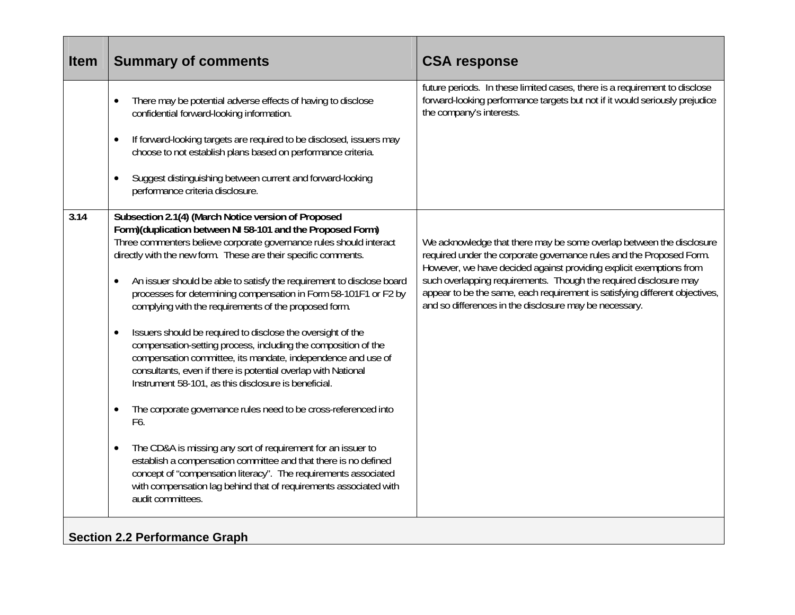| <b>Item</b> | <b>Summary of comments</b>                                                                                                                                                                                                                                                                                                                                                                                                                                                                                                                                                                                                                                                                                                                                                                                                                                                                                                                                                                                                                                                                                                                                                                     | <b>CSA response</b>                                                                                                                                                                                                                                                                                                                                                                                                               |
|-------------|------------------------------------------------------------------------------------------------------------------------------------------------------------------------------------------------------------------------------------------------------------------------------------------------------------------------------------------------------------------------------------------------------------------------------------------------------------------------------------------------------------------------------------------------------------------------------------------------------------------------------------------------------------------------------------------------------------------------------------------------------------------------------------------------------------------------------------------------------------------------------------------------------------------------------------------------------------------------------------------------------------------------------------------------------------------------------------------------------------------------------------------------------------------------------------------------|-----------------------------------------------------------------------------------------------------------------------------------------------------------------------------------------------------------------------------------------------------------------------------------------------------------------------------------------------------------------------------------------------------------------------------------|
|             | There may be potential adverse effects of having to disclose<br>confidential forward-looking information.                                                                                                                                                                                                                                                                                                                                                                                                                                                                                                                                                                                                                                                                                                                                                                                                                                                                                                                                                                                                                                                                                      | future periods. In these limited cases, there is a requirement to disclose<br>forward-looking performance targets but not if it would seriously prejudice<br>the company's interests.                                                                                                                                                                                                                                             |
|             | If forward-looking targets are required to be disclosed, issuers may<br>choose to not establish plans based on performance criteria.                                                                                                                                                                                                                                                                                                                                                                                                                                                                                                                                                                                                                                                                                                                                                                                                                                                                                                                                                                                                                                                           |                                                                                                                                                                                                                                                                                                                                                                                                                                   |
|             | Suggest distinguishing between current and forward-looking<br>performance criteria disclosure.                                                                                                                                                                                                                                                                                                                                                                                                                                                                                                                                                                                                                                                                                                                                                                                                                                                                                                                                                                                                                                                                                                 |                                                                                                                                                                                                                                                                                                                                                                                                                                   |
| 3.14        | Subsection 2.1(4) (March Notice version of Proposed<br>Form)(duplication between NI 58-101 and the Proposed Form)<br>Three commenters believe corporate governance rules should interact<br>directly with the new form. These are their specific comments.<br>An issuer should be able to satisfy the requirement to disclose board<br>processes for determining compensation in Form 58-101F1 or F2 by<br>complying with the requirements of the proposed form.<br>Issuers should be required to disclose the oversight of the<br>$\bullet$<br>compensation-setting process, including the composition of the<br>compensation committee, its mandate, independence and use of<br>consultants, even if there is potential overlap with National<br>Instrument 58-101, as this disclosure is beneficial.<br>The corporate governance rules need to be cross-referenced into<br>$\bullet$<br>F6.<br>The CD&A is missing any sort of requirement for an issuer to<br>establish a compensation committee and that there is no defined<br>concept of "compensation literacy". The requirements associated<br>with compensation lag behind that of requirements associated with<br>audit committees. | We acknowledge that there may be some overlap between the disclosure<br>required under the corporate governance rules and the Proposed Form.<br>However, we have decided against providing explicit exemptions from<br>such overlapping requirements. Though the required disclosure may<br>appear to be the same, each requirement is satisfying different objectives,<br>and so differences in the disclosure may be necessary. |
|             | <b>Section 2.2 Performance Graph</b>                                                                                                                                                                                                                                                                                                                                                                                                                                                                                                                                                                                                                                                                                                                                                                                                                                                                                                                                                                                                                                                                                                                                                           |                                                                                                                                                                                                                                                                                                                                                                                                                                   |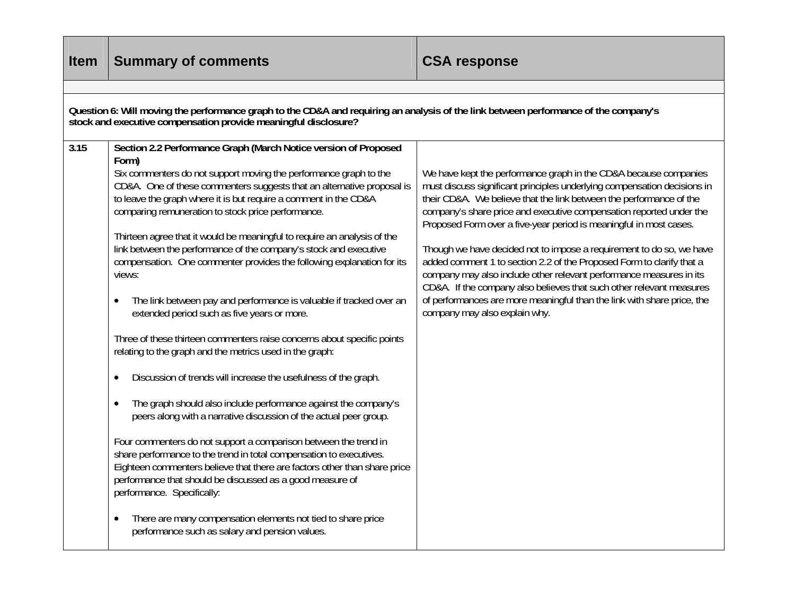| <b>Item</b> | <b>Summary of comments</b>                                                                                                                                                                                                                                                                                                                                                                                                                                                                                                                                                                                                                                                                                                                                                                                                                                                                                                                                                                                                                                                                                                                                                                                                                                                                                                                                                                                                                                                                          | <b>CSA response</b>                                                                                                                                                                                                                                                                                                                                                                                                                                                                                                                                                                                                                                                                                                                                                          |  |
|-------------|-----------------------------------------------------------------------------------------------------------------------------------------------------------------------------------------------------------------------------------------------------------------------------------------------------------------------------------------------------------------------------------------------------------------------------------------------------------------------------------------------------------------------------------------------------------------------------------------------------------------------------------------------------------------------------------------------------------------------------------------------------------------------------------------------------------------------------------------------------------------------------------------------------------------------------------------------------------------------------------------------------------------------------------------------------------------------------------------------------------------------------------------------------------------------------------------------------------------------------------------------------------------------------------------------------------------------------------------------------------------------------------------------------------------------------------------------------------------------------------------------------|------------------------------------------------------------------------------------------------------------------------------------------------------------------------------------------------------------------------------------------------------------------------------------------------------------------------------------------------------------------------------------------------------------------------------------------------------------------------------------------------------------------------------------------------------------------------------------------------------------------------------------------------------------------------------------------------------------------------------------------------------------------------------|--|
|             |                                                                                                                                                                                                                                                                                                                                                                                                                                                                                                                                                                                                                                                                                                                                                                                                                                                                                                                                                                                                                                                                                                                                                                                                                                                                                                                                                                                                                                                                                                     |                                                                                                                                                                                                                                                                                                                                                                                                                                                                                                                                                                                                                                                                                                                                                                              |  |
|             | Question 6: Will moving the performance graph to the CD&A and requiring an analysis of the link between performance of the company's<br>stock and executive compensation provide meaningful disclosure?                                                                                                                                                                                                                                                                                                                                                                                                                                                                                                                                                                                                                                                                                                                                                                                                                                                                                                                                                                                                                                                                                                                                                                                                                                                                                             |                                                                                                                                                                                                                                                                                                                                                                                                                                                                                                                                                                                                                                                                                                                                                                              |  |
| 3.15        | Section 2.2 Performance Graph (March Notice version of Proposed<br>Form)<br>Six commenters do not support moving the performance graph to the<br>CD&A. One of these commenters suggests that an alternative proposal is<br>to leave the graph where it is but require a comment in the CD&A<br>comparing remuneration to stock price performance.<br>Thirteen agree that it would be meaningful to require an analysis of the<br>link between the performance of the company's stock and executive<br>compensation. One commenter provides the following explanation for its<br>views:<br>The link between pay and performance is valuable if tracked over an<br>extended period such as five years or more.<br>Three of these thirteen commenters raise concerns about specific points<br>relating to the graph and the metrics used in the graph:<br>Discussion of trends will increase the usefulness of the graph.<br>The graph should also include performance against the company's<br>peers along with a narrative discussion of the actual peer group.<br>Four commenters do not support a comparison between the trend in<br>share performance to the trend in total compensation to executives.<br>Eighteen commenters believe that there are factors other than share price<br>performance that should be discussed as a good measure of<br>performance. Specifically:<br>There are many compensation elements not tied to share price<br>performance such as salary and pension values. | We have kept the performance graph in the CD&A because companies<br>must discuss significant principles underlying compensation decisions in<br>their CD&A. We believe that the link between the performance of the<br>company's share price and executive compensation reported under the<br>Proposed Form over a five-year period is meaningful in most cases.<br>Though we have decided not to impose a requirement to do so, we have<br>added comment 1 to section 2.2 of the Proposed Form to clarify that a<br>company may also include other relevant performance measures in its<br>CD&A. If the company also believes that such other relevant measures<br>of performances are more meaningful than the link with share price, the<br>company may also explain why. |  |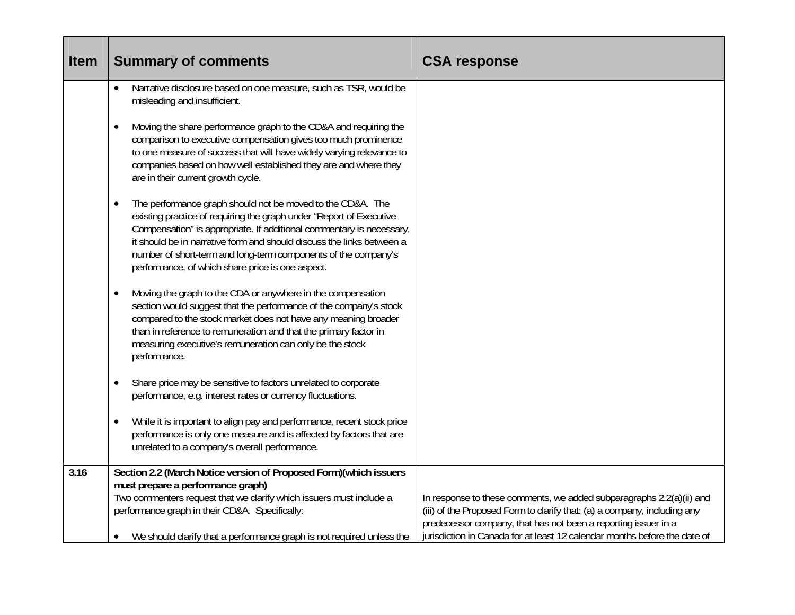| <b>Item</b> | <b>Summary of comments</b>                                                                                                                                                                                                                                                                                                                                                                               | <b>CSA response</b>                                                                                                                        |
|-------------|----------------------------------------------------------------------------------------------------------------------------------------------------------------------------------------------------------------------------------------------------------------------------------------------------------------------------------------------------------------------------------------------------------|--------------------------------------------------------------------------------------------------------------------------------------------|
|             | Narrative disclosure based on one measure, such as TSR, would be<br>$\bullet$<br>misleading and insufficient.                                                                                                                                                                                                                                                                                            |                                                                                                                                            |
|             | Moving the share performance graph to the CD&A and requiring the<br>$\bullet$<br>comparison to executive compensation gives too much prominence<br>to one measure of success that will have widely varying relevance to<br>companies based on how well established they are and where they<br>are in their current growth cycle.                                                                         |                                                                                                                                            |
|             | The performance graph should not be moved to the CD&A. The<br>existing practice of requiring the graph under "Report of Executive<br>Compensation" is appropriate. If additional commentary is necessary,<br>it should be in narrative form and should discuss the links between a<br>number of short-term and long-term components of the company's<br>performance, of which share price is one aspect. |                                                                                                                                            |
|             | Moving the graph to the CDA or anywhere in the compensation<br>section would suggest that the performance of the company's stock<br>compared to the stock market does not have any meaning broader<br>than in reference to remuneration and that the primary factor in<br>measuring executive's remuneration can only be the stock<br>performance.                                                       |                                                                                                                                            |
|             | Share price may be sensitive to factors unrelated to corporate<br>performance, e.g. interest rates or currency fluctuations.                                                                                                                                                                                                                                                                             |                                                                                                                                            |
|             | While it is important to align pay and performance, recent stock price<br>performance is only one measure and is affected by factors that are<br>unrelated to a company's overall performance.                                                                                                                                                                                                           |                                                                                                                                            |
| 3.16        | Section 2.2 (March Notice version of Proposed Form) (which issuers<br>must prepare a performance graph)                                                                                                                                                                                                                                                                                                  |                                                                                                                                            |
|             | Two commenters request that we clarify which issuers must include a                                                                                                                                                                                                                                                                                                                                      | In response to these comments, we added subparagraphs 2.2(a)(ii) and                                                                       |
|             | performance graph in their CD&A. Specifically:                                                                                                                                                                                                                                                                                                                                                           | (iii) of the Proposed Form to clarify that: (a) a company, including any<br>predecessor company, that has not been a reporting issuer in a |
|             | We should clarify that a performance graph is not required unless the                                                                                                                                                                                                                                                                                                                                    | jurisdiction in Canada for at least 12 calendar months before the date of                                                                  |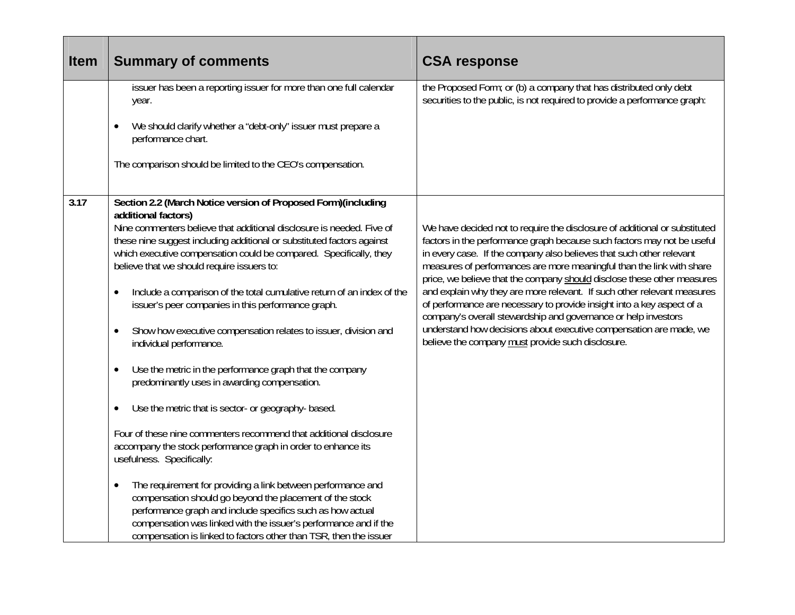| <b>Item</b> | <b>Summary of comments</b>                                                                                                                                                                                                                                                                                                                                                                                                                                                                                                                                                                                                                                                                                                                                                             | <b>CSA response</b>                                                                                                                                                                                                                                                                                                                                                                                                                                                                                                                                                                                                                                                                                                                 |
|-------------|----------------------------------------------------------------------------------------------------------------------------------------------------------------------------------------------------------------------------------------------------------------------------------------------------------------------------------------------------------------------------------------------------------------------------------------------------------------------------------------------------------------------------------------------------------------------------------------------------------------------------------------------------------------------------------------------------------------------------------------------------------------------------------------|-------------------------------------------------------------------------------------------------------------------------------------------------------------------------------------------------------------------------------------------------------------------------------------------------------------------------------------------------------------------------------------------------------------------------------------------------------------------------------------------------------------------------------------------------------------------------------------------------------------------------------------------------------------------------------------------------------------------------------------|
|             | issuer has been a reporting issuer for more than one full calendar<br>year.                                                                                                                                                                                                                                                                                                                                                                                                                                                                                                                                                                                                                                                                                                            | the Proposed Form; or (b) a company that has distributed only debt<br>securities to the public, is not required to provide a performance graph:                                                                                                                                                                                                                                                                                                                                                                                                                                                                                                                                                                                     |
|             | We should clarify whether a "debt-only" issuer must prepare a<br>performance chart.                                                                                                                                                                                                                                                                                                                                                                                                                                                                                                                                                                                                                                                                                                    |                                                                                                                                                                                                                                                                                                                                                                                                                                                                                                                                                                                                                                                                                                                                     |
|             | The comparison should be limited to the CEO's compensation.                                                                                                                                                                                                                                                                                                                                                                                                                                                                                                                                                                                                                                                                                                                            |                                                                                                                                                                                                                                                                                                                                                                                                                                                                                                                                                                                                                                                                                                                                     |
| 3.17        | Section 2.2 (March Notice version of Proposed Form)(including<br>additional factors)<br>Nine commenters believe that additional disclosure is needed. Five of<br>these nine suggest including additional or substituted factors against<br>which executive compensation could be compared. Specifically, they<br>believe that we should require issuers to:<br>Include a comparison of the total cumulative return of an index of the<br>$\bullet$<br>issuer's peer companies in this performance graph.<br>Show how executive compensation relates to issuer, division and<br>$\bullet$<br>individual performance.<br>Use the metric in the performance graph that the company<br>predominantly uses in awarding compensation.<br>Use the metric that is sector- or geography- based. | We have decided not to require the disclosure of additional or substituted<br>factors in the performance graph because such factors may not be useful<br>in every case. If the company also believes that such other relevant<br>measures of performances are more meaningful than the link with share<br>price, we believe that the company should disclose these other measures<br>and explain why they are more relevant. If such other relevant measures<br>of performance are necessary to provide insight into a key aspect of a<br>company's overall stewardship and governance or help investors<br>understand how decisions about executive compensation are made, we<br>believe the company must provide such disclosure. |
|             | Four of these nine commenters recommend that additional disclosure<br>accompany the stock performance graph in order to enhance its<br>usefulness. Specifically:<br>The requirement for providing a link between performance and<br>$\bullet$<br>compensation should go beyond the placement of the stock<br>performance graph and include specifics such as how actual<br>compensation was linked with the issuer's performance and if the<br>compensation is linked to factors other than TSR, then the issuer                                                                                                                                                                                                                                                                       |                                                                                                                                                                                                                                                                                                                                                                                                                                                                                                                                                                                                                                                                                                                                     |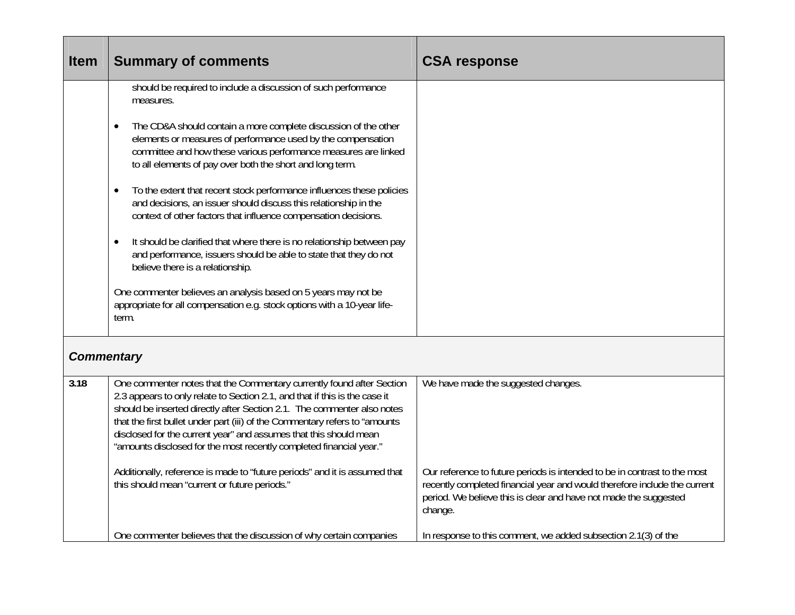| <b>Item</b>       | <b>Summary of comments</b>                                                                                                                                                                                                                                                                                                                                                                                                                                | <b>CSA response</b>                                                                                                                                                                                                                   |
|-------------------|-----------------------------------------------------------------------------------------------------------------------------------------------------------------------------------------------------------------------------------------------------------------------------------------------------------------------------------------------------------------------------------------------------------------------------------------------------------|---------------------------------------------------------------------------------------------------------------------------------------------------------------------------------------------------------------------------------------|
|                   | should be required to include a discussion of such performance<br>measures.                                                                                                                                                                                                                                                                                                                                                                               |                                                                                                                                                                                                                                       |
|                   | The CD&A should contain a more complete discussion of the other<br>elements or measures of performance used by the compensation<br>committee and how these various performance measures are linked<br>to all elements of pay over both the short and long term.                                                                                                                                                                                           |                                                                                                                                                                                                                                       |
|                   | To the extent that recent stock performance influences these policies<br>and decisions, an issuer should discuss this relationship in the<br>context of other factors that influence compensation decisions.                                                                                                                                                                                                                                              |                                                                                                                                                                                                                                       |
|                   | It should be clarified that where there is no relationship between pay<br>and performance, issuers should be able to state that they do not<br>believe there is a relationship.                                                                                                                                                                                                                                                                           |                                                                                                                                                                                                                                       |
|                   | One commenter believes an analysis based on 5 years may not be<br>appropriate for all compensation e.g. stock options with a 10-year life-<br>term.                                                                                                                                                                                                                                                                                                       |                                                                                                                                                                                                                                       |
| <b>Commentary</b> |                                                                                                                                                                                                                                                                                                                                                                                                                                                           |                                                                                                                                                                                                                                       |
| 3.18              | One commenter notes that the Commentary currently found after Section<br>2.3 appears to only relate to Section 2.1, and that if this is the case it<br>should be inserted directly after Section 2.1. The commenter also notes<br>that the first bullet under part (iii) of the Commentary refers to "amounts<br>disclosed for the current year" and assumes that this should mean<br>"amounts disclosed for the most recently completed financial year." | We have made the suggested changes.                                                                                                                                                                                                   |
|                   | Additionally, reference is made to "future periods" and it is assumed that<br>this should mean "current or future periods."                                                                                                                                                                                                                                                                                                                               | Our reference to future periods is intended to be in contrast to the most<br>recently completed financial year and would therefore include the current<br>period. We believe this is clear and have not made the suggested<br>change. |
|                   | One commenter believes that the discussion of why certain companies                                                                                                                                                                                                                                                                                                                                                                                       | In response to this comment, we added subsection 2.1(3) of the                                                                                                                                                                        |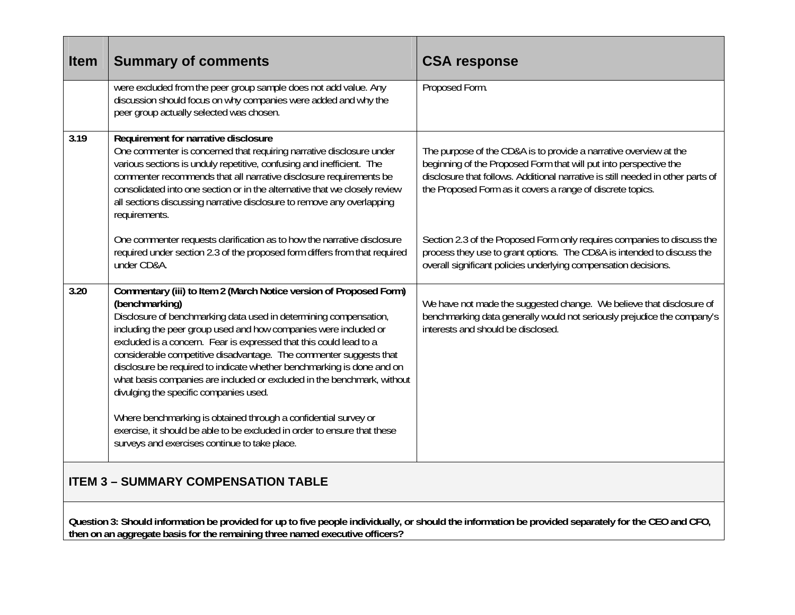| <b>Item</b>                                                                                                                                                                                                                          | <b>Summary of comments</b>                                                                                                                                                                                                                                                                                                                                                                                                                                                                                                                                                                                                                                                                                                                                               | <b>CSA response</b>                                                                                                                                                                                                                                                                     |
|--------------------------------------------------------------------------------------------------------------------------------------------------------------------------------------------------------------------------------------|--------------------------------------------------------------------------------------------------------------------------------------------------------------------------------------------------------------------------------------------------------------------------------------------------------------------------------------------------------------------------------------------------------------------------------------------------------------------------------------------------------------------------------------------------------------------------------------------------------------------------------------------------------------------------------------------------------------------------------------------------------------------------|-----------------------------------------------------------------------------------------------------------------------------------------------------------------------------------------------------------------------------------------------------------------------------------------|
|                                                                                                                                                                                                                                      | were excluded from the peer group sample does not add value. Any<br>discussion should focus on why companies were added and why the<br>peer group actually selected was chosen.                                                                                                                                                                                                                                                                                                                                                                                                                                                                                                                                                                                          | Proposed Form.                                                                                                                                                                                                                                                                          |
| 3.19                                                                                                                                                                                                                                 | Requirement for narrative disclosure<br>One commenter is concerned that requiring narrative disclosure under<br>various sections is unduly repetitive, confusing and inefficient. The<br>commenter recommends that all narrative disclosure requirements be<br>consolidated into one section or in the alternative that we closely review<br>all sections discussing narrative disclosure to remove any overlapping<br>requirements.                                                                                                                                                                                                                                                                                                                                     | The purpose of the CD&A is to provide a narrative overview at the<br>beginning of the Proposed Form that will put into perspective the<br>disclosure that follows. Additional narrative is still needed in other parts of<br>the Proposed Form as it covers a range of discrete topics. |
|                                                                                                                                                                                                                                      | One commenter requests clarification as to how the narrative disclosure<br>required under section 2.3 of the proposed form differs from that required<br>under CD&A.                                                                                                                                                                                                                                                                                                                                                                                                                                                                                                                                                                                                     | Section 2.3 of the Proposed Form only requires companies to discuss the<br>process they use to grant options. The CD&A is intended to discuss the<br>overall significant policies underlying compensation decisions.                                                                    |
| 3.20                                                                                                                                                                                                                                 | Commentary (iii) to Item 2 (March Notice version of Proposed Form)<br>(benchmarking)<br>Disclosure of benchmarking data used in determining compensation,<br>including the peer group used and how companies were included or<br>excluded is a concern. Fear is expressed that this could lead to a<br>considerable competitive disadvantage. The commenter suggests that<br>disclosure be required to indicate whether benchmarking is done and on<br>what basis companies are included or excluded in the benchmark, without<br>divulging the specific companies used.<br>Where benchmarking is obtained through a confidential survey or<br>exercise, it should be able to be excluded in order to ensure that these<br>surveys and exercises continue to take place. | We have not made the suggested change. We believe that disclosure of<br>benchmarking data generally would not seriously prejudice the company's<br>interests and should be disclosed.                                                                                                   |
| <b>ITEM 3 - SUMMARY COMPENSATION TABLE</b>                                                                                                                                                                                           |                                                                                                                                                                                                                                                                                                                                                                                                                                                                                                                                                                                                                                                                                                                                                                          |                                                                                                                                                                                                                                                                                         |
| Question 3: Should information be provided for up to five people individually, or should the information be provided separately for the CEO and CFO,<br>then on an aggregate basis for the remaining three named executive officers? |                                                                                                                                                                                                                                                                                                                                                                                                                                                                                                                                                                                                                                                                                                                                                                          |                                                                                                                                                                                                                                                                                         |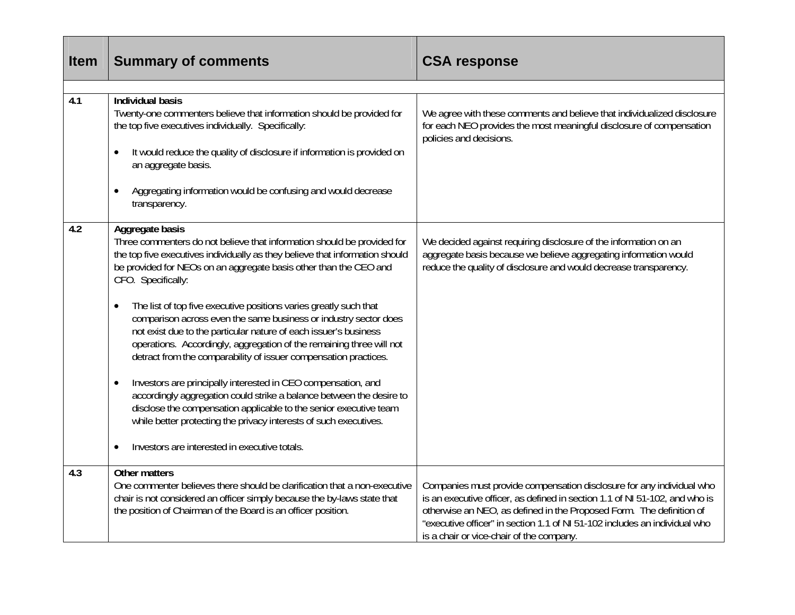| <b>Item</b> | <b>Summary of comments</b>                                                                                                                                                                                                                                                                                                                                                                                                                                                                                                                                                                                                                                                                                                                                                                                                                                                                                                                                                                   | <b>CSA response</b>                                                                                                                                                                                                                                                                                                                                    |
|-------------|----------------------------------------------------------------------------------------------------------------------------------------------------------------------------------------------------------------------------------------------------------------------------------------------------------------------------------------------------------------------------------------------------------------------------------------------------------------------------------------------------------------------------------------------------------------------------------------------------------------------------------------------------------------------------------------------------------------------------------------------------------------------------------------------------------------------------------------------------------------------------------------------------------------------------------------------------------------------------------------------|--------------------------------------------------------------------------------------------------------------------------------------------------------------------------------------------------------------------------------------------------------------------------------------------------------------------------------------------------------|
|             |                                                                                                                                                                                                                                                                                                                                                                                                                                                                                                                                                                                                                                                                                                                                                                                                                                                                                                                                                                                              |                                                                                                                                                                                                                                                                                                                                                        |
| 4.1         | <b>Individual basis</b><br>Twenty-one commenters believe that information should be provided for<br>the top five executives individually. Specifically:<br>It would reduce the quality of disclosure if information is provided on<br>an aggregate basis.<br>Aggregating information would be confusing and would decrease<br>$\bullet$<br>transparency.                                                                                                                                                                                                                                                                                                                                                                                                                                                                                                                                                                                                                                     | We agree with these comments and believe that individualized disclosure<br>for each NEO provides the most meaningful disclosure of compensation<br>policies and decisions.                                                                                                                                                                             |
| 4.2         | Aggregate basis<br>Three commenters do not believe that information should be provided for<br>the top five executives individually as they believe that information should<br>be provided for NEOs on an aggregate basis other than the CEO and<br>CFO. Specifically:<br>The list of top five executive positions varies greatly such that<br>$\bullet$<br>comparison across even the same business or industry sector does<br>not exist due to the particular nature of each issuer's business<br>operations. Accordingly, aggregation of the remaining three will not<br>detract from the comparability of issuer compensation practices.<br>Investors are principally interested in CEO compensation, and<br>accordingly aggregation could strike a balance between the desire to<br>disclose the compensation applicable to the senior executive team<br>while better protecting the privacy interests of such executives.<br>Investors are interested in executive totals.<br>$\bullet$ | We decided against requiring disclosure of the information on an<br>aggregate basis because we believe aggregating information would<br>reduce the quality of disclosure and would decrease transparency.                                                                                                                                              |
| 4.3         | Other matters<br>One commenter believes there should be clarification that a non-executive<br>chair is not considered an officer simply because the by-laws state that<br>the position of Chairman of the Board is an officer position.                                                                                                                                                                                                                                                                                                                                                                                                                                                                                                                                                                                                                                                                                                                                                      | Companies must provide compensation disclosure for any individual who<br>is an executive officer, as defined in section 1.1 of NI 51-102, and who is<br>otherwise an NEO, as defined in the Proposed Form. The definition of<br>"executive officer" in section 1.1 of NI 51-102 includes an individual who<br>is a chair or vice-chair of the company. |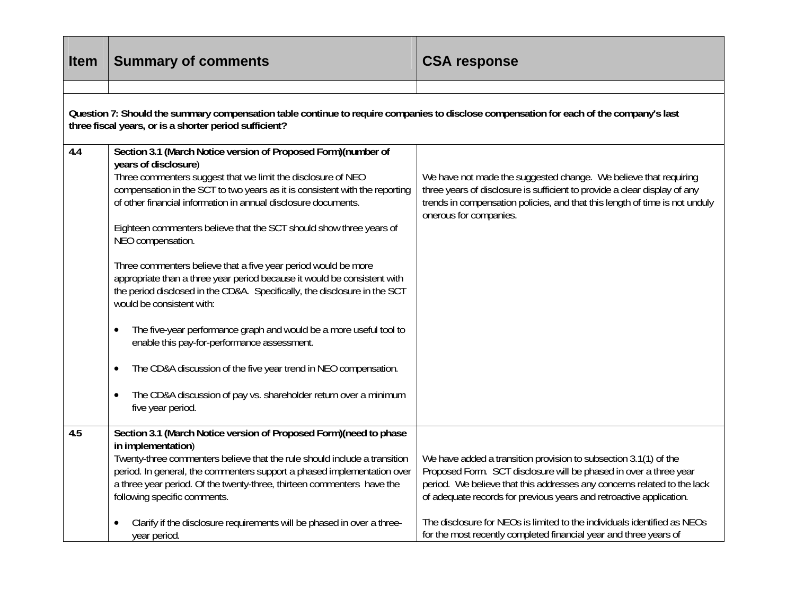| <b>Item</b>                                                                                                                                                                                       | <b>Summary of comments</b>                                                                                                                                                                                                                                                                                                                                                                                                                                                                                                                                                                                                                                                                                                                                                                                                                                                                                                                                            | <b>CSA response</b>                                                                                                                                                                                                                                                                                                                                                 |
|---------------------------------------------------------------------------------------------------------------------------------------------------------------------------------------------------|-----------------------------------------------------------------------------------------------------------------------------------------------------------------------------------------------------------------------------------------------------------------------------------------------------------------------------------------------------------------------------------------------------------------------------------------------------------------------------------------------------------------------------------------------------------------------------------------------------------------------------------------------------------------------------------------------------------------------------------------------------------------------------------------------------------------------------------------------------------------------------------------------------------------------------------------------------------------------|---------------------------------------------------------------------------------------------------------------------------------------------------------------------------------------------------------------------------------------------------------------------------------------------------------------------------------------------------------------------|
|                                                                                                                                                                                                   |                                                                                                                                                                                                                                                                                                                                                                                                                                                                                                                                                                                                                                                                                                                                                                                                                                                                                                                                                                       |                                                                                                                                                                                                                                                                                                                                                                     |
| Question 7: Should the summary compensation table continue to require companies to disclose compensation for each of the company's last<br>three fiscal years, or is a shorter period sufficient? |                                                                                                                                                                                                                                                                                                                                                                                                                                                                                                                                                                                                                                                                                                                                                                                                                                                                                                                                                                       |                                                                                                                                                                                                                                                                                                                                                                     |
| 4.4                                                                                                                                                                                               | Section 3.1 (March Notice version of Proposed Form)(number of<br>years of disclosure)<br>Three commenters suggest that we limit the disclosure of NEO<br>compensation in the SCT to two years as it is consistent with the reporting<br>of other financial information in annual disclosure documents.<br>Eighteen commenters believe that the SCT should show three years of<br>NEO compensation.<br>Three commenters believe that a five year period would be more<br>appropriate than a three year period because it would be consistent with<br>the period disclosed in the CD&A. Specifically, the disclosure in the SCT<br>would be consistent with:<br>The five-year performance graph and would be a more useful tool to<br>$\bullet$<br>enable this pay-for-performance assessment.<br>The CD&A discussion of the five year trend in NEO compensation.<br>$\bullet$<br>The CD&A discussion of pay vs. shareholder return over a minimum<br>five year period. | We have not made the suggested change. We believe that requiring<br>three years of disclosure is sufficient to provide a clear display of any<br>trends in compensation policies, and that this length of time is not unduly<br>onerous for companies.                                                                                                              |
| 4.5                                                                                                                                                                                               | Section 3.1 (March Notice version of Proposed Form) (need to phase                                                                                                                                                                                                                                                                                                                                                                                                                                                                                                                                                                                                                                                                                                                                                                                                                                                                                                    |                                                                                                                                                                                                                                                                                                                                                                     |
|                                                                                                                                                                                                   | in implementation)<br>Twenty-three commenters believe that the rule should include a transition<br>period. In general, the commenters support a phased implementation over<br>a three year period. Of the twenty-three, thirteen commenters have the<br>following specific comments.<br>Clarify if the disclosure requirements will be phased in over a three-                                                                                                                                                                                                                                                                                                                                                                                                                                                                                                                                                                                                        | We have added a transition provision to subsection 3.1(1) of the<br>Proposed Form. SCT disclosure will be phased in over a three year<br>period. We believe that this addresses any concerns related to the lack<br>of adequate records for previous years and retroactive application.<br>The disclosure for NEOs is limited to the individuals identified as NEOs |
|                                                                                                                                                                                                   | year period.                                                                                                                                                                                                                                                                                                                                                                                                                                                                                                                                                                                                                                                                                                                                                                                                                                                                                                                                                          | for the most recently completed financial year and three years of                                                                                                                                                                                                                                                                                                   |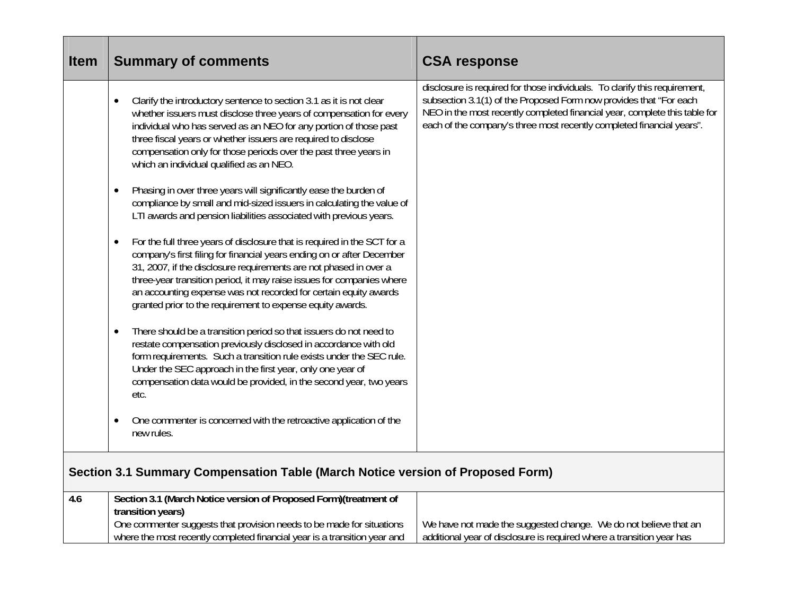| <b>Item</b>                                                                    | <b>Summary of comments</b>                                                                                                                                                                                                                                                                                                                                                                                                                      | <b>CSA response</b>                                                                                                                                                                                                                                                                                     |
|--------------------------------------------------------------------------------|-------------------------------------------------------------------------------------------------------------------------------------------------------------------------------------------------------------------------------------------------------------------------------------------------------------------------------------------------------------------------------------------------------------------------------------------------|---------------------------------------------------------------------------------------------------------------------------------------------------------------------------------------------------------------------------------------------------------------------------------------------------------|
|                                                                                | Clarify the introductory sentence to section 3.1 as it is not clear<br>whether issuers must disclose three years of compensation for every<br>individual who has served as an NEO for any portion of those past<br>three fiscal years or whether issuers are required to disclose<br>compensation only for those periods over the past three years in<br>which an individual qualified as an NEO.                                               | disclosure is required for those individuals. To clarify this requirement,<br>subsection 3.1(1) of the Proposed Form now provides that "For each<br>NEO in the most recently completed financial year, complete this table for<br>each of the company's three most recently completed financial years". |
|                                                                                | Phasing in over three years will significantly ease the burden of<br>$\bullet$<br>compliance by small and mid-sized issuers in calculating the value of<br>LTI awards and pension liabilities associated with previous years.                                                                                                                                                                                                                   |                                                                                                                                                                                                                                                                                                         |
|                                                                                | For the full three years of disclosure that is required in the SCT for a<br>$\bullet$<br>company's first filing for financial years ending on or after December<br>31, 2007, if the disclosure requirements are not phased in over a<br>three-year transition period, it may raise issues for companies where<br>an accounting expense was not recorded for certain equity awards<br>granted prior to the requirement to expense equity awards. |                                                                                                                                                                                                                                                                                                         |
|                                                                                | There should be a transition period so that issuers do not need to<br>$\bullet$<br>restate compensation previously disclosed in accordance with old<br>form requirements. Such a transition rule exists under the SEC rule.<br>Under the SEC approach in the first year, only one year of<br>compensation data would be provided, in the second year, two years<br>etc.                                                                         |                                                                                                                                                                                                                                                                                                         |
|                                                                                | One commenter is concerned with the retroactive application of the<br>new rules.                                                                                                                                                                                                                                                                                                                                                                |                                                                                                                                                                                                                                                                                                         |
| Section 3.1 Summary Compensation Table (March Notice version of Proposed Form) |                                                                                                                                                                                                                                                                                                                                                                                                                                                 |                                                                                                                                                                                                                                                                                                         |
| 4.6                                                                            | Section 3.1 (March Notice version of Proposed Form) (treatment of<br>transition years)                                                                                                                                                                                                                                                                                                                                                          |                                                                                                                                                                                                                                                                                                         |
|                                                                                | One commenter suggests that provision needs to be made for situations<br>where the most recently completed financial year is a transition year and                                                                                                                                                                                                                                                                                              | We have not made the suggested change. We do not believe that an<br>additional year of disclosure is required where a transition year has                                                                                                                                                               |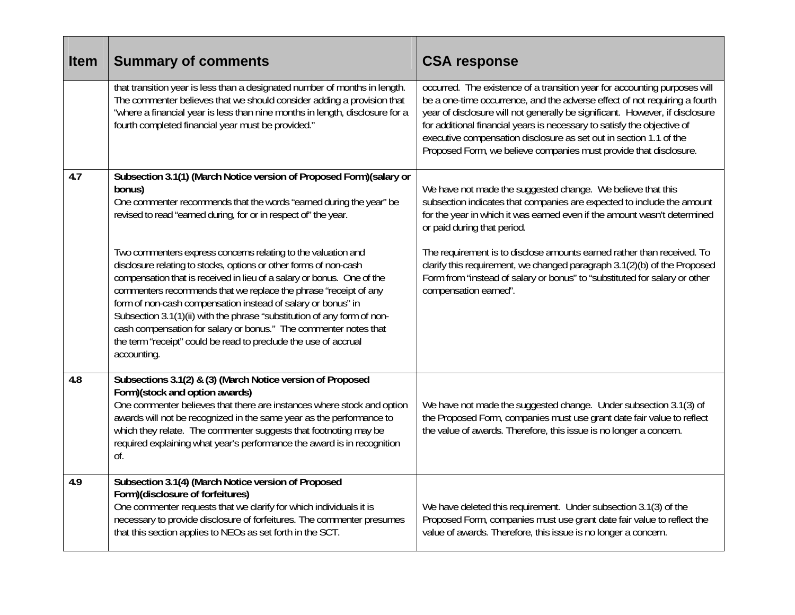| <b>Item</b> | <b>Summary of comments</b>                                                                                                                                                                                                                                                                                                                                                                                                                                                                                                                                                        | <b>CSA response</b>                                                                                                                                                                                                                                                                                                                                                                                                                                           |
|-------------|-----------------------------------------------------------------------------------------------------------------------------------------------------------------------------------------------------------------------------------------------------------------------------------------------------------------------------------------------------------------------------------------------------------------------------------------------------------------------------------------------------------------------------------------------------------------------------------|---------------------------------------------------------------------------------------------------------------------------------------------------------------------------------------------------------------------------------------------------------------------------------------------------------------------------------------------------------------------------------------------------------------------------------------------------------------|
|             | that transition year is less than a designated number of months in length.<br>The commenter believes that we should consider adding a provision that<br>"where a financial year is less than nine months in length, disclosure for a<br>fourth completed financial year must be provided."                                                                                                                                                                                                                                                                                        | occurred. The existence of a transition year for accounting purposes will<br>be a one-time occurrence, and the adverse effect of not requiring a fourth<br>year of disclosure will not generally be significant. However, if disclosure<br>for additional financial years is necessary to satisfy the objective of<br>executive compensation disclosure as set out in section 1.1 of the<br>Proposed Form, we believe companies must provide that disclosure. |
| 4.7         | Subsection 3.1(1) (March Notice version of Proposed Form) (salary or<br>bonus)<br>One commenter recommends that the words "earned during the year" be<br>revised to read "earned during, for or in respect of" the year.                                                                                                                                                                                                                                                                                                                                                          | We have not made the suggested change. We believe that this<br>subsection indicates that companies are expected to include the amount<br>for the year in which it was earned even if the amount wasn't determined<br>or paid during that period.                                                                                                                                                                                                              |
|             | Two commenters express concerns relating to the valuation and<br>disclosure relating to stocks, options or other forms of non-cash<br>compensation that is received in lieu of a salary or bonus. One of the<br>commenters recommends that we replace the phrase "receipt of any<br>form of non-cash compensation instead of salary or bonus" in<br>Subsection 3.1(1)(ii) with the phrase "substitution of any form of non-<br>cash compensation for salary or bonus." The commenter notes that<br>the term "receipt" could be read to preclude the use of accrual<br>accounting. | The requirement is to disclose amounts earned rather than received. To<br>clarify this requirement, we changed paragraph 3.1(2)(b) of the Proposed<br>Form from "instead of salary or bonus" to "substituted for salary or other<br>compensation earned".                                                                                                                                                                                                     |
| 4.8         | Subsections 3.1(2) & (3) (March Notice version of Proposed<br>Form)(stock and option awards)<br>One commenter believes that there are instances where stock and option<br>awards will not be recognized in the same year as the performance to<br>which they relate. The commenter suggests that footnoting may be<br>required explaining what year's performance the award is in recognition<br>of.                                                                                                                                                                              | We have not made the suggested change. Under subsection 3.1(3) of<br>the Proposed Form, companies must use grant date fair value to reflect<br>the value of awards. Therefore, this issue is no longer a concern.                                                                                                                                                                                                                                             |
| 4.9         | Subsection 3.1(4) (March Notice version of Proposed<br>Form)(disclosure of forfeitures)<br>One commenter requests that we clarify for which individuals it is<br>necessary to provide disclosure of forfeitures. The commenter presumes<br>that this section applies to NEOs as set forth in the SCT.                                                                                                                                                                                                                                                                             | We have deleted this requirement. Under subsection 3.1(3) of the<br>Proposed Form, companies must use grant date fair value to reflect the<br>value of awards. Therefore, this issue is no longer a concern.                                                                                                                                                                                                                                                  |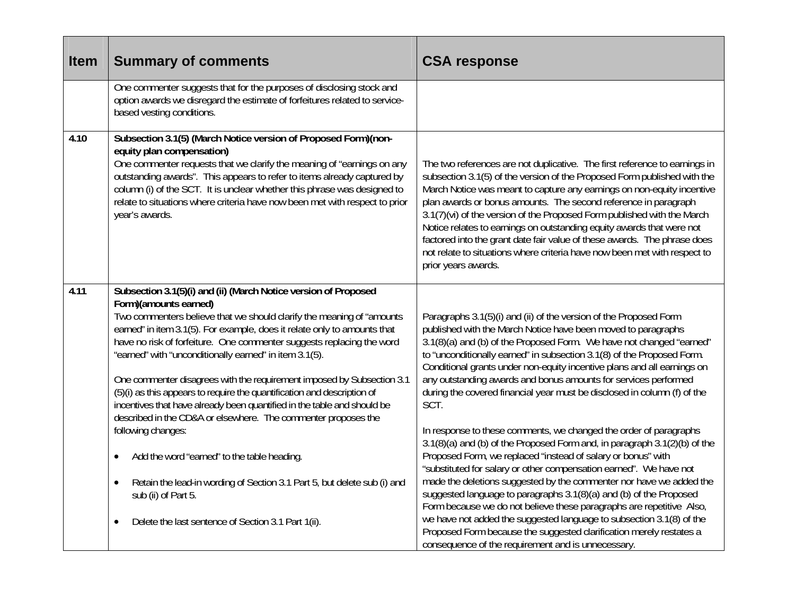| <b>Item</b> | <b>Summary of comments</b>                                                                                                                                                                                                                                                                                                                                                                                                                                                                                                                                                                                                                                                                                                                                                                                                                                                                                                                  | <b>CSA response</b>                                                                                                                                                                                                                                                                                                                                                                                                                                                                                                                                                                                                                                                                                                                                                                                                                                                                                                                                                                                                                                                                                                                                                                                                                      |
|-------------|---------------------------------------------------------------------------------------------------------------------------------------------------------------------------------------------------------------------------------------------------------------------------------------------------------------------------------------------------------------------------------------------------------------------------------------------------------------------------------------------------------------------------------------------------------------------------------------------------------------------------------------------------------------------------------------------------------------------------------------------------------------------------------------------------------------------------------------------------------------------------------------------------------------------------------------------|------------------------------------------------------------------------------------------------------------------------------------------------------------------------------------------------------------------------------------------------------------------------------------------------------------------------------------------------------------------------------------------------------------------------------------------------------------------------------------------------------------------------------------------------------------------------------------------------------------------------------------------------------------------------------------------------------------------------------------------------------------------------------------------------------------------------------------------------------------------------------------------------------------------------------------------------------------------------------------------------------------------------------------------------------------------------------------------------------------------------------------------------------------------------------------------------------------------------------------------|
|             | One commenter suggests that for the purposes of disclosing stock and<br>option awards we disregard the estimate of forfeitures related to service-<br>based vesting conditions.                                                                                                                                                                                                                                                                                                                                                                                                                                                                                                                                                                                                                                                                                                                                                             |                                                                                                                                                                                                                                                                                                                                                                                                                                                                                                                                                                                                                                                                                                                                                                                                                                                                                                                                                                                                                                                                                                                                                                                                                                          |
| 4.10        | Subsection 3.1(5) (March Notice version of Proposed Form)(non-<br>equity plan compensation)<br>One commenter requests that we clarify the meaning of "earnings on any<br>outstanding awards". This appears to refer to items already captured by<br>column (i) of the SCT. It is unclear whether this phrase was designed to<br>relate to situations where criteria have now been met with respect to prior<br>year's awards.                                                                                                                                                                                                                                                                                                                                                                                                                                                                                                               | The two references are not duplicative. The first reference to earnings in<br>subsection 3.1(5) of the version of the Proposed Form published with the<br>March Notice was meant to capture any earnings on non-equity incentive<br>plan awards or bonus amounts. The second reference in paragraph<br>3.1(7)(vi) of the version of the Proposed Form published with the March<br>Notice relates to earnings on outstanding equity awards that were not<br>factored into the grant date fair value of these awards. The phrase does<br>not relate to situations where criteria have now been met with respect to<br>prior years awards.                                                                                                                                                                                                                                                                                                                                                                                                                                                                                                                                                                                                  |
| 4.11        | Subsection 3.1(5)(i) and (ii) (March Notice version of Proposed<br>Form)(amounts earned)<br>Two commenters believe that we should clarify the meaning of "amounts<br>earned" in item 3.1(5). For example, does it relate only to amounts that<br>have no risk of forfeiture. One commenter suggests replacing the word<br>"earned" with "unconditionally earned" in item 3.1(5).<br>One commenter disagrees with the requirement imposed by Subsection 3.1<br>(5)(i) as this appears to require the quantification and description of<br>incentives that have already been quantified in the table and should be<br>described in the CD&A or elsewhere. The commenter proposes the<br>following changes:<br>Add the word "earned" to the table heading.<br>Retain the lead-in wording of Section 3.1 Part 5, but delete sub (i) and<br>$\bullet$<br>sub (ii) of Part 5.<br>Delete the last sentence of Section 3.1 Part 1(ii).<br>$\bullet$ | Paragraphs 3.1(5)(i) and (ii) of the version of the Proposed Form<br>published with the March Notice have been moved to paragraphs<br>3.1(8)(a) and (b) of the Proposed Form. We have not changed "earned"<br>to "unconditionally earned" in subsection 3.1(8) of the Proposed Form.<br>Conditional grants under non-equity incentive plans and all earnings on<br>any outstanding awards and bonus amounts for services performed<br>during the covered financial year must be disclosed in column (f) of the<br>SCT.<br>In response to these comments, we changed the order of paragraphs<br>3.1(8)(a) and (b) of the Proposed Form and, in paragraph 3.1(2)(b) of the<br>Proposed Form, we replaced "instead of salary or bonus" with<br>"substituted for salary or other compensation earned". We have not<br>made the deletions suggested by the commenter nor have we added the<br>suggested language to paragraphs 3.1(8)(a) and (b) of the Proposed<br>Form because we do not believe these paragraphs are repetitive Also,<br>we have not added the suggested language to subsection 3.1(8) of the<br>Proposed Form because the suggested clarification merely restates a<br>consequence of the requirement and is unnecessary. |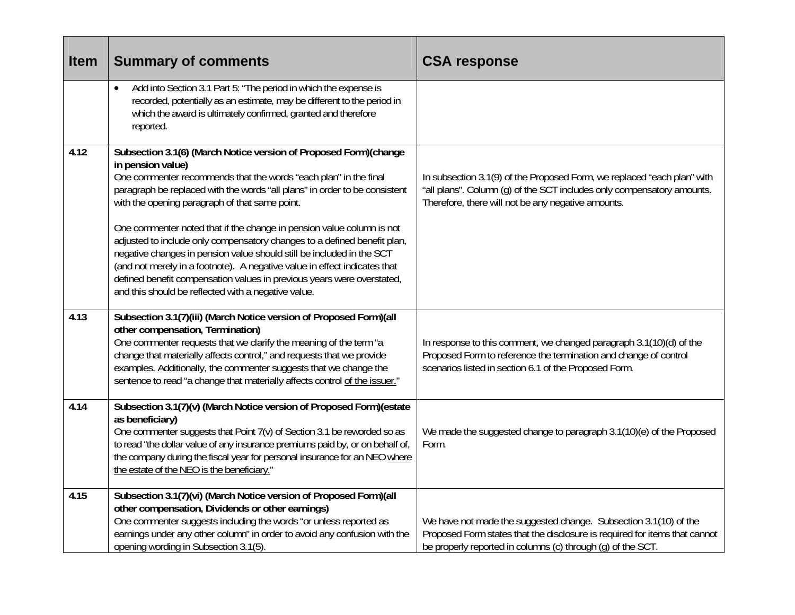| Item | <b>Summary of comments</b>                                                                                                                                                                                                                                                                                                                                                                                                                                                                                                                                                                                                                                                                                                             | <b>CSA response</b>                                                                                                                                                                                           |
|------|----------------------------------------------------------------------------------------------------------------------------------------------------------------------------------------------------------------------------------------------------------------------------------------------------------------------------------------------------------------------------------------------------------------------------------------------------------------------------------------------------------------------------------------------------------------------------------------------------------------------------------------------------------------------------------------------------------------------------------------|---------------------------------------------------------------------------------------------------------------------------------------------------------------------------------------------------------------|
|      | Add into Section 3.1 Part 5: "The period in which the expense is<br>$\bullet$<br>recorded, potentially as an estimate, may be different to the period in<br>which the award is ultimately confirmed, granted and therefore<br>reported.                                                                                                                                                                                                                                                                                                                                                                                                                                                                                                |                                                                                                                                                                                                               |
| 4.12 | Subsection 3.1(6) (March Notice version of Proposed Form) (change<br>in pension value)<br>One commenter recommends that the words "each plan" in the final<br>paragraph be replaced with the words "all plans" in order to be consistent<br>with the opening paragraph of that same point.<br>One commenter noted that if the change in pension value column is not<br>adjusted to include only compensatory changes to a defined benefit plan,<br>negative changes in pension value should still be included in the SCT<br>(and not merely in a footnote). A negative value in effect indicates that<br>defined benefit compensation values in previous years were overstated,<br>and this should be reflected with a negative value. | In subsection 3.1(9) of the Proposed Form, we replaced "each plan" with<br>"all plans". Column (q) of the SCT includes only compensatory amounts.<br>Therefore, there will not be any negative amounts.       |
| 4.13 | Subsection 3.1(7)(iii) (March Notice version of Proposed Form)(all<br>other compensation, Termination)<br>One commenter requests that we clarify the meaning of the term "a<br>change that materially affects control," and requests that we provide<br>examples. Additionally, the commenter suggests that we change the<br>sentence to read "a change that materially affects control of the issuer."                                                                                                                                                                                                                                                                                                                                | In response to this comment, we changed paragraph 3.1(10)(d) of the<br>Proposed Form to reference the termination and change of control<br>scenarios listed in section 6.1 of the Proposed Form.              |
| 4.14 | Subsection 3.1(7)(v) (March Notice version of Proposed Form)(estate<br>as beneficiary)<br>One commenter suggests that Point 7(v) of Section 3.1 be reworded so as<br>to read "the dollar value of any insurance premiums paid by, or on behalf of,<br>the company during the fiscal year for personal insurance for an NEO where<br>the estate of the NEO is the beneficiary."                                                                                                                                                                                                                                                                                                                                                         | We made the suggested change to paragraph 3.1(10)(e) of the Proposed<br>Form.                                                                                                                                 |
| 4.15 | Subsection 3.1(7)(vi) (March Notice version of Proposed Form)(all<br>other compensation, Dividends or other earnings)<br>One commenter suggests including the words "or unless reported as<br>earnings under any other column" in order to avoid any confusion with the<br>opening wording in Subsection 3.1(5).                                                                                                                                                                                                                                                                                                                                                                                                                       | We have not made the suggested change. Subsection 3.1(10) of the<br>Proposed Form states that the disclosure is required for items that cannot<br>be properly reported in columns (c) through (g) of the SCT. |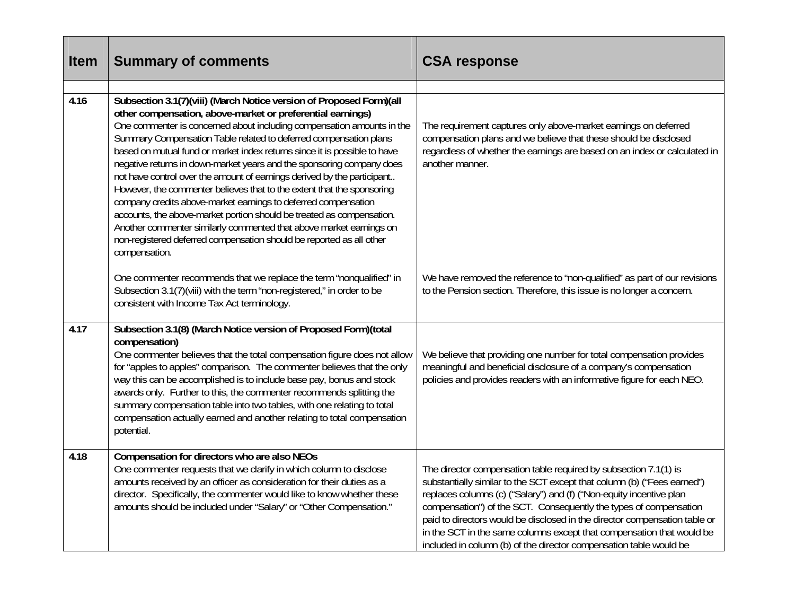| <b>Item</b> | <b>Summary of comments</b>                                                                                                                                                                                                                                                                                                                                                                                                                                                                                                                                                                                                                                                                                                                                                                                                                                                                             | <b>CSA response</b>                                                                                                                                                                                                                                                                                                                                                                                                                                                                                                  |
|-------------|--------------------------------------------------------------------------------------------------------------------------------------------------------------------------------------------------------------------------------------------------------------------------------------------------------------------------------------------------------------------------------------------------------------------------------------------------------------------------------------------------------------------------------------------------------------------------------------------------------------------------------------------------------------------------------------------------------------------------------------------------------------------------------------------------------------------------------------------------------------------------------------------------------|----------------------------------------------------------------------------------------------------------------------------------------------------------------------------------------------------------------------------------------------------------------------------------------------------------------------------------------------------------------------------------------------------------------------------------------------------------------------------------------------------------------------|
|             |                                                                                                                                                                                                                                                                                                                                                                                                                                                                                                                                                                                                                                                                                                                                                                                                                                                                                                        |                                                                                                                                                                                                                                                                                                                                                                                                                                                                                                                      |
| 4.16        | Subsection 3.1(7)(viii) (March Notice version of Proposed Form)(all<br>other compensation, above-market or preferential earnings)<br>One commenter is concerned about including compensation amounts in the<br>Summary Compensation Table related to deferred compensation plans<br>based on mutual fund or market index returns since it is possible to have<br>negative returns in down-market years and the sponsoring company does<br>not have control over the amount of earnings derived by the participant<br>However, the commenter believes that to the extent that the sponsoring<br>company credits above-market earnings to deferred compensation<br>accounts, the above-market portion should be treated as compensation.<br>Another commenter similarly commented that above market earnings on<br>non-registered deferred compensation should be reported as all other<br>compensation. | The requirement captures only above-market earnings on deferred<br>compensation plans and we believe that these should be disclosed<br>regardless of whether the earnings are based on an index or calculated in<br>another manner.                                                                                                                                                                                                                                                                                  |
|             | One commenter recommends that we replace the term "nonqualified" in<br>Subsection 3.1(7)(viii) with the term "non-registered," in order to be<br>consistent with Income Tax Act terminology.                                                                                                                                                                                                                                                                                                                                                                                                                                                                                                                                                                                                                                                                                                           | We have removed the reference to "non-qualified" as part of our revisions<br>to the Pension section. Therefore, this issue is no longer a concern.                                                                                                                                                                                                                                                                                                                                                                   |
| 4.17        | Subsection 3.1(8) (March Notice version of Proposed Form)(total<br>compensation)<br>One commenter believes that the total compensation figure does not allow<br>for "apples to apples" comparison. The commenter believes that the only<br>way this can be accomplished is to include base pay, bonus and stock<br>awards only. Further to this, the commenter recommends splitting the<br>summary compensation table into two tables, with one relating to total<br>compensation actually earned and another relating to total compensation<br>potential.                                                                                                                                                                                                                                                                                                                                             | We believe that providing one number for total compensation provides<br>meaningful and beneficial disclosure of a company's compensation<br>policies and provides readers with an informative figure for each NEO.                                                                                                                                                                                                                                                                                                   |
| 4.18        | Compensation for directors who are also NEOs<br>One commenter requests that we clarify in which column to disclose<br>amounts received by an officer as consideration for their duties as a<br>director. Specifically, the commenter would like to know whether these<br>amounts should be included under "Salary" or "Other Compensation."                                                                                                                                                                                                                                                                                                                                                                                                                                                                                                                                                            | The director compensation table required by subsection 7.1(1) is<br>substantially similar to the SCT except that column (b) ("Fees earned")<br>replaces columns (c) ("Salary") and (f) ("Non-equity incentive plan<br>compensation") of the SCT. Consequently the types of compensation<br>paid to directors would be disclosed in the director compensation table or<br>in the SCT in the same columns except that compensation that would be<br>included in column (b) of the director compensation table would be |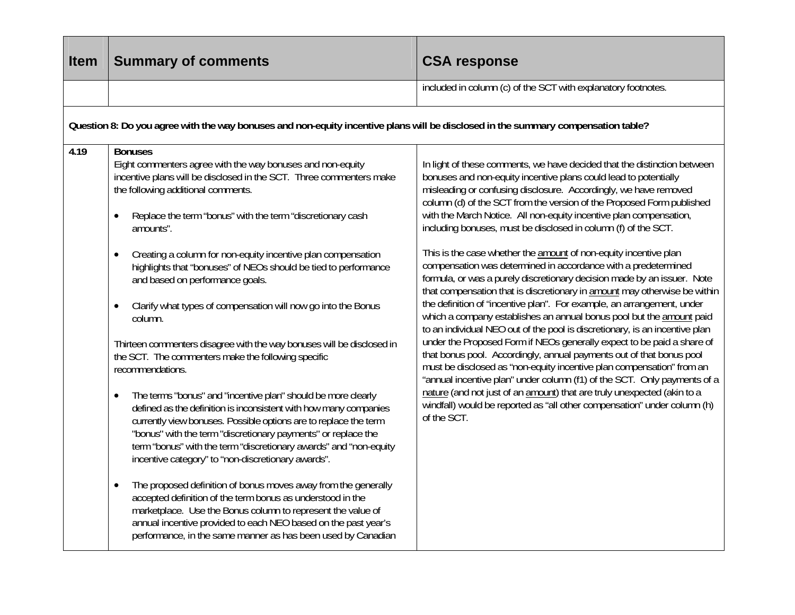| <b>Item</b> | <b>Summary of comments</b>                                                                                                                                                                                                                                                                                                                                                                                                                                                                                                                                                                                                                                                                                                                                                                                                                                                                                                                                                                                                                                                                                                                                                                                                                                                                                                                                                                                                                   | <b>CSA response</b>                                                                                                                                                                                                                                                                                                                                                                                                                                                                                                                                                                                                                                                                                                                                                                                                                                                                                                                                                                                                                                                                                                                                                                                                                                                                                                                                                                                                                           |
|-------------|----------------------------------------------------------------------------------------------------------------------------------------------------------------------------------------------------------------------------------------------------------------------------------------------------------------------------------------------------------------------------------------------------------------------------------------------------------------------------------------------------------------------------------------------------------------------------------------------------------------------------------------------------------------------------------------------------------------------------------------------------------------------------------------------------------------------------------------------------------------------------------------------------------------------------------------------------------------------------------------------------------------------------------------------------------------------------------------------------------------------------------------------------------------------------------------------------------------------------------------------------------------------------------------------------------------------------------------------------------------------------------------------------------------------------------------------|-----------------------------------------------------------------------------------------------------------------------------------------------------------------------------------------------------------------------------------------------------------------------------------------------------------------------------------------------------------------------------------------------------------------------------------------------------------------------------------------------------------------------------------------------------------------------------------------------------------------------------------------------------------------------------------------------------------------------------------------------------------------------------------------------------------------------------------------------------------------------------------------------------------------------------------------------------------------------------------------------------------------------------------------------------------------------------------------------------------------------------------------------------------------------------------------------------------------------------------------------------------------------------------------------------------------------------------------------------------------------------------------------------------------------------------------------|
|             |                                                                                                                                                                                                                                                                                                                                                                                                                                                                                                                                                                                                                                                                                                                                                                                                                                                                                                                                                                                                                                                                                                                                                                                                                                                                                                                                                                                                                                              | included in column (c) of the SCT with explanatory footnotes.                                                                                                                                                                                                                                                                                                                                                                                                                                                                                                                                                                                                                                                                                                                                                                                                                                                                                                                                                                                                                                                                                                                                                                                                                                                                                                                                                                                 |
|             | Question 8: Do you agree with the way bonuses and non-equity incentive plans will be disclosed in the summary compensation table?                                                                                                                                                                                                                                                                                                                                                                                                                                                                                                                                                                                                                                                                                                                                                                                                                                                                                                                                                                                                                                                                                                                                                                                                                                                                                                            |                                                                                                                                                                                                                                                                                                                                                                                                                                                                                                                                                                                                                                                                                                                                                                                                                                                                                                                                                                                                                                                                                                                                                                                                                                                                                                                                                                                                                                               |
| 4.19        | <b>Bonuses</b><br>Eight commenters agree with the way bonuses and non-equity<br>incentive plans will be disclosed in the SCT. Three commenters make<br>the following additional comments.<br>Replace the term "bonus" with the term "discretionary cash<br>amounts".<br>Creating a column for non-equity incentive plan compensation<br>$\bullet$<br>highlights that "bonuses" of NEOs should be tied to performance<br>and based on performance goals.<br>Clarify what types of compensation will now go into the Bonus<br>column.<br>Thirteen commenters disagree with the way bonuses will be disclosed in<br>the SCT. The commenters make the following specific<br>recommendations.<br>The terms "bonus" and "incentive plan" should be more clearly<br>defined as the definition is inconsistent with how many companies<br>currently view bonuses. Possible options are to replace the term<br>"bonus" with the term "discretionary payments" or replace the<br>term "bonus" with the term "discretionary awards" and "non-equity<br>incentive category" to "non-discretionary awards".<br>The proposed definition of bonus moves away from the generally<br>$\bullet$<br>accepted definition of the term bonus as understood in the<br>marketplace. Use the Bonus column to represent the value of<br>annual incentive provided to each NEO based on the past year's<br>performance, in the same manner as has been used by Canadian | In light of these comments, we have decided that the distinction between<br>bonuses and non-equity incentive plans could lead to potentially<br>misleading or confusing disclosure. Accordingly, we have removed<br>column (d) of the SCT from the version of the Proposed Form published<br>with the March Notice. All non-equity incentive plan compensation,<br>including bonuses, must be disclosed in column (f) of the SCT.<br>This is the case whether the amount of non-equity incentive plan<br>compensation was determined in accordance with a predetermined<br>formula, or was a purely discretionary decision made by an issuer. Note<br>that compensation that is discretionary in amount may otherwise be within<br>the definition of "incentive plan". For example, an arrangement, under<br>which a company establishes an annual bonus pool but the amount paid<br>to an individual NEO out of the pool is discretionary, is an incentive plan<br>under the Proposed Form if NEOs generally expect to be paid a share of<br>that bonus pool. Accordingly, annual payments out of that bonus pool<br>must be disclosed as "non-equity incentive plan compensation" from an<br>"annual incentive plan" under column (f1) of the SCT. Only payments of a<br>nature (and not just of an amount) that are truly unexpected (akin to a<br>windfall) would be reported as "all other compensation" under column (h)<br>of the SCT. |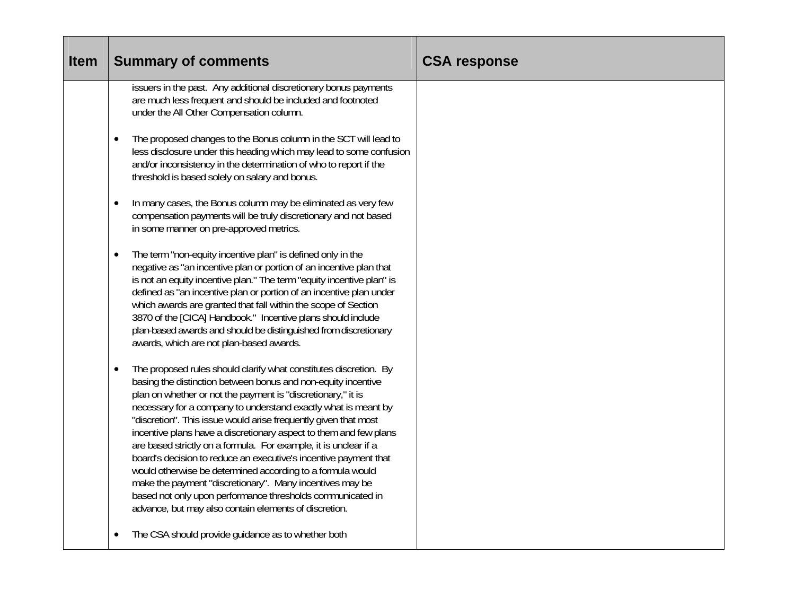| <b>Item</b> | <b>Summary of comments</b>                                                                                                                                                                                                                                                                                                                                                                                                                                                                                                                                                                                                                                                                                                                                                                            | <b>CSA response</b> |
|-------------|-------------------------------------------------------------------------------------------------------------------------------------------------------------------------------------------------------------------------------------------------------------------------------------------------------------------------------------------------------------------------------------------------------------------------------------------------------------------------------------------------------------------------------------------------------------------------------------------------------------------------------------------------------------------------------------------------------------------------------------------------------------------------------------------------------|---------------------|
|             | issuers in the past. Any additional discretionary bonus payments<br>are much less frequent and should be included and footnoted<br>under the All Other Compensation column.                                                                                                                                                                                                                                                                                                                                                                                                                                                                                                                                                                                                                           |                     |
|             | The proposed changes to the Bonus column in the SCT will lead to<br>$\bullet$<br>less disclosure under this heading which may lead to some confusion<br>and/or inconsistency in the determination of who to report if the<br>threshold is based solely on salary and bonus.                                                                                                                                                                                                                                                                                                                                                                                                                                                                                                                           |                     |
|             | In many cases, the Bonus column may be eliminated as very few<br>compensation payments will be truly discretionary and not based<br>in some manner on pre-approved metrics.                                                                                                                                                                                                                                                                                                                                                                                                                                                                                                                                                                                                                           |                     |
|             | The term "non-equity incentive plan" is defined only in the<br>negative as "an incentive plan or portion of an incentive plan that<br>is not an equity incentive plan." The term "equity incentive plan" is<br>defined as "an incentive plan or portion of an incentive plan under<br>which awards are granted that fall within the scope of Section<br>3870 of the [CICA] Handbook." Incentive plans should include<br>plan-based awards and should be distinguished from discretionary<br>awards, which are not plan-based awards.                                                                                                                                                                                                                                                                  |                     |
|             | The proposed rules should clarify what constitutes discretion. By<br>basing the distinction between bonus and non-equity incentive<br>plan on whether or not the payment is "discretionary," it is<br>necessary for a company to understand exactly what is meant by<br>"discretion". This issue would arise frequently given that most<br>incentive plans have a discretionary aspect to them and few plans<br>are based strictly on a formula. For example, it is unclear if a<br>board's decision to reduce an executive's incentive payment that<br>would otherwise be determined according to a formula would<br>make the payment "discretionary". Many incentives may be<br>based not only upon performance thresholds communicated in<br>advance, but may also contain elements of discretion. |                     |
|             | The CSA should provide guidance as to whether both                                                                                                                                                                                                                                                                                                                                                                                                                                                                                                                                                                                                                                                                                                                                                    |                     |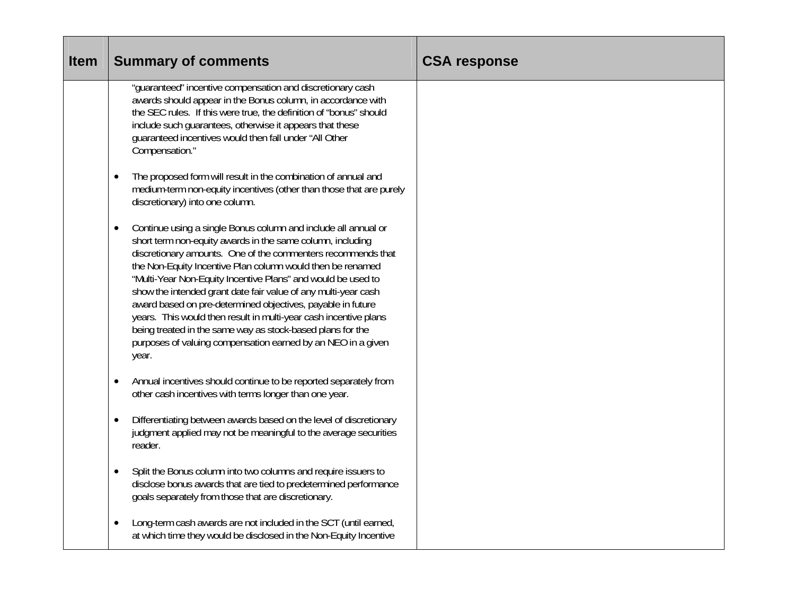| <b>Item</b> | <b>Summary of comments</b>                                                                                                                                                                                                                                                                                                                                                                                                                                                                                                                                                                                                                                             | <b>CSA response</b> |
|-------------|------------------------------------------------------------------------------------------------------------------------------------------------------------------------------------------------------------------------------------------------------------------------------------------------------------------------------------------------------------------------------------------------------------------------------------------------------------------------------------------------------------------------------------------------------------------------------------------------------------------------------------------------------------------------|---------------------|
|             | "guaranteed" incentive compensation and discretionary cash<br>awards should appear in the Bonus column, in accordance with<br>the SEC rules. If this were true, the definition of "bonus" should<br>include such guarantees, otherwise it appears that these<br>quaranteed incentives would then fall under "All Other<br>Compensation."                                                                                                                                                                                                                                                                                                                               |                     |
|             | The proposed form will result in the combination of annual and<br>medium-term non-equity incentives (other than those that are purely<br>discretionary) into one column.                                                                                                                                                                                                                                                                                                                                                                                                                                                                                               |                     |
|             | Continue using a single Bonus column and include all annual or<br>short term non-equity awards in the same column, including<br>discretionary amounts. One of the commenters recommends that<br>the Non-Equity Incentive Plan column would then be renamed<br>"Multi-Year Non-Equity Incentive Plans" and would be used to<br>show the intended grant date fair value of any multi-year cash<br>award based on pre-determined objectives, payable in future<br>years. This would then result in multi-year cash incentive plans<br>being treated in the same way as stock-based plans for the<br>purposes of valuing compensation earned by an NEO in a given<br>year. |                     |
|             | Annual incentives should continue to be reported separately from<br>other cash incentives with terms longer than one year.                                                                                                                                                                                                                                                                                                                                                                                                                                                                                                                                             |                     |
|             | Differentiating between awards based on the level of discretionary<br>judgment applied may not be meaningful to the average securities<br>reader.                                                                                                                                                                                                                                                                                                                                                                                                                                                                                                                      |                     |
|             | Split the Bonus column into two columns and require issuers to<br>disclose bonus awards that are tied to predetermined performance<br>goals separately from those that are discretionary.                                                                                                                                                                                                                                                                                                                                                                                                                                                                              |                     |
|             | Long-term cash awards are not included in the SCT (until earned,<br>at which time they would be disclosed in the Non-Equity Incentive                                                                                                                                                                                                                                                                                                                                                                                                                                                                                                                                  |                     |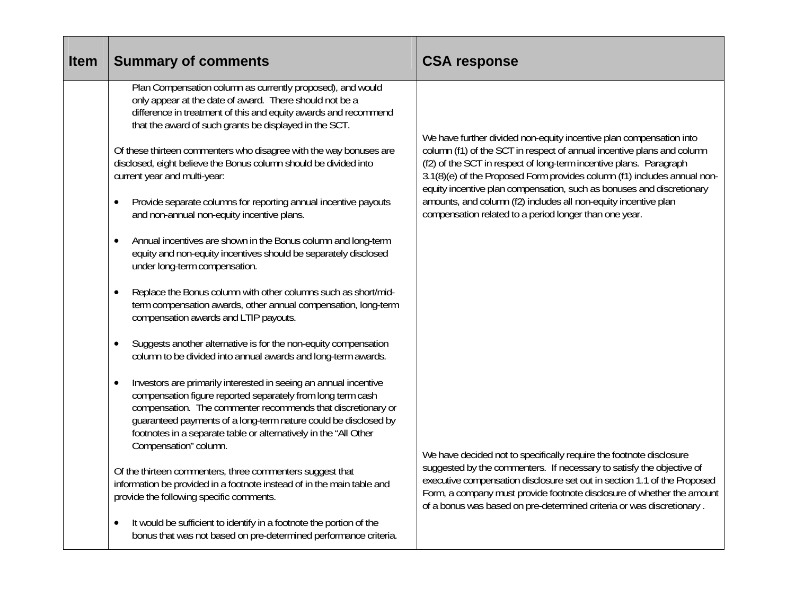| <b>Item</b> | <b>Summary of comments</b>                                                                                                                                                                                                                                                                                                                                                   | <b>CSA response</b>                                                                                                                                                                                                                                                                                                                                  |
|-------------|------------------------------------------------------------------------------------------------------------------------------------------------------------------------------------------------------------------------------------------------------------------------------------------------------------------------------------------------------------------------------|------------------------------------------------------------------------------------------------------------------------------------------------------------------------------------------------------------------------------------------------------------------------------------------------------------------------------------------------------|
|             | Plan Compensation column as currently proposed), and would<br>only appear at the date of award. There should not be a<br>difference in treatment of this and equity awards and recommend<br>that the award of such grants be displayed in the SCT.<br>Of these thirteen commenters who disagree with the way bonuses are                                                     | We have further divided non-equity incentive plan compensation into<br>column (f1) of the SCT in respect of annual incentive plans and column                                                                                                                                                                                                        |
|             | disclosed, eight believe the Bonus column should be divided into<br>current year and multi-year:<br>Provide separate columns for reporting annual incentive payouts<br>and non-annual non-equity incentive plans.                                                                                                                                                            | (f2) of the SCT in respect of long-term incentive plans. Paragraph<br>3.1(8)(e) of the Proposed Form provides column (f1) includes annual non-<br>equity incentive plan compensation, such as bonuses and discretionary<br>amounts, and column (f2) includes all non-equity incentive plan<br>compensation related to a period longer than one year. |
|             | Annual incentives are shown in the Bonus column and long-term<br>$\bullet$<br>equity and non-equity incentives should be separately disclosed<br>under long-term compensation.                                                                                                                                                                                               |                                                                                                                                                                                                                                                                                                                                                      |
|             | Replace the Bonus column with other columns such as short/mid-<br>$\bullet$<br>term compensation awards, other annual compensation, long-term<br>compensation awards and LTIP payouts.                                                                                                                                                                                       |                                                                                                                                                                                                                                                                                                                                                      |
|             | Suggests another alternative is for the non-equity compensation<br>column to be divided into annual awards and long-term awards.                                                                                                                                                                                                                                             |                                                                                                                                                                                                                                                                                                                                                      |
|             | Investors are primarily interested in seeing an annual incentive<br>$\bullet$<br>compensation figure reported separately from long term cash<br>compensation. The commenter recommends that discretionary or<br>guaranteed payments of a long-term nature could be disclosed by<br>footnotes in a separate table or alternatively in the "All Other<br>Compensation" column. | We have decided not to specifically require the footnote disclosure                                                                                                                                                                                                                                                                                  |
|             | Of the thirteen commenters, three commenters suggest that<br>information be provided in a footnote instead of in the main table and<br>provide the following specific comments.                                                                                                                                                                                              | suggested by the commenters. If necessary to satisfy the objective of<br>executive compensation disclosure set out in section 1.1 of the Proposed<br>Form, a company must provide footnote disclosure of whether the amount<br>of a bonus was based on pre-determined criteria or was discretionary.                                                 |
|             | It would be sufficient to identify in a footnote the portion of the<br>bonus that was not based on pre-determined performance criteria.                                                                                                                                                                                                                                      |                                                                                                                                                                                                                                                                                                                                                      |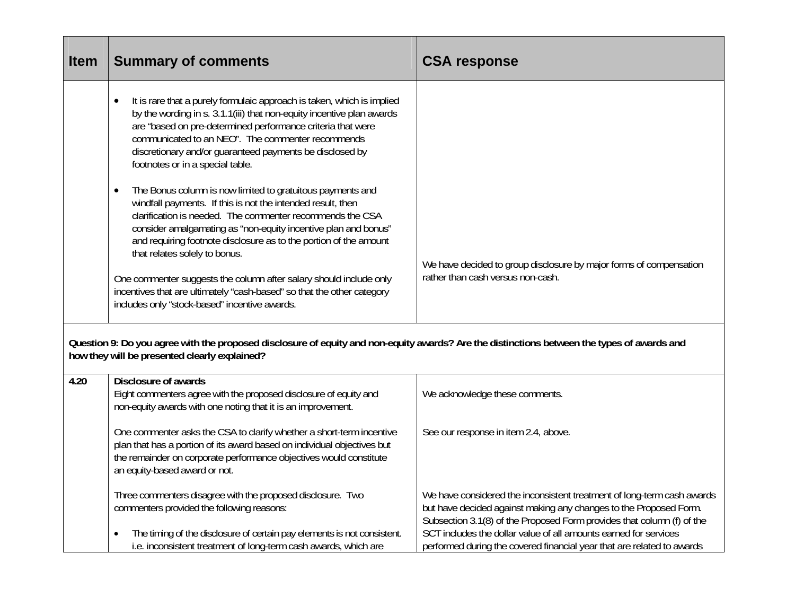| Item | <b>Summary of comments</b>                                                                                                                                                                                                                                                                                                                                                                                                                                                                                                                                                                                                                                                                                                                                                                                                                                                                                                                                                                                                                                                                         | <b>CSA response</b>                                                                                                                                                                                                   |
|------|----------------------------------------------------------------------------------------------------------------------------------------------------------------------------------------------------------------------------------------------------------------------------------------------------------------------------------------------------------------------------------------------------------------------------------------------------------------------------------------------------------------------------------------------------------------------------------------------------------------------------------------------------------------------------------------------------------------------------------------------------------------------------------------------------------------------------------------------------------------------------------------------------------------------------------------------------------------------------------------------------------------------------------------------------------------------------------------------------|-----------------------------------------------------------------------------------------------------------------------------------------------------------------------------------------------------------------------|
|      | It is rare that a purely formulaic approach is taken, which is implied<br>by the wording in s. 3.1.1(iii) that non-equity incentive plan awards<br>are "based on pre-determined performance criteria that were<br>communicated to an NEO". The commenter recommends<br>discretionary and/or guaranteed payments be disclosed by<br>footnotes or in a special table.<br>The Bonus column is now limited to gratuitous payments and<br>$\bullet$<br>windfall payments. If this is not the intended result, then<br>clarification is needed. The commenter recommends the CSA<br>consider amalgamating as "non-equity incentive plan and bonus"<br>and requiring footnote disclosure as to the portion of the amount<br>that relates solely to bonus.<br>One commenter suggests the column after salary should include only<br>incentives that are ultimately "cash-based" so that the other category<br>includes only "stock-based" incentive awards.<br>Question 9: Do you agree with the proposed disclosure of equity and non-equity awards? Are the distinctions between the types of awards and | We have decided to group disclosure by major forms of compensation<br>rather than cash versus non-cash.                                                                                                               |
|      | how they will be presented clearly explained?                                                                                                                                                                                                                                                                                                                                                                                                                                                                                                                                                                                                                                                                                                                                                                                                                                                                                                                                                                                                                                                      |                                                                                                                                                                                                                       |
| 4.20 | Disclosure of awards<br>Eight commenters agree with the proposed disclosure of equity and<br>non-equity awards with one noting that it is an improvement.                                                                                                                                                                                                                                                                                                                                                                                                                                                                                                                                                                                                                                                                                                                                                                                                                                                                                                                                          | We acknowledge these comments.                                                                                                                                                                                        |
|      | One commenter asks the CSA to clarify whether a short-term incentive<br>plan that has a portion of its award based on individual objectives but<br>the remainder on corporate performance objectives would constitute<br>an equity-based award or not.                                                                                                                                                                                                                                                                                                                                                                                                                                                                                                                                                                                                                                                                                                                                                                                                                                             | See our response in item 2.4, above.                                                                                                                                                                                  |
|      | Three commenters disagree with the proposed disclosure. Two<br>commenters provided the following reasons:                                                                                                                                                                                                                                                                                                                                                                                                                                                                                                                                                                                                                                                                                                                                                                                                                                                                                                                                                                                          | We have considered the inconsistent treatment of long-term cash awards<br>but have decided against making any changes to the Proposed Form.<br>Subsection 3.1(8) of the Proposed Form provides that column (f) of the |
|      | The timing of the disclosure of certain pay elements is not consistent.<br>i.e. inconsistent treatment of long-term cash awards, which are                                                                                                                                                                                                                                                                                                                                                                                                                                                                                                                                                                                                                                                                                                                                                                                                                                                                                                                                                         | SCT includes the dollar value of all amounts earned for services<br>performed during the covered financial year that are related to awards                                                                            |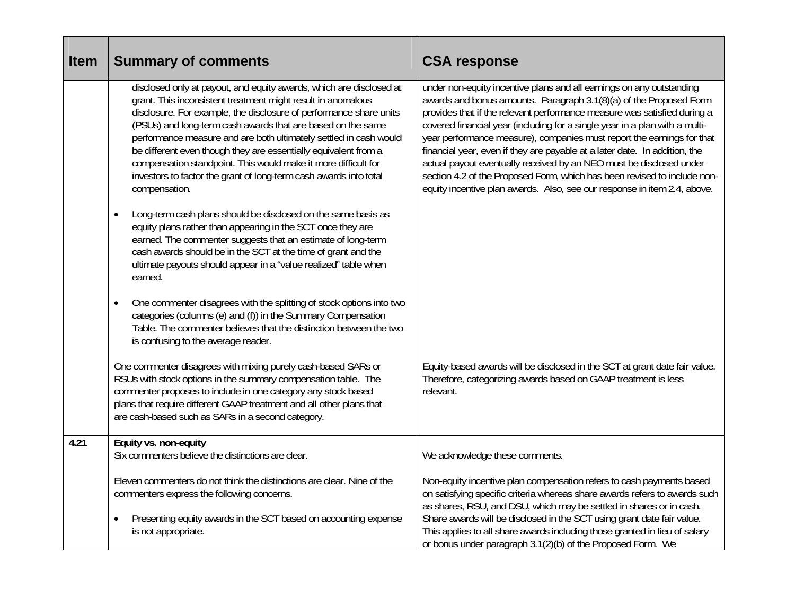| <b>Item</b> | <b>Summary of comments</b>                                                                                                                                                                                                                                                                                                                                                                                                                                                                                                                                               | <b>CSA response</b>                                                                                                                                                                                                                                                                                                                                                                                                                                                                                                                                                                                                                                                                          |
|-------------|--------------------------------------------------------------------------------------------------------------------------------------------------------------------------------------------------------------------------------------------------------------------------------------------------------------------------------------------------------------------------------------------------------------------------------------------------------------------------------------------------------------------------------------------------------------------------|----------------------------------------------------------------------------------------------------------------------------------------------------------------------------------------------------------------------------------------------------------------------------------------------------------------------------------------------------------------------------------------------------------------------------------------------------------------------------------------------------------------------------------------------------------------------------------------------------------------------------------------------------------------------------------------------|
|             | disclosed only at payout, and equity awards, which are disclosed at<br>grant. This inconsistent treatment might result in anomalous<br>disclosure. For example, the disclosure of performance share units<br>(PSUs) and long-term cash awards that are based on the same<br>performance measure and are both ultimately settled in cash would<br>be different even though they are essentially equivalent from a<br>compensation standpoint. This would make it more difficult for<br>investors to factor the grant of long-term cash awards into total<br>compensation. | under non-equity incentive plans and all earnings on any outstanding<br>awards and bonus amounts. Paragraph 3.1(8)(a) of the Proposed Form<br>provides that if the relevant performance measure was satisfied during a<br>covered financial year (including for a single year in a plan with a multi-<br>year performance measure), companies must report the earnings for that<br>financial year, even if they are payable at a later date. In addition, the<br>actual payout eventually received by an NEO must be disclosed under<br>section 4.2 of the Proposed Form, which has been revised to include non-<br>equity incentive plan awards. Also, see our response in item 2.4, above. |
|             | Long-term cash plans should be disclosed on the same basis as<br>$\bullet$<br>equity plans rather than appearing in the SCT once they are<br>earned. The commenter suggests that an estimate of long-term<br>cash awards should be in the SCT at the time of grant and the<br>ultimate payouts should appear in a "value realized" table when<br>earned.                                                                                                                                                                                                                 |                                                                                                                                                                                                                                                                                                                                                                                                                                                                                                                                                                                                                                                                                              |
|             | One commenter disagrees with the splitting of stock options into two<br>$\bullet$<br>categories (columns (e) and (f)) in the Summary Compensation<br>Table. The commenter believes that the distinction between the two<br>is confusing to the average reader.                                                                                                                                                                                                                                                                                                           |                                                                                                                                                                                                                                                                                                                                                                                                                                                                                                                                                                                                                                                                                              |
|             | One commenter disagrees with mixing purely cash-based SARs or<br>RSUs with stock options in the summary compensation table. The<br>commenter proposes to include in one category any stock based<br>plans that require different GAAP treatment and all other plans that<br>are cash-based such as SARs in a second category.                                                                                                                                                                                                                                            | Equity-based awards will be disclosed in the SCT at grant date fair value.<br>Therefore, categorizing awards based on GAAP treatment is less<br>relevant.                                                                                                                                                                                                                                                                                                                                                                                                                                                                                                                                    |
| 4.21        | Equity vs. non-equity<br>Six commenters believe the distinctions are clear.                                                                                                                                                                                                                                                                                                                                                                                                                                                                                              | We acknowledge these comments.                                                                                                                                                                                                                                                                                                                                                                                                                                                                                                                                                                                                                                                               |
|             | Eleven commenters do not think the distinctions are clear. Nine of the<br>commenters express the following concerns.                                                                                                                                                                                                                                                                                                                                                                                                                                                     | Non-equity incentive plan compensation refers to cash payments based<br>on satisfying specific criteria whereas share awards refers to awards such<br>as shares, RSU, and DSU, which may be settled in shares or in cash.                                                                                                                                                                                                                                                                                                                                                                                                                                                                    |
|             | Presenting equity awards in the SCT based on accounting expense<br>is not appropriate.                                                                                                                                                                                                                                                                                                                                                                                                                                                                                   | Share awards will be disclosed in the SCT using grant date fair value.<br>This applies to all share awards including those granted in lieu of salary<br>or bonus under paragraph 3.1(2)(b) of the Proposed Form. We                                                                                                                                                                                                                                                                                                                                                                                                                                                                          |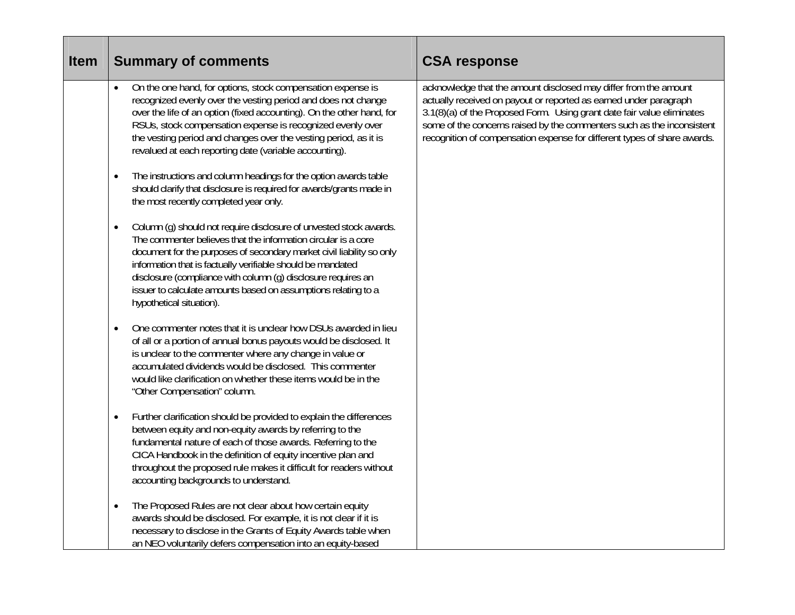| <b>Item</b> | <b>Summary of comments</b>                                                                                                                                                                                                                                                                                                                                                                                                                               | <b>CSA response</b>                                                                                                                                                                                                                                                                                                                                                   |
|-------------|----------------------------------------------------------------------------------------------------------------------------------------------------------------------------------------------------------------------------------------------------------------------------------------------------------------------------------------------------------------------------------------------------------------------------------------------------------|-----------------------------------------------------------------------------------------------------------------------------------------------------------------------------------------------------------------------------------------------------------------------------------------------------------------------------------------------------------------------|
|             | On the one hand, for options, stock compensation expense is<br>$\bullet$<br>recognized evenly over the vesting period and does not change<br>over the life of an option (fixed accounting). On the other hand, for<br>RSUs, stock compensation expense is recognized evenly over<br>the vesting period and changes over the vesting period, as it is<br>revalued at each reporting date (variable accounting).                                           | acknowledge that the amount disclosed may differ from the amount<br>actually received on payout or reported as earned under paragraph<br>3.1(8)(a) of the Proposed Form. Using grant date fair value eliminates<br>some of the concerns raised by the commenters such as the inconsistent<br>recognition of compensation expense for different types of share awards. |
|             | The instructions and column headings for the option awards table<br>$\bullet$<br>should clarify that disclosure is required for awards/grants made in<br>the most recently completed year only.                                                                                                                                                                                                                                                          |                                                                                                                                                                                                                                                                                                                                                                       |
|             | Column (g) should not require disclosure of unvested stock awards.<br>$\bullet$<br>The commenter believes that the information circular is a core<br>document for the purposes of secondary market civil liability so only<br>information that is factually verifiable should be mandated<br>disclosure (compliance with column (g) disclosure requires an<br>issuer to calculate amounts based on assumptions relating to a<br>hypothetical situation). |                                                                                                                                                                                                                                                                                                                                                                       |
|             | One commenter notes that it is unclear how DSUs awarded in lieu<br>$\bullet$<br>of all or a portion of annual bonus payouts would be disclosed. It<br>is unclear to the commenter where any change in value or<br>accumulated dividends would be disclosed. This commenter<br>would like clarification on whether these items would be in the<br>"Other Compensation" column.                                                                            |                                                                                                                                                                                                                                                                                                                                                                       |
|             | Further clarification should be provided to explain the differences<br>$\bullet$<br>between equity and non-equity awards by referring to the<br>fundamental nature of each of those awards. Referring to the<br>CICA Handbook in the definition of equity incentive plan and<br>throughout the proposed rule makes it difficult for readers without<br>accounting backgrounds to understand.                                                             |                                                                                                                                                                                                                                                                                                                                                                       |
|             | The Proposed Rules are not clear about how certain equity<br>$\bullet$<br>awards should be disclosed. For example, it is not clear if it is<br>necessary to disclose in the Grants of Equity Awards table when<br>an NEO voluntarily defers compensation into an equity-based                                                                                                                                                                            |                                                                                                                                                                                                                                                                                                                                                                       |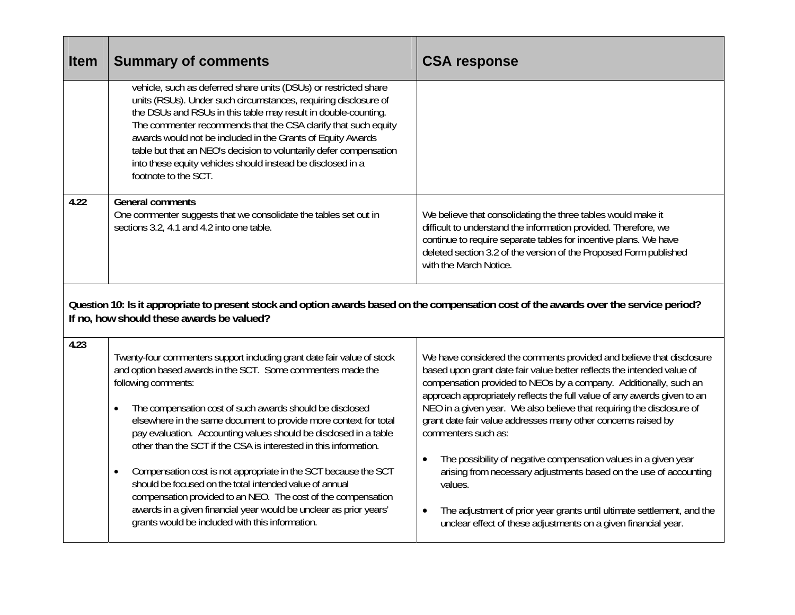| <b>Item</b> | <b>Summary of comments</b>                                                                                                                                                                                                                                                                                                                                                                                                                                                                                                                                                                                                                                                                                                                                                 | <b>CSA response</b>                                                                                                                                                                                                                                                                                                                                                                                                                                                                                                                                                                                                                                                                                                                                                          |
|-------------|----------------------------------------------------------------------------------------------------------------------------------------------------------------------------------------------------------------------------------------------------------------------------------------------------------------------------------------------------------------------------------------------------------------------------------------------------------------------------------------------------------------------------------------------------------------------------------------------------------------------------------------------------------------------------------------------------------------------------------------------------------------------------|------------------------------------------------------------------------------------------------------------------------------------------------------------------------------------------------------------------------------------------------------------------------------------------------------------------------------------------------------------------------------------------------------------------------------------------------------------------------------------------------------------------------------------------------------------------------------------------------------------------------------------------------------------------------------------------------------------------------------------------------------------------------------|
|             | vehicle, such as deferred share units (DSUs) or restricted share<br>units (RSUs). Under such circumstances, requiring disclosure of<br>the DSUs and RSUs in this table may result in double-counting.<br>The commenter recommends that the CSA clarify that such equity<br>awards would not be included in the Grants of Equity Awards<br>table but that an NEO's decision to voluntarily defer compensation<br>into these equity vehicles should instead be disclosed in a<br>footnote to the SCT.                                                                                                                                                                                                                                                                        |                                                                                                                                                                                                                                                                                                                                                                                                                                                                                                                                                                                                                                                                                                                                                                              |
| 4.22        | <b>General comments</b><br>One commenter suggests that we consolidate the tables set out in<br>sections 3.2, 4.1 and 4.2 into one table.                                                                                                                                                                                                                                                                                                                                                                                                                                                                                                                                                                                                                                   | We believe that consolidating the three tables would make it<br>difficult to understand the information provided. Therefore, we<br>continue to require separate tables for incentive plans. We have<br>deleted section 3.2 of the version of the Proposed Form published<br>with the March Notice.                                                                                                                                                                                                                                                                                                                                                                                                                                                                           |
|             | Question 10: Is it appropriate to present stock and option awards based on the compensation cost of the awards over the service period?<br>If no, how should these awards be valued?                                                                                                                                                                                                                                                                                                                                                                                                                                                                                                                                                                                       |                                                                                                                                                                                                                                                                                                                                                                                                                                                                                                                                                                                                                                                                                                                                                                              |
| 4.23        | Twenty-four commenters support including grant date fair value of stock<br>and option based awards in the SCT. Some commenters made the<br>following comments:<br>The compensation cost of such awards should be disclosed<br>$\bullet$<br>elsewhere in the same document to provide more context for total<br>pay evaluation. Accounting values should be disclosed in a table<br>other than the SCT if the CSA is interested in this information.<br>Compensation cost is not appropriate in the SCT because the SCT<br>should be focused on the total intended value of annual<br>compensation provided to an NEO. The cost of the compensation<br>awards in a given financial year would be unclear as prior years'<br>grants would be included with this information. | We have considered the comments provided and believe that disclosure<br>based upon grant date fair value better reflects the intended value of<br>compensation provided to NEOs by a company. Additionally, such an<br>approach appropriately reflects the full value of any awards given to an<br>NEO in a given year. We also believe that requiring the disclosure of<br>grant date fair value addresses many other concerns raised by<br>commenters such as:<br>The possibility of negative compensation values in a given year<br>$\bullet$<br>arising from necessary adjustments based on the use of accounting<br>values.<br>The adjustment of prior year grants until ultimate settlement, and the<br>unclear effect of these adjustments on a given financial year. |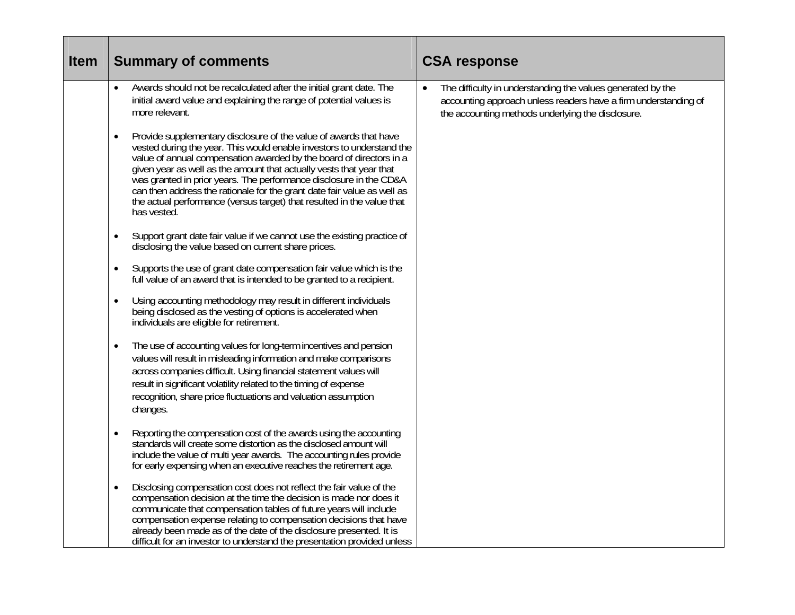| <b>Item</b> | <b>Summary of comments</b>                                                                                                                                                                                                                                                                                                                                                                                                                                                                                                         | <b>CSA response</b>                                                                                                                                                                              |
|-------------|------------------------------------------------------------------------------------------------------------------------------------------------------------------------------------------------------------------------------------------------------------------------------------------------------------------------------------------------------------------------------------------------------------------------------------------------------------------------------------------------------------------------------------|--------------------------------------------------------------------------------------------------------------------------------------------------------------------------------------------------|
|             | Awards should not be recalculated after the initial grant date. The<br>$\bullet$<br>initial award value and explaining the range of potential values is<br>more relevant.                                                                                                                                                                                                                                                                                                                                                          | The difficulty in understanding the values generated by the<br>$\bullet$<br>accounting approach unless readers have a firm understanding of<br>the accounting methods underlying the disclosure. |
|             | Provide supplementary disclosure of the value of awards that have<br>vested during the year. This would enable investors to understand the<br>value of annual compensation awarded by the board of directors in a<br>given year as well as the amount that actually vests that year that<br>was granted in prior years. The performance disclosure in the CD&A<br>can then address the rationale for the grant date fair value as well as<br>the actual performance (versus target) that resulted in the value that<br>has vested. |                                                                                                                                                                                                  |
|             | Support grant date fair value if we cannot use the existing practice of<br>disclosing the value based on current share prices.                                                                                                                                                                                                                                                                                                                                                                                                     |                                                                                                                                                                                                  |
|             | Supports the use of grant date compensation fair value which is the<br>full value of an award that is intended to be granted to a recipient.                                                                                                                                                                                                                                                                                                                                                                                       |                                                                                                                                                                                                  |
|             | Using accounting methodology may result in different individuals<br>being disclosed as the vesting of options is accelerated when<br>individuals are eligible for retirement.                                                                                                                                                                                                                                                                                                                                                      |                                                                                                                                                                                                  |
|             | The use of accounting values for long-term incentives and pension<br>$\bullet$<br>values will result in misleading information and make comparisons<br>across companies difficult. Using financial statement values will<br>result in significant volatility related to the timing of expense<br>recognition, share price fluctuations and valuation assumption<br>changes.                                                                                                                                                        |                                                                                                                                                                                                  |
|             | Reporting the compensation cost of the awards using the accounting<br>standards will create some distortion as the disclosed amount will<br>include the value of multi year awards. The accounting rules provide<br>for early expensing when an executive reaches the retirement age.                                                                                                                                                                                                                                              |                                                                                                                                                                                                  |
|             | Disclosing compensation cost does not reflect the fair value of the<br>compensation decision at the time the decision is made nor does it<br>communicate that compensation tables of future years will include<br>compensation expense relating to compensation decisions that have<br>already been made as of the date of the disclosure presented. It is<br>difficult for an investor to understand the presentation provided unless                                                                                             |                                                                                                                                                                                                  |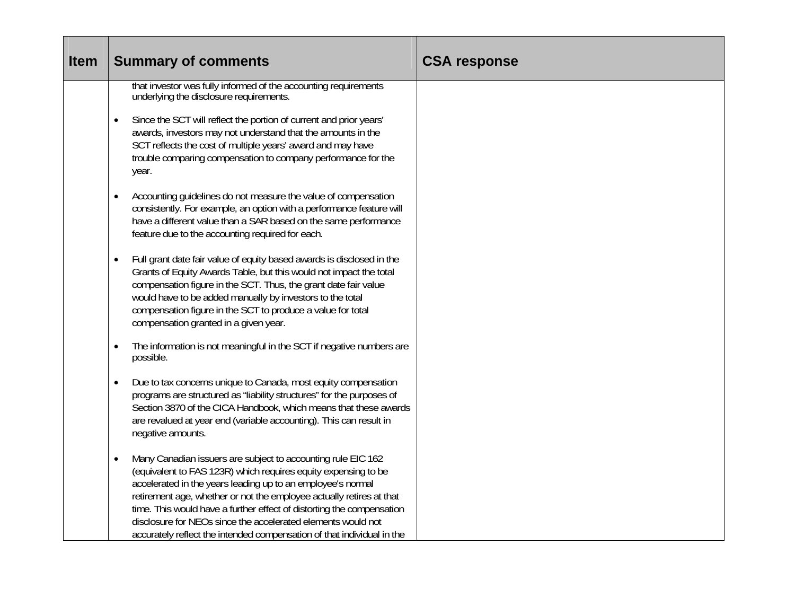| <b>Item</b> | <b>Summary of comments</b>                                                                                                                                                                                                                                                                                                                                                                                                                                                                            | <b>CSA response</b> |
|-------------|-------------------------------------------------------------------------------------------------------------------------------------------------------------------------------------------------------------------------------------------------------------------------------------------------------------------------------------------------------------------------------------------------------------------------------------------------------------------------------------------------------|---------------------|
|             | that investor was fully informed of the accounting requirements<br>underlying the disclosure requirements.<br>Since the SCT will reflect the portion of current and prior years'<br>$\bullet$                                                                                                                                                                                                                                                                                                         |                     |
|             | awards, investors may not understand that the amounts in the<br>SCT reflects the cost of multiple years' award and may have<br>trouble comparing compensation to company performance for the<br>year.                                                                                                                                                                                                                                                                                                 |                     |
|             | Accounting quidelines do not measure the value of compensation<br>consistently. For example, an option with a performance feature will<br>have a different value than a SAR based on the same performance<br>feature due to the accounting required for each.                                                                                                                                                                                                                                         |                     |
|             | Full grant date fair value of equity based awards is disclosed in the<br>Grants of Equity Awards Table, but this would not impact the total<br>compensation figure in the SCT. Thus, the grant date fair value<br>would have to be added manually by investors to the total<br>compensation figure in the SCT to produce a value for total<br>compensation granted in a given year.                                                                                                                   |                     |
|             | The information is not meaningful in the SCT if negative numbers are<br>possible.                                                                                                                                                                                                                                                                                                                                                                                                                     |                     |
|             | Due to tax concerns unique to Canada, most equity compensation<br>programs are structured as "liability structures" for the purposes of<br>Section 3870 of the CICA Handbook, which means that these awards<br>are revalued at year end (variable accounting). This can result in<br>negative amounts.                                                                                                                                                                                                |                     |
|             | Many Canadian issuers are subject to accounting rule EIC 162<br>$\bullet$<br>(equivalent to FAS 123R) which requires equity expensing to be<br>accelerated in the years leading up to an employee's normal<br>retirement age, whether or not the employee actually retires at that<br>time. This would have a further effect of distorting the compensation<br>disclosure for NEOs since the accelerated elements would not<br>accurately reflect the intended compensation of that individual in the |                     |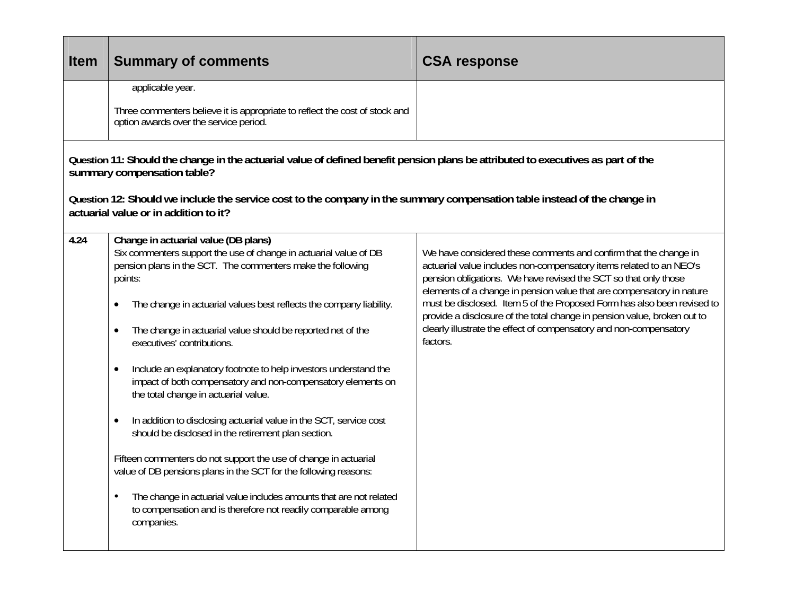| <b>Item</b> | <b>Summary of comments</b>                                                                                                                                                                                                                                                                                                                                                                                                                                                                                                                                                                                                                                                                                                                                                                                                                                                                                                                                                  | <b>CSA response</b>                                                                                                                                                                                                                                                                                                                                                                                                                                                                                                          |  |
|-------------|-----------------------------------------------------------------------------------------------------------------------------------------------------------------------------------------------------------------------------------------------------------------------------------------------------------------------------------------------------------------------------------------------------------------------------------------------------------------------------------------------------------------------------------------------------------------------------------------------------------------------------------------------------------------------------------------------------------------------------------------------------------------------------------------------------------------------------------------------------------------------------------------------------------------------------------------------------------------------------|------------------------------------------------------------------------------------------------------------------------------------------------------------------------------------------------------------------------------------------------------------------------------------------------------------------------------------------------------------------------------------------------------------------------------------------------------------------------------------------------------------------------------|--|
|             | applicable year.                                                                                                                                                                                                                                                                                                                                                                                                                                                                                                                                                                                                                                                                                                                                                                                                                                                                                                                                                            |                                                                                                                                                                                                                                                                                                                                                                                                                                                                                                                              |  |
|             | Three commenters believe it is appropriate to reflect the cost of stock and<br>option awards over the service period.                                                                                                                                                                                                                                                                                                                                                                                                                                                                                                                                                                                                                                                                                                                                                                                                                                                       |                                                                                                                                                                                                                                                                                                                                                                                                                                                                                                                              |  |
|             | Question 11: Should the change in the actuarial value of defined benefit pension plans be attributed to executives as part of the<br>summary compensation table?                                                                                                                                                                                                                                                                                                                                                                                                                                                                                                                                                                                                                                                                                                                                                                                                            |                                                                                                                                                                                                                                                                                                                                                                                                                                                                                                                              |  |
|             | Question 12: Should we include the service cost to the company in the summary compensation table instead of the change in<br>actuarial value or in addition to it?                                                                                                                                                                                                                                                                                                                                                                                                                                                                                                                                                                                                                                                                                                                                                                                                          |                                                                                                                                                                                                                                                                                                                                                                                                                                                                                                                              |  |
| 4.24        | Change in actuarial value (DB plans)<br>Six commenters support the use of change in actuarial value of DB<br>pension plans in the SCT. The commenters make the following<br>points:<br>The change in actuarial values best reflects the company liability.<br>The change in actuarial value should be reported net of the<br>executives' contributions.<br>Include an explanatory footnote to help investors understand the<br>$\bullet$<br>impact of both compensatory and non-compensatory elements on<br>the total change in actuarial value.<br>In addition to disclosing actuarial value in the SCT, service cost<br>should be disclosed in the retirement plan section.<br>Fifteen commenters do not support the use of change in actuarial<br>value of DB pensions plans in the SCT for the following reasons:<br>The change in actuarial value includes amounts that are not related<br>to compensation and is therefore not readily comparable among<br>companies. | We have considered these comments and confirm that the change in<br>actuarial value includes non-compensatory items related to an NEO's<br>pension obligations. We have revised the SCT so that only those<br>elements of a change in pension value that are compensatory in nature<br>must be disclosed. Item 5 of the Proposed Form has also been revised to<br>provide a disclosure of the total change in pension value, broken out to<br>clearly illustrate the effect of compensatory and non-compensatory<br>factors. |  |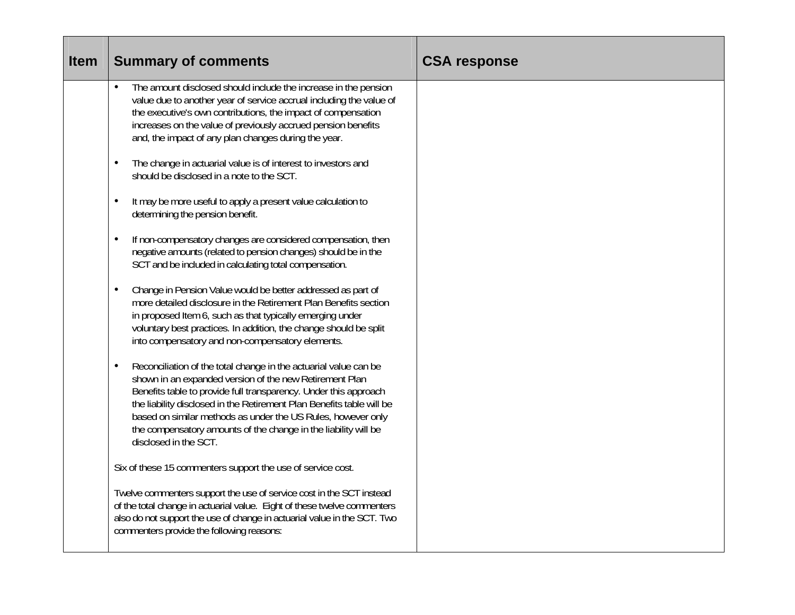| <b>Item</b> | <b>Summary of comments</b>                                                                                                                                                                                                                                                                                                                                                                                                           | <b>CSA response</b> |
|-------------|--------------------------------------------------------------------------------------------------------------------------------------------------------------------------------------------------------------------------------------------------------------------------------------------------------------------------------------------------------------------------------------------------------------------------------------|---------------------|
|             | The amount disclosed should include the increase in the pension<br>$\bullet$<br>value due to another year of service accrual including the value of<br>the executive's own contributions, the impact of compensation<br>increases on the value of previously accrued pension benefits<br>and, the impact of any plan changes during the year.                                                                                        |                     |
|             | The change in actuarial value is of interest to investors and<br>$\bullet$<br>should be disclosed in a note to the SCT.                                                                                                                                                                                                                                                                                                              |                     |
|             | It may be more useful to apply a present value calculation to<br>determining the pension benefit.                                                                                                                                                                                                                                                                                                                                    |                     |
|             | If non-compensatory changes are considered compensation, then<br>$\bullet$<br>negative amounts (related to pension changes) should be in the<br>SCT and be included in calculating total compensation.                                                                                                                                                                                                                               |                     |
|             | Change in Pension Value would be better addressed as part of<br>$\bullet$<br>more detailed disclosure in the Retirement Plan Benefits section<br>in proposed Item 6, such as that typically emerging under<br>voluntary best practices. In addition, the change should be split<br>into compensatory and non-compensatory elements.                                                                                                  |                     |
|             | Reconciliation of the total change in the actuarial value can be<br>shown in an expanded version of the new Retirement Plan<br>Benefits table to provide full transparency. Under this approach<br>the liability disclosed in the Retirement Plan Benefits table will be<br>based on similar methods as under the US Rules, however only<br>the compensatory amounts of the change in the liability will be<br>disclosed in the SCT. |                     |
|             | Six of these 15 commenters support the use of service cost.                                                                                                                                                                                                                                                                                                                                                                          |                     |
|             | Twelve commenters support the use of service cost in the SCT instead<br>of the total change in actuarial value. Eight of these twelve commenters<br>also do not support the use of change in actuarial value in the SCT. Two<br>commenters provide the following reasons:                                                                                                                                                            |                     |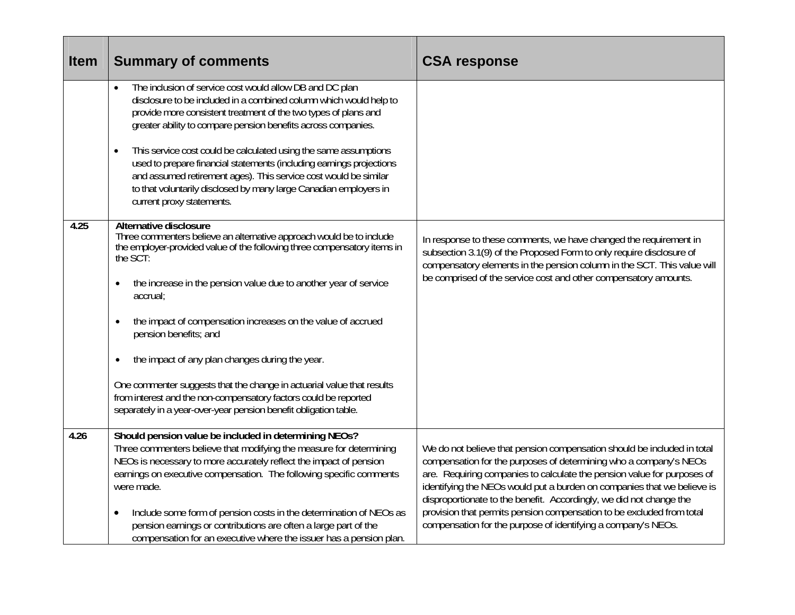| <b>Item</b> | <b>Summary of comments</b>                                                                                                                                                                                                                                                                                                                                                                                                                                                                                                                                                                                                                                                         | <b>CSA response</b>                                                                                                                                                                                                                                                                                                                                                                                                                                                                                                 |
|-------------|------------------------------------------------------------------------------------------------------------------------------------------------------------------------------------------------------------------------------------------------------------------------------------------------------------------------------------------------------------------------------------------------------------------------------------------------------------------------------------------------------------------------------------------------------------------------------------------------------------------------------------------------------------------------------------|---------------------------------------------------------------------------------------------------------------------------------------------------------------------------------------------------------------------------------------------------------------------------------------------------------------------------------------------------------------------------------------------------------------------------------------------------------------------------------------------------------------------|
|             | The inclusion of service cost would allow DB and DC plan<br>$\bullet$<br>disclosure to be included in a combined column which would help to<br>provide more consistent treatment of the two types of plans and<br>greater ability to compare pension benefits across companies.<br>This service cost could be calculated using the same assumptions<br>$\bullet$<br>used to prepare financial statements (including earnings projections<br>and assumed retirement ages). This service cost would be similar                                                                                                                                                                       |                                                                                                                                                                                                                                                                                                                                                                                                                                                                                                                     |
|             | to that voluntarily disclosed by many large Canadian employers in<br>current proxy statements.                                                                                                                                                                                                                                                                                                                                                                                                                                                                                                                                                                                     |                                                                                                                                                                                                                                                                                                                                                                                                                                                                                                                     |
| 4.25        | <b>Alternative disclosure</b><br>Three commenters believe an alternative approach would be to include<br>the employer-provided value of the following three compensatory items in<br>the SCT:<br>the increase in the pension value due to another year of service<br>$\bullet$<br>accrual;<br>the impact of compensation increases on the value of accrued<br>$\bullet$<br>pension benefits; and<br>the impact of any plan changes during the year.<br>$\bullet$<br>One commenter suggests that the change in actuarial value that results<br>from interest and the non-compensatory factors could be reported<br>separately in a year-over-year pension benefit obligation table. | In response to these comments, we have changed the requirement in<br>subsection 3.1(9) of the Proposed Form to only require disclosure of<br>compensatory elements in the pension column in the SCT. This value will<br>be comprised of the service cost and other compensatory amounts.                                                                                                                                                                                                                            |
| 4.26        | Should pension value be included in determining NEOs?<br>Three commenters believe that modifying the measure for determining<br>NEOs is necessary to more accurately reflect the impact of pension<br>earnings on executive compensation. The following specific comments<br>were made.<br>Include some form of pension costs in the determination of NEOs as<br>pension earnings or contributions are often a large part of the<br>compensation for an executive where the issuer has a pension plan.                                                                                                                                                                             | We do not believe that pension compensation should be included in total<br>compensation for the purposes of determining who a company's NEOs<br>are. Requiring companies to calculate the pension value for purposes of<br>identifying the NEOs would put a burden on companies that we believe is<br>disproportionate to the benefit. Accordingly, we did not change the<br>provision that permits pension compensation to be excluded from total<br>compensation for the purpose of identifying a company's NEOs. |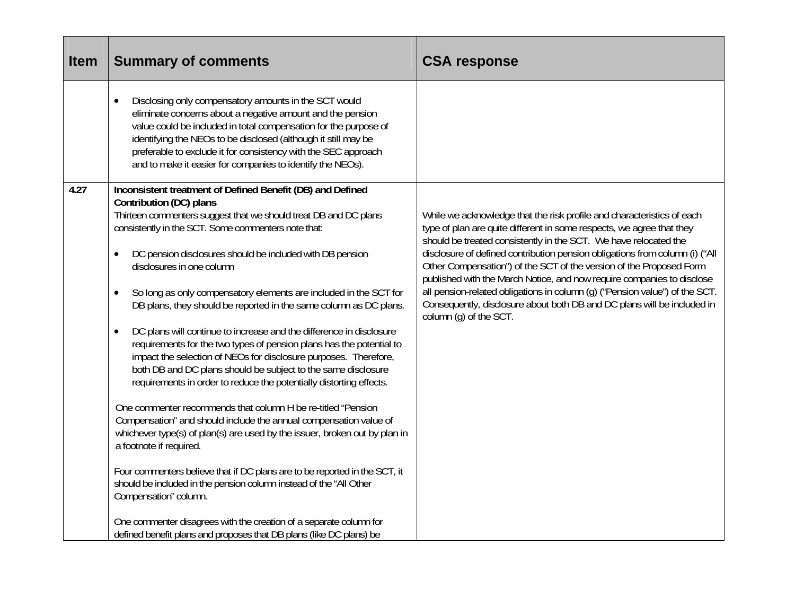| <b>Item</b> | <b>Summary of comments</b>                                                                                                                                                                                                                                                                                                                                                                                                                                                                                                                                                                                                                                                                                                                                                                                                                                                                                                                                                                                                                                                                                                                                                                                                                                           | <b>CSA response</b>                                                                                                                                                                                                                                                                                                                                                                                                                                                                                                                                                                                                                      |
|-------------|----------------------------------------------------------------------------------------------------------------------------------------------------------------------------------------------------------------------------------------------------------------------------------------------------------------------------------------------------------------------------------------------------------------------------------------------------------------------------------------------------------------------------------------------------------------------------------------------------------------------------------------------------------------------------------------------------------------------------------------------------------------------------------------------------------------------------------------------------------------------------------------------------------------------------------------------------------------------------------------------------------------------------------------------------------------------------------------------------------------------------------------------------------------------------------------------------------------------------------------------------------------------|------------------------------------------------------------------------------------------------------------------------------------------------------------------------------------------------------------------------------------------------------------------------------------------------------------------------------------------------------------------------------------------------------------------------------------------------------------------------------------------------------------------------------------------------------------------------------------------------------------------------------------------|
|             | Disclosing only compensatory amounts in the SCT would<br>eliminate concerns about a negative amount and the pension<br>value could be included in total compensation for the purpose of<br>identifying the NEOs to be disclosed (although it still may be<br>preferable to exclude it for consistency with the SEC approach<br>and to make it easier for companies to identify the NEOs).                                                                                                                                                                                                                                                                                                                                                                                                                                                                                                                                                                                                                                                                                                                                                                                                                                                                            |                                                                                                                                                                                                                                                                                                                                                                                                                                                                                                                                                                                                                                          |
| 4.27        | Inconsistent treatment of Defined Benefit (DB) and Defined<br>Contribution (DC) plans<br>Thirteen commenters suggest that we should treat DB and DC plans<br>consistently in the SCT. Some commenters note that:<br>DC pension disclosures should be included with DB pension<br>$\bullet$<br>disclosures in one column<br>So long as only compensatory elements are included in the SCT for<br>DB plans, they should be reported in the same column as DC plans.<br>DC plans will continue to increase and the difference in disclosure<br>$\bullet$<br>requirements for the two types of pension plans has the potential to<br>impact the selection of NEOs for disclosure purposes. Therefore,<br>both DB and DC plans should be subject to the same disclosure<br>requirements in order to reduce the potentially distorting effects.<br>One commenter recommends that column H be re-titled "Pension<br>Compensation" and should include the annual compensation value of<br>whichever type(s) of plan(s) are used by the issuer, broken out by plan in<br>a footnote if required.<br>Four commenters believe that if DC plans are to be reported in the SCT, it<br>should be included in the pension column instead of the "All Other<br>Compensation" column. | While we acknowledge that the risk profile and characteristics of each<br>type of plan are quite different in some respects, we agree that they<br>should be treated consistently in the SCT. We have relocated the<br>disclosure of defined contribution pension obligations from column (i) ("All<br>Other Compensation") of the SCT of the version of the Proposed Form<br>published with the March Notice, and now require companies to disclose<br>all pension-related obligations in column (g) ("Pension value") of the SCT.<br>Consequently, disclosure about both DB and DC plans will be included in<br>column (q) of the SCT. |
|             | One commenter disagrees with the creation of a separate column for<br>defined benefit plans and proposes that DB plans (like DC plans) be                                                                                                                                                                                                                                                                                                                                                                                                                                                                                                                                                                                                                                                                                                                                                                                                                                                                                                                                                                                                                                                                                                                            |                                                                                                                                                                                                                                                                                                                                                                                                                                                                                                                                                                                                                                          |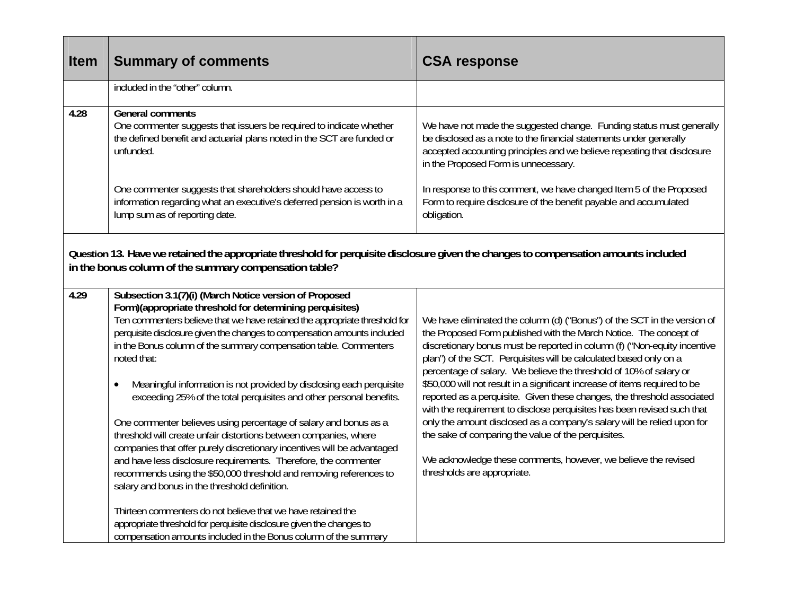| <b>Item</b> | <b>Summary of comments</b>                                                                                                                                                                                                                                                                                                                                                                                                                                                                                                                                                                                                                                                                                                                                                                                                                                                                                                                                                                                                                                                         | <b>CSA response</b>                                                                                                                                                                                                                                                                                                                                                                                                                                                                                                                                                                                                                                                                                                                                                                                                                          |
|-------------|------------------------------------------------------------------------------------------------------------------------------------------------------------------------------------------------------------------------------------------------------------------------------------------------------------------------------------------------------------------------------------------------------------------------------------------------------------------------------------------------------------------------------------------------------------------------------------------------------------------------------------------------------------------------------------------------------------------------------------------------------------------------------------------------------------------------------------------------------------------------------------------------------------------------------------------------------------------------------------------------------------------------------------------------------------------------------------|----------------------------------------------------------------------------------------------------------------------------------------------------------------------------------------------------------------------------------------------------------------------------------------------------------------------------------------------------------------------------------------------------------------------------------------------------------------------------------------------------------------------------------------------------------------------------------------------------------------------------------------------------------------------------------------------------------------------------------------------------------------------------------------------------------------------------------------------|
|             | included in the "other" column.                                                                                                                                                                                                                                                                                                                                                                                                                                                                                                                                                                                                                                                                                                                                                                                                                                                                                                                                                                                                                                                    |                                                                                                                                                                                                                                                                                                                                                                                                                                                                                                                                                                                                                                                                                                                                                                                                                                              |
| 4.28        | <b>General comments</b><br>One commenter suggests that issuers be required to indicate whether<br>the defined benefit and actuarial plans noted in the SCT are funded or<br>unfunded.                                                                                                                                                                                                                                                                                                                                                                                                                                                                                                                                                                                                                                                                                                                                                                                                                                                                                              | We have not made the suggested change. Funding status must generally<br>be disclosed as a note to the financial statements under generally<br>accepted accounting principles and we believe repeating that disclosure<br>in the Proposed Form is unnecessary.                                                                                                                                                                                                                                                                                                                                                                                                                                                                                                                                                                                |
|             | One commenter suggests that shareholders should have access to<br>information regarding what an executive's deferred pension is worth in a<br>lump sum as of reporting date.                                                                                                                                                                                                                                                                                                                                                                                                                                                                                                                                                                                                                                                                                                                                                                                                                                                                                                       | In response to this comment, we have changed Item 5 of the Proposed<br>Form to require disclosure of the benefit payable and accumulated<br>obligation.                                                                                                                                                                                                                                                                                                                                                                                                                                                                                                                                                                                                                                                                                      |
|             | Question 13. Have we retained the appropriate threshold for perquisite disclosure given the changes to compensation amounts included<br>in the bonus column of the summary compensation table?                                                                                                                                                                                                                                                                                                                                                                                                                                                                                                                                                                                                                                                                                                                                                                                                                                                                                     |                                                                                                                                                                                                                                                                                                                                                                                                                                                                                                                                                                                                                                                                                                                                                                                                                                              |
| 4.29        | Subsection 3.1(7)(i) (March Notice version of Proposed<br>Form)(appropriate threshold for determining perquisites)<br>Ten commenters believe that we have retained the appropriate threshold for<br>perquisite disclosure given the changes to compensation amounts included<br>in the Bonus column of the summary compensation table. Commenters<br>noted that:<br>Meaningful information is not provided by disclosing each perquisite<br>$\bullet$<br>exceeding 25% of the total perquisites and other personal benefits.<br>One commenter believes using percentage of salary and bonus as a<br>threshold will create unfair distortions between companies, where<br>companies that offer purely discretionary incentives will be advantaged<br>and have less disclosure requirements. Therefore, the commenter<br>recommends using the \$50,000 threshold and removing references to<br>salary and bonus in the threshold definition.<br>Thirteen commenters do not believe that we have retained the<br>appropriate threshold for perquisite disclosure given the changes to | We have eliminated the column (d) ("Bonus") of the SCT in the version of<br>the Proposed Form published with the March Notice. The concept of<br>discretionary bonus must be reported in column (f) ("Non-equity incentive<br>plan") of the SCT. Perquisites will be calculated based only on a<br>percentage of salary. We believe the threshold of 10% of salary or<br>\$50,000 will not result in a significant increase of items required to be<br>reported as a perquisite. Given these changes, the threshold associated<br>with the requirement to disclose perquisites has been revised such that<br>only the amount disclosed as a company's salary will be relied upon for<br>the sake of comparing the value of the perquisites.<br>We acknowledge these comments, however, we believe the revised<br>thresholds are appropriate. |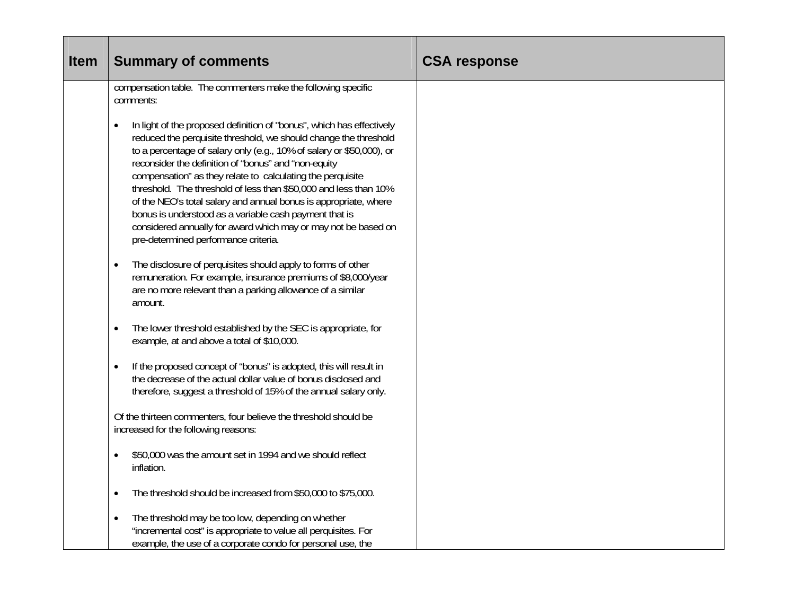| <b>Item</b> | <b>Summary of comments</b>                                                                                                                                                                                                                                                                                                                                                                                                                                                                                                                                                                                                                                       | <b>CSA response</b> |
|-------------|------------------------------------------------------------------------------------------------------------------------------------------------------------------------------------------------------------------------------------------------------------------------------------------------------------------------------------------------------------------------------------------------------------------------------------------------------------------------------------------------------------------------------------------------------------------------------------------------------------------------------------------------------------------|---------------------|
|             | compensation table. The commenters make the following specific<br>comments:                                                                                                                                                                                                                                                                                                                                                                                                                                                                                                                                                                                      |                     |
|             | In light of the proposed definition of "bonus", which has effectively<br>$\bullet$<br>reduced the perquisite threshold, we should change the threshold<br>to a percentage of salary only (e.g., 10% of salary or \$50,000), or<br>reconsider the definition of "bonus" and "non-equity<br>compensation" as they relate to calculating the perquisite<br>threshold. The threshold of less than \$50,000 and less than 10%<br>of the NEO's total salary and annual bonus is appropriate, where<br>bonus is understood as a variable cash payment that is<br>considered annually for award which may or may not be based on<br>pre-determined performance criteria. |                     |
|             | The disclosure of perquisites should apply to forms of other<br>$\bullet$<br>remuneration. For example, insurance premiums of \$8,000/year<br>are no more relevant than a parking allowance of a similar<br>amount.                                                                                                                                                                                                                                                                                                                                                                                                                                              |                     |
|             | The lower threshold established by the SEC is appropriate, for<br>$\bullet$<br>example, at and above a total of \$10,000.                                                                                                                                                                                                                                                                                                                                                                                                                                                                                                                                        |                     |
|             | If the proposed concept of "bonus" is adopted, this will result in<br>$\bullet$<br>the decrease of the actual dollar value of bonus disclosed and<br>therefore, suggest a threshold of 15% of the annual salary only.                                                                                                                                                                                                                                                                                                                                                                                                                                            |                     |
|             | Of the thirteen commenters, four believe the threshold should be<br>increased for the following reasons:                                                                                                                                                                                                                                                                                                                                                                                                                                                                                                                                                         |                     |
|             | \$50,000 was the amount set in 1994 and we should reflect<br>$\bullet$<br>inflation.                                                                                                                                                                                                                                                                                                                                                                                                                                                                                                                                                                             |                     |
|             | The threshold should be increased from \$50,000 to \$75,000.<br>$\bullet$                                                                                                                                                                                                                                                                                                                                                                                                                                                                                                                                                                                        |                     |
|             | The threshold may be too low, depending on whether<br>$\bullet$<br>"incremental cost" is appropriate to value all perquisites. For<br>example, the use of a corporate condo for personal use, the                                                                                                                                                                                                                                                                                                                                                                                                                                                                |                     |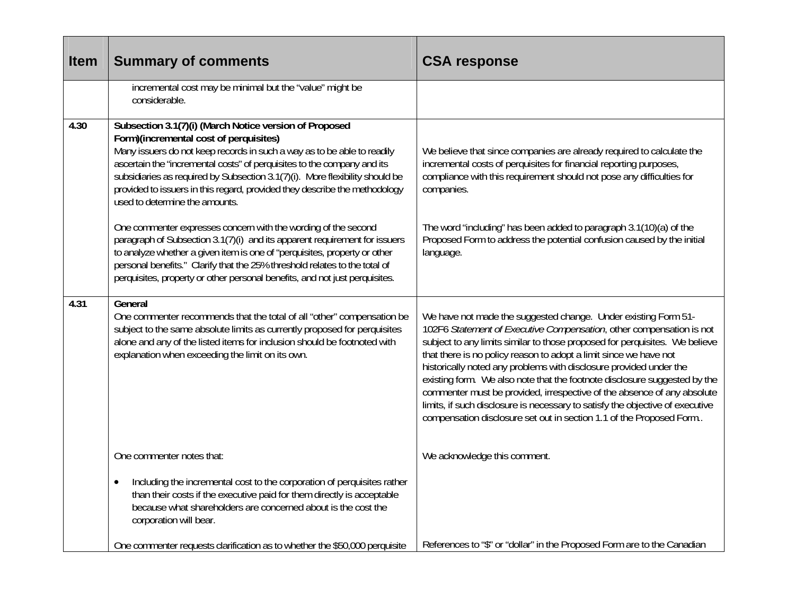| <b>Item</b> | <b>Summary of comments</b>                                                                                                                                                                                                                                                                                                                                                                                                                             | <b>CSA response</b>                                                                                                                                                                                                                                                                                                                                                                                                                                                                                                                                                                                                                                                              |
|-------------|--------------------------------------------------------------------------------------------------------------------------------------------------------------------------------------------------------------------------------------------------------------------------------------------------------------------------------------------------------------------------------------------------------------------------------------------------------|----------------------------------------------------------------------------------------------------------------------------------------------------------------------------------------------------------------------------------------------------------------------------------------------------------------------------------------------------------------------------------------------------------------------------------------------------------------------------------------------------------------------------------------------------------------------------------------------------------------------------------------------------------------------------------|
|             | incremental cost may be minimal but the "value" might be<br>considerable.                                                                                                                                                                                                                                                                                                                                                                              |                                                                                                                                                                                                                                                                                                                                                                                                                                                                                                                                                                                                                                                                                  |
| 4.30        | Subsection 3.1(7)(i) (March Notice version of Proposed<br>Form)(incremental cost of perquisites)<br>Many issuers do not keep records in such a way as to be able to readily<br>ascertain the "incremental costs" of perquisites to the company and its<br>subsidiaries as required by Subsection 3.1(7)(i). More flexibility should be<br>provided to issuers in this regard, provided they describe the methodology<br>used to determine the amounts. | We believe that since companies are already required to calculate the<br>incremental costs of perquisites for financial reporting purposes,<br>compliance with this requirement should not pose any difficulties for<br>companies.                                                                                                                                                                                                                                                                                                                                                                                                                                               |
|             | One commenter expresses concern with the wording of the second<br>paragraph of Subsection 3.1(7)(i) and its apparent requirement for issuers<br>to analyze whether a given item is one of "perquisites, property or other<br>personal benefits." Clarify that the 25% threshold relates to the total of<br>perquisites, property or other personal benefits, and not just perquisites.                                                                 | The word "including" has been added to paragraph 3.1(10)(a) of the<br>Proposed Form to address the potential confusion caused by the initial<br>language.                                                                                                                                                                                                                                                                                                                                                                                                                                                                                                                        |
| 4.31        | General<br>One commenter recommends that the total of all "other" compensation be<br>subject to the same absolute limits as currently proposed for perquisites<br>alone and any of the listed items for inclusion should be footnoted with<br>explanation when exceeding the limit on its own.                                                                                                                                                         | We have not made the suggested change. Under existing Form 51-<br>102F6 Statement of Executive Compensation, other compensation is not<br>subject to any limits similar to those proposed for perquisites. We believe<br>that there is no policy reason to adopt a limit since we have not<br>historically noted any problems with disclosure provided under the<br>existing form. We also note that the footnote disclosure suggested by the<br>commenter must be provided, irrespective of the absence of any absolute<br>limits, if such disclosure is necessary to satisfy the objective of executive<br>compensation disclosure set out in section 1.1 of the Proposed Form |
|             | One commenter notes that:                                                                                                                                                                                                                                                                                                                                                                                                                              | We acknowledge this comment.                                                                                                                                                                                                                                                                                                                                                                                                                                                                                                                                                                                                                                                     |
|             | Including the incremental cost to the corporation of perquisites rather<br>$\bullet$<br>than their costs if the executive paid for them directly is acceptable<br>because what shareholders are concerned about is the cost the<br>corporation will bear.                                                                                                                                                                                              |                                                                                                                                                                                                                                                                                                                                                                                                                                                                                                                                                                                                                                                                                  |
|             | One commenter requests clarification as to whether the \$50,000 perquisite                                                                                                                                                                                                                                                                                                                                                                             | References to "\$" or "dollar" in the Proposed Form are to the Canadian                                                                                                                                                                                                                                                                                                                                                                                                                                                                                                                                                                                                          |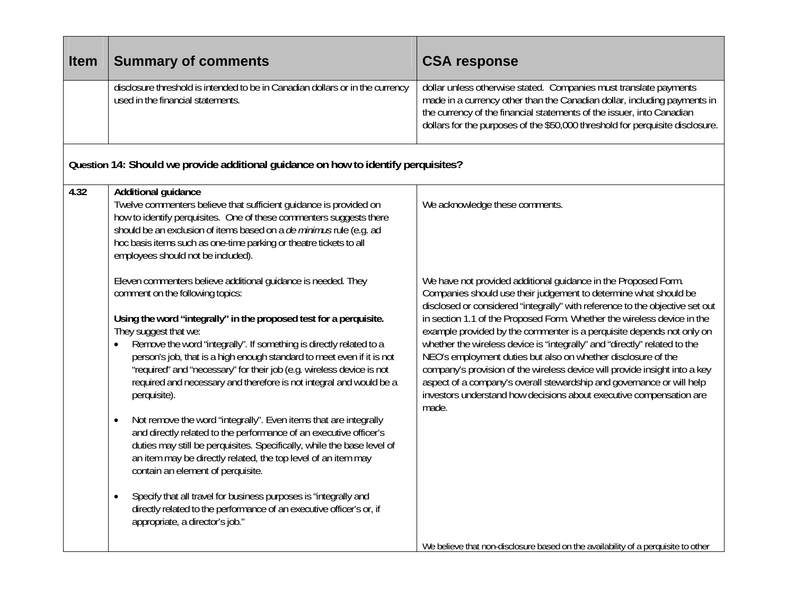| <b>Item</b> | <b>Summary of comments</b>                                                                                                                                                                                                                                                                                                                                                                                                                                                                                                                                                                                                                                                                                                                                                                                                                                                                                                                                                                                                             | <b>CSA response</b>                                                                                                                                                                                                                                                                                                                                                                                                                                                                                                                                                                                                                                                                                                                                         |
|-------------|----------------------------------------------------------------------------------------------------------------------------------------------------------------------------------------------------------------------------------------------------------------------------------------------------------------------------------------------------------------------------------------------------------------------------------------------------------------------------------------------------------------------------------------------------------------------------------------------------------------------------------------------------------------------------------------------------------------------------------------------------------------------------------------------------------------------------------------------------------------------------------------------------------------------------------------------------------------------------------------------------------------------------------------|-------------------------------------------------------------------------------------------------------------------------------------------------------------------------------------------------------------------------------------------------------------------------------------------------------------------------------------------------------------------------------------------------------------------------------------------------------------------------------------------------------------------------------------------------------------------------------------------------------------------------------------------------------------------------------------------------------------------------------------------------------------|
|             | disclosure threshold is intended to be in Canadian dollars or in the currency<br>used in the financial statements.                                                                                                                                                                                                                                                                                                                                                                                                                                                                                                                                                                                                                                                                                                                                                                                                                                                                                                                     | dollar unless otherwise stated. Companies must translate payments<br>made in a currency other than the Canadian dollar, including payments in<br>the currency of the financial statements of the issuer, into Canadian<br>dollars for the purposes of the \$50,000 threshold for perquisite disclosure.                                                                                                                                                                                                                                                                                                                                                                                                                                                     |
|             | Question 14: Should we provide additional quidance on how to identify perquisites?                                                                                                                                                                                                                                                                                                                                                                                                                                                                                                                                                                                                                                                                                                                                                                                                                                                                                                                                                     |                                                                                                                                                                                                                                                                                                                                                                                                                                                                                                                                                                                                                                                                                                                                                             |
| 4.32        | <b>Additional guidance</b><br>Twelve commenters believe that sufficient guidance is provided on<br>how to identify perquisites. One of these commenters suggests there<br>should be an exclusion of items based on a de minimus rule (e.g. ad<br>hoc basis items such as one-time parking or theatre tickets to all<br>employees should not be included).                                                                                                                                                                                                                                                                                                                                                                                                                                                                                                                                                                                                                                                                              | We acknowledge these comments.                                                                                                                                                                                                                                                                                                                                                                                                                                                                                                                                                                                                                                                                                                                              |
|             | Eleven commenters believe additional guidance is needed. They<br>comment on the following topics:<br>Using the word "integrally" in the proposed test for a perquisite.<br>They suggest that we:<br>Remove the word "integrally". If something is directly related to a<br>person's job, that is a high enough standard to meet even if it is not<br>"required" and "necessary" for their job (e.g. wireless device is not<br>required and necessary and therefore is not integral and would be a<br>perquisite).<br>Not remove the word "integrally". Even items that are integrally<br>$\bullet$<br>and directly related to the performance of an executive officer's<br>duties may still be perquisites. Specifically, while the base level of<br>an item may be directly related, the top level of an item may<br>contain an element of perquisite.<br>Specify that all travel for business purposes is "integrally and<br>directly related to the performance of an executive officer's or, if<br>appropriate, a director's job." | We have not provided additional guidance in the Proposed Form.<br>Companies should use their judgement to determine what should be<br>disclosed or considered "integrally" with reference to the objective set out<br>in section 1.1 of the Proposed Form. Whether the wireless device in the<br>example provided by the commenter is a perquisite depends not only on<br>whether the wireless device is "integrally" and "directly" related to the<br>NEO's employment duties but also on whether disclosure of the<br>company's provision of the wireless device will provide insight into a key<br>aspect of a company's overall stewardship and governance or will help<br>investors understand how decisions about executive compensation are<br>made. |
|             |                                                                                                                                                                                                                                                                                                                                                                                                                                                                                                                                                                                                                                                                                                                                                                                                                                                                                                                                                                                                                                        | We believe that non-disclosure based on the availability of a perquisite to other                                                                                                                                                                                                                                                                                                                                                                                                                                                                                                                                                                                                                                                                           |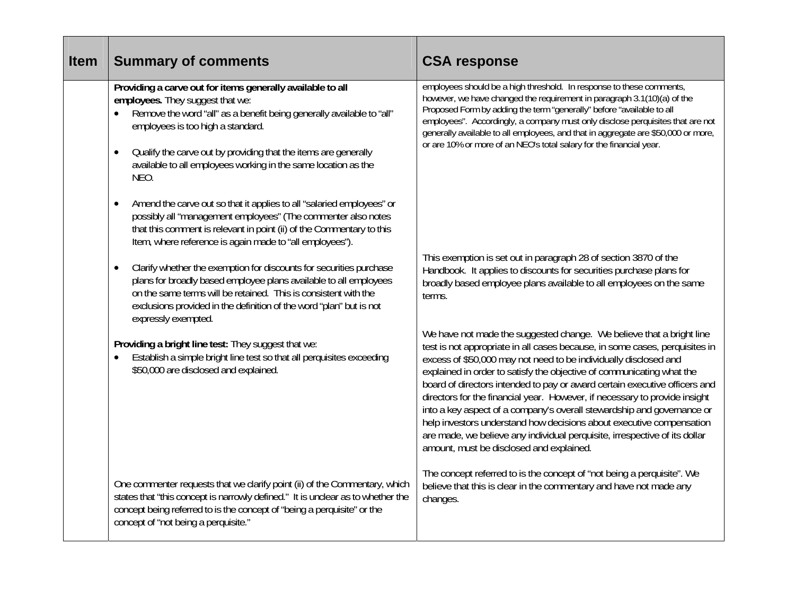| Item | <b>Summary of comments</b>                                                                                                                                                                                                                                                                                                                                | <b>CSA response</b>                                                                                                                                                                                                                                                                                                                                                                                                                                                                                                                                                                                                                                                                                                                      |
|------|-----------------------------------------------------------------------------------------------------------------------------------------------------------------------------------------------------------------------------------------------------------------------------------------------------------------------------------------------------------|------------------------------------------------------------------------------------------------------------------------------------------------------------------------------------------------------------------------------------------------------------------------------------------------------------------------------------------------------------------------------------------------------------------------------------------------------------------------------------------------------------------------------------------------------------------------------------------------------------------------------------------------------------------------------------------------------------------------------------------|
|      | Providing a carve out for items generally available to all<br>employees. They suggest that we:<br>Remove the word "all" as a benefit being generally available to "all"<br>employees is too high a standard.<br>Qualify the carve out by providing that the items are generally<br>available to all employees working in the same location as the<br>NEO. | employees should be a high threshold. In response to these comments,<br>however, we have changed the requirement in paragraph 3.1(10)(a) of the<br>Proposed Form by adding the term "generally" before "available to all<br>employees". Accordingly, a company must only disclose perquisites that are not<br>generally available to all employees, and that in aggregate are \$50,000 or more,<br>or are 10% or more of an NEO's total salary for the financial year.                                                                                                                                                                                                                                                                   |
|      | Amend the carve out so that it applies to all "salaried employees" or<br>$\bullet$<br>possibly all "management employees" (The commenter also notes<br>that this comment is relevant in point (ii) of the Commentary to this<br>Item, where reference is again made to "all employees").                                                                  |                                                                                                                                                                                                                                                                                                                                                                                                                                                                                                                                                                                                                                                                                                                                          |
|      | Clarify whether the exemption for discounts for securities purchase<br>$\bullet$<br>plans for broadly based employee plans available to all employees<br>on the same terms will be retained. This is consistent with the<br>exclusions provided in the definition of the word "plan" but is not<br>expressly exempted.                                    | This exemption is set out in paragraph 28 of section 3870 of the<br>Handbook. It applies to discounts for securities purchase plans for<br>broadly based employee plans available to all employees on the same<br>terms.                                                                                                                                                                                                                                                                                                                                                                                                                                                                                                                 |
|      | Providing a bright line test: They suggest that we:<br>Establish a simple bright line test so that all perquisites exceeding<br>\$50,000 are disclosed and explained.                                                                                                                                                                                     | We have not made the suggested change. We believe that a bright line<br>test is not appropriate in all cases because, in some cases, perquisites in<br>excess of \$50,000 may not need to be individually disclosed and<br>explained in order to satisfy the objective of communicating what the<br>board of directors intended to pay or award certain executive officers and<br>directors for the financial year. However, if necessary to provide insight<br>into a key aspect of a company's overall stewardship and governance or<br>help investors understand how decisions about executive compensation<br>are made, we believe any individual perquisite, irrespective of its dollar<br>amount, must be disclosed and explained. |
|      | One commenter requests that we clarify point (ii) of the Commentary, which<br>states that "this concept is narrowly defined." It is unclear as to whether the<br>concept being referred to is the concept of "being a perquisite" or the<br>concept of "not being a perquisite."                                                                          | The concept referred to is the concept of "not being a perquisite". We<br>believe that this is clear in the commentary and have not made any<br>changes.                                                                                                                                                                                                                                                                                                                                                                                                                                                                                                                                                                                 |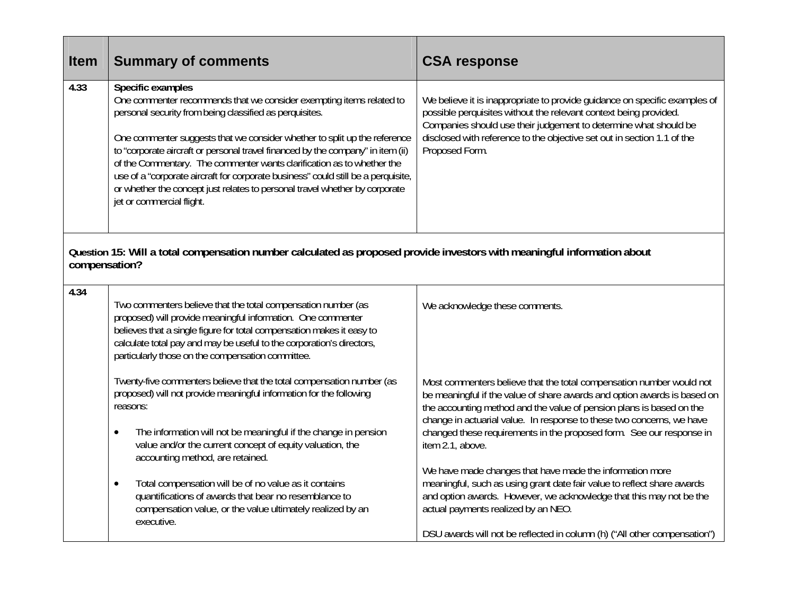| Item                                                                                                                                      | <b>Summary of comments</b>                                                                                                                                                                                                                                                                                                                                                                                                                                                                                                                                                                      | <b>CSA response</b>                                                                                                                                                                                                                                                                                                                                                                           |
|-------------------------------------------------------------------------------------------------------------------------------------------|-------------------------------------------------------------------------------------------------------------------------------------------------------------------------------------------------------------------------------------------------------------------------------------------------------------------------------------------------------------------------------------------------------------------------------------------------------------------------------------------------------------------------------------------------------------------------------------------------|-----------------------------------------------------------------------------------------------------------------------------------------------------------------------------------------------------------------------------------------------------------------------------------------------------------------------------------------------------------------------------------------------|
| 4.33                                                                                                                                      | Specific examples<br>One commenter recommends that we consider exempting items related to<br>personal security from being classified as perquisites.<br>One commenter suggests that we consider whether to split up the reference<br>to "corporate aircraft or personal travel financed by the company" in item (ii)<br>of the Commentary. The commenter wants clarification as to whether the<br>use of a "corporate aircraft for corporate business" could still be a perquisite,<br>or whether the concept just relates to personal travel whether by corporate<br>jet or commercial flight. | We believe it is inappropriate to provide guidance on specific examples of<br>possible perquisites without the relevant context being provided.<br>Companies should use their judgement to determine what should be<br>disclosed with reference to the objective set out in section 1.1 of the<br>Proposed Form.                                                                              |
| Question 15: Will a total compensation number calculated as proposed provide investors with meaningful information about<br>compensation? |                                                                                                                                                                                                                                                                                                                                                                                                                                                                                                                                                                                                 |                                                                                                                                                                                                                                                                                                                                                                                               |
| 4.34                                                                                                                                      | Two commenters believe that the total compensation number (as<br>proposed) will provide meaningful information. One commenter<br>believes that a single figure for total compensation makes it easy to<br>calculate total pay and may be useful to the corporation's directors,<br>particularly those on the compensation committee.                                                                                                                                                                                                                                                            | We acknowledge these comments.                                                                                                                                                                                                                                                                                                                                                                |
|                                                                                                                                           | Twenty-five commenters believe that the total compensation number (as<br>proposed) will not provide meaningful information for the following<br>reasons:<br>The information will not be meaningful if the change in pension<br>$\bullet$<br>value and/or the current concept of equity valuation, the                                                                                                                                                                                                                                                                                           | Most commenters believe that the total compensation number would not<br>be meaningful if the value of share awards and option awards is based on<br>the accounting method and the value of pension plans is based on the<br>change in actuarial value. In response to these two concerns, we have<br>changed these requirements in the proposed form. See our response in<br>item 2.1, above. |
|                                                                                                                                           | accounting method, are retained.<br>Total compensation will be of no value as it contains<br>$\bullet$<br>quantifications of awards that bear no resemblance to<br>compensation value, or the value ultimately realized by an<br>executive.                                                                                                                                                                                                                                                                                                                                                     | We have made changes that have made the information more<br>meaningful, such as using grant date fair value to reflect share awards<br>and option awards. However, we acknowledge that this may not be the<br>actual payments realized by an NEO.<br>DSU awards will not be reflected in column (h) ("All other compensation")                                                                |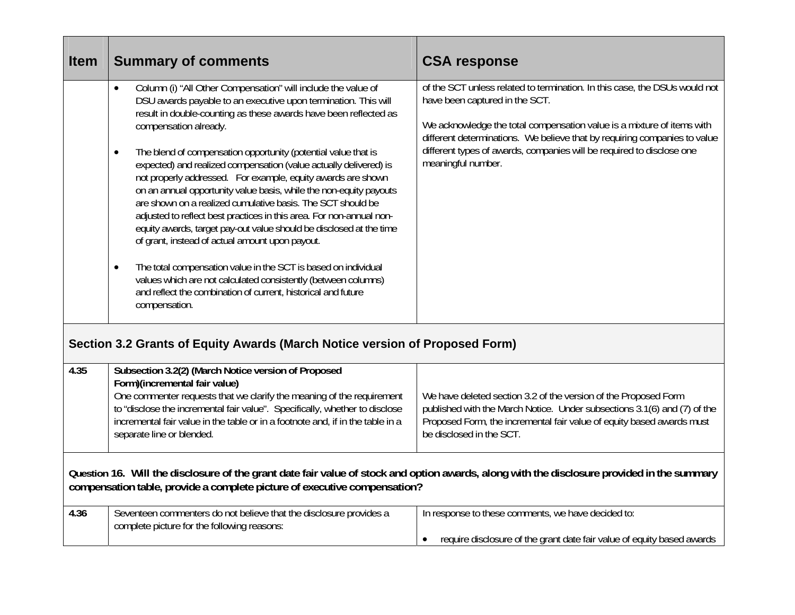| <b>Item</b> | <b>Summary of comments</b>                                                                                                                                                                                                                                                                                                                                                                                                                                                                                                                                                                                                                                                                                                                                                                                                                                                                                                                                                                                                              | <b>CSA response</b>                                                                                                                                                                                                                                                                                                                                                |
|-------------|-----------------------------------------------------------------------------------------------------------------------------------------------------------------------------------------------------------------------------------------------------------------------------------------------------------------------------------------------------------------------------------------------------------------------------------------------------------------------------------------------------------------------------------------------------------------------------------------------------------------------------------------------------------------------------------------------------------------------------------------------------------------------------------------------------------------------------------------------------------------------------------------------------------------------------------------------------------------------------------------------------------------------------------------|--------------------------------------------------------------------------------------------------------------------------------------------------------------------------------------------------------------------------------------------------------------------------------------------------------------------------------------------------------------------|
|             | Column (i) "All Other Compensation" will include the value of<br>$\bullet$<br>DSU awards payable to an executive upon termination. This will<br>result in double-counting as these awards have been reflected as<br>compensation already.<br>The blend of compensation opportunity (potential value that is<br>$\bullet$<br>expected) and realized compensation (value actually delivered) is<br>not properly addressed. For example, equity awards are shown<br>on an annual opportunity value basis, while the non-equity payouts<br>are shown on a realized cumulative basis. The SCT should be<br>adjusted to reflect best practices in this area. For non-annual non-<br>equity awards, target pay-out value should be disclosed at the time<br>of grant, instead of actual amount upon payout.<br>The total compensation value in the SCT is based on individual<br>$\bullet$<br>values which are not calculated consistently (between columns)<br>and reflect the combination of current, historical and future<br>compensation. | of the SCT unless related to termination. In this case, the DSUs would not<br>have been captured in the SCT.<br>We acknowledge the total compensation value is a mixture of items with<br>different determinations. We believe that by requiring companies to value<br>different types of awards, companies will be required to disclose one<br>meaningful number. |
|             | Section 3.2 Grants of Equity Awards (March Notice version of Proposed Form)                                                                                                                                                                                                                                                                                                                                                                                                                                                                                                                                                                                                                                                                                                                                                                                                                                                                                                                                                             |                                                                                                                                                                                                                                                                                                                                                                    |
| 4.35        | Subsection 3.2(2) (March Notice version of Proposed<br>Form)(incremental fair value)<br>One commenter requests that we clarify the meaning of the requirement<br>to "disclose the incremental fair value". Specifically, whether to disclose<br>incremental fair value in the table or in a footnote and, if in the table in a<br>separate line or blended.                                                                                                                                                                                                                                                                                                                                                                                                                                                                                                                                                                                                                                                                             | We have deleted section 3.2 of the version of the Proposed Form<br>published with the March Notice. Under subsections 3.1(6) and (7) of the<br>Proposed Form, the incremental fair value of equity based awards must<br>be disclosed in the SCT.                                                                                                                   |
|             | Question 16. Will the disclosure of the grant date fair value of stock and option awards, along with the disclosure provided in the summary<br>compensation table, provide a complete picture of executive compensation?                                                                                                                                                                                                                                                                                                                                                                                                                                                                                                                                                                                                                                                                                                                                                                                                                |                                                                                                                                                                                                                                                                                                                                                                    |
| 4.36        | Seventeen commenters do not believe that the disclosure provides a<br>complete picture for the following reasons:                                                                                                                                                                                                                                                                                                                                                                                                                                                                                                                                                                                                                                                                                                                                                                                                                                                                                                                       | In response to these comments, we have decided to:<br>require disclosure of the grant date fair value of equity based awards                                                                                                                                                                                                                                       |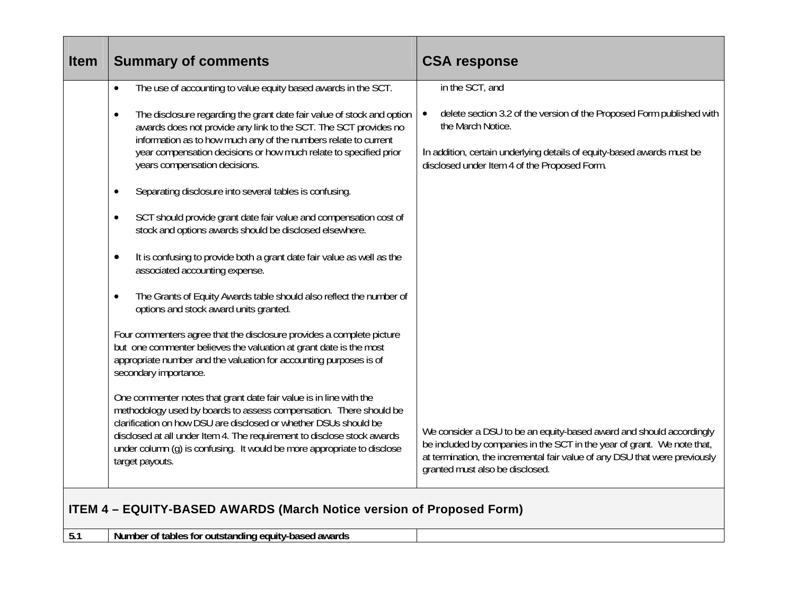| <b>Item</b> | <b>Summary of comments</b>                                                                                                                                                                                                                                                                                                                                                            | <b>CSA response</b>                                                                                                                                                                                                                                              |
|-------------|---------------------------------------------------------------------------------------------------------------------------------------------------------------------------------------------------------------------------------------------------------------------------------------------------------------------------------------------------------------------------------------|------------------------------------------------------------------------------------------------------------------------------------------------------------------------------------------------------------------------------------------------------------------|
|             | The use of accounting to value equity based awards in the SCT.<br>$\bullet$                                                                                                                                                                                                                                                                                                           | in the SCT, and                                                                                                                                                                                                                                                  |
|             | The disclosure regarding the grant date fair value of stock and option<br>$\bullet$<br>awards does not provide any link to the SCT. The SCT provides no                                                                                                                                                                                                                               | delete section 3.2 of the version of the Proposed Form published with<br>the March Notice.                                                                                                                                                                       |
|             | information as to how much any of the numbers relate to current<br>year compensation decisions or how much relate to specified prior<br>years compensation decisions.                                                                                                                                                                                                                 | In addition, certain underlying details of equity-based awards must be<br>disclosed under Item 4 of the Proposed Form.                                                                                                                                           |
|             | Separating disclosure into several tables is confusing.<br>$\bullet$                                                                                                                                                                                                                                                                                                                  |                                                                                                                                                                                                                                                                  |
|             | SCT should provide grant date fair value and compensation cost of<br>$\bullet$<br>stock and options awards should be disclosed elsewhere.                                                                                                                                                                                                                                             |                                                                                                                                                                                                                                                                  |
|             | It is confusing to provide both a grant date fair value as well as the<br>$\bullet$<br>associated accounting expense.                                                                                                                                                                                                                                                                 |                                                                                                                                                                                                                                                                  |
|             | The Grants of Equity Awards table should also reflect the number of<br>$\bullet$<br>options and stock award units granted.                                                                                                                                                                                                                                                            |                                                                                                                                                                                                                                                                  |
|             | Four commenters agree that the disclosure provides a complete picture<br>but one commenter believes the valuation at grant date is the most<br>appropriate number and the valuation for accounting purposes is of<br>secondary importance.                                                                                                                                            |                                                                                                                                                                                                                                                                  |
|             | One commenter notes that grant date fair value is in line with the<br>methodology used by boards to assess compensation. There should be<br>clarification on how DSU are disclosed or whether DSUs should be<br>disclosed at all under Item 4. The requirement to disclose stock awards<br>under column (q) is confusing. It would be more appropriate to disclose<br>target payouts. | We consider a DSU to be an equity-based award and should accordingly<br>be included by companies in the SCT in the year of grant. We note that,<br>at termination, the incremental fair value of any DSU that were previously<br>granted must also be disclosed. |

## **ITEM 4 – EQUITY-BASED AWARDS (March Notice version of Proposed Form)**

| J. | awarde<br>Number<br>hocod<br>' eauitv-.<br>; for<br>∴outstandınc<br>Ωt<br>tables<br>-uaseu<br>' awarus |  |
|----|--------------------------------------------------------------------------------------------------------|--|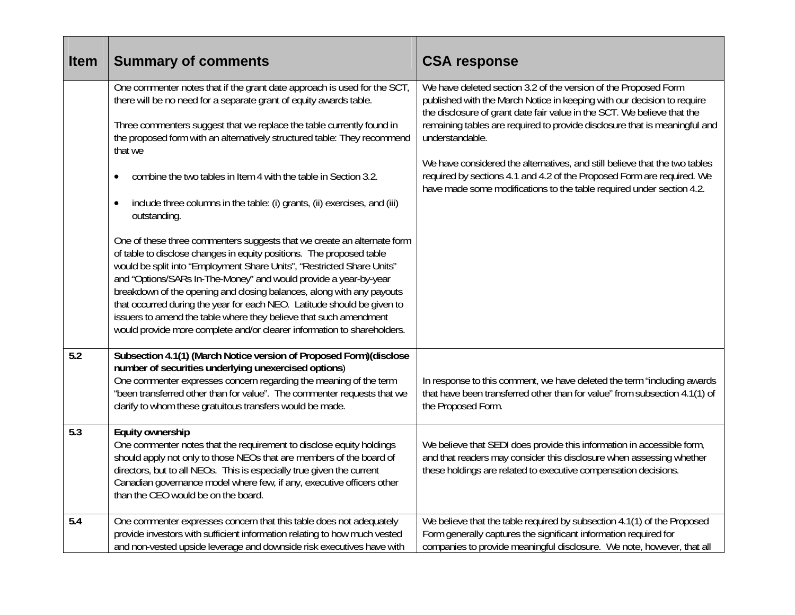| <b>Item</b> | <b>Summary of comments</b>                                                                                                                                                                                                                                                                                                                                                                                                                                                                                                                                                                                                                                                                                                                                                                                                                                                                                                                                                                                                                                                          | <b>CSA response</b>                                                                                                                                                                                                                                                                                                                                                                                                                                                                                                                                     |
|-------------|-------------------------------------------------------------------------------------------------------------------------------------------------------------------------------------------------------------------------------------------------------------------------------------------------------------------------------------------------------------------------------------------------------------------------------------------------------------------------------------------------------------------------------------------------------------------------------------------------------------------------------------------------------------------------------------------------------------------------------------------------------------------------------------------------------------------------------------------------------------------------------------------------------------------------------------------------------------------------------------------------------------------------------------------------------------------------------------|---------------------------------------------------------------------------------------------------------------------------------------------------------------------------------------------------------------------------------------------------------------------------------------------------------------------------------------------------------------------------------------------------------------------------------------------------------------------------------------------------------------------------------------------------------|
|             | One commenter notes that if the grant date approach is used for the SCT,<br>there will be no need for a separate grant of equity awards table.<br>Three commenters suggest that we replace the table currently found in<br>the proposed form with an alternatively structured table: They recommend<br>that we<br>combine the two tables in Item 4 with the table in Section 3.2.<br>include three columns in the table: (i) grants, (ii) exercises, and (iii)<br>outstanding.<br>One of these three commenters suggests that we create an alternate form<br>of table to disclose changes in equity positions. The proposed table<br>would be split into "Employment Share Units", "Restricted Share Units"<br>and "Options/SARs In-The-Money" and would provide a year-by-year<br>breakdown of the opening and closing balances, along with any payouts<br>that occurred during the year for each NEO. Latitude should be given to<br>issuers to amend the table where they believe that such amendment<br>would provide more complete and/or clearer information to shareholders. | We have deleted section 3.2 of the version of the Proposed Form<br>published with the March Notice in keeping with our decision to require<br>the disclosure of grant date fair value in the SCT. We believe that the<br>remaining tables are required to provide disclosure that is meaningful and<br>understandable.<br>We have considered the alternatives, and still believe that the two tables<br>required by sections 4.1 and 4.2 of the Proposed Form are required. We<br>have made some modifications to the table required under section 4.2. |
| 5.2         | Subsection 4.1(1) (March Notice version of Proposed Form) (disclose<br>number of securities underlying unexercised options)<br>One commenter expresses concern regarding the meaning of the term<br>"been transferred other than for value". The commenter requests that we<br>clarify to whom these gratuitous transfers would be made.                                                                                                                                                                                                                                                                                                                                                                                                                                                                                                                                                                                                                                                                                                                                            | In response to this comment, we have deleted the term "including awards"<br>that have been transferred other than for value" from subsection 4.1(1) of<br>the Proposed Form.                                                                                                                                                                                                                                                                                                                                                                            |
| 5.3         | Equity ownership<br>One commenter notes that the requirement to disclose equity holdings<br>should apply not only to those NEOs that are members of the board of<br>directors, but to all NEOs. This is especially true given the current<br>Canadian governance model where few, if any, executive officers other<br>than the CEO would be on the board.                                                                                                                                                                                                                                                                                                                                                                                                                                                                                                                                                                                                                                                                                                                           | We believe that SEDI does provide this information in accessible form,<br>and that readers may consider this disclosure when assessing whether<br>these holdings are related to executive compensation decisions.                                                                                                                                                                                                                                                                                                                                       |
| 5.4         | One commenter expresses concern that this table does not adequately<br>provide investors with sufficient information relating to how much vested<br>and non-vested upside leverage and downside risk executives have with                                                                                                                                                                                                                                                                                                                                                                                                                                                                                                                                                                                                                                                                                                                                                                                                                                                           | We believe that the table required by subsection 4.1(1) of the Proposed<br>Form generally captures the significant information required for<br>companies to provide meaningful disclosure. We note, however, that all                                                                                                                                                                                                                                                                                                                                   |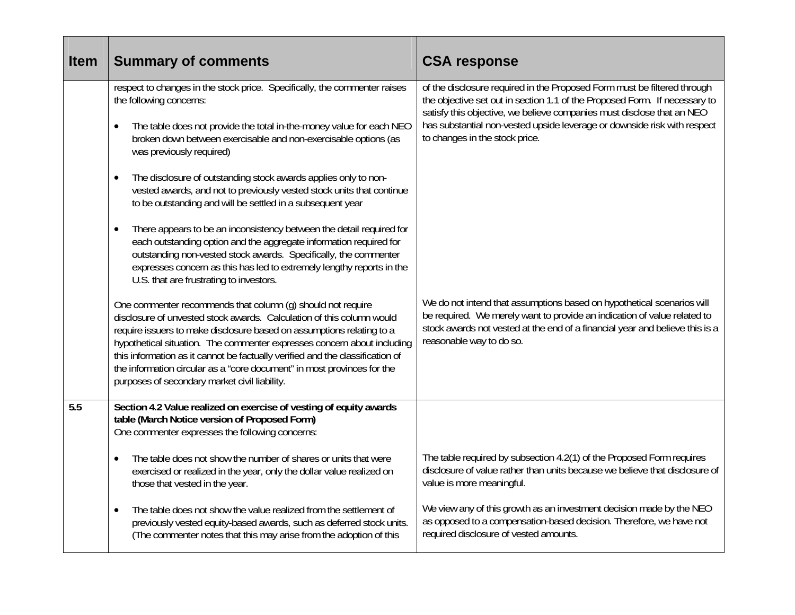| <b>Item</b> | <b>Summary of comments</b>                                                                                                                                                                                                                                                                                                                                                                                                                                                                            | <b>CSA response</b>                                                                                                                                                                                                                                                                                                                            |
|-------------|-------------------------------------------------------------------------------------------------------------------------------------------------------------------------------------------------------------------------------------------------------------------------------------------------------------------------------------------------------------------------------------------------------------------------------------------------------------------------------------------------------|------------------------------------------------------------------------------------------------------------------------------------------------------------------------------------------------------------------------------------------------------------------------------------------------------------------------------------------------|
|             | respect to changes in the stock price. Specifically, the commenter raises<br>the following concerns:<br>The table does not provide the total in-the-money value for each NEO<br>broken down between exercisable and non-exercisable options (as<br>was previously required)                                                                                                                                                                                                                           | of the disclosure required in the Proposed Form must be filtered through<br>the objective set out in section 1.1 of the Proposed Form. If necessary to<br>satisfy this objective, we believe companies must disclose that an NEO<br>has substantial non-vested upside leverage or downside risk with respect<br>to changes in the stock price. |
|             | The disclosure of outstanding stock awards applies only to non-<br>$\bullet$<br>vested awards, and not to previously vested stock units that continue<br>to be outstanding and will be settled in a subsequent year                                                                                                                                                                                                                                                                                   |                                                                                                                                                                                                                                                                                                                                                |
|             | There appears to be an inconsistency between the detail required for<br>each outstanding option and the aggregate information required for<br>outstanding non-vested stock awards. Specifically, the commenter<br>expresses concern as this has led to extremely lengthy reports in the<br>U.S. that are frustrating to investors.                                                                                                                                                                    |                                                                                                                                                                                                                                                                                                                                                |
|             | One commenter recommends that column (q) should not require<br>disclosure of unvested stock awards. Calculation of this column would<br>require issuers to make disclosure based on assumptions relating to a<br>hypothetical situation. The commenter expresses concern about including<br>this information as it cannot be factually verified and the classification of<br>the information circular as a "core document" in most provinces for the<br>purposes of secondary market civil liability. | We do not intend that assumptions based on hypothetical scenarios will<br>be required. We merely want to provide an indication of value related to<br>stock awards not vested at the end of a financial year and believe this is a<br>reasonable way to do so.                                                                                 |
| 5.5         | Section 4.2 Value realized on exercise of vesting of equity awards<br>table (March Notice version of Proposed Form)<br>One commenter expresses the following concerns:                                                                                                                                                                                                                                                                                                                                |                                                                                                                                                                                                                                                                                                                                                |
|             | The table does not show the number of shares or units that were<br>exercised or realized in the year, only the dollar value realized on<br>those that vested in the year.                                                                                                                                                                                                                                                                                                                             | The table required by subsection 4.2(1) of the Proposed Form requires<br>disclosure of value rather than units because we believe that disclosure of<br>value is more meaningful.                                                                                                                                                              |
|             | The table does not show the value realized from the settlement of<br>$\bullet$<br>previously vested equity-based awards, such as deferred stock units.<br>(The commenter notes that this may arise from the adoption of this                                                                                                                                                                                                                                                                          | We view any of this growth as an investment decision made by the NEO<br>as opposed to a compensation-based decision. Therefore, we have not<br>required disclosure of vested amounts.                                                                                                                                                          |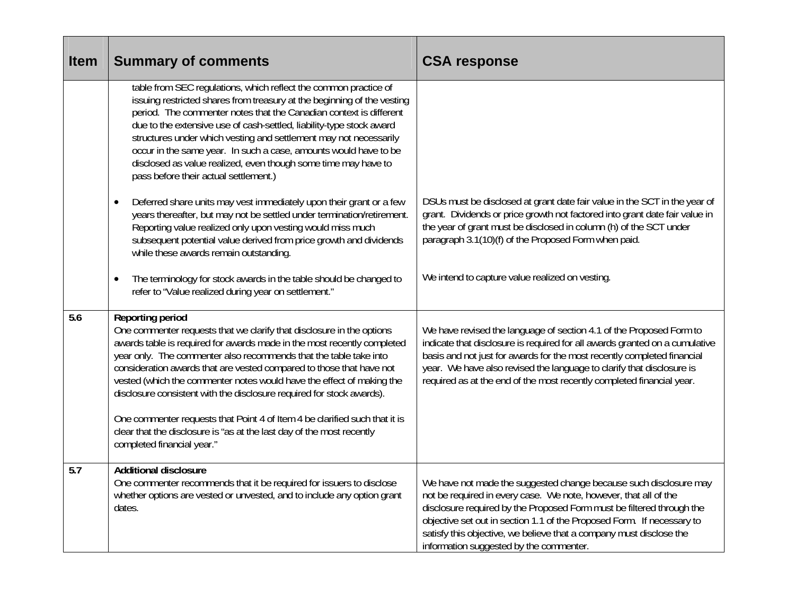| <b>Item</b> | <b>Summary of comments</b>                                                                                                                                                                                                                                                                                                                                                                                                                                                                                                                                                                                                                               | <b>CSA response</b>                                                                                                                                                                                                                                                                                                                                                                                        |
|-------------|----------------------------------------------------------------------------------------------------------------------------------------------------------------------------------------------------------------------------------------------------------------------------------------------------------------------------------------------------------------------------------------------------------------------------------------------------------------------------------------------------------------------------------------------------------------------------------------------------------------------------------------------------------|------------------------------------------------------------------------------------------------------------------------------------------------------------------------------------------------------------------------------------------------------------------------------------------------------------------------------------------------------------------------------------------------------------|
|             | table from SEC regulations, which reflect the common practice of<br>issuing restricted shares from treasury at the beginning of the vesting<br>period. The commenter notes that the Canadian context is different<br>due to the extensive use of cash-settled, liability-type stock award<br>structures under which vesting and settlement may not necessarily<br>occur in the same year. In such a case, amounts would have to be<br>disclosed as value realized, even though some time may have to<br>pass before their actual settlement.)                                                                                                            |                                                                                                                                                                                                                                                                                                                                                                                                            |
|             | Deferred share units may vest immediately upon their grant or a few<br>$\bullet$<br>years thereafter, but may not be settled under termination/retirement.<br>Reporting value realized only upon vesting would miss much<br>subsequent potential value derived from price growth and dividends<br>while these awards remain outstanding.                                                                                                                                                                                                                                                                                                                 | DSUs must be disclosed at grant date fair value in the SCT in the year of<br>grant. Dividends or price growth not factored into grant date fair value in<br>the year of grant must be disclosed in column (h) of the SCT under<br>paragraph 3.1(10)(f) of the Proposed Form when paid.                                                                                                                     |
|             | The terminology for stock awards in the table should be changed to<br>refer to "Value realized during year on settlement."                                                                                                                                                                                                                                                                                                                                                                                                                                                                                                                               | We intend to capture value realized on vesting.                                                                                                                                                                                                                                                                                                                                                            |
| 5.6         | Reporting period<br>One commenter requests that we clarify that disclosure in the options<br>awards table is required for awards made in the most recently completed<br>year only. The commenter also recommends that the table take into<br>consideration awards that are vested compared to those that have not<br>vested (which the commenter notes would have the effect of making the<br>disclosure consistent with the disclosure required for stock awards).<br>One commenter requests that Point 4 of Item 4 be clarified such that it is<br>clear that the disclosure is "as at the last day of the most recently<br>completed financial year." | We have revised the language of section 4.1 of the Proposed Form to<br>indicate that disclosure is required for all awards granted on a cumulative<br>basis and not just for awards for the most recently completed financial<br>year. We have also revised the language to clarify that disclosure is<br>required as at the end of the most recently completed financial year.                            |
| 5.7         | <b>Additional disclosure</b><br>One commenter recommends that it be required for issuers to disclose<br>whether options are vested or unvested, and to include any option grant<br>dates.                                                                                                                                                                                                                                                                                                                                                                                                                                                                | We have not made the suggested change because such disclosure may<br>not be required in every case. We note, however, that all of the<br>disclosure required by the Proposed Form must be filtered through the<br>objective set out in section 1.1 of the Proposed Form. If necessary to<br>satisfy this objective, we believe that a company must disclose the<br>information suggested by the commenter. |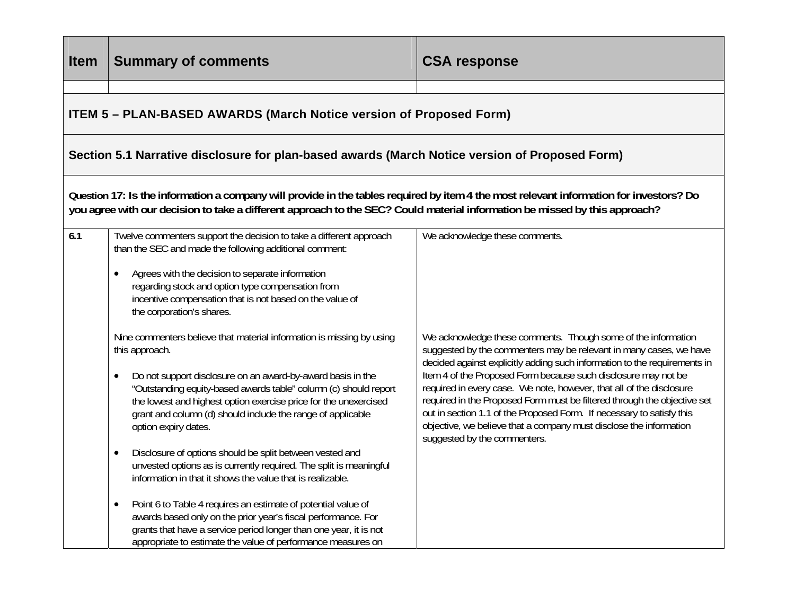| <b>Item</b> | <b>Summary of comments</b>                                                                                                                                                                                                                                                                                                                                                                                                                                                                                                                                                                                                                                                                                                                                                                                                                                                                                                                                                                                                                                                                                                                                                                                                 | <b>CSA response</b>                                                                                                                                                                                                                                                                                                                                                                                                                                                                                                                                                                                                                                     |
|-------------|----------------------------------------------------------------------------------------------------------------------------------------------------------------------------------------------------------------------------------------------------------------------------------------------------------------------------------------------------------------------------------------------------------------------------------------------------------------------------------------------------------------------------------------------------------------------------------------------------------------------------------------------------------------------------------------------------------------------------------------------------------------------------------------------------------------------------------------------------------------------------------------------------------------------------------------------------------------------------------------------------------------------------------------------------------------------------------------------------------------------------------------------------------------------------------------------------------------------------|---------------------------------------------------------------------------------------------------------------------------------------------------------------------------------------------------------------------------------------------------------------------------------------------------------------------------------------------------------------------------------------------------------------------------------------------------------------------------------------------------------------------------------------------------------------------------------------------------------------------------------------------------------|
|             | ITEM 5 - PLAN-BASED AWARDS (March Notice version of Proposed Form)                                                                                                                                                                                                                                                                                                                                                                                                                                                                                                                                                                                                                                                                                                                                                                                                                                                                                                                                                                                                                                                                                                                                                         |                                                                                                                                                                                                                                                                                                                                                                                                                                                                                                                                                                                                                                                         |
|             | Section 5.1 Narrative disclosure for plan-based awards (March Notice version of Proposed Form)                                                                                                                                                                                                                                                                                                                                                                                                                                                                                                                                                                                                                                                                                                                                                                                                                                                                                                                                                                                                                                                                                                                             |                                                                                                                                                                                                                                                                                                                                                                                                                                                                                                                                                                                                                                                         |
|             | Question 17: Is the information a company will provide in the tables required by item 4 the most relevant information for investors? Do<br>you agree with our decision to take a different approach to the SEC? Could material information be missed by this approach?                                                                                                                                                                                                                                                                                                                                                                                                                                                                                                                                                                                                                                                                                                                                                                                                                                                                                                                                                     |                                                                                                                                                                                                                                                                                                                                                                                                                                                                                                                                                                                                                                                         |
| 6.1         | Twelve commenters support the decision to take a different approach<br>than the SEC and made the following additional comment:<br>Agrees with the decision to separate information<br>$\bullet$<br>regarding stock and option type compensation from<br>incentive compensation that is not based on the value of<br>the corporation's shares.<br>Nine commenters believe that material information is missing by using<br>this approach.<br>Do not support disclosure on an award-by-award basis in the<br>"Outstanding equity-based awards table" column (c) should report<br>the lowest and highest option exercise price for the unexercised<br>grant and column (d) should include the range of applicable<br>option expiry dates.<br>Disclosure of options should be split between vested and<br>$\bullet$<br>unvested options as is currently required. The split is meaningful<br>information in that it shows the value that is realizable.<br>Point 6 to Table 4 requires an estimate of potential value of<br>awards based only on the prior year's fiscal performance. For<br>grants that have a service period longer than one year, it is not<br>appropriate to estimate the value of performance measures on | We acknowledge these comments.<br>We acknowledge these comments. Though some of the information<br>suggested by the commenters may be relevant in many cases, we have<br>decided against explicitly adding such information to the requirements in<br>Item 4 of the Proposed Form because such disclosure may not be<br>required in every case. We note, however, that all of the disclosure<br>required in the Proposed Form must be filtered through the objective set<br>out in section 1.1 of the Proposed Form. If necessary to satisfy this<br>objective, we believe that a company must disclose the information<br>suggested by the commenters. |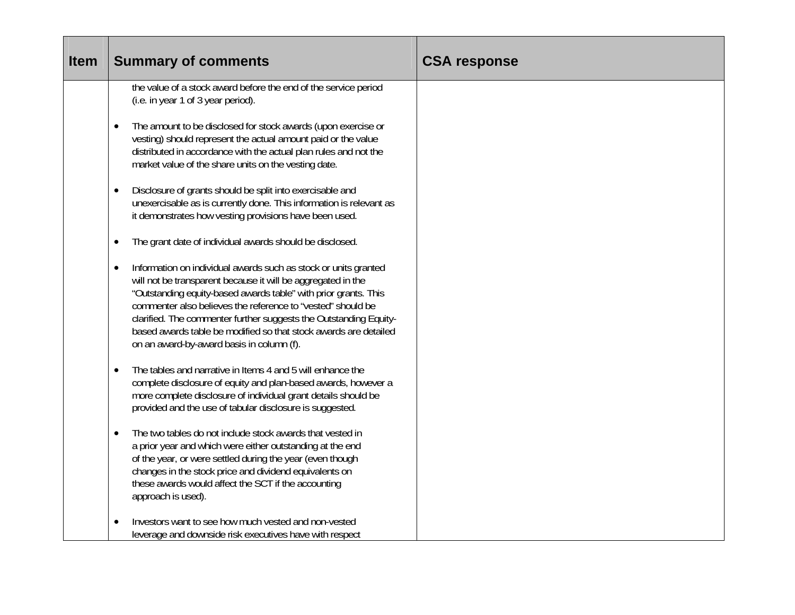| <b>Item</b> | <b>Summary of comments</b>                                                                                                                                                                                                                                                                                                                                                                                                                                           | <b>CSA response</b> |
|-------------|----------------------------------------------------------------------------------------------------------------------------------------------------------------------------------------------------------------------------------------------------------------------------------------------------------------------------------------------------------------------------------------------------------------------------------------------------------------------|---------------------|
|             | the value of a stock award before the end of the service period<br>(i.e. in year 1 of 3 year period).                                                                                                                                                                                                                                                                                                                                                                |                     |
|             | The amount to be disclosed for stock awards (upon exercise or<br>$\bullet$<br>vesting) should represent the actual amount paid or the value<br>distributed in accordance with the actual plan rules and not the<br>market value of the share units on the vesting date.                                                                                                                                                                                              |                     |
|             | Disclosure of grants should be split into exercisable and<br>$\bullet$<br>unexercisable as is currently done. This information is relevant as<br>it demonstrates how vesting provisions have been used.                                                                                                                                                                                                                                                              |                     |
|             | The grant date of individual awards should be disclosed.<br>$\bullet$                                                                                                                                                                                                                                                                                                                                                                                                |                     |
|             | Information on individual awards such as stock or units granted<br>$\bullet$<br>will not be transparent because it will be aggregated in the<br>"Outstanding equity-based awards table" with prior grants. This<br>commenter also believes the reference to "vested" should be<br>clarified. The commenter further suggests the Outstanding Equity-<br>based awards table be modified so that stock awards are detailed<br>on an award-by-award basis in column (f). |                     |
|             | The tables and narrative in Items 4 and 5 will enhance the<br>$\bullet$<br>complete disclosure of equity and plan-based awards, however a<br>more complete disclosure of individual grant details should be<br>provided and the use of tabular disclosure is suggested.                                                                                                                                                                                              |                     |
|             | The two tables do not include stock awards that vested in<br>$\bullet$<br>a prior year and which were either outstanding at the end<br>of the year, or were settled during the year (even though<br>changes in the stock price and dividend equivalents on<br>these awards would affect the SCT if the accounting<br>approach is used).                                                                                                                              |                     |
|             | Investors want to see how much vested and non-vested<br>leverage and downside risk executives have with respect                                                                                                                                                                                                                                                                                                                                                      |                     |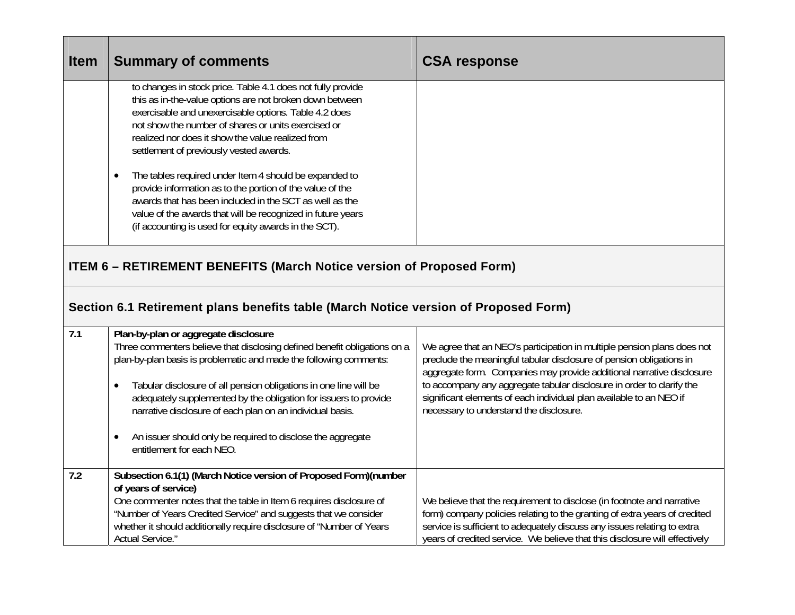| <b>Item</b> | <b>Summary of comments</b>                                                                                                                                                                                                                                                                                                                                                                    | <b>CSA response</b>                                                                                                                                                                                                                                                                                                                                                                                                 |
|-------------|-----------------------------------------------------------------------------------------------------------------------------------------------------------------------------------------------------------------------------------------------------------------------------------------------------------------------------------------------------------------------------------------------|---------------------------------------------------------------------------------------------------------------------------------------------------------------------------------------------------------------------------------------------------------------------------------------------------------------------------------------------------------------------------------------------------------------------|
|             | to changes in stock price. Table 4.1 does not fully provide<br>this as in-the-value options are not broken down between<br>exercisable and unexercisable options. Table 4.2 does<br>not show the number of shares or units exercised or<br>realized nor does it show the value realized from<br>settlement of previously vested awards.                                                       |                                                                                                                                                                                                                                                                                                                                                                                                                     |
|             | The tables required under Item 4 should be expanded to<br>$\bullet$<br>provide information as to the portion of the value of the<br>awards that has been included in the SCT as well as the<br>value of the awards that will be recognized in future years<br>(if accounting is used for equity awards in the SCT).                                                                           |                                                                                                                                                                                                                                                                                                                                                                                                                     |
|             | <b>ITEM 6 - RETIREMENT BENEFITS (March Notice version of Proposed Form)</b>                                                                                                                                                                                                                                                                                                                   |                                                                                                                                                                                                                                                                                                                                                                                                                     |
|             | Section 6.1 Retirement plans benefits table (March Notice version of Proposed Form)                                                                                                                                                                                                                                                                                                           |                                                                                                                                                                                                                                                                                                                                                                                                                     |
| 7.1         | Plan-by-plan or aggregate disclosure<br>Three commenters believe that disclosing defined benefit obligations on a<br>plan-by-plan basis is problematic and made the following comments:<br>Tabular disclosure of all pension obligations in one line will be<br>adequately supplemented by the obligation for issuers to provide<br>narrative disclosure of each plan on an individual basis. | We agree that an NEO's participation in multiple pension plans does not<br>preclude the meaningful tabular disclosure of pension obligations in<br>aggregate form. Companies may provide additional narrative disclosure<br>to accompany any aggregate tabular disclosure in order to clarify the<br>significant elements of each individual plan available to an NEO if<br>necessary to understand the disclosure. |
|             | An issuer should only be required to disclose the aggregate<br>entitlement for each NEO.                                                                                                                                                                                                                                                                                                      |                                                                                                                                                                                                                                                                                                                                                                                                                     |
| 7.2         | Subsection 6.1(1) (March Notice version of Proposed Form)(number<br>of years of service)<br>One commenter notes that the table in Item 6 requires disclosure of<br>"Number of Years Credited Service" and suggests that we consider<br>whether it should additionally require disclosure of "Number of Years<br>Actual Service."                                                              | We believe that the requirement to disclose (in footnote and narrative<br>form) company policies relating to the granting of extra years of credited<br>service is sufficient to adequately discuss any issues relating to extra<br>years of credited service. We believe that this disclosure will effectively                                                                                                     |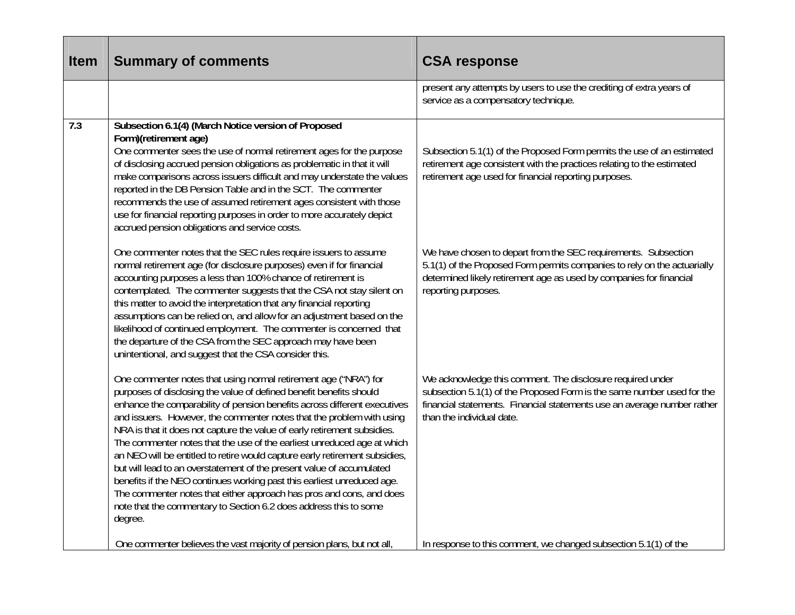| Item | <b>Summary of comments</b>                                                                                                                                                                                                                                                                                                                                                                                                                                                                                                                                                                                                                                                                                                                                                                                                                      | <b>CSA response</b>                                                                                                                                                                                                                          |
|------|-------------------------------------------------------------------------------------------------------------------------------------------------------------------------------------------------------------------------------------------------------------------------------------------------------------------------------------------------------------------------------------------------------------------------------------------------------------------------------------------------------------------------------------------------------------------------------------------------------------------------------------------------------------------------------------------------------------------------------------------------------------------------------------------------------------------------------------------------|----------------------------------------------------------------------------------------------------------------------------------------------------------------------------------------------------------------------------------------------|
|      |                                                                                                                                                                                                                                                                                                                                                                                                                                                                                                                                                                                                                                                                                                                                                                                                                                                 | present any attempts by users to use the crediting of extra years of<br>service as a compensatory technique.                                                                                                                                 |
| 7.3  | Subsection 6.1(4) (March Notice version of Proposed<br>Form)(retirement age)<br>One commenter sees the use of normal retirement ages for the purpose<br>of disclosing accrued pension obligations as problematic in that it will<br>make comparisons across issuers difficult and may understate the values<br>reported in the DB Pension Table and in the SCT. The commenter<br>recommends the use of assumed retirement ages consistent with those<br>use for financial reporting purposes in order to more accurately depict<br>accrued pension obligations and service costs.                                                                                                                                                                                                                                                               | Subsection 5.1(1) of the Proposed Form permits the use of an estimated<br>retirement age consistent with the practices relating to the estimated<br>retirement age used for financial reporting purposes.                                    |
|      | One commenter notes that the SEC rules require issuers to assume<br>normal retirement age (for disclosure purposes) even if for financial<br>accounting purposes a less than 100% chance of retirement is<br>contemplated. The commenter suggests that the CSA not stay silent on<br>this matter to avoid the interpretation that any financial reporting<br>assumptions can be relied on, and allow for an adjustment based on the<br>likelihood of continued employment. The commenter is concerned that<br>the departure of the CSA from the SEC approach may have been<br>unintentional, and suggest that the CSA consider this.                                                                                                                                                                                                            | We have chosen to depart from the SEC requirements. Subsection<br>5.1(1) of the Proposed Form permits companies to rely on the actuarially<br>determined likely retirement age as used by companies for financial<br>reporting purposes.     |
|      | One commenter notes that using normal retirement age ("NRA") for<br>purposes of disclosing the value of defined benefit benefits should<br>enhance the comparability of pension benefits across different executives<br>and issuers. However, the commenter notes that the problem with using<br>NRA is that it does not capture the value of early retirement subsidies.<br>The commenter notes that the use of the earliest unreduced age at which<br>an NEO will be entitled to retire would capture early retirement subsidies,<br>but will lead to an overstatement of the present value of accumulated<br>benefits if the NEO continues working past this earliest unreduced age.<br>The commenter notes that either approach has pros and cons, and does<br>note that the commentary to Section 6.2 does address this to some<br>degree. | We acknowledge this comment. The disclosure required under<br>subsection 5.1(1) of the Proposed Form is the same number used for the<br>financial statements. Financial statements use an average number rather<br>than the individual date. |
|      | One commenter believes the vast majority of pension plans, but not all,                                                                                                                                                                                                                                                                                                                                                                                                                                                                                                                                                                                                                                                                                                                                                                         | In response to this comment, we changed subsection 5.1(1) of the                                                                                                                                                                             |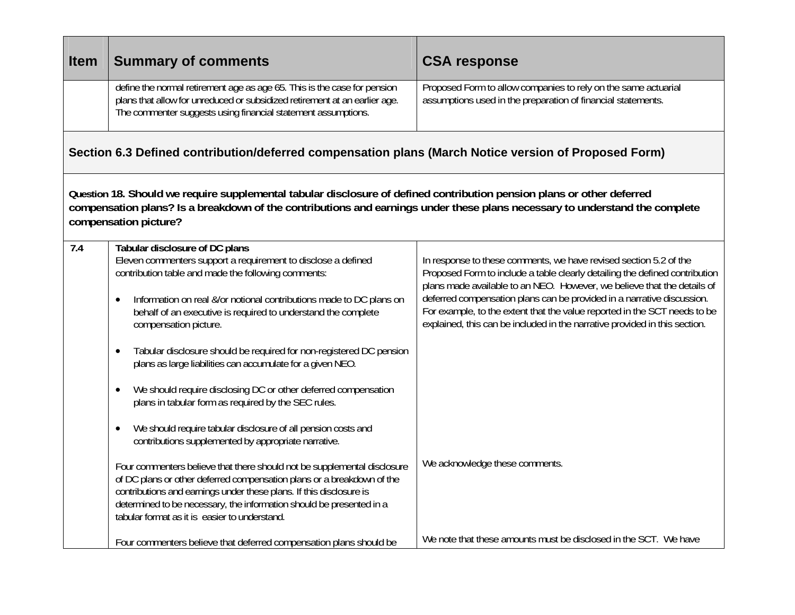| <b>Item</b> | <b>Summary of comments</b>                                                                                                                                                                                                                                                                                                                                                                                                                                                                                                                                                                               | <b>CSA response</b>                                                                                                                                                                                                                                                                                                                                                                                                                                              |
|-------------|----------------------------------------------------------------------------------------------------------------------------------------------------------------------------------------------------------------------------------------------------------------------------------------------------------------------------------------------------------------------------------------------------------------------------------------------------------------------------------------------------------------------------------------------------------------------------------------------------------|------------------------------------------------------------------------------------------------------------------------------------------------------------------------------------------------------------------------------------------------------------------------------------------------------------------------------------------------------------------------------------------------------------------------------------------------------------------|
|             | define the normal retirement age as age 65. This is the case for pension<br>plans that allow for unreduced or subsidized retirement at an earlier age.<br>The commenter suggests using financial statement assumptions.                                                                                                                                                                                                                                                                                                                                                                                  | Proposed Form to allow companies to rely on the same actuarial<br>assumptions used in the preparation of financial statements.                                                                                                                                                                                                                                                                                                                                   |
|             | Section 6.3 Defined contribution/deferred compensation plans (March Notice version of Proposed Form)                                                                                                                                                                                                                                                                                                                                                                                                                                                                                                     |                                                                                                                                                                                                                                                                                                                                                                                                                                                                  |
|             | Question 18. Should we require supplemental tabular disclosure of defined contribution pension plans or other deferred<br>compensation plans? Is a breakdown of the contributions and earnings under these plans necessary to understand the complete<br>compensation picture?                                                                                                                                                                                                                                                                                                                           |                                                                                                                                                                                                                                                                                                                                                                                                                                                                  |
| 7.4         | Tabular disclosure of DC plans<br>Eleven commenters support a requirement to disclose a defined<br>contribution table and made the following comments:<br>Information on real &/or notional contributions made to DC plans on<br>$\bullet$<br>behalf of an executive is required to understand the complete<br>compensation picture.<br>Tabular disclosure should be required for non-registered DC pension<br>$\bullet$<br>plans as large liabilities can accumulate for a given NEO.<br>We should require disclosing DC or other deferred compensation<br>$\bullet$                                    | In response to these comments, we have revised section 5.2 of the<br>Proposed Form to include a table clearly detailing the defined contribution<br>plans made available to an NEO. However, we believe that the details of<br>deferred compensation plans can be provided in a narrative discussion.<br>For example, to the extent that the value reported in the SCT needs to be<br>explained, this can be included in the narrative provided in this section. |
|             | plans in tabular form as required by the SEC rules.<br>We should require tabular disclosure of all pension costs and<br>contributions supplemented by appropriate narrative.<br>Four commenters believe that there should not be supplemental disclosure<br>of DC plans or other deferred compensation plans or a breakdown of the<br>contributions and earnings under these plans. If this disclosure is<br>determined to be necessary, the information should be presented in a<br>tabular format as it is easier to understand.<br>Four commenters believe that deferred compensation plans should be | We acknowledge these comments.<br>We note that these amounts must be disclosed in the SCT. We have                                                                                                                                                                                                                                                                                                                                                               |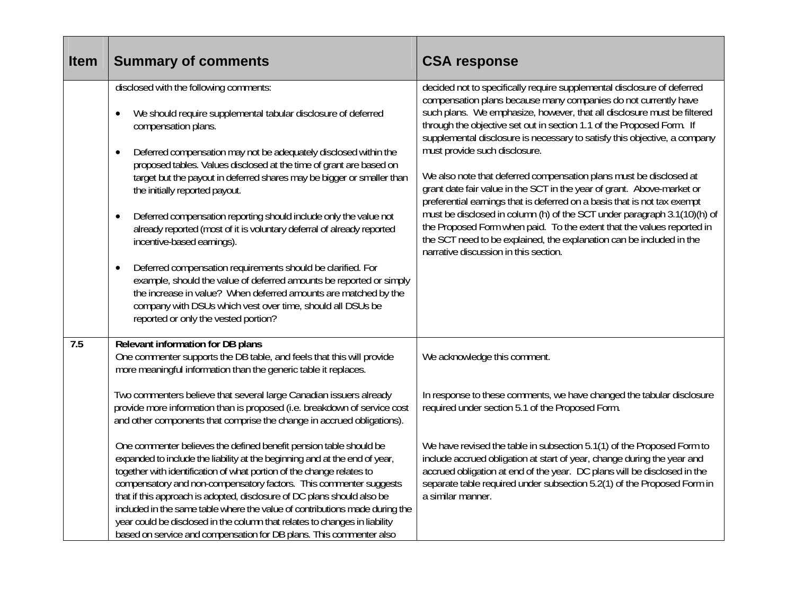| <b>Item</b> | <b>Summary of comments</b>                                                                                                                                                                                                                                                                                                                                                                                                                                                                                                                                                                                                                                                                                                                                                                                                                                                                                                            | <b>CSA response</b>                                                                                                                                                                                                                                                                                                                                                                                                                                                                                                                                                                                                                                                                                                                                                                                                                                                                                             |
|-------------|---------------------------------------------------------------------------------------------------------------------------------------------------------------------------------------------------------------------------------------------------------------------------------------------------------------------------------------------------------------------------------------------------------------------------------------------------------------------------------------------------------------------------------------------------------------------------------------------------------------------------------------------------------------------------------------------------------------------------------------------------------------------------------------------------------------------------------------------------------------------------------------------------------------------------------------|-----------------------------------------------------------------------------------------------------------------------------------------------------------------------------------------------------------------------------------------------------------------------------------------------------------------------------------------------------------------------------------------------------------------------------------------------------------------------------------------------------------------------------------------------------------------------------------------------------------------------------------------------------------------------------------------------------------------------------------------------------------------------------------------------------------------------------------------------------------------------------------------------------------------|
|             | disclosed with the following comments:<br>We should require supplemental tabular disclosure of deferred<br>$\bullet$<br>compensation plans.<br>Deferred compensation may not be adequately disclosed within the<br>$\bullet$<br>proposed tables. Values disclosed at the time of grant are based on<br>target but the payout in deferred shares may be bigger or smaller than<br>the initially reported payout.<br>Deferred compensation reporting should include only the value not<br>$\bullet$<br>already reported (most of it is voluntary deferral of already reported<br>incentive-based earnings).<br>Deferred compensation requirements should be clarified. For<br>$\bullet$<br>example, should the value of deferred amounts be reported or simply<br>the increase in value? When deferred amounts are matched by the<br>company with DSUs which vest over time, should all DSUs be<br>reported or only the vested portion? | decided not to specifically require supplemental disclosure of deferred<br>compensation plans because many companies do not currently have<br>such plans. We emphasize, however, that all disclosure must be filtered<br>through the objective set out in section 1.1 of the Proposed Form. If<br>supplemental disclosure is necessary to satisfy this objective, a company<br>must provide such disclosure.<br>We also note that deferred compensation plans must be disclosed at<br>grant date fair value in the SCT in the year of grant. Above-market or<br>preferential earnings that is deferred on a basis that is not tax exempt<br>must be disclosed in column (h) of the SCT under paragraph 3.1(10)(h) of<br>the Proposed Form when paid. To the extent that the values reported in<br>the SCT need to be explained, the explanation can be included in the<br>narrative discussion in this section. |
| 7.5         | Relevant information for DB plans<br>One commenter supports the DB table, and feels that this will provide<br>more meaningful information than the generic table it replaces.                                                                                                                                                                                                                                                                                                                                                                                                                                                                                                                                                                                                                                                                                                                                                         | We acknowledge this comment.                                                                                                                                                                                                                                                                                                                                                                                                                                                                                                                                                                                                                                                                                                                                                                                                                                                                                    |
|             | Two commenters believe that several large Canadian issuers already<br>provide more information than is proposed (i.e. breakdown of service cost<br>and other components that comprise the change in accrued obligations).                                                                                                                                                                                                                                                                                                                                                                                                                                                                                                                                                                                                                                                                                                             | In response to these comments, we have changed the tabular disclosure<br>required under section 5.1 of the Proposed Form.                                                                                                                                                                                                                                                                                                                                                                                                                                                                                                                                                                                                                                                                                                                                                                                       |
|             | One commenter believes the defined benefit pension table should be<br>expanded to include the liability at the beginning and at the end of year,<br>together with identification of what portion of the change relates to<br>compensatory and non-compensatory factors. This commenter suggests<br>that if this approach is adopted, disclosure of DC plans should also be<br>included in the same table where the value of contributions made during the<br>year could be disclosed in the column that relates to changes in liability<br>based on service and compensation for DB plans. This commenter also                                                                                                                                                                                                                                                                                                                        | We have revised the table in subsection 5.1(1) of the Proposed Form to<br>include accrued obligation at start of year, change during the year and<br>accrued obligation at end of the year. DC plans will be disclosed in the<br>separate table required under subsection 5.2(1) of the Proposed Form in<br>a similar manner.                                                                                                                                                                                                                                                                                                                                                                                                                                                                                                                                                                                   |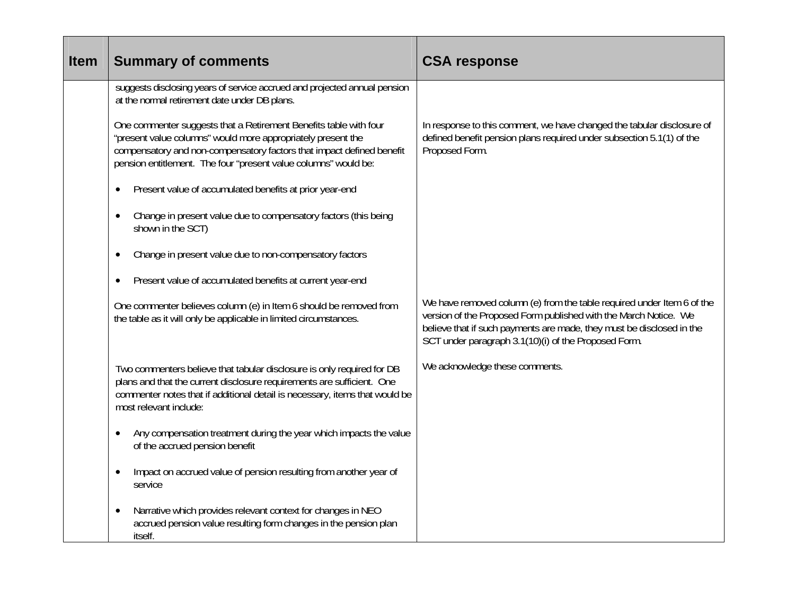| <b>Item</b> | <b>Summary of comments</b>                                                                                                                                                                                                                                                    | <b>CSA response</b>                                                                                                                                                                                                                                                         |
|-------------|-------------------------------------------------------------------------------------------------------------------------------------------------------------------------------------------------------------------------------------------------------------------------------|-----------------------------------------------------------------------------------------------------------------------------------------------------------------------------------------------------------------------------------------------------------------------------|
|             | suggests disclosing years of service accrued and projected annual pension<br>at the normal retirement date under DB plans.                                                                                                                                                    |                                                                                                                                                                                                                                                                             |
|             | One commenter suggests that a Retirement Benefits table with four<br>"present value columns" would more appropriately present the<br>compensatory and non-compensatory factors that impact defined benefit<br>pension entitlement. The four "present value columns" would be: | In response to this comment, we have changed the tabular disclosure of<br>defined benefit pension plans required under subsection 5.1(1) of the<br>Proposed Form.                                                                                                           |
|             | Present value of accumulated benefits at prior year-end<br>٠                                                                                                                                                                                                                  |                                                                                                                                                                                                                                                                             |
|             | Change in present value due to compensatory factors (this being<br>٠<br>shown in the SCT)                                                                                                                                                                                     |                                                                                                                                                                                                                                                                             |
|             | Change in present value due to non-compensatory factors                                                                                                                                                                                                                       |                                                                                                                                                                                                                                                                             |
|             | Present value of accumulated benefits at current year-end                                                                                                                                                                                                                     |                                                                                                                                                                                                                                                                             |
|             | One commenter believes column (e) in Item 6 should be removed from<br>the table as it will only be applicable in limited circumstances.                                                                                                                                       | We have removed column (e) from the table required under Item 6 of the<br>version of the Proposed Form published with the March Notice. We<br>believe that if such payments are made, they must be disclosed in the<br>SCT under paragraph 3.1(10)(i) of the Proposed Form. |
|             | Two commenters believe that tabular disclosure is only required for DB<br>plans and that the current disclosure requirements are sufficient. One<br>commenter notes that if additional detail is necessary, items that would be<br>most relevant include:                     | We acknowledge these comments.                                                                                                                                                                                                                                              |
|             | Any compensation treatment during the year which impacts the value<br>$\bullet$<br>of the accrued pension benefit                                                                                                                                                             |                                                                                                                                                                                                                                                                             |
|             | Impact on accrued value of pension resulting from another year of<br>service                                                                                                                                                                                                  |                                                                                                                                                                                                                                                                             |
|             | Narrative which provides relevant context for changes in NEO<br>$\bullet$<br>accrued pension value resulting form changes in the pension plan<br>itself.                                                                                                                      |                                                                                                                                                                                                                                                                             |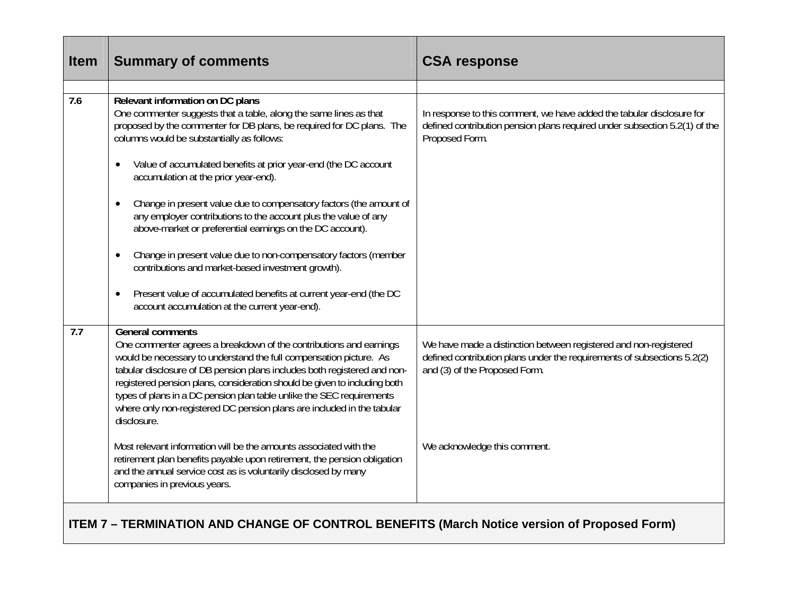| <b>Item</b> | <b>Summary of comments</b>                                                                                                                                                                                                                                                                                                                                                                                                                                                                                                                                 | <b>CSA response</b>                                                                                                                                                          |
|-------------|------------------------------------------------------------------------------------------------------------------------------------------------------------------------------------------------------------------------------------------------------------------------------------------------------------------------------------------------------------------------------------------------------------------------------------------------------------------------------------------------------------------------------------------------------------|------------------------------------------------------------------------------------------------------------------------------------------------------------------------------|
|             |                                                                                                                                                                                                                                                                                                                                                                                                                                                                                                                                                            |                                                                                                                                                                              |
| 7.6         | Relevant information on DC plans<br>One commenter suggests that a table, along the same lines as that<br>proposed by the commenter for DB plans, be required for DC plans. The<br>columns would be substantially as follows:<br>Value of accumulated benefits at prior year-end (the DC account<br>$\bullet$<br>accumulation at the prior year-end).<br>Change in present value due to compensatory factors (the amount of<br>any employer contributions to the account plus the value of any<br>above-market or preferential earnings on the DC account). | In response to this comment, we have added the tabular disclosure for<br>defined contribution pension plans required under subsection 5.2(1) of the<br>Proposed Form.        |
|             | Change in present value due to non-compensatory factors (member<br>$\bullet$<br>contributions and market-based investment growth).<br>Present value of accumulated benefits at current year-end (the DC<br>$\bullet$<br>account accumulation at the current year-end).                                                                                                                                                                                                                                                                                     |                                                                                                                                                                              |
| 7.7         | <b>General comments</b><br>One commenter agrees a breakdown of the contributions and earnings<br>would be necessary to understand the full compensation picture. As<br>tabular disclosure of DB pension plans includes both registered and non-<br>registered pension plans, consideration should be given to including both<br>types of plans in a DC pension plan table unlike the SEC requirements<br>where only non-registered DC pension plans are included in the tabular<br>disclosure.                                                             | We have made a distinction between registered and non-registered<br>defined contribution plans under the requirements of subsections 5.2(2)<br>and (3) of the Proposed Form. |
|             | Most relevant information will be the amounts associated with the<br>retirement plan benefits payable upon retirement, the pension obligation<br>and the annual service cost as is voluntarily disclosed by many<br>companies in previous years.                                                                                                                                                                                                                                                                                                           | We acknowledge this comment.                                                                                                                                                 |
|             | ITEM 7 - TERMINATION AND CHANGE OF CONTROL BENEFITS (March Notice version of Proposed Form)                                                                                                                                                                                                                                                                                                                                                                                                                                                                |                                                                                                                                                                              |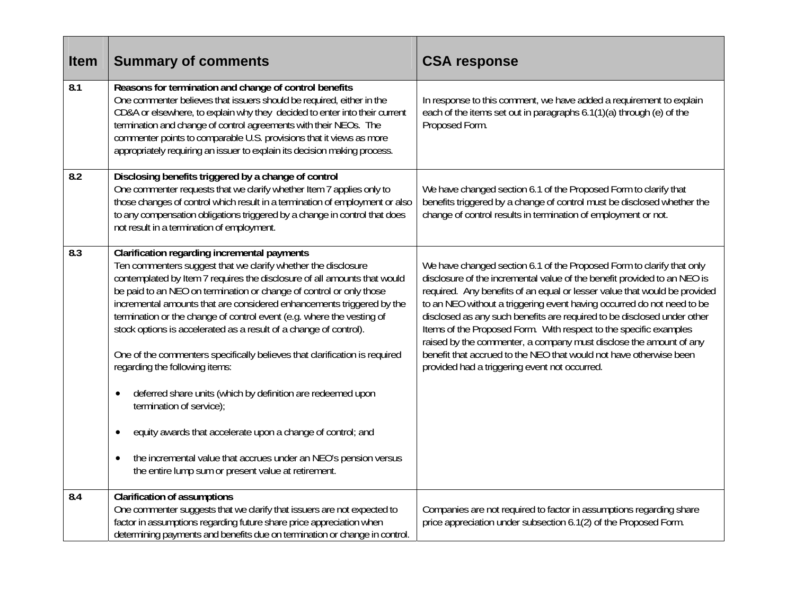| <b>Item</b> | <b>Summary of comments</b>                                                                                                                                                                                                                                                                                                                                                                                                                                                                                                                                                                                                                                                                                                                                                                                                                                                                                                                 | <b>CSA response</b>                                                                                                                                                                                                                                                                                                                                                                                                                                                                                                                                                                                                                                   |
|-------------|--------------------------------------------------------------------------------------------------------------------------------------------------------------------------------------------------------------------------------------------------------------------------------------------------------------------------------------------------------------------------------------------------------------------------------------------------------------------------------------------------------------------------------------------------------------------------------------------------------------------------------------------------------------------------------------------------------------------------------------------------------------------------------------------------------------------------------------------------------------------------------------------------------------------------------------------|-------------------------------------------------------------------------------------------------------------------------------------------------------------------------------------------------------------------------------------------------------------------------------------------------------------------------------------------------------------------------------------------------------------------------------------------------------------------------------------------------------------------------------------------------------------------------------------------------------------------------------------------------------|
| 8.1         | Reasons for termination and change of control benefits<br>One commenter believes that issuers should be required, either in the<br>CD&A or elsewhere, to explain why they decided to enter into their current<br>termination and change of control agreements with their NEOs. The<br>commenter points to comparable U.S. provisions that it views as more<br>appropriately requiring an issuer to explain its decision making process.                                                                                                                                                                                                                                                                                                                                                                                                                                                                                                    | In response to this comment, we have added a requirement to explain<br>each of the items set out in paragraphs 6.1(1)(a) through (e) of the<br>Proposed Form.                                                                                                                                                                                                                                                                                                                                                                                                                                                                                         |
| 8.2         | Disclosing benefits triggered by a change of control<br>One commenter requests that we clarify whether Item 7 applies only to<br>those changes of control which result in a termination of employment or also<br>to any compensation obligations triggered by a change in control that does<br>not result in a termination of employment.                                                                                                                                                                                                                                                                                                                                                                                                                                                                                                                                                                                                  | We have changed section 6.1 of the Proposed Form to clarify that<br>benefits triggered by a change of control must be disclosed whether the<br>change of control results in termination of employment or not.                                                                                                                                                                                                                                                                                                                                                                                                                                         |
| 8.3         | <b>Clarification regarding incremental payments</b><br>Ten commenters suggest that we clarify whether the disclosure<br>contemplated by Item 7 requires the disclosure of all amounts that would<br>be paid to an NEO on termination or change of control or only those<br>incremental amounts that are considered enhancements triggered by the<br>termination or the change of control event (e.g. where the vesting of<br>stock options is accelerated as a result of a change of control).<br>One of the commenters specifically believes that clarification is required<br>regarding the following items:<br>deferred share units (which by definition are redeemed upon<br>$\bullet$<br>termination of service);<br>equity awards that accelerate upon a change of control; and<br>$\bullet$<br>the incremental value that accrues under an NEO's pension versus<br>$\bullet$<br>the entire lump sum or present value at retirement. | We have changed section 6.1 of the Proposed Form to clarify that only<br>disclosure of the incremental value of the benefit provided to an NEO is<br>required. Any benefits of an equal or lesser value that would be provided<br>to an NEO without a triggering event having occurred do not need to be<br>disclosed as any such benefits are required to be disclosed under other<br>Items of the Proposed Form. With respect to the specific examples<br>raised by the commenter, a company must disclose the amount of any<br>benefit that accrued to the NEO that would not have otherwise been<br>provided had a triggering event not occurred. |
| 8.4         | <b>Clarification of assumptions</b><br>One commenter suggests that we clarify that issuers are not expected to<br>factor in assumptions regarding future share price appreciation when<br>determining payments and benefits due on termination or change in control.                                                                                                                                                                                                                                                                                                                                                                                                                                                                                                                                                                                                                                                                       | Companies are not required to factor in assumptions regarding share<br>price appreciation under subsection 6.1(2) of the Proposed Form.                                                                                                                                                                                                                                                                                                                                                                                                                                                                                                               |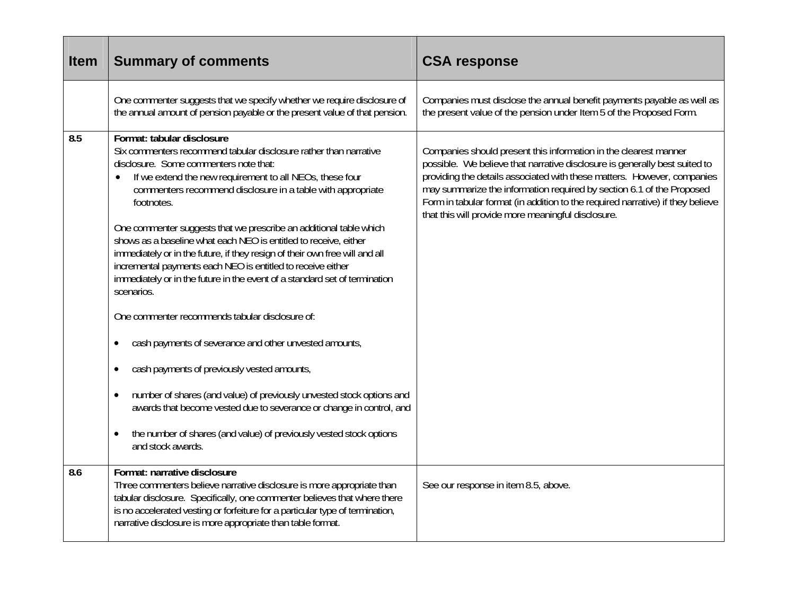| <b>Item</b> | <b>Summary of comments</b>                                                                                                                                                                                                                                                                                                                                                                                                                                                                                                                                                                                                                                                                                                                                                                                                                                                                                                                                                                                                                                                                   | <b>CSA response</b>                                                                                                                                                                                                                                                                                                                                                                                                                        |
|-------------|----------------------------------------------------------------------------------------------------------------------------------------------------------------------------------------------------------------------------------------------------------------------------------------------------------------------------------------------------------------------------------------------------------------------------------------------------------------------------------------------------------------------------------------------------------------------------------------------------------------------------------------------------------------------------------------------------------------------------------------------------------------------------------------------------------------------------------------------------------------------------------------------------------------------------------------------------------------------------------------------------------------------------------------------------------------------------------------------|--------------------------------------------------------------------------------------------------------------------------------------------------------------------------------------------------------------------------------------------------------------------------------------------------------------------------------------------------------------------------------------------------------------------------------------------|
|             | One commenter suggests that we specify whether we require disclosure of<br>the annual amount of pension payable or the present value of that pension.                                                                                                                                                                                                                                                                                                                                                                                                                                                                                                                                                                                                                                                                                                                                                                                                                                                                                                                                        | Companies must disclose the annual benefit payments payable as well as<br>the present value of the pension under Item 5 of the Proposed Form.                                                                                                                                                                                                                                                                                              |
| 8.5         | Format: tabular disclosure<br>Six commenters recommend tabular disclosure rather than narrative<br>disclosure. Some commenters note that:<br>If we extend the new requirement to all NEOs, these four<br>$\bullet$<br>commenters recommend disclosure in a table with appropriate<br>footnotes.<br>One commenter suggests that we prescribe an additional table which<br>shows as a baseline what each NEO is entitled to receive, either<br>immediately or in the future, if they resign of their own free will and all<br>incremental payments each NEO is entitled to receive either<br>immediately or in the future in the event of a standard set of termination<br>scenarios.<br>One commenter recommends tabular disclosure of:<br>cash payments of severance and other unvested amounts,<br>cash payments of previously vested amounts,<br>number of shares (and value) of previously unvested stock options and<br>awards that become vested due to severance or change in control, and<br>the number of shares (and value) of previously vested stock options<br>and stock awards. | Companies should present this information in the clearest manner<br>possible. We believe that narrative disclosure is generally best suited to<br>providing the details associated with these matters. However, companies<br>may summarize the information required by section 6.1 of the Proposed<br>Form in tabular format (in addition to the required narrative) if they believe<br>that this will provide more meaningful disclosure. |
| 8.6         | Format: narrative disclosure<br>Three commenters believe narrative disclosure is more appropriate than<br>tabular disclosure. Specifically, one commenter believes that where there<br>is no accelerated vesting or forfeiture for a particular type of termination,<br>narrative disclosure is more appropriate than table format.                                                                                                                                                                                                                                                                                                                                                                                                                                                                                                                                                                                                                                                                                                                                                          | See our response in item 8.5, above.                                                                                                                                                                                                                                                                                                                                                                                                       |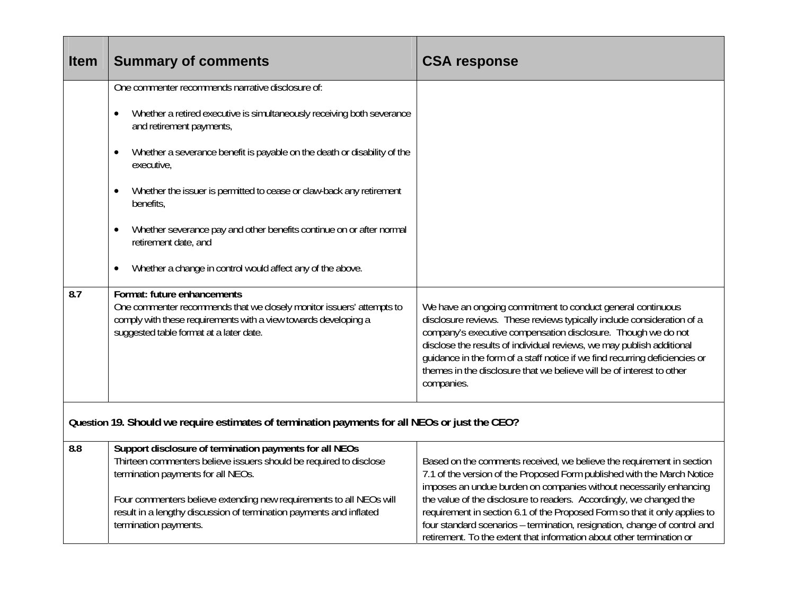| <b>Item</b>                                                                                    | <b>Summary of comments</b>                                                                                                                                                                                                                                                                                                                          | <b>CSA response</b>                                                                                                                                                                                                                                                                                                                                                                                                                                                                                                               |
|------------------------------------------------------------------------------------------------|-----------------------------------------------------------------------------------------------------------------------------------------------------------------------------------------------------------------------------------------------------------------------------------------------------------------------------------------------------|-----------------------------------------------------------------------------------------------------------------------------------------------------------------------------------------------------------------------------------------------------------------------------------------------------------------------------------------------------------------------------------------------------------------------------------------------------------------------------------------------------------------------------------|
|                                                                                                | One commenter recommends narrative disclosure of:<br>Whether a retired executive is simultaneously receiving both severance<br>$\bullet$<br>and retirement payments,<br>Whether a severance benefit is payable on the death or disability of the<br>executive,<br>Whether the issuer is permitted to cease or claw-back any retirement<br>benefits, |                                                                                                                                                                                                                                                                                                                                                                                                                                                                                                                                   |
|                                                                                                | Whether severance pay and other benefits continue on or after normal<br>retirement date, and<br>Whether a change in control would affect any of the above.                                                                                                                                                                                          |                                                                                                                                                                                                                                                                                                                                                                                                                                                                                                                                   |
| 8.7                                                                                            | Format: future enhancements<br>One commenter recommends that we closely monitor issuers' attempts to<br>comply with these requirements with a view towards developing a<br>suggested table format at a later date.                                                                                                                                  | We have an ongoing commitment to conduct general continuous<br>disclosure reviews. These reviews typically include consideration of a<br>company's executive compensation disclosure. Though we do not<br>disclose the results of individual reviews, we may publish additional<br>guidance in the form of a staff notice if we find recurring deficiencies or<br>themes in the disclosure that we believe will be of interest to other<br>companies.                                                                             |
| Question 19. Should we require estimates of termination payments for all NEOs or just the CEO? |                                                                                                                                                                                                                                                                                                                                                     |                                                                                                                                                                                                                                                                                                                                                                                                                                                                                                                                   |
| 8.8                                                                                            | Support disclosure of termination payments for all NEOs<br>Thirteen commenters believe issuers should be required to disclose<br>termination payments for all NEOs.<br>Four commenters believe extending new requirements to all NEOs will<br>result in a lengthy discussion of termination payments and inflated<br>termination payments.          | Based on the comments received, we believe the requirement in section<br>7.1 of the version of the Proposed Form published with the March Notice<br>imposes an undue burden on companies without necessarily enhancing<br>the value of the disclosure to readers. Accordingly, we changed the<br>requirement in section 6.1 of the Proposed Form so that it only applies to<br>four standard scenarios - termination, resignation, change of control and<br>retirement. To the extent that information about other termination or |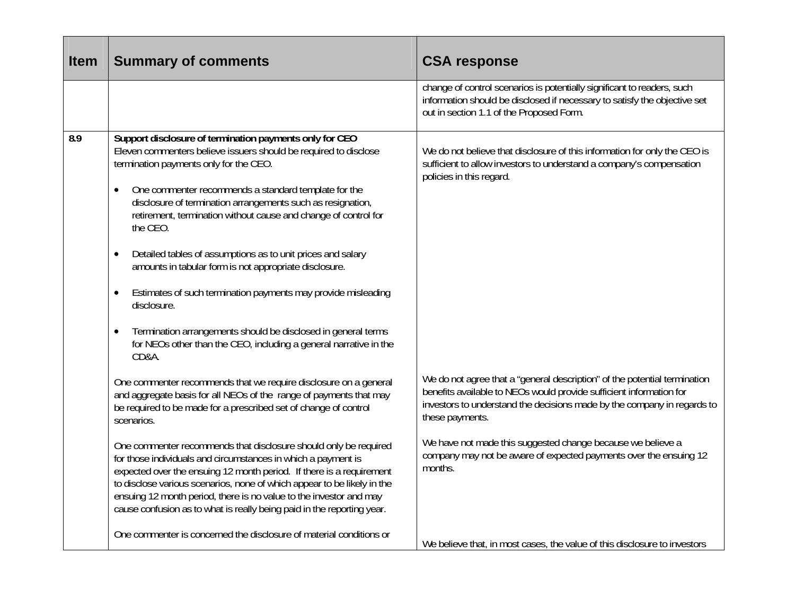| <b>Item</b> | <b>Summary of comments</b>                                                                                                                                                                                                                                                                                                                                                                                                           | <b>CSA response</b>                                                                                                                                                                                                                            |
|-------------|--------------------------------------------------------------------------------------------------------------------------------------------------------------------------------------------------------------------------------------------------------------------------------------------------------------------------------------------------------------------------------------------------------------------------------------|------------------------------------------------------------------------------------------------------------------------------------------------------------------------------------------------------------------------------------------------|
|             |                                                                                                                                                                                                                                                                                                                                                                                                                                      | change of control scenarios is potentially significant to readers, such<br>information should be disclosed if necessary to satisfy the objective set<br>out in section 1.1 of the Proposed Form.                                               |
| 8.9         | Support disclosure of termination payments only for CEO<br>Eleven commenters believe issuers should be required to disclose<br>termination payments only for the CEO.                                                                                                                                                                                                                                                                | We do not believe that disclosure of this information for only the CEO is<br>sufficient to allow investors to understand a company's compensation<br>policies in this regard.                                                                  |
|             | One commenter recommends a standard template for the<br>$\bullet$<br>disclosure of termination arrangements such as resignation,<br>retirement, termination without cause and change of control for<br>the CEO.                                                                                                                                                                                                                      |                                                                                                                                                                                                                                                |
|             | Detailed tables of assumptions as to unit prices and salary<br>$\bullet$<br>amounts in tabular form is not appropriate disclosure.                                                                                                                                                                                                                                                                                                   |                                                                                                                                                                                                                                                |
|             | Estimates of such termination payments may provide misleading<br>$\bullet$<br>disclosure.                                                                                                                                                                                                                                                                                                                                            |                                                                                                                                                                                                                                                |
|             | Termination arrangements should be disclosed in general terms<br>for NEOs other than the CEO, including a general narrative in the<br>CD&A.                                                                                                                                                                                                                                                                                          |                                                                                                                                                                                                                                                |
|             | One commenter recommends that we require disclosure on a general<br>and aggregate basis for all NEOs of the range of payments that may<br>be required to be made for a prescribed set of change of control<br>scenarios.                                                                                                                                                                                                             | We do not agree that a "general description" of the potential termination<br>benefits available to NEOs would provide sufficient information for<br>investors to understand the decisions made by the company in regards to<br>these payments. |
|             | One commenter recommends that disclosure should only be required<br>for those individuals and circumstances in which a payment is<br>expected over the ensuing 12 month period. If there is a requirement<br>to disclose various scenarios, none of which appear to be likely in the<br>ensuing 12 month period, there is no value to the investor and may<br>cause confusion as to what is really being paid in the reporting year. | We have not made this suggested change because we believe a<br>company may not be aware of expected payments over the ensuing 12<br>months.                                                                                                    |
|             | One commenter is concerned the disclosure of material conditions or                                                                                                                                                                                                                                                                                                                                                                  | We believe that, in most cases, the value of this disclosure to investors                                                                                                                                                                      |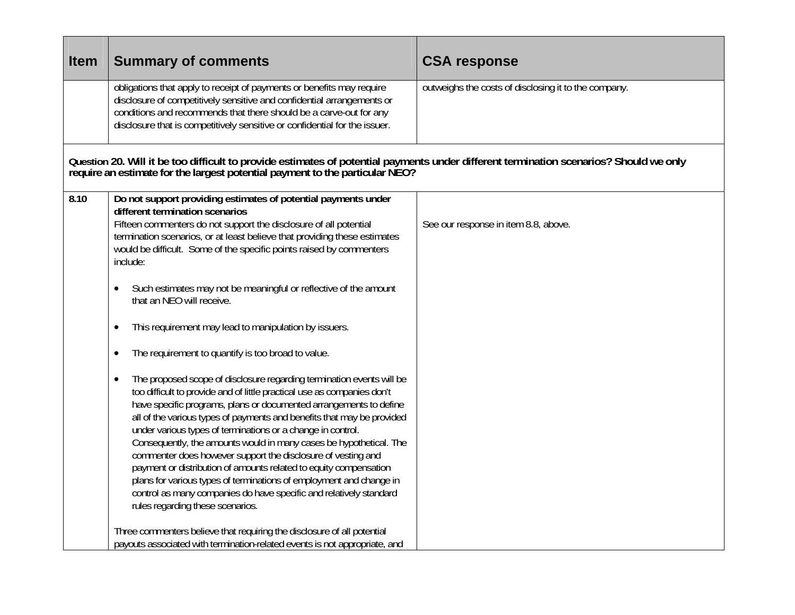| <b>Item</b> | <b>Summary of comments</b>                                                                                                                                                                                                                                                                                                                                                                                                                                                                                                                                                                                                                                                                                                                                                                                                                  | <b>CSA response</b>                                  |
|-------------|---------------------------------------------------------------------------------------------------------------------------------------------------------------------------------------------------------------------------------------------------------------------------------------------------------------------------------------------------------------------------------------------------------------------------------------------------------------------------------------------------------------------------------------------------------------------------------------------------------------------------------------------------------------------------------------------------------------------------------------------------------------------------------------------------------------------------------------------|------------------------------------------------------|
|             | obligations that apply to receipt of payments or benefits may require<br>disclosure of competitively sensitive and confidential arrangements or<br>conditions and recommends that there should be a carve-out for any<br>disclosure that is competitively sensitive or confidential for the issuer.                                                                                                                                                                                                                                                                                                                                                                                                                                                                                                                                         | outweighs the costs of disclosing it to the company. |
|             | Question 20. Will it be too difficult to provide estimates of potential payments under different termination scenarios? Should we only<br>require an estimate for the largest potential payment to the particular NEO?                                                                                                                                                                                                                                                                                                                                                                                                                                                                                                                                                                                                                      |                                                      |
| 8.10        | Do not support providing estimates of potential payments under<br>different termination scenarios<br>Fifteen commenters do not support the disclosure of all potential<br>termination scenarios, or at least believe that providing these estimates<br>would be difficult. Some of the specific points raised by commenters<br>include:                                                                                                                                                                                                                                                                                                                                                                                                                                                                                                     | See our response in item 8.8, above.                 |
|             | Such estimates may not be meaningful or reflective of the amount<br>that an NEO will receive.<br>This requirement may lead to manipulation by issuers.<br>$\bullet$                                                                                                                                                                                                                                                                                                                                                                                                                                                                                                                                                                                                                                                                         |                                                      |
|             | The requirement to quantify is too broad to value.<br>$\bullet$<br>The proposed scope of disclosure regarding termination events will be<br>$\bullet$<br>too difficult to provide and of little practical use as companies don't<br>have specific programs, plans or documented arrangements to define<br>all of the various types of payments and benefits that may be provided<br>under various types of terminations or a change in control.<br>Consequently, the amounts would in many cases be hypothetical. The<br>commenter does however support the disclosure of vesting and<br>payment or distribution of amounts related to equity compensation<br>plans for various types of terminations of employment and change in<br>control as many companies do have specific and relatively standard<br>rules regarding these scenarios. |                                                      |
|             | Three commenters believe that requiring the disclosure of all potential<br>payouts associated with termination-related events is not appropriate, and                                                                                                                                                                                                                                                                                                                                                                                                                                                                                                                                                                                                                                                                                       |                                                      |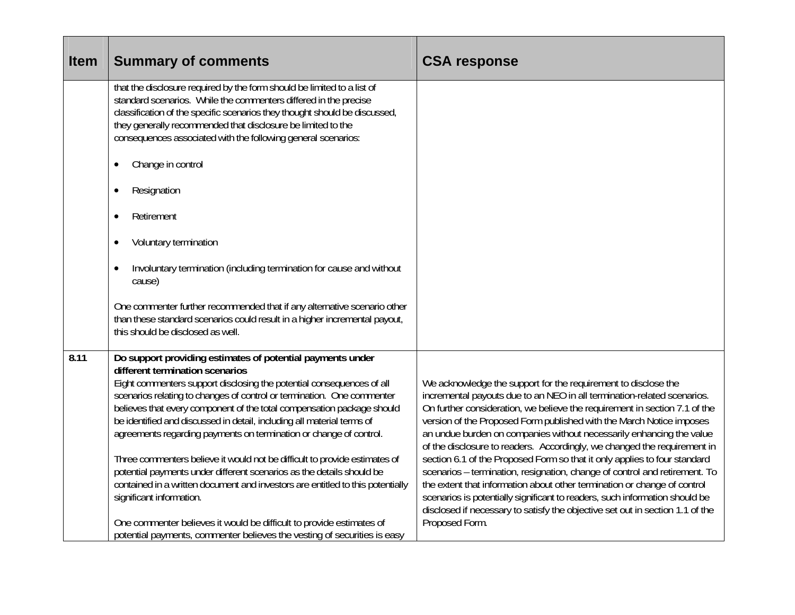| <b>Item</b> | <b>Summary of comments</b>                                                                                                                                                                                                                                                                                                                                                                                                                                                                                                                                                                                                                     | <b>CSA response</b>                                                                                                                                                                                                                                                                                                                                                                                                                                                                                                                                                                                                                                                                                                                                                                                                                                        |
|-------------|------------------------------------------------------------------------------------------------------------------------------------------------------------------------------------------------------------------------------------------------------------------------------------------------------------------------------------------------------------------------------------------------------------------------------------------------------------------------------------------------------------------------------------------------------------------------------------------------------------------------------------------------|------------------------------------------------------------------------------------------------------------------------------------------------------------------------------------------------------------------------------------------------------------------------------------------------------------------------------------------------------------------------------------------------------------------------------------------------------------------------------------------------------------------------------------------------------------------------------------------------------------------------------------------------------------------------------------------------------------------------------------------------------------------------------------------------------------------------------------------------------------|
|             | that the disclosure required by the form should be limited to a list of<br>standard scenarios. While the commenters differed in the precise<br>classification of the specific scenarios they thought should be discussed,<br>they generally recommended that disclosure be limited to the<br>consequences associated with the following general scenarios:                                                                                                                                                                                                                                                                                     |                                                                                                                                                                                                                                                                                                                                                                                                                                                                                                                                                                                                                                                                                                                                                                                                                                                            |
|             | Change in control<br>$\bullet$                                                                                                                                                                                                                                                                                                                                                                                                                                                                                                                                                                                                                 |                                                                                                                                                                                                                                                                                                                                                                                                                                                                                                                                                                                                                                                                                                                                                                                                                                                            |
|             | Resignation<br>$\bullet$                                                                                                                                                                                                                                                                                                                                                                                                                                                                                                                                                                                                                       |                                                                                                                                                                                                                                                                                                                                                                                                                                                                                                                                                                                                                                                                                                                                                                                                                                                            |
|             | Retirement<br>$\bullet$                                                                                                                                                                                                                                                                                                                                                                                                                                                                                                                                                                                                                        |                                                                                                                                                                                                                                                                                                                                                                                                                                                                                                                                                                                                                                                                                                                                                                                                                                                            |
|             | Voluntary termination                                                                                                                                                                                                                                                                                                                                                                                                                                                                                                                                                                                                                          |                                                                                                                                                                                                                                                                                                                                                                                                                                                                                                                                                                                                                                                                                                                                                                                                                                                            |
|             | Involuntary termination (including termination for cause and without<br>cause)                                                                                                                                                                                                                                                                                                                                                                                                                                                                                                                                                                 |                                                                                                                                                                                                                                                                                                                                                                                                                                                                                                                                                                                                                                                                                                                                                                                                                                                            |
|             | One commenter further recommended that if any alternative scenario other<br>than these standard scenarios could result in a higher incremental payout,<br>this should be disclosed as well.                                                                                                                                                                                                                                                                                                                                                                                                                                                    |                                                                                                                                                                                                                                                                                                                                                                                                                                                                                                                                                                                                                                                                                                                                                                                                                                                            |
| 8.11        | Do support providing estimates of potential payments under<br>different termination scenarios                                                                                                                                                                                                                                                                                                                                                                                                                                                                                                                                                  |                                                                                                                                                                                                                                                                                                                                                                                                                                                                                                                                                                                                                                                                                                                                                                                                                                                            |
|             | Eight commenters support disclosing the potential consequences of all<br>scenarios relating to changes of control or termination. One commenter<br>believes that every component of the total compensation package should<br>be identified and discussed in detail, including all material terms of<br>agreements regarding payments on termination or change of control.<br>Three commenters believe it would not be difficult to provide estimates of<br>potential payments under different scenarios as the details should be<br>contained in a written document and investors are entitled to this potentially<br>significant information. | We acknowledge the support for the requirement to disclose the<br>incremental payouts due to an NEO in all termination-related scenarios.<br>On further consideration, we believe the requirement in section 7.1 of the<br>version of the Proposed Form published with the March Notice imposes<br>an undue burden on companies without necessarily enhancing the value<br>of the disclosure to readers. Accordingly, we changed the requirement in<br>section 6.1 of the Proposed Form so that it only applies to four standard<br>scenarios - termination, resignation, change of control and retirement. To<br>the extent that information about other termination or change of control<br>scenarios is potentially significant to readers, such information should be<br>disclosed if necessary to satisfy the objective set out in section 1.1 of the |
|             | One commenter believes it would be difficult to provide estimates of<br>potential payments, commenter believes the vesting of securities is easy                                                                                                                                                                                                                                                                                                                                                                                                                                                                                               | Proposed Form.                                                                                                                                                                                                                                                                                                                                                                                                                                                                                                                                                                                                                                                                                                                                                                                                                                             |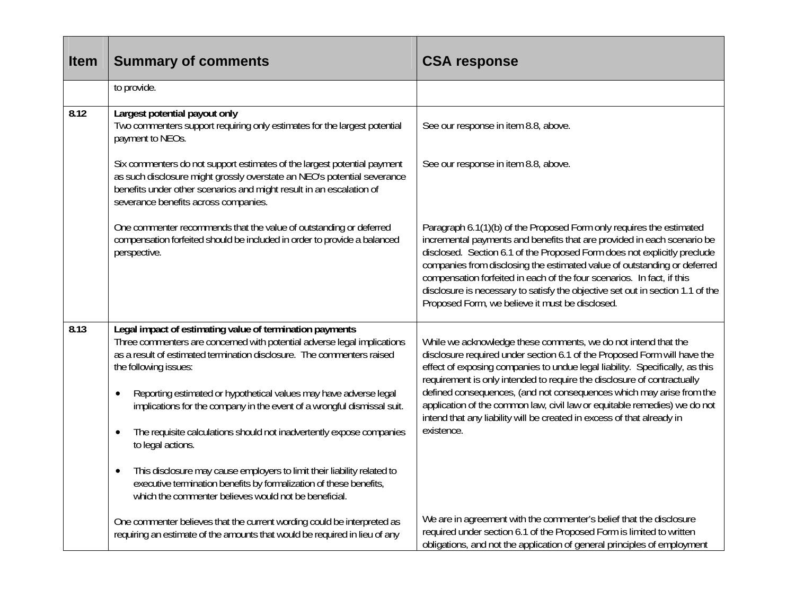| <b>Item</b> | <b>Summary of comments</b>                                                                                                                                                                                                                                                                                                                                                                                                                                                                                                                                                                                                                                                                                                            | <b>CSA response</b>                                                                                                                                                                                                                                                                                                                                                                                                                                                                                                                                |
|-------------|---------------------------------------------------------------------------------------------------------------------------------------------------------------------------------------------------------------------------------------------------------------------------------------------------------------------------------------------------------------------------------------------------------------------------------------------------------------------------------------------------------------------------------------------------------------------------------------------------------------------------------------------------------------------------------------------------------------------------------------|----------------------------------------------------------------------------------------------------------------------------------------------------------------------------------------------------------------------------------------------------------------------------------------------------------------------------------------------------------------------------------------------------------------------------------------------------------------------------------------------------------------------------------------------------|
|             | to provide.                                                                                                                                                                                                                                                                                                                                                                                                                                                                                                                                                                                                                                                                                                                           |                                                                                                                                                                                                                                                                                                                                                                                                                                                                                                                                                    |
| 8.12        | Largest potential payout only<br>Two commenters support requiring only estimates for the largest potential<br>payment to NEOs.                                                                                                                                                                                                                                                                                                                                                                                                                                                                                                                                                                                                        | See our response in item 8.8, above.                                                                                                                                                                                                                                                                                                                                                                                                                                                                                                               |
|             | Six commenters do not support estimates of the largest potential payment<br>as such disclosure might grossly overstate an NEO's potential severance<br>benefits under other scenarios and might result in an escalation of<br>severance benefits across companies.                                                                                                                                                                                                                                                                                                                                                                                                                                                                    | See our response in item 8.8, above.                                                                                                                                                                                                                                                                                                                                                                                                                                                                                                               |
|             | One commenter recommends that the value of outstanding or deferred<br>compensation forfeited should be included in order to provide a balanced<br>perspective.                                                                                                                                                                                                                                                                                                                                                                                                                                                                                                                                                                        | Paragraph 6.1(1)(b) of the Proposed Form only requires the estimated<br>incremental payments and benefits that are provided in each scenario be<br>disclosed. Section 6.1 of the Proposed Form does not explicitly preclude<br>companies from disclosing the estimated value of outstanding or deferred<br>compensation forfeited in each of the four scenarios. In fact, if this<br>disclosure is necessary to satisfy the objective set out in section 1.1 of the<br>Proposed Form, we believe it must be disclosed.                             |
| 8.13        | Legal impact of estimating value of termination payments<br>Three commenters are concerned with potential adverse legal implications<br>as a result of estimated termination disclosure. The commenters raised<br>the following issues:<br>Reporting estimated or hypothetical values may have adverse legal<br>$\bullet$<br>implications for the company in the event of a wrongful dismissal suit.<br>The requisite calculations should not inadvertently expose companies<br>$\bullet$<br>to legal actions.<br>This disclosure may cause employers to limit their liability related to<br>$\bullet$<br>executive termination benefits by formalization of these benefits,<br>which the commenter believes would not be beneficial. | While we acknowledge these comments, we do not intend that the<br>disclosure required under section 6.1 of the Proposed Form will have the<br>effect of exposing companies to undue legal liability. Specifically, as this<br>requirement is only intended to require the disclosure of contractually<br>defined consequences, (and not consequences which may arise from the<br>application of the common law, civil law or equitable remedies) we do not<br>intend that any liability will be created in excess of that already in<br>existence. |
|             | One commenter believes that the current wording could be interpreted as<br>requiring an estimate of the amounts that would be required in lieu of any                                                                                                                                                                                                                                                                                                                                                                                                                                                                                                                                                                                 | We are in agreement with the commenter's belief that the disclosure<br>required under section 6.1 of the Proposed Form is limited to written<br>obligations, and not the application of general principles of employment                                                                                                                                                                                                                                                                                                                           |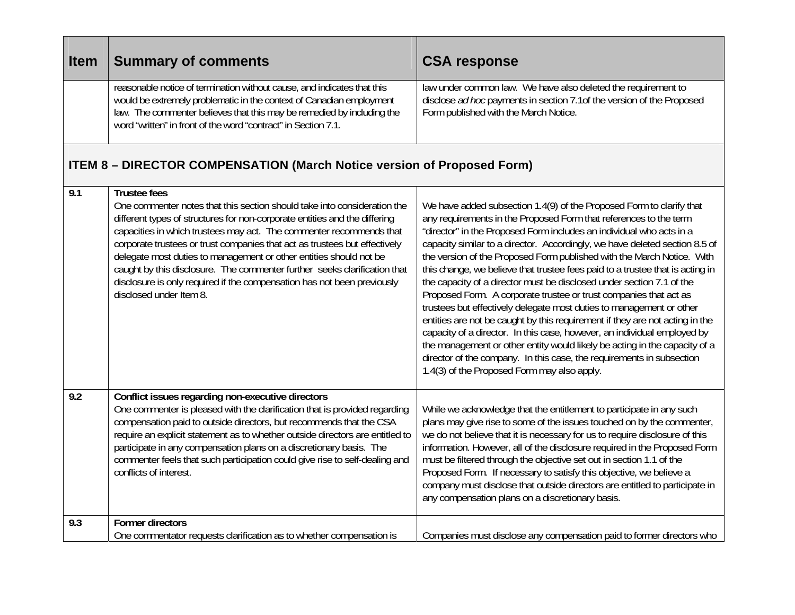| <b>Item</b> | <b>Summary of comments</b>                                                                                                                                                                                                                                                                                                                                                                                                                                                                                                                                                                  | <b>CSA response</b>                                                                                                                                                                                                                                                                                                                                                                                                                                                                                                                                                                                                                                                                                                                                                                                                                                                                                                                                                                                                                                 |
|-------------|---------------------------------------------------------------------------------------------------------------------------------------------------------------------------------------------------------------------------------------------------------------------------------------------------------------------------------------------------------------------------------------------------------------------------------------------------------------------------------------------------------------------------------------------------------------------------------------------|-----------------------------------------------------------------------------------------------------------------------------------------------------------------------------------------------------------------------------------------------------------------------------------------------------------------------------------------------------------------------------------------------------------------------------------------------------------------------------------------------------------------------------------------------------------------------------------------------------------------------------------------------------------------------------------------------------------------------------------------------------------------------------------------------------------------------------------------------------------------------------------------------------------------------------------------------------------------------------------------------------------------------------------------------------|
|             | reasonable notice of termination without cause, and indicates that this<br>would be extremely problematic in the context of Canadian employment<br>law. The commenter believes that this may be remedied by including the<br>word "written" in front of the word "contract" in Section 7.1.                                                                                                                                                                                                                                                                                                 | law under common law. We have also deleted the requirement to<br>disclose ad hoc payments in section 7.1of the version of the Proposed<br>Form published with the March Notice.                                                                                                                                                                                                                                                                                                                                                                                                                                                                                                                                                                                                                                                                                                                                                                                                                                                                     |
|             | <b>ITEM 8 - DIRECTOR COMPENSATION (March Notice version of Proposed Form)</b>                                                                                                                                                                                                                                                                                                                                                                                                                                                                                                               |                                                                                                                                                                                                                                                                                                                                                                                                                                                                                                                                                                                                                                                                                                                                                                                                                                                                                                                                                                                                                                                     |
| 9.1         | <b>Trustee fees</b><br>One commenter notes that this section should take into consideration the<br>different types of structures for non-corporate entities and the differing<br>capacities in which trustees may act. The commenter recommends that<br>corporate trustees or trust companies that act as trustees but effectively<br>delegate most duties to management or other entities should not be<br>caught by this disclosure. The commenter further seeks clarification that<br>disclosure is only required if the compensation has not been previously<br>disclosed under Item 8. | We have added subsection 1.4(9) of the Proposed Form to clarify that<br>any requirements in the Proposed Form that references to the term<br>"director" in the Proposed Form includes an individual who acts in a<br>capacity similar to a director. Accordingly, we have deleted section 8.5 of<br>the version of the Proposed Form published with the March Notice. With<br>this change, we believe that trustee fees paid to a trustee that is acting in<br>the capacity of a director must be disclosed under section 7.1 of the<br>Proposed Form. A corporate trustee or trust companies that act as<br>trustees but effectively delegate most duties to management or other<br>entities are not be caught by this requirement if they are not acting in the<br>capacity of a director. In this case, however, an individual employed by<br>the management or other entity would likely be acting in the capacity of a<br>director of the company. In this case, the requirements in subsection<br>1.4(3) of the Proposed Form may also apply. |
| 9.2         | Conflict issues regarding non-executive directors<br>One commenter is pleased with the clarification that is provided regarding<br>compensation paid to outside directors, but recommends that the CSA<br>require an explicit statement as to whether outside directors are entitled to<br>participate in any compensation plans on a discretionary basis. The<br>commenter feels that such participation could give rise to self-dealing and<br>conflicts of interest.                                                                                                                     | While we acknowledge that the entitlement to participate in any such<br>plans may give rise to some of the issues touched on by the commenter,<br>we do not believe that it is necessary for us to require disclosure of this<br>information. However, all of the disclosure required in the Proposed Form<br>must be filtered through the objective set out in section 1.1 of the<br>Proposed Form. If necessary to satisfy this objective, we believe a<br>company must disclose that outside directors are entitled to participate in<br>any compensation plans on a discretionary basis.                                                                                                                                                                                                                                                                                                                                                                                                                                                        |
| 9.3         | <b>Former directors</b><br>One commentator requests clarification as to whether compensation is                                                                                                                                                                                                                                                                                                                                                                                                                                                                                             | Companies must disclose any compensation paid to former directors who                                                                                                                                                                                                                                                                                                                                                                                                                                                                                                                                                                                                                                                                                                                                                                                                                                                                                                                                                                               |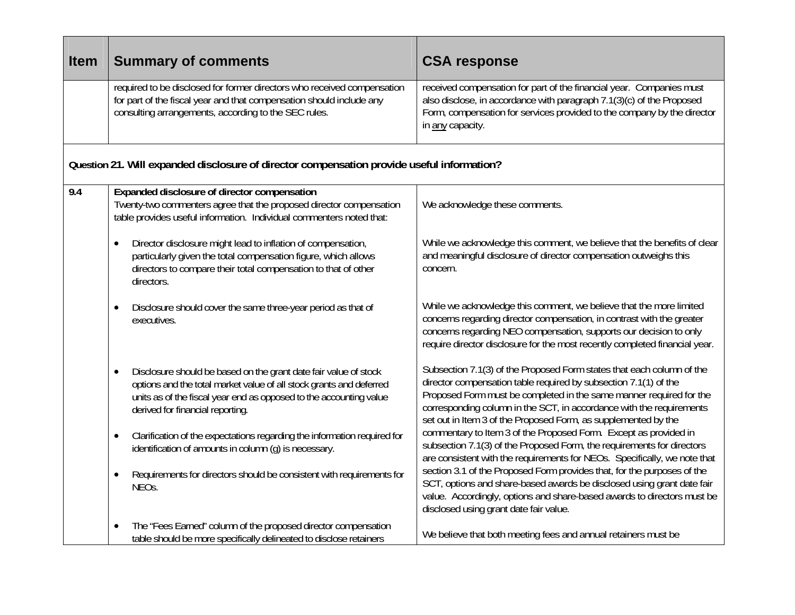| <b>Item</b> | <b>Summary of comments</b>                                                                                                                                                                                                                        | <b>CSA response</b>                                                                                                                                                                                                                                                                                                                                        |
|-------------|---------------------------------------------------------------------------------------------------------------------------------------------------------------------------------------------------------------------------------------------------|------------------------------------------------------------------------------------------------------------------------------------------------------------------------------------------------------------------------------------------------------------------------------------------------------------------------------------------------------------|
|             | required to be disclosed for former directors who received compensation<br>for part of the fiscal year and that compensation should include any<br>consulting arrangements, according to the SEC rules.                                           | received compensation for part of the financial year. Companies must<br>also disclose, in accordance with paragraph 7.1(3)(c) of the Proposed<br>Form, compensation for services provided to the company by the director<br>in any capacity.                                                                                                               |
|             | Question 21. Will expanded disclosure of director compensation provide useful information?                                                                                                                                                        |                                                                                                                                                                                                                                                                                                                                                            |
| 9.4         | Expanded disclosure of director compensation<br>Twenty-two commenters agree that the proposed director compensation<br>table provides useful information. Individual commenters noted that:                                                       | We acknowledge these comments.                                                                                                                                                                                                                                                                                                                             |
|             | Director disclosure might lead to inflation of compensation,<br>particularly given the total compensation figure, which allows<br>directors to compare their total compensation to that of other<br>directors.                                    | While we acknowledge this comment, we believe that the benefits of clear<br>and meaningful disclosure of director compensation outweighs this<br>concern.                                                                                                                                                                                                  |
|             | Disclosure should cover the same three-year period as that of<br>$\bullet$<br>executives.                                                                                                                                                         | While we acknowledge this comment, we believe that the more limited<br>concerns regarding director compensation, in contrast with the greater<br>concerns regarding NEO compensation, supports our decision to only<br>require director disclosure for the most recently completed financial year.                                                         |
|             | Disclosure should be based on the grant date fair value of stock<br>options and the total market value of all stock grants and deferred<br>units as of the fiscal year end as opposed to the accounting value<br>derived for financial reporting. | Subsection 7.1(3) of the Proposed Form states that each column of the<br>director compensation table required by subsection 7.1(1) of the<br>Proposed Form must be completed in the same manner required for the<br>corresponding column in the SCT, in accordance with the requirements<br>set out in Item 3 of the Proposed Form, as supplemented by the |
|             | Clarification of the expectations regarding the information required for<br>$\bullet$<br>identification of amounts in column (g) is necessary.                                                                                                    | commentary to Item 3 of the Proposed Form. Except as provided in<br>subsection 7.1(3) of the Proposed Form, the requirements for directors<br>are consistent with the requirements for NEOs. Specifically, we note that                                                                                                                                    |
|             | Requirements for directors should be consistent with requirements for<br>NEO <sub>s</sub> .                                                                                                                                                       | section 3.1 of the Proposed Form provides that, for the purposes of the<br>SCT, options and share-based awards be disclosed using grant date fair<br>value. Accordingly, options and share-based awards to directors must be<br>disclosed using grant date fair value.                                                                                     |
|             | The "Fees Earned" column of the proposed director compensation<br>table should be more specifically delineated to disclose retainers                                                                                                              | We believe that both meeting fees and annual retainers must be                                                                                                                                                                                                                                                                                             |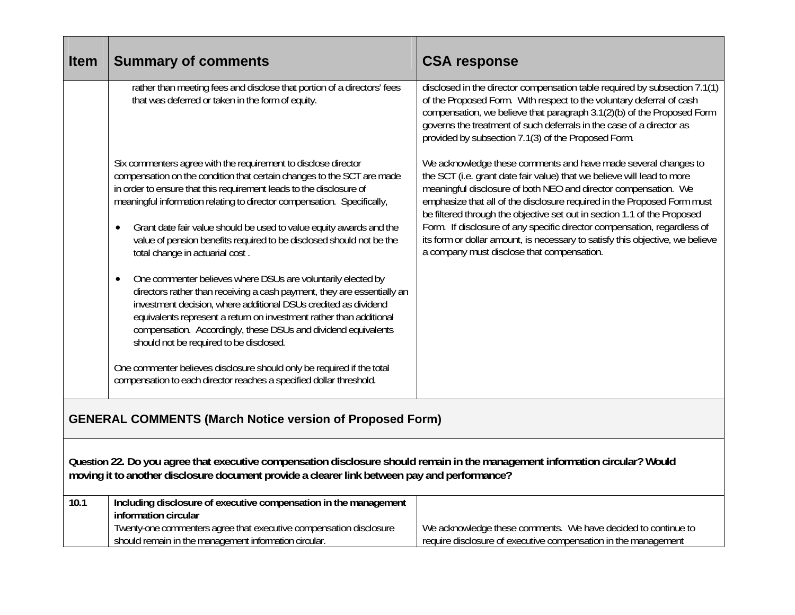| <b>Item</b> | <b>Summary of comments</b>                                                                                                                                                                                                                                                                                                                                                                                                                                                                                                                                                                                                                                                                                                                                                                                                                                                                                                                                                                                                                   | <b>CSA response</b>                                                                                                                                                                                                                                                                                                                                                                                                                                                                                                                                                           |
|-------------|----------------------------------------------------------------------------------------------------------------------------------------------------------------------------------------------------------------------------------------------------------------------------------------------------------------------------------------------------------------------------------------------------------------------------------------------------------------------------------------------------------------------------------------------------------------------------------------------------------------------------------------------------------------------------------------------------------------------------------------------------------------------------------------------------------------------------------------------------------------------------------------------------------------------------------------------------------------------------------------------------------------------------------------------|-------------------------------------------------------------------------------------------------------------------------------------------------------------------------------------------------------------------------------------------------------------------------------------------------------------------------------------------------------------------------------------------------------------------------------------------------------------------------------------------------------------------------------------------------------------------------------|
|             | rather than meeting fees and disclose that portion of a directors' fees<br>that was deferred or taken in the form of equity.                                                                                                                                                                                                                                                                                                                                                                                                                                                                                                                                                                                                                                                                                                                                                                                                                                                                                                                 | disclosed in the director compensation table required by subsection 7.1(1)<br>of the Proposed Form. With respect to the voluntary deferral of cash<br>compensation, we believe that paragraph 3.1(2)(b) of the Proposed Form<br>governs the treatment of such deferrals in the case of a director as<br>provided by subsection 7.1(3) of the Proposed Form.                                                                                                                                                                                                                   |
|             | Six commenters agree with the requirement to disclose director<br>compensation on the condition that certain changes to the SCT are made<br>in order to ensure that this requirement leads to the disclosure of<br>meaningful information relating to director compensation. Specifically,<br>Grant date fair value should be used to value equity awards and the<br>value of pension benefits required to be disclosed should not be the<br>total change in actuarial cost.<br>One commenter believes where DSUs are voluntarily elected by<br>$\bullet$<br>directors rather than receiving a cash payment, they are essentially an<br>investment decision, where additional DSUs credited as dividend<br>equivalents represent a return on investment rather than additional<br>compensation. Accordingly, these DSUs and dividend equivalents<br>should not be required to be disclosed.<br>One commenter believes disclosure should only be required if the total<br>compensation to each director reaches a specified dollar threshold. | We acknowledge these comments and have made several changes to<br>the SCT (i.e. grant date fair value) that we believe will lead to more<br>meaningful disclosure of both NEO and director compensation. We<br>emphasize that all of the disclosure required in the Proposed Form must<br>be filtered through the objective set out in section 1.1 of the Proposed<br>Form. If disclosure of any specific director compensation, regardless of<br>its form or dollar amount, is necessary to satisfy this objective, we believe<br>a company must disclose that compensation. |
|             | <b>GENERAL COMMENTS (March Notice version of Proposed Form)</b>                                                                                                                                                                                                                                                                                                                                                                                                                                                                                                                                                                                                                                                                                                                                                                                                                                                                                                                                                                              |                                                                                                                                                                                                                                                                                                                                                                                                                                                                                                                                                                               |
|             | Question 22. Do you agree that executive compensation disclosure should remain in the management information circular? Would<br>moving it to another disclosure document provide a clearer link between pay and performance?                                                                                                                                                                                                                                                                                                                                                                                                                                                                                                                                                                                                                                                                                                                                                                                                                 |                                                                                                                                                                                                                                                                                                                                                                                                                                                                                                                                                                               |
| 10.1        | Including disclosure of executive compensation in the management<br>information circular<br>Twenty-one commenters agree that executive compensation disclosure                                                                                                                                                                                                                                                                                                                                                                                                                                                                                                                                                                                                                                                                                                                                                                                                                                                                               | We acknowledge these comments. We have decided to continue to                                                                                                                                                                                                                                                                                                                                                                                                                                                                                                                 |
|             | should remain in the management information circular.                                                                                                                                                                                                                                                                                                                                                                                                                                                                                                                                                                                                                                                                                                                                                                                                                                                                                                                                                                                        | require disclosure of executive compensation in the management                                                                                                                                                                                                                                                                                                                                                                                                                                                                                                                |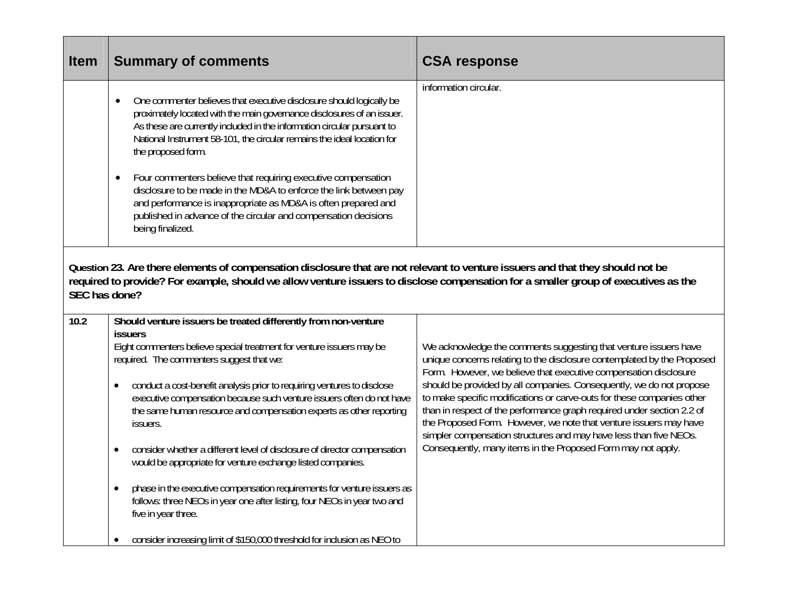| <b>Item</b>   | <b>Summary of comments</b>                                                                                                                                                                                                                                                                                                                                                                                                                                                                                                                                                                                                                          | <b>CSA response</b>                                                                                                                                                                                                                                                                                                                                                |
|---------------|-----------------------------------------------------------------------------------------------------------------------------------------------------------------------------------------------------------------------------------------------------------------------------------------------------------------------------------------------------------------------------------------------------------------------------------------------------------------------------------------------------------------------------------------------------------------------------------------------------------------------------------------------------|--------------------------------------------------------------------------------------------------------------------------------------------------------------------------------------------------------------------------------------------------------------------------------------------------------------------------------------------------------------------|
|               | One commenter believes that executive disclosure should logically be<br>$\bullet$<br>proximately located with the main governance disclosures of an issuer.<br>As these are currently included in the information circular pursuant to<br>National Instrument 58-101, the circular remains the ideal location for<br>the proposed form.<br>Four commenters believe that requiring executive compensation<br>$\bullet$<br>disclosure to be made in the MD&A to enforce the link between pay<br>and performance is inappropriate as MD&A is often prepared and<br>published in advance of the circular and compensation decisions<br>being finalized. | information circular.                                                                                                                                                                                                                                                                                                                                              |
| SEC has done? | Question 23. Are there elements of compensation disclosure that are not relevant to venture issuers and that they should not be<br>required to provide? For example, should we allow venture issuers to disclose compensation for a smaller group of executives as the                                                                                                                                                                                                                                                                                                                                                                              |                                                                                                                                                                                                                                                                                                                                                                    |
| 10.2          | Should venture issuers be treated differently from non-venture<br><i>issuers</i>                                                                                                                                                                                                                                                                                                                                                                                                                                                                                                                                                                    |                                                                                                                                                                                                                                                                                                                                                                    |
|               | Eight commenters believe special treatment for venture issuers may be<br>required. The commenters suggest that we:                                                                                                                                                                                                                                                                                                                                                                                                                                                                                                                                  | We acknowledge the comments suggesting that venture issuers have<br>unique concerns relating to the disclosure contemplated by the Proposed<br>Form. However, we believe that executive compensation disclosure                                                                                                                                                    |
|               | conduct a cost-benefit analysis prior to requiring ventures to disclose<br>executive compensation because such venture issuers often do not have<br>the same human resource and compensation experts as other reporting<br>issuers.                                                                                                                                                                                                                                                                                                                                                                                                                 | should be provided by all companies. Consequently, we do not propose<br>to make specific modifications or carve-outs for these companies other<br>than in respect of the performance graph required under section 2.2 of<br>the Proposed Form. However, we note that venture issuers may have<br>simpler compensation structures and may have less than five NEOs. |
|               | consider whether a different level of disclosure of director compensation<br>would be appropriate for venture exchange listed companies.                                                                                                                                                                                                                                                                                                                                                                                                                                                                                                            | Consequently, many items in the Proposed Form may not apply.                                                                                                                                                                                                                                                                                                       |
|               | phase in the executive compensation requirements for venture issuers as<br>follows: three NEOs in year one after listing, four NEOs in year two and<br>five in year three.                                                                                                                                                                                                                                                                                                                                                                                                                                                                          |                                                                                                                                                                                                                                                                                                                                                                    |
|               | consider increasing limit of \$150,000 threshold for inclusion as NEO to                                                                                                                                                                                                                                                                                                                                                                                                                                                                                                                                                                            |                                                                                                                                                                                                                                                                                                                                                                    |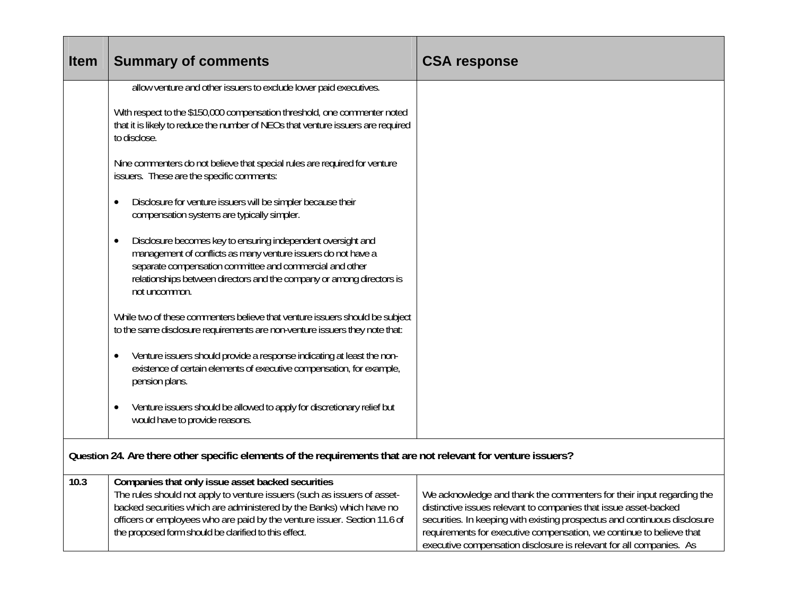| Item                                                                                                          | <b>Summary of comments</b>                                                                                                                                                                                                                                                                                                                  | <b>CSA response</b>                                                                                                                                                                                                                                                                                                                                                   |
|---------------------------------------------------------------------------------------------------------------|---------------------------------------------------------------------------------------------------------------------------------------------------------------------------------------------------------------------------------------------------------------------------------------------------------------------------------------------|-----------------------------------------------------------------------------------------------------------------------------------------------------------------------------------------------------------------------------------------------------------------------------------------------------------------------------------------------------------------------|
|                                                                                                               | allow venture and other issuers to exclude lower paid executives.                                                                                                                                                                                                                                                                           |                                                                                                                                                                                                                                                                                                                                                                       |
|                                                                                                               | With respect to the \$150,000 compensation threshold, one commenter noted<br>that it is likely to reduce the number of NEOs that venture issuers are required<br>to disclose.                                                                                                                                                               |                                                                                                                                                                                                                                                                                                                                                                       |
|                                                                                                               | Nine commenters do not believe that special rules are required for venture<br>issuers. These are the specific comments:                                                                                                                                                                                                                     |                                                                                                                                                                                                                                                                                                                                                                       |
|                                                                                                               | Disclosure for venture issuers will be simpler because their<br>$\bullet$<br>compensation systems are typically simpler.                                                                                                                                                                                                                    |                                                                                                                                                                                                                                                                                                                                                                       |
|                                                                                                               | Disclosure becomes key to ensuring independent oversight and<br>$\bullet$<br>management of conflicts as many venture issuers do not have a<br>separate compensation committee and commercial and other<br>relationships between directors and the company or among directors is<br>not uncommon.                                            |                                                                                                                                                                                                                                                                                                                                                                       |
|                                                                                                               | While two of these commenters believe that venture issuers should be subject<br>to the same disclosure requirements are non-venture issuers they note that:                                                                                                                                                                                 |                                                                                                                                                                                                                                                                                                                                                                       |
|                                                                                                               | Venture issuers should provide a response indicating at least the non-<br>$\bullet$<br>existence of certain elements of executive compensation, for example,<br>pension plans.                                                                                                                                                              |                                                                                                                                                                                                                                                                                                                                                                       |
|                                                                                                               | Venture issuers should be allowed to apply for discretionary relief but<br>would have to provide reasons.                                                                                                                                                                                                                                   |                                                                                                                                                                                                                                                                                                                                                                       |
| Question 24. Are there other specific elements of the requirements that are not relevant for venture issuers? |                                                                                                                                                                                                                                                                                                                                             |                                                                                                                                                                                                                                                                                                                                                                       |
| 10.3                                                                                                          | Companies that only issue asset backed securities<br>The rules should not apply to venture issuers (such as issuers of asset-<br>backed securities which are administered by the Banks) which have no<br>officers or employees who are paid by the venture issuer. Section 11.6 of<br>the proposed form should be clarified to this effect. | We acknowledge and thank the commenters for their input regarding the<br>distinctive issues relevant to companies that issue asset-backed<br>securities. In keeping with existing prospectus and continuous disclosure<br>requirements for executive compensation, we continue to believe that<br>executive compensation disclosure is relevant for all companies. As |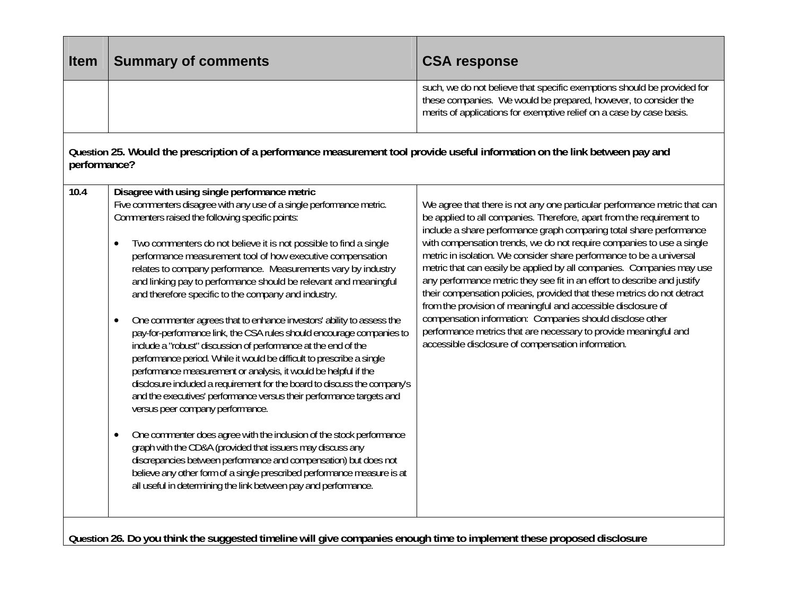| <b>Item</b>                                                                                                                                  | <b>Summary of comments</b>                                                                                                                                                                                                                                                                                                                                                                                                                                                                                                                                                                                                                                                                                                                                                                                                                                                                                                                                                                                                                                                                                                                                                                                                                                                                                                                                                                                                | <b>CSA response</b>                                                                                                                                                                                                                                                                                                                                                                                                                                                                                                                                                                                                                                                                                                                                                                                                                                                |  |  |
|----------------------------------------------------------------------------------------------------------------------------------------------|---------------------------------------------------------------------------------------------------------------------------------------------------------------------------------------------------------------------------------------------------------------------------------------------------------------------------------------------------------------------------------------------------------------------------------------------------------------------------------------------------------------------------------------------------------------------------------------------------------------------------------------------------------------------------------------------------------------------------------------------------------------------------------------------------------------------------------------------------------------------------------------------------------------------------------------------------------------------------------------------------------------------------------------------------------------------------------------------------------------------------------------------------------------------------------------------------------------------------------------------------------------------------------------------------------------------------------------------------------------------------------------------------------------------------|--------------------------------------------------------------------------------------------------------------------------------------------------------------------------------------------------------------------------------------------------------------------------------------------------------------------------------------------------------------------------------------------------------------------------------------------------------------------------------------------------------------------------------------------------------------------------------------------------------------------------------------------------------------------------------------------------------------------------------------------------------------------------------------------------------------------------------------------------------------------|--|--|
|                                                                                                                                              |                                                                                                                                                                                                                                                                                                                                                                                                                                                                                                                                                                                                                                                                                                                                                                                                                                                                                                                                                                                                                                                                                                                                                                                                                                                                                                                                                                                                                           | such, we do not believe that specific exemptions should be provided for<br>these companies. We would be prepared, however, to consider the<br>merits of applications for exemptive relief on a case by case basis.                                                                                                                                                                                                                                                                                                                                                                                                                                                                                                                                                                                                                                                 |  |  |
| Question 25. Would the prescription of a performance measurement tool provide useful information on the link between pay and<br>performance? |                                                                                                                                                                                                                                                                                                                                                                                                                                                                                                                                                                                                                                                                                                                                                                                                                                                                                                                                                                                                                                                                                                                                                                                                                                                                                                                                                                                                                           |                                                                                                                                                                                                                                                                                                                                                                                                                                                                                                                                                                                                                                                                                                                                                                                                                                                                    |  |  |
| 10.4                                                                                                                                         | Disagree with using single performance metric<br>Five commenters disagree with any use of a single performance metric.<br>Commenters raised the following specific points:<br>Two commenters do not believe it is not possible to find a single<br>performance measurement tool of how executive compensation<br>relates to company performance. Measurements vary by industry<br>and linking pay to performance should be relevant and meaningful<br>and therefore specific to the company and industry.<br>One commenter agrees that to enhance investors' ability to assess the<br>pay-for-performance link, the CSA rules should encourage companies to<br>include a "robust" discussion of performance at the end of the<br>performance period. While it would be difficult to prescribe a single<br>performance measurement or analysis, it would be helpful if the<br>disclosure included a requirement for the board to discuss the company's<br>and the executives' performance versus their performance targets and<br>versus peer company performance.<br>One commenter does agree with the inclusion of the stock performance<br>graph with the CD&A (provided that issuers may discuss any<br>discrepancies between performance and compensation) but does not<br>believe any other form of a single prescribed performance measure is at<br>all useful in determining the link between pay and performance. | We agree that there is not any one particular performance metric that can<br>be applied to all companies. Therefore, apart from the requirement to<br>include a share performance graph comparing total share performance<br>with compensation trends, we do not require companies to use a single<br>metric in isolation. We consider share performance to be a universal<br>metric that can easily be applied by all companies. Companies may use<br>any performance metric they see fit in an effort to describe and justify<br>their compensation policies, provided that these metrics do not detract<br>from the provision of meaningful and accessible disclosure of<br>compensation information: Companies should disclose other<br>performance metrics that are necessary to provide meaningful and<br>accessible disclosure of compensation information. |  |  |
|                                                                                                                                              |                                                                                                                                                                                                                                                                                                                                                                                                                                                                                                                                                                                                                                                                                                                                                                                                                                                                                                                                                                                                                                                                                                                                                                                                                                                                                                                                                                                                                           |                                                                                                                                                                                                                                                                                                                                                                                                                                                                                                                                                                                                                                                                                                                                                                                                                                                                    |  |  |

**Question 26. Do you think the suggested timeline will give companies enough time to implement these proposed disclosure**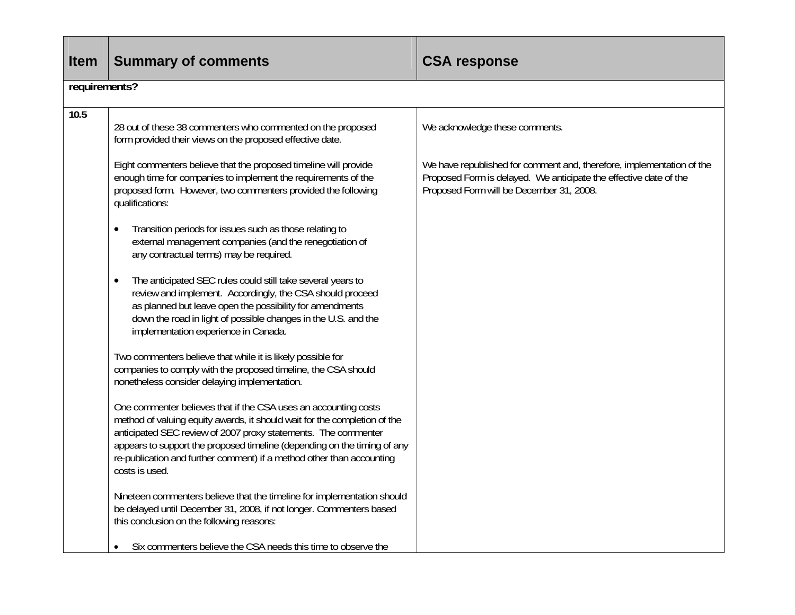| <b>Item</b>   | <b>Summary of comments</b>                                                                                                                                                                                                                                                                                                                                                            | <b>CSA response</b>                                                                                                                                                                    |  |  |
|---------------|---------------------------------------------------------------------------------------------------------------------------------------------------------------------------------------------------------------------------------------------------------------------------------------------------------------------------------------------------------------------------------------|----------------------------------------------------------------------------------------------------------------------------------------------------------------------------------------|--|--|
| requirements? |                                                                                                                                                                                                                                                                                                                                                                                       |                                                                                                                                                                                        |  |  |
| 10.5          | 28 out of these 38 commenters who commented on the proposed<br>form provided their views on the proposed effective date.                                                                                                                                                                                                                                                              | We acknowledge these comments.                                                                                                                                                         |  |  |
|               | Eight commenters believe that the proposed timeline will provide<br>enough time for companies to implement the requirements of the<br>proposed form. However, two commenters provided the following<br>qualifications:                                                                                                                                                                | We have republished for comment and, therefore, implementation of the<br>Proposed Form is delayed. We anticipate the effective date of the<br>Proposed Form will be December 31, 2008. |  |  |
|               | Transition periods for issues such as those relating to<br>external management companies (and the renegotiation of<br>any contractual terms) may be required.                                                                                                                                                                                                                         |                                                                                                                                                                                        |  |  |
|               | The anticipated SEC rules could still take several years to<br>$\bullet$<br>review and implement. Accordingly, the CSA should proceed<br>as planned but leave open the possibility for amendments<br>down the road in light of possible changes in the U.S. and the<br>implementation experience in Canada.                                                                           |                                                                                                                                                                                        |  |  |
|               | Two commenters believe that while it is likely possible for<br>companies to comply with the proposed timeline, the CSA should<br>nonetheless consider delaying implementation.                                                                                                                                                                                                        |                                                                                                                                                                                        |  |  |
|               | One commenter believes that if the CSA uses an accounting costs<br>method of valuing equity awards, it should wait for the completion of the<br>anticipated SEC review of 2007 proxy statements. The commenter<br>appears to support the proposed timeline (depending on the timing of any<br>re-publication and further comment) if a method other than accounting<br>costs is used. |                                                                                                                                                                                        |  |  |
|               | Nineteen commenters believe that the timeline for implementation should<br>be delayed until December 31, 2008, if not longer. Commenters based<br>this conclusion on the following reasons:                                                                                                                                                                                           |                                                                                                                                                                                        |  |  |
|               | Six commenters believe the CSA needs this time to observe the                                                                                                                                                                                                                                                                                                                         |                                                                                                                                                                                        |  |  |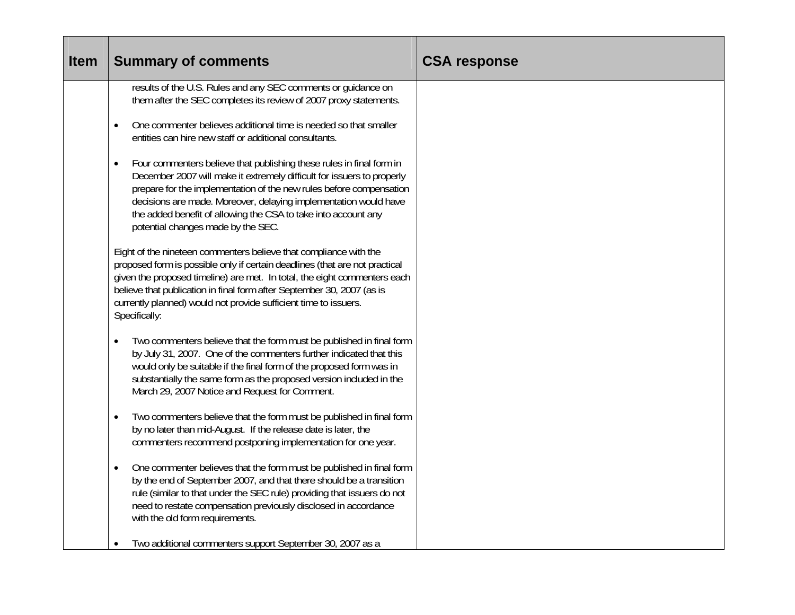| <b>Item</b> | <b>Summary of comments</b>                                                                                                                                                                                                                                                                                                                                                                                     | <b>CSA response</b> |
|-------------|----------------------------------------------------------------------------------------------------------------------------------------------------------------------------------------------------------------------------------------------------------------------------------------------------------------------------------------------------------------------------------------------------------------|---------------------|
|             | results of the U.S. Rules and any SEC comments or guidance on<br>them after the SEC completes its review of 2007 proxy statements.                                                                                                                                                                                                                                                                             |                     |
|             | One commenter believes additional time is needed so that smaller<br>entities can hire new staff or additional consultants.                                                                                                                                                                                                                                                                                     |                     |
|             | Four commenters believe that publishing these rules in final form in<br>$\bullet$<br>December 2007 will make it extremely difficult for issuers to properly<br>prepare for the implementation of the new rules before compensation<br>decisions are made. Moreover, delaying implementation would have<br>the added benefit of allowing the CSA to take into account any<br>potential changes made by the SEC. |                     |
|             | Eight of the nineteen commenters believe that compliance with the<br>proposed form is possible only if certain deadlines (that are not practical<br>given the proposed timeline) are met. In total, the eight commenters each<br>believe that publication in final form after September 30, 2007 (as is<br>currently planned) would not provide sufficient time to issuers.<br>Specifically:                   |                     |
|             | Two commenters believe that the form must be published in final form<br>$\bullet$<br>by July 31, 2007. One of the commenters further indicated that this<br>would only be suitable if the final form of the proposed form was in<br>substantially the same form as the proposed version included in the<br>March 29, 2007 Notice and Request for Comment.                                                      |                     |
|             | Two commenters believe that the form must be published in final form<br>$\bullet$<br>by no later than mid-August. If the release date is later, the<br>commenters recommend postponing implementation for one year.                                                                                                                                                                                            |                     |
|             | One commenter believes that the form must be published in final form<br>$\bullet$<br>by the end of September 2007, and that there should be a transition<br>rule (similar to that under the SEC rule) providing that issuers do not<br>need to restate compensation previously disclosed in accordance<br>with the old form requirements.                                                                      |                     |
|             | Two additional commenters support September 30, 2007 as a                                                                                                                                                                                                                                                                                                                                                      |                     |